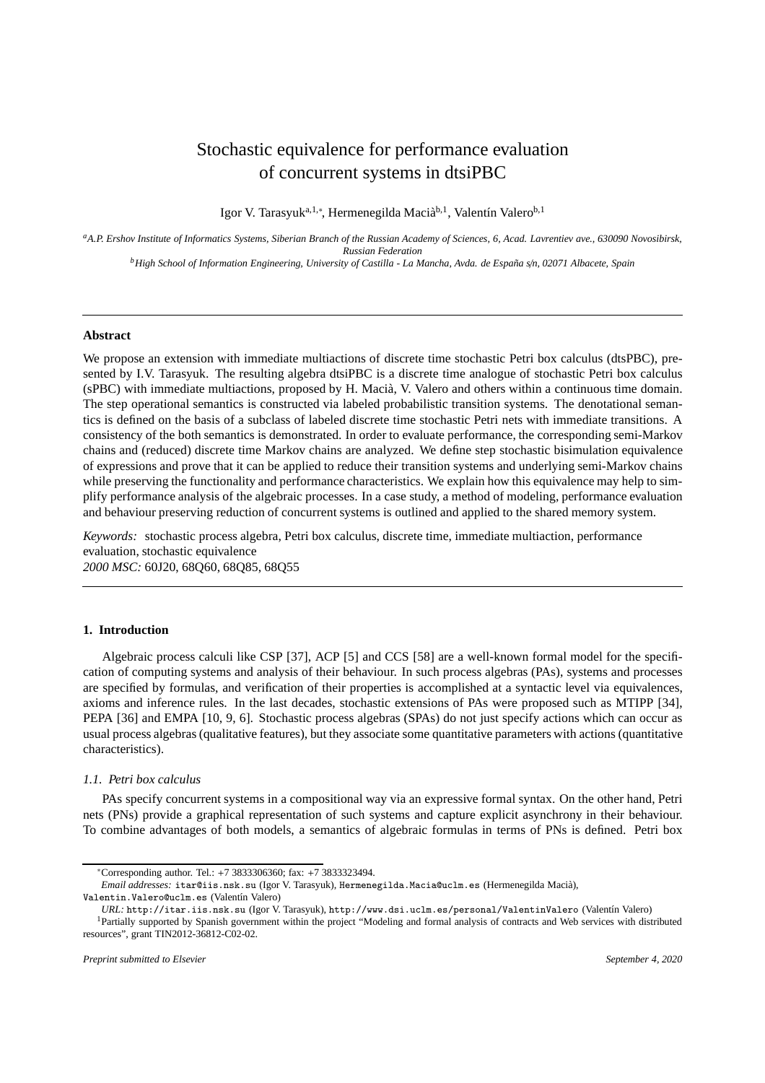# Stochastic equivalence for performance evaluation of concurrent systems in dtsiPBC

Igor V. Tarasyuk<sup>a,1,∗</sup>, Hermenegilda Macià<sup>b,1</sup>, Valentín Valero<sup>b,1</sup>

*<sup>a</sup>A.P. Ershov Institute of Informatics Systems, Siberian Branch of the Russian Academy of Sciences, 6, Acad. Lavrentiev ave., 630090 Novosibirsk, Russian Federation*

*<sup>b</sup>High School of Information Engineering, University of Castilla - La Mancha, Avda. de Espa˜na s*/*n, 02071 Albacete, Spain*

# **Abstract**

We propose an extension with immediate multiactions of discrete time stochastic Petri box calculus (dtsPBC), presented by I.V. Tarasyuk. The resulting algebra dtsiPBC is a discrete time analogue of stochastic Petri box calculus (sPBC) with immediate multiactions, proposed by H. Macià, V. Valero and others within a continuous time domain. The step operational semantics is constructed via labeled probabilistic transition systems. The denotational semantics is defined on the basis of a subclass of labeled discrete time stochastic Petri nets with immediate transitions. A consistency of the both semantics is demonstrated. In order to evaluate performance, the corresponding semi-Markov chains and (reduced) discrete time Markov chains are analyzed. We define step stochastic bisimulation equivalence of expressions and prove that it can be applied to reduce their transition systems and underlying semi-Markov chains while preserving the functionality and performance characteristics. We explain how this equivalence may help to simplify performance analysis of the algebraic processes. In a case study, a method of modeling, performance evaluation and behaviour preserving reduction of concurrent systems is outlined and applied to the shared memory system.

*Keywords:* stochastic process algebra, Petri box calculus, discrete time, immediate multiaction, performance evaluation, stochastic equivalence *2000 MSC:* 60J20, 68Q60, 68Q85, 68Q55

# **1. Introduction**

Algebraic process calculi like CSP [37], ACP [5] and CCS [58] are a well-known formal model for the specification of computing systems and analysis of their behaviour. In such process algebras (PAs), systems and processes are specified by formulas, and verification of their properties is accomplished at a syntactic level via equivalences, axioms and inference rules. In the last decades, stochastic extensions of PAs were proposed such as MTIPP [34], PEPA [36] and EMPA [10, 9, 6]. Stochastic process algebras (SPAs) do not just specify actions which can occur as usual process algebras (qualitative features), but they associate some quantitative parameters with actions (quantitative characteristics).

# *1.1. Petri box calculus*

PAs specify concurrent systems in a compositional way via an expressive formal syntax. On the other hand, Petri nets (PNs) provide a graphical representation of such systems and capture explicit asynchrony in their behaviour. To combine advantages of both models, a semantics of algebraic formulas in terms of PNs is defined. Petri box

Valentin.Valero@uclm.es (Valentín Valero)

<sup>∗</sup>Corresponding author. Tel.: +7 3833306360; fax: +7 3833323494.

*Email addresses:* itar@iis.nsk.su (Igor V. Tarasyuk), Hermenegilda.Macia@uclm.es (Hermenegilda Maci`a),

*URL:* http://itar.iis.nsk.su (Igor V. Tarasyuk), http://www.dsi.uclm.es/personal/ValentinValero (Valent´ın Valero)

<sup>&</sup>lt;sup>1</sup>Partially supported by Spanish government within the project "Modeling and formal analysis of contracts and Web services with distributed resources", grant TIN2012-36812-C02-02.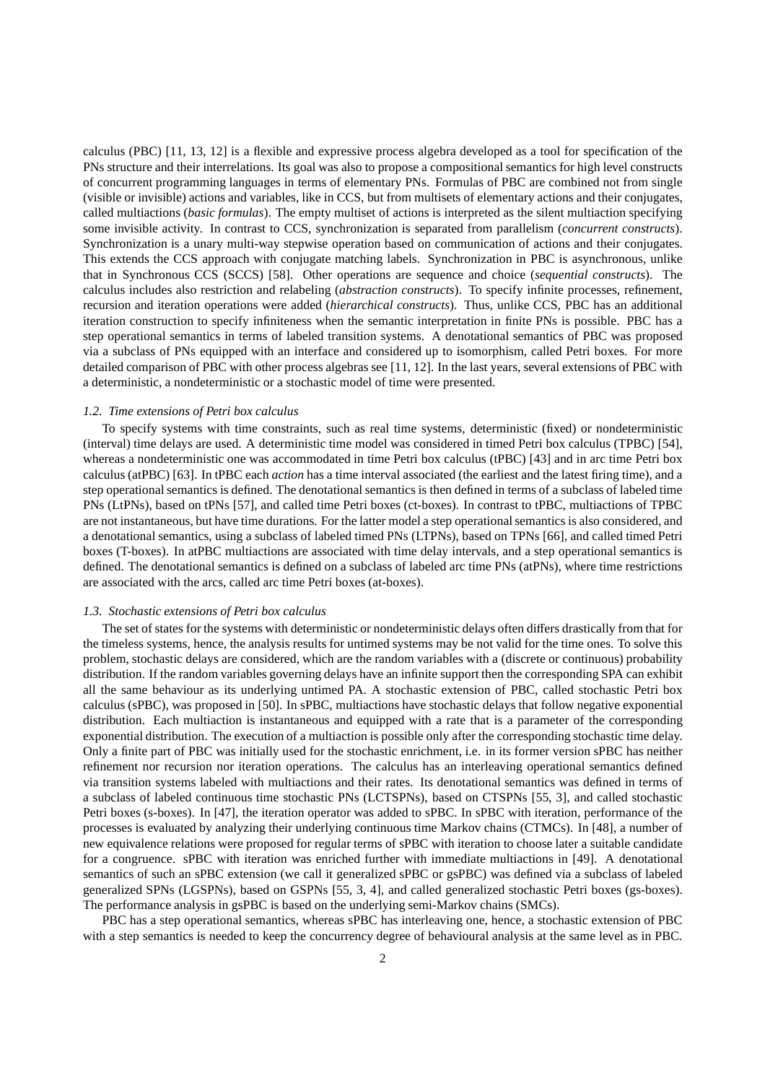calculus (PBC) [11, 13, 12] is a flexible and expressive process algebra developed as a tool for specification of the PNs structure and their interrelations. Its goal was also to propose a compositional semantics for high level constructs of concurrent programming languages in terms of elementary PNs. Formulas of PBC are combined not from single (visible or invisible) actions and variables, like in CCS, but from multisets of elementary actions and their conjugates, called multiactions (*basic formulas*). The empty multiset of actions is interpreted as the silent multiaction specifying some invisible activity. In contrast to CCS, synchronization is separated from parallelism (*concurrent constructs*). Synchronization is a unary multi-way stepwise operation based on communication of actions and their conjugates. This extends the CCS approach with conjugate matching labels. Synchronization in PBC is asynchronous, unlike that in Synchronous CCS (SCCS) [58]. Other operations are sequence and choice (*sequential constructs*). The calculus includes also restriction and relabeling (*abstraction constructs*). To specify infinite processes, refinement, recursion and iteration operations were added (*hierarchical constructs*). Thus, unlike CCS, PBC has an additional iteration construction to specify infiniteness when the semantic interpretation in finite PNs is possible. PBC has a step operational semantics in terms of labeled transition systems. A denotational semantics of PBC was proposed via a subclass of PNs equipped with an interface and considered up to isomorphism, called Petri boxes. For more detailed comparison of PBC with other process algebras see [11, 12]. In the last years, several extensions of PBC with a deterministic, a nondeterministic or a stochastic model of time were presented.

#### *1.2. Time extensions of Petri box calculus*

To specify systems with time constraints, such as real time systems, deterministic (fixed) or nondeterministic (interval) time delays are used. A deterministic time model was considered in timed Petri box calculus (TPBC) [54], whereas a nondeterministic one was accommodated in time Petri box calculus (tPBC) [43] and in arc time Petri box calculus (atPBC) [63]. In tPBC each *action* has a time interval associated (the earliest and the latest firing time), and a step operational semantics is defined. The denotational semantics is then defined in terms of a subclass of labeled time PNs (LtPNs), based on tPNs [57], and called time Petri boxes (ct-boxes). In contrast to tPBC, multiactions of TPBC are not instantaneous, but have time durations. For the latter model a step operational semantics is also considered, and a denotational semantics, using a subclass of labeled timed PNs (LTPNs), based on TPNs [66], and called timed Petri boxes (T-boxes). In atPBC multiactions are associated with time delay intervals, and a step operational semantics is defined. The denotational semantics is defined on a subclass of labeled arc time PNs (atPNs), where time restrictions are associated with the arcs, called arc time Petri boxes (at-boxes).

### *1.3. Stochastic extensions of Petri box calculus*

The set of states for the systems with deterministic or nondeterministic delays often differs drastically from that for the timeless systems, hence, the analysis results for untimed systems may be not valid for the time ones. To solve this problem, stochastic delays are considered, which are the random variables with a (discrete or continuous) probability distribution. If the random variables governing delays have an infinite support then the corresponding SPA can exhibit all the same behaviour as its underlying untimed PA. A stochastic extension of PBC, called stochastic Petri box calculus (sPBC), was proposed in [50]. In sPBC, multiactions have stochastic delays that follow negative exponential distribution. Each multiaction is instantaneous and equipped with a rate that is a parameter of the corresponding exponential distribution. The execution of a multiaction is possible only after the corresponding stochastic time delay. Only a finite part of PBC was initially used for the stochastic enrichment, i.e. in its former version sPBC has neither refinement nor recursion nor iteration operations. The calculus has an interleaving operational semantics defined via transition systems labeled with multiactions and their rates. Its denotational semantics was defined in terms of a subclass of labeled continuous time stochastic PNs (LCTSPNs), based on CTSPNs [55, 3], and called stochastic Petri boxes (s-boxes). In [47], the iteration operator was added to sPBC. In sPBC with iteration, performance of the processes is evaluated by analyzing their underlying continuous time Markov chains (CTMCs). In [48], a number of new equivalence relations were proposed for regular terms of sPBC with iteration to choose later a suitable candidate for a congruence. sPBC with iteration was enriched further with immediate multiactions in [49]. A denotational semantics of such an sPBC extension (we call it generalized sPBC or gsPBC) was defined via a subclass of labeled generalized SPNs (LGSPNs), based on GSPNs [55, 3, 4], and called generalized stochastic Petri boxes (gs-boxes). The performance analysis in gsPBC is based on the underlying semi-Markov chains (SMCs).

PBC has a step operational semantics, whereas sPBC has interleaving one, hence, a stochastic extension of PBC with a step semantics is needed to keep the concurrency degree of behavioural analysis at the same level as in PBC.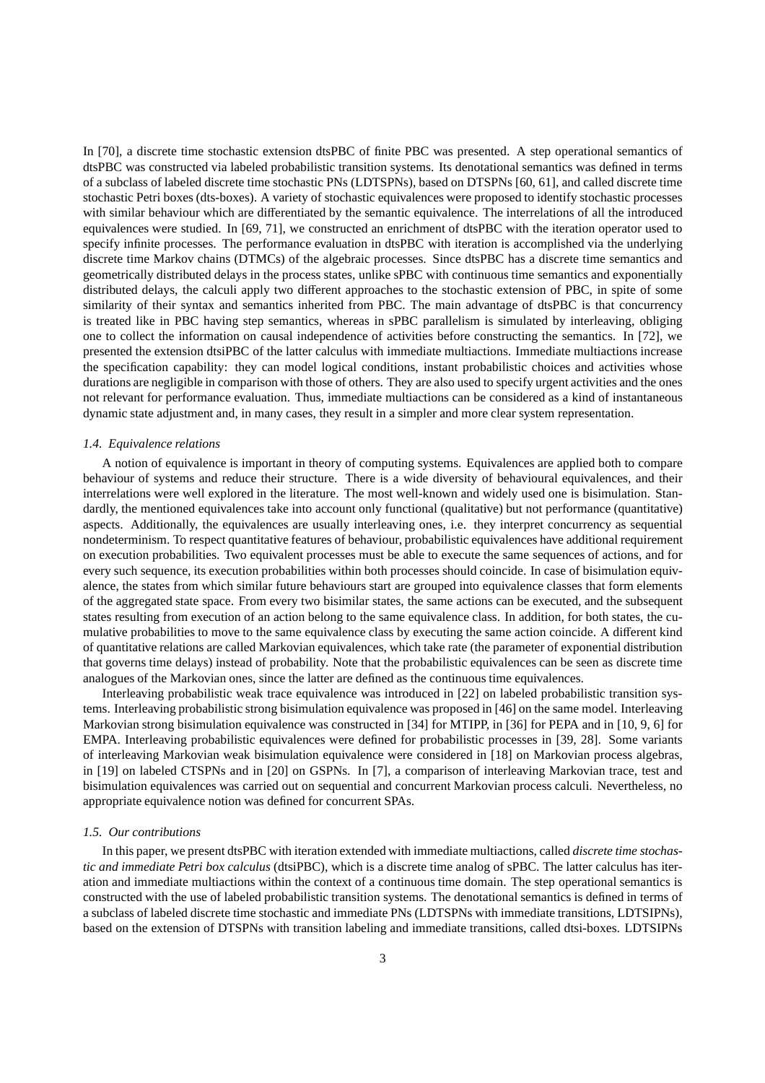In [70], a discrete time stochastic extension dtsPBC of finite PBC was presented. A step operational semantics of dtsPBC was constructed via labeled probabilistic transition systems. Its denotational semantics was defined in terms of a subclass of labeled discrete time stochastic PNs (LDTSPNs), based on DTSPNs [60, 61], and called discrete time stochastic Petri boxes (dts-boxes). A variety of stochastic equivalences were proposed to identify stochastic processes with similar behaviour which are differentiated by the semantic equivalence. The interrelations of all the introduced equivalences were studied. In [69, 71], we constructed an enrichment of dtsPBC with the iteration operator used to specify infinite processes. The performance evaluation in dtsPBC with iteration is accomplished via the underlying discrete time Markov chains (DTMCs) of the algebraic processes. Since dtsPBC has a discrete time semantics and geometrically distributed delays in the process states, unlike sPBC with continuous time semantics and exponentially distributed delays, the calculi apply two different approaches to the stochastic extension of PBC, in spite of some similarity of their syntax and semantics inherited from PBC. The main advantage of dtsPBC is that concurrency is treated like in PBC having step semantics, whereas in sPBC parallelism is simulated by interleaving, obliging one to collect the information on causal independence of activities before constructing the semantics. In [72], we presented the extension dtsiPBC of the latter calculus with immediate multiactions. Immediate multiactions increase the specification capability: they can model logical conditions, instant probabilistic choices and activities whose durations are negligible in comparison with those of others. They are also used to specify urgent activities and the ones not relevant for performance evaluation. Thus, immediate multiactions can be considered as a kind of instantaneous dynamic state adjustment and, in many cases, they result in a simpler and more clear system representation.

## *1.4. Equivalence relations*

A notion of equivalence is important in theory of computing systems. Equivalences are applied both to compare behaviour of systems and reduce their structure. There is a wide diversity of behavioural equivalences, and their interrelations were well explored in the literature. The most well-known and widely used one is bisimulation. Standardly, the mentioned equivalences take into account only functional (qualitative) but not performance (quantitative) aspects. Additionally, the equivalences are usually interleaving ones, i.e. they interpret concurrency as sequential nondeterminism. To respect quantitative features of behaviour, probabilistic equivalences have additional requirement on execution probabilities. Two equivalent processes must be able to execute the same sequences of actions, and for every such sequence, its execution probabilities within both processes should coincide. In case of bisimulation equivalence, the states from which similar future behaviours start are grouped into equivalence classes that form elements of the aggregated state space. From every two bisimilar states, the same actions can be executed, and the subsequent states resulting from execution of an action belong to the same equivalence class. In addition, for both states, the cumulative probabilities to move to the same equivalence class by executing the same action coincide. A different kind of quantitative relations are called Markovian equivalences, which take rate (the parameter of exponential distribution that governs time delays) instead of probability. Note that the probabilistic equivalences can be seen as discrete time analogues of the Markovian ones, since the latter are defined as the continuous time equivalences.

Interleaving probabilistic weak trace equivalence was introduced in [22] on labeled probabilistic transition systems. Interleaving probabilistic strong bisimulation equivalence was proposed in [46] on the same model. Interleaving Markovian strong bisimulation equivalence was constructed in [34] for MTIPP, in [36] for PEPA and in [10, 9, 6] for EMPA. Interleaving probabilistic equivalences were defined for probabilistic processes in [39, 28]. Some variants of interleaving Markovian weak bisimulation equivalence were considered in [18] on Markovian process algebras, in [19] on labeled CTSPNs and in [20] on GSPNs. In [7], a comparison of interleaving Markovian trace, test and bisimulation equivalences was carried out on sequential and concurrent Markovian process calculi. Nevertheless, no appropriate equivalence notion was defined for concurrent SPAs.

#### *1.5. Our contributions*

In this paper, we present dtsPBC with iteration extended with immediate multiactions, called *discrete time stochastic and immediate Petri box calculus* (dtsiPBC), which is a discrete time analog of sPBC. The latter calculus has iteration and immediate multiactions within the context of a continuous time domain. The step operational semantics is constructed with the use of labeled probabilistic transition systems. The denotational semantics is defined in terms of a subclass of labeled discrete time stochastic and immediate PNs (LDTSPNs with immediate transitions, LDTSIPNs), based on the extension of DTSPNs with transition labeling and immediate transitions, called dtsi-boxes. LDTSIPNs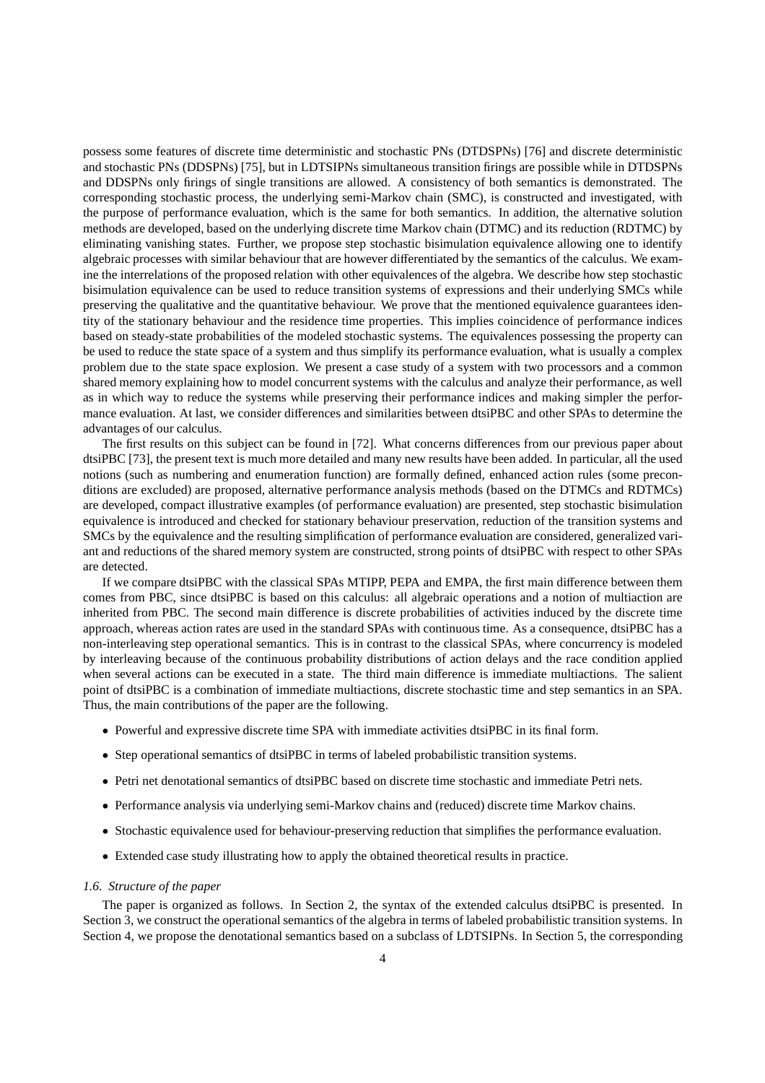possess some features of discrete time deterministic and stochastic PNs (DTDSPNs) [76] and discrete deterministic and stochastic PNs (DDSPNs) [75], but in LDTSIPNs simultaneous transition firings are possible while in DTDSPNs and DDSPNs only firings of single transitions are allowed. A consistency of both semantics is demonstrated. The corresponding stochastic process, the underlying semi-Markov chain (SMC), is constructed and investigated, with the purpose of performance evaluation, which is the same for both semantics. In addition, the alternative solution methods are developed, based on the underlying discrete time Markov chain (DTMC) and its reduction (RDTMC) by eliminating vanishing states. Further, we propose step stochastic bisimulation equivalence allowing one to identify algebraic processes with similar behaviour that are however differentiated by the semantics of the calculus. We examine the interrelations of the proposed relation with other equivalences of the algebra. We describe how step stochastic bisimulation equivalence can be used to reduce transition systems of expressions and their underlying SMCs while preserving the qualitative and the quantitative behaviour. We prove that the mentioned equivalence guarantees identity of the stationary behaviour and the residence time properties. This implies coincidence of performance indices based on steady-state probabilities of the modeled stochastic systems. The equivalences possessing the property can be used to reduce the state space of a system and thus simplify its performance evaluation, what is usually a complex problem due to the state space explosion. We present a case study of a system with two processors and a common shared memory explaining how to model concurrent systems with the calculus and analyze their performance, as well as in which way to reduce the systems while preserving their performance indices and making simpler the performance evaluation. At last, we consider differences and similarities between dtsiPBC and other SPAs to determine the advantages of our calculus.

The first results on this subject can be found in [72]. What concerns differences from our previous paper about dtsiPBC [73], the present text is much more detailed and many new results have been added. In particular, all the used notions (such as numbering and enumeration function) are formally defined, enhanced action rules (some preconditions are excluded) are proposed, alternative performance analysis methods (based on the DTMCs and RDTMCs) are developed, compact illustrative examples (of performance evaluation) are presented, step stochastic bisimulation equivalence is introduced and checked for stationary behaviour preservation, reduction of the transition systems and SMCs by the equivalence and the resulting simplification of performance evaluation are considered, generalized variant and reductions of the shared memory system are constructed, strong points of dtsiPBC with respect to other SPAs are detected.

If we compare dtsiPBC with the classical SPAs MTIPP, PEPA and EMPA, the first main difference between them comes from PBC, since dtsiPBC is based on this calculus: all algebraic operations and a notion of multiaction are inherited from PBC. The second main difference is discrete probabilities of activities induced by the discrete time approach, whereas action rates are used in the standard SPAs with continuous time. As a consequence, dtsiPBC has a non-interleaving step operational semantics. This is in contrast to the classical SPAs, where concurrency is modeled by interleaving because of the continuous probability distributions of action delays and the race condition applied when several actions can be executed in a state. The third main difference is immediate multiactions. The salient point of dtsiPBC is a combination of immediate multiactions, discrete stochastic time and step semantics in an SPA. Thus, the main contributions of the paper are the following.

- Powerful and expressive discrete time SPA with immediate activities dtsiPBC in its final form.
- Step operational semantics of dtsiPBC in terms of labeled probabilistic transition systems.
- Petri net denotational semantics of dtsiPBC based on discrete time stochastic and immediate Petri nets.
- Performance analysis via underlying semi-Markov chains and (reduced) discrete time Markov chains.
- Stochastic equivalence used for behaviour-preserving reduction that simplifies the performance evaluation.
- Extended case study illustrating how to apply the obtained theoretical results in practice.

#### *1.6. Structure of the paper*

The paper is organized as follows. In Section 2, the syntax of the extended calculus dtsiPBC is presented. In Section 3, we construct the operational semantics of the algebra in terms of labeled probabilistic transition systems. In Section 4, we propose the denotational semantics based on a subclass of LDTSIPNs. In Section 5, the corresponding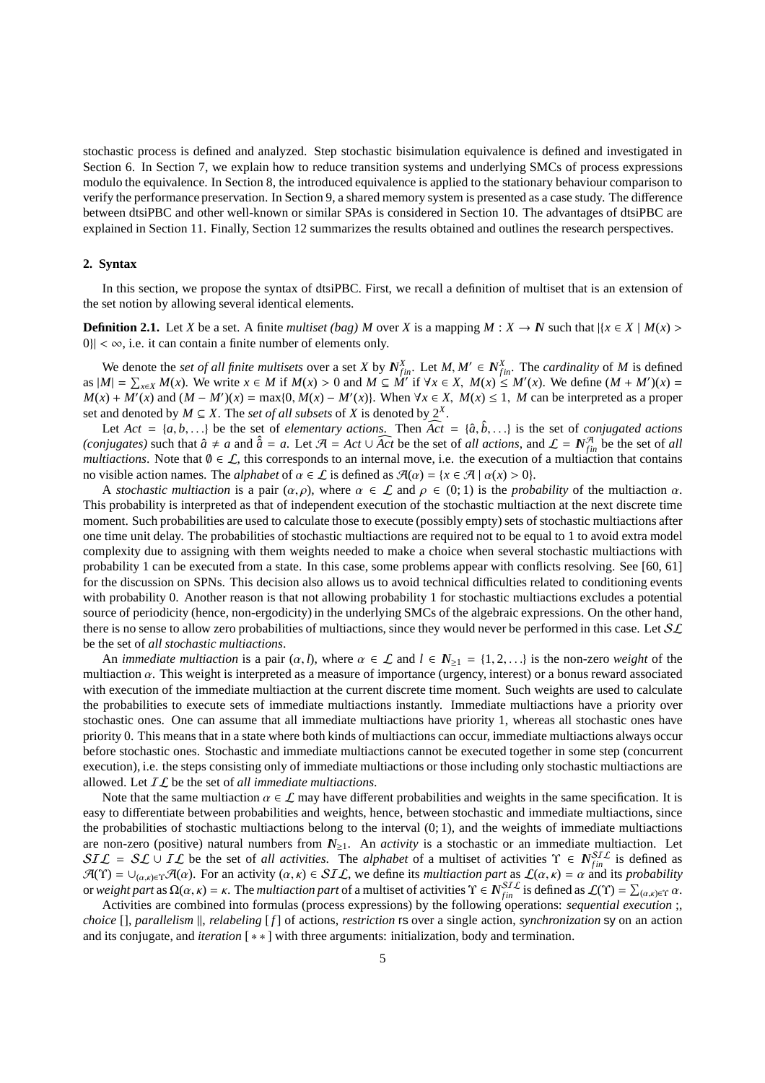stochastic process is defined and analyzed. Step stochastic bisimulation equivalence is defined and investigated in Section 6. In Section 7, we explain how to reduce transition systems and underlying SMCs of process expressions modulo the equivalence. In Section 8, the introduced equivalence is applied to the stationary behaviour comparison to verify the performance preservation. In Section 9, a shared memory system is presented as a case study. The difference between dtsiPBC and other well-known or similar SPAs is considered in Section 10. The advantages of dtsiPBC are explained in Section 11. Finally, Section 12 summarizes the results obtained and outlines the research perspectives.

# **2. Syntax**

In this section, we propose the syntax of dtsiPBC. First, we recall a definition of multiset that is an extension of the set notion by allowing several identical elements.

**Definition 2.1.** Let *X* be a set. A finite *multiset (bag) M* over *X* is a mapping *M* : *X* → *N* such that  $|{x \in X | M(x) >$  $|0\rangle| < \infty$ , i.e. it can contain a finite number of elements only.

We denote the *set of all finite multisets* over a set *X* by  $N_{fin}^X$ . Let  $M, M' \in N_{fin}^X$ . The *cardinality* of *M* is defined as  $|M| = \sum_{x \in X} M(x)$ . We write  $x \in M$  if  $M(x) > 0$  and  $M \subseteq M''$  if  $\forall x \in X$ ,  $M(x) \leq M'(x)$ . We define  $(M + M')(x) =$  $M(x) + M'(x)$  and  $(M - M')(x) = \max\{0, M(x) - M'(x)\}\)$ . When  $\forall x \in X$ ,  $M(x) \leq 1$ , *M* can be interpreted as a proper set and denoted by  $M \subseteq X$ . The *set of all subsets* of *X* is denoted by  $2^X$ .

Let  $Act = \{a, b, \ldots\}$  be the set of *elementary actions*. Then  $Act = \{\hat{a}, \hat{b}, \ldots\}$  is the set of *conjugated actions (conjugates)* such that  $\hat{a} \neq a$  and  $\hat{a} = a$ . Let  $\mathcal{A} = Act \cup \widehat{Act}$  be the set of *all actions*, and  $\mathcal{L} = N_{fin}^{\mathcal{A}}$  be the set of *all multiactions*. Note that  $\emptyset \in \mathcal{L}$ , this corresponds to an internal move, i.e. the execution of a multiaction that contains no visible action names. The *alphabet* of  $\alpha \in \mathcal{L}$  is defined as  $\mathcal{A}(\alpha) = \{x \in \mathcal{A} \mid \alpha(x) > 0\}$ .

A *stochastic multiaction* is a pair  $(\alpha, \rho)$ , where  $\alpha \in \mathcal{L}$  and  $\rho \in (0, 1)$  is the *probability* of the multiaction  $\alpha$ . This probability is interpreted as that of independent execution of the stochastic multiaction at the next discrete time moment. Such probabilities are used to calculate those to execute (possibly empty) sets of stochastic multiactions after one time unit delay. The probabilities of stochastic multiactions are required not to be equal to 1 to avoid extra model complexity due to assigning with them weights needed to make a choice when several stochastic multiactions with probability 1 can be executed from a state. In this case, some problems appear with conflicts resolving. See [60, 61] for the discussion on SPNs. This decision also allows us to avoid technical difficulties related to conditioning events with probability 0. Another reason is that not allowing probability 1 for stochastic multiactions excludes a potential source of periodicity (hence, non-ergodicity) in the underlying SMCs of the algebraic expressions. On the other hand, there is no sense to allow zero probabilities of multiactions, since they would never be performed in this case. Let  $SL$ be the set of *all stochastic multiactions*.

An *immediate multiaction* is a pair  $(\alpha, l)$ , where  $\alpha \in \mathcal{L}$  and  $l \in \mathbb{N}_{\geq 1} = \{1, 2, \ldots\}$  is the non-zero *weight* of the multiaction α. This weight is interpreted as a measure of importance (urgency, interest) or a bonus reward associated with execution of the immediate multiaction at the current discrete time moment. Such weights are used to calculate the probabilities to execute sets of immediate multiactions instantly. Immediate multiactions have a priority over stochastic ones. One can assume that all immediate multiactions have priority 1, whereas all stochastic ones have priority 0. This means that in a state where both kinds of multiactions can occur, immediate multiactions always occur before stochastic ones. Stochastic and immediate multiactions cannot be executed together in some step (concurrent execution), i.e. the steps consisting only of immediate multiactions or those including only stochastic multiactions are allowed. Let IL be the set of *all immediate multiactions*.

Note that the same multiaction  $\alpha \in \mathcal{L}$  may have different probabilities and weights in the same specification. It is easy to differentiate between probabilities and weights, hence, between stochastic and immediate multiactions, since the probabilities of stochastic multiactions belong to the interval  $(0, 1)$ , and the weights of immediate multiactions are non-zero (positive) natural numbers from  $N_{\geq 1}$ . An *activity* is a stochastic or an immediate multiaction. Let  $SIL = SL \cup IL$  be the set of *all activities*. The *alphabet* of a multiset of activities  $\Upsilon \in N_{fin}^{STL}$  is defined as  $\mathcal{A}(\Upsilon) = \bigcup_{(\alpha,\kappa)\in\Upsilon}\mathcal{A}(\alpha)$ . For an activity  $(\alpha,\kappa) \in \mathcal{SIL}$ , we define its *multiaction part* as  $\mathcal{L}(\alpha,\kappa) = \alpha$  and its *probability* or *weight part* as  $\Omega(\alpha, \kappa) = \kappa$ . The *multiaction part* of a multiset of activities  $\Upsilon \in N_{fin}^{STL}$  is defined as  $\mathcal{L}(\Upsilon) = \sum_{(\alpha, \kappa) \in \Upsilon} \alpha$ .

Activities are combined into formulas (process expressions) by the following operations: *sequential execution* ;, *choice* [], *parallelism* ||, *relabeling* [*f*] of actions, *restriction* rs over a single action, *synchronization* sy on an action and its conjugate, and *iteration* [ ∗ ∗ ] with three arguments: initialization, body and termination.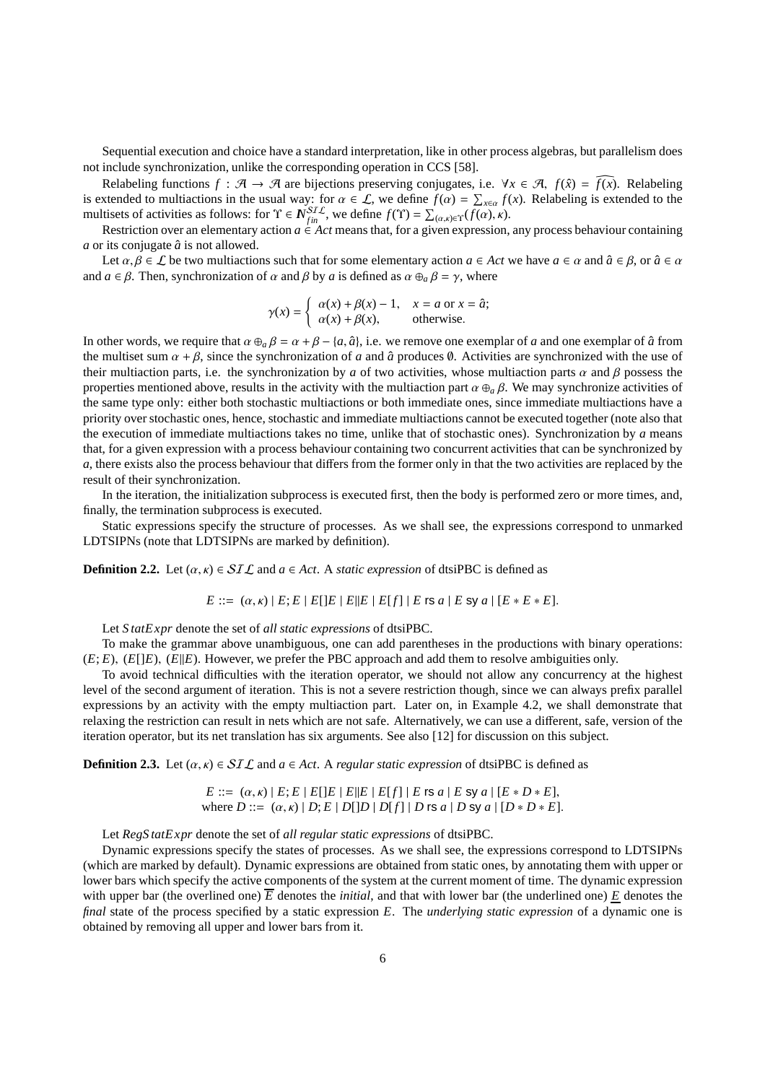Sequential execution and choice have a standard interpretation, like in other process algebras, but parallelism does not include synchronization, unlike the corresponding operation in CCS [58].

Relabeling functions  $f : \mathcal{A} \to \mathcal{A}$  are bijections preserving conjugates, i.e.  $\forall x \in \mathcal{A}, f(\hat{x}) = \overline{f(x)}$ . Relabeling is extended to multiactions in the usual way: for  $\alpha \in \mathcal{L}$ , we define  $f(\alpha) = \sum_{x \in \alpha} f(x)$ . Relabeling is extended to the multisets of activities as follows: for  $\Upsilon \in N_{fin}^{STL}$ , we define  $f(\Upsilon) = \sum_{(\alpha,\kappa) \in \Upsilon} (f(\alpha), \kappa)$ .

Restriction over an elementary action  $a \in \text{Act}$  means that, for a given expression, any process behaviour containing  $a$  or its conjugate  $\hat{a}$  is not allowed.

Let  $\alpha, \beta \in \mathcal{L}$  be two multiactions such that for some elementary action  $a \in \Lambda$ ct we have  $a \in \alpha$  and  $\hat{a} \in \beta$ , or  $\hat{a} \in \alpha$ and  $a \in \beta$ . Then, synchronization of  $\alpha$  and  $\beta$  by  $a$  is defined as  $\alpha \oplus_{a} \beta = \gamma$ , where

$$
\gamma(x) = \begin{cases} \alpha(x) + \beta(x) - 1, & x = a \text{ or } x = \hat{a}; \\ \alpha(x) + \beta(x), & \text{otherwise.} \end{cases}
$$

In other words, we require that  $\alpha \oplus_{a} \beta = \alpha + \beta - \{a, \hat{a}\}\)$ , i.e. we remove one exemplar of *a* and one exemplar of  $\hat{a}$  from the multiset sum  $\alpha + \beta$ , since the synchronization of *a* and  $\hat{a}$  produces  $\emptyset$ . Activities are synchronized with the use of their multiaction parts, i.e. the synchronization by *a* of two activities, whose multiaction parts  $\alpha$  and  $\beta$  possess the properties mentioned above, results in the activity with the multiaction part  $\alpha \oplus_{a} \beta$ . We may synchronize activities of the same type only: either both stochastic multiactions or both immediate ones, since immediate multiactions have a priority over stochastic ones, hence, stochastic and immediate multiactions cannot be executed together (note also that the execution of immediate multiactions takes no time, unlike that of stochastic ones). Synchronization by *a* means that, for a given expression with a process behaviour containing two concurrent activities that can be synchronized by *a*, there exists also the process behaviour that differs from the former only in that the two activities are replaced by the result of their synchronization.

In the iteration, the initialization subprocess is executed first, then the body is performed zero or more times, and, finally, the termination subprocess is executed.

Static expressions specify the structure of processes. As we shall see, the expressions correspond to unmarked LDTSIPNs (note that LDTSIPNs are marked by definition).

**Definition 2.2.** Let  $(\alpha, \kappa) \in \mathcal{SIL}$  and  $a \in Act$ . A *static expression* of dtsiPBC is defined as

$$
E ::= (\alpha, \kappa) | E; E | E[|E| | E[|E|] | E[f] | E \text{ is a } | E \text{ sy a } | [E * E * E].
$$

Let *S tatExpr* denote the set of *all static expressions* of dtsiPBC.

To make the grammar above unambiguous, one can add parentheses in the productions with binary operations:  $(E; E)$ ,  $(E||E)$ ,  $(E||E)$ . However, we prefer the PBC approach and add them to resolve ambiguities only.

To avoid technical difficulties with the iteration operator, we should not allow any concurrency at the highest level of the second argument of iteration. This is not a severe restriction though, since we can always prefix parallel expressions by an activity with the empty multiaction part. Later on, in Example 4.2, we shall demonstrate that relaxing the restriction can result in nets which are not safe. Alternatively, we can use a different, safe, version of the iteration operator, but its net translation has six arguments. See also [12] for discussion on this subject.

**Definition 2.3.** Let  $(\alpha, \kappa) \in SL\mathcal{L}$  and  $a \in Act$ . A *regular static expression* of dtsiPBC is defined as

$$
E ::= (\alpha, \kappa) | E; E | E[|E| | E E|E|] | E | E f]
$$
  
where  $D ::= (\alpha, \kappa) | D; E | D[|D| | D[f] | D$  is a |  $D$  sy a |  $[D * D * E]$ .

Let *RegS tatExpr* denote the set of *all regular static expressions* of dtsiPBC.

Dynamic expressions specify the states of processes. As we shall see, the expressions correspond to LDTSIPNs (which are marked by default). Dynamic expressions are obtained from static ones, by annotating them with upper or lower bars which specify the active components of the system at the current moment of time. The dynamic expression with upper bar (the overlined one)  $\overline{E}$  denotes the *initial*, and that with lower bar (the underlined one)  $E$  denotes the *final* state of the process specified by a static expression *E*. The *underlying static expression* of a dynamic one is obtained by removing all upper and lower bars from it.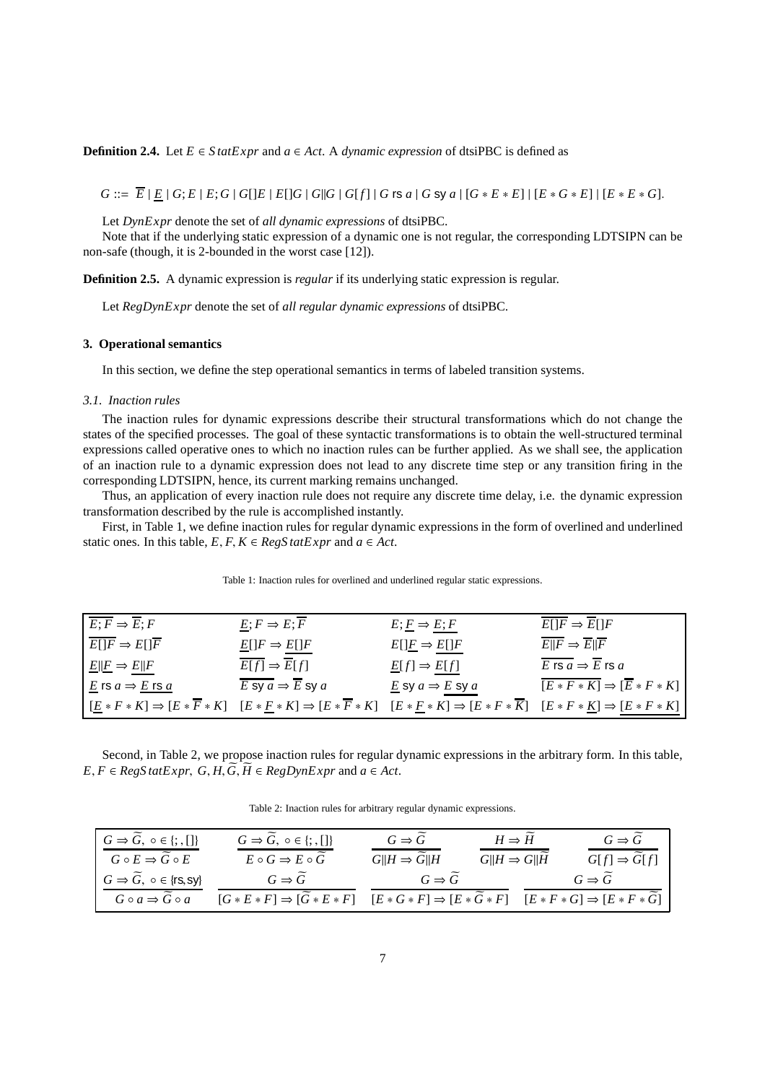**Definition 2.4.** Let  $E \in \text{Statexpr}$  and  $a \in \text{Act}$ . A *dynamic expression* of dtsiPBC is defined as

 $G ::= \overline{E} | E | G; E | E; G | G | E | E | G | G | G | G | G | G | G | G$  is a | G sy a |  $[G * E * E] | [E * G * E] | [E * E * G].$ 

Let *DynExpr* denote the set of *all dynamic expressions* of dtsiPBC.

Note that if the underlying static expression of a dynamic one is not regular, the corresponding LDTSIPN can be non-safe (though, it is 2-bounded in the worst case [12]).

**Definition 2.5.** A dynamic expression is *regular* if its underlying static expression is regular.

Let *RegDynExpr* denote the set of *all regular dynamic expressions* of dtsiPBC.

# **3. Operational semantics**

In this section, we define the step operational semantics in terms of labeled transition systems.

## *3.1. Inaction rules*

The inaction rules for dynamic expressions describe their structural transformations which do not change the states of the specified processes. The goal of these syntactic transformations is to obtain the well-structured terminal expressions called operative ones to which no inaction rules can be further applied. As we shall see, the application of an inaction rule to a dynamic expression does not lead to any discrete time step or any transition firing in the corresponding LDTSIPN, hence, its current marking remains unchanged.

Thus, an application of every inaction rule does not require any discrete time delay, i.e. the dynamic expression transformation described by the rule is accomplished instantly.

First, in Table 1, we define inaction rules for regular dynamic expressions in the form of overlined and underlined static ones. In this table,  $E, F, K \in RegStatExpr$  and  $a \in Act$ .

| $\overline{E;F} \Rightarrow \overline{E};F$ | $E; F \Rightarrow E; \overline{F}$                                                                                                                                                                               | $E; E \Rightarrow E; F$                        | $E[]F \Rightarrow E[]F$                                     |
|---------------------------------------------|------------------------------------------------------------------------------------------------------------------------------------------------------------------------------------------------------------------|------------------------------------------------|-------------------------------------------------------------|
| $\overline{E[]F} \Rightarrow E[]F$          | $\underline{E}[\]F \Rightarrow E[\]F$                                                                                                                                                                            | $E[\underline{F} \Rightarrow E[\underline{F}]$ | $E  F \Rightarrow E  F$                                     |
| $E  E \Rightarrow E  F$                     | $E[f] \Rightarrow E[f]$                                                                                                                                                                                          | $\underline{E}[f] \Rightarrow E[f]$            | E rs $a \Rightarrow E$ rs $a$                               |
| E is $a \Rightarrow E$ is $a$               | E sy $a \Rightarrow E$ sy $a$                                                                                                                                                                                    | E sy $a \Rightarrow E$ sy $a$                  | $\overline{[E * F * K]} \Rightarrow \overline{[E * F * K]}$ |
|                                             | $[E * F * K] \Rightarrow [E * \overline{F} * K]$ $[E * \underline{F} * K] \Rightarrow [E * \overline{F} * K]$ $[E * \underline{F} * K] \Rightarrow [E * F * \overline{K}]$ $[E * F * K] \Rightarrow [E * F * K]$ |                                                |                                                             |

Table 1: Inaction rules for overlined and underlined regular static expressions.

Second, in Table 2, we propose inaction rules for regular dynamic expressions in the arbitrary form. In this table,  $E, F \in RegS \, tatExpr, G, H, \widetilde{G}, \widetilde{H} \in RegDynExpr \, and \, a \in Act.$ 

Table 2: Inaction rules for arbitrary regular dynamic expressions.

| $G \Rightarrow \widetilde{G}$ , $\circ \in \{; , []\}$ | $G \Rightarrow G, o \in \{; , []\}$               | $G \Rightarrow G$            | $H \Rightarrow H$       | $G \Rightarrow G$                                                                                       |
|--------------------------------------------------------|---------------------------------------------------|------------------------------|-------------------------|---------------------------------------------------------------------------------------------------------|
| $G \circ E \Rightarrow \widetilde{G} \circ E$          | $E \circ G \Rightarrow E \circ G$                 | $G  H \Rightarrow G  H$      | $G  H \Rightarrow G  H$ | $G[f] \Rightarrow G[f]$                                                                                 |
| $G \Rightarrow \widetilde{G}$ , $\circ \in \{rs, sy\}$ | $G \Rightarrow G$                                 | $G \Rightarrow \overline{G}$ |                         | $G \Rightarrow G$                                                                                       |
| $G \circ a \Rightarrow G \circ a$                      | $[G * E * F] \Rightarrow [\widetilde{G} * E * F]$ |                              |                         | $[E * G * F] \Rightarrow [E * \widetilde{G} * F] \quad [E * F * G] \Rightarrow [E * F * \widetilde{G}]$ |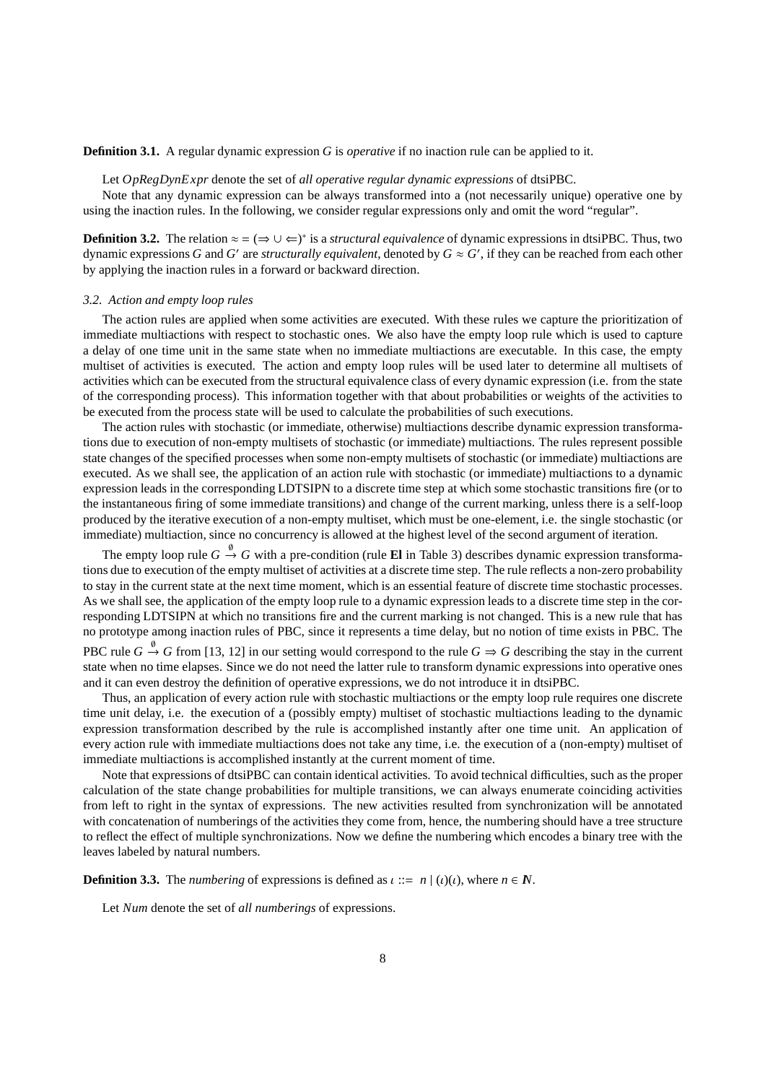**Definition 3.1.** A regular dynamic expression *G* is *operative* if no inaction rule can be applied to it.

Let *OpRegDynExpr* denote the set of *all operative regular dynamic expressions* of dtsiPBC.

Note that any dynamic expression can be always transformed into a (not necessarily unique) operative one by using the inaction rules. In the following, we consider regular expressions only and omit the word "regular".

**Definition 3.2.** The relation  $\approx$  = ( $\Rightarrow$  ∪  $\Leftarrow$ )<sup>\*</sup> is a *structural equivalence* of dynamic expressions in dtsiPBC. Thus, two dynamic expressions *G* and *G*' are *structurally equivalent*, denoted by  $G \approx G'$ , if they can be reached from each other by applying the inaction rules in a forward or backward direction.

# *3.2. Action and empty loop rules*

The action rules are applied when some activities are executed. With these rules we capture the prioritization of immediate multiactions with respect to stochastic ones. We also have the empty loop rule which is used to capture a delay of one time unit in the same state when no immediate multiactions are executable. In this case, the empty multiset of activities is executed. The action and empty loop rules will be used later to determine all multisets of activities which can be executed from the structural equivalence class of every dynamic expression (i.e. from the state of the corresponding process). This information together with that about probabilities or weights of the activities to be executed from the process state will be used to calculate the probabilities of such executions.

The action rules with stochastic (or immediate, otherwise) multiactions describe dynamic expression transformations due to execution of non-empty multisets of stochastic (or immediate) multiactions. The rules represent possible state changes of the specified processes when some non-empty multisets of stochastic (or immediate) multiactions are executed. As we shall see, the application of an action rule with stochastic (or immediate) multiactions to a dynamic expression leads in the corresponding LDTSIPN to a discrete time step at which some stochastic transitions fire (or to the instantaneous firing of some immediate transitions) and change of the current marking, unless there is a self-loop produced by the iterative execution of a non-empty multiset, which must be one-element, i.e. the single stochastic (or immediate) multiaction, since no concurrency is allowed at the highest level of the second argument of iteration.

The empty loop rule  $G \stackrel{\emptyset}{\rightarrow} G$  with a pre-condition (rule **El** in Table 3) describes dynamic expression transformations due to execution of the empty multiset of activities at a discrete time step. The rule reflects a non-zero probability to stay in the current state at the next time moment, which is an essential feature of discrete time stochastic processes. As we shall see, the application of the empty loop rule to a dynamic expression leads to a discrete time step in the corresponding LDTSIPN at which no transitions fire and the current marking is not changed. This is a new rule that has no prototype among inaction rules of PBC, since it represents a time delay, but no notion of time exists in PBC. The PBC rule  $G \stackrel{\emptyset}{\to} G$  from [13, 12] in our setting would correspond to the rule  $G \Rightarrow G$  describing the stay in the current state when no time elapses. Since we do not need the latter rule to transform dynamic expressions into operative ones and it can even destroy the definition of operative expressions, we do not introduce it in dtsiPBC.

Thus, an application of every action rule with stochastic multiactions or the empty loop rule requires one discrete time unit delay, i.e. the execution of a (possibly empty) multiset of stochastic multiactions leading to the dynamic expression transformation described by the rule is accomplished instantly after one time unit. An application of every action rule with immediate multiactions does not take any time, i.e. the execution of a (non-empty) multiset of immediate multiactions is accomplished instantly at the current moment of time.

Note that expressions of dtsiPBC can contain identical activities. To avoid technical difficulties, such as the proper calculation of the state change probabilities for multiple transitions, we can always enumerate coinciding activities from left to right in the syntax of expressions. The new activities resulted from synchronization will be annotated with concatenation of numberings of the activities they come from, hence, the numbering should have a tree structure to reflect the effect of multiple synchronizations. Now we define the numbering which encodes a binary tree with the leaves labeled by natural numbers.

**Definition 3.3.** The *numbering* of expressions is defined as  $\iota ::= n | (\iota)(\iota)$ , where  $n \in \mathbb{N}$ .

Let *Num* denote the set of *all numberings* of expressions.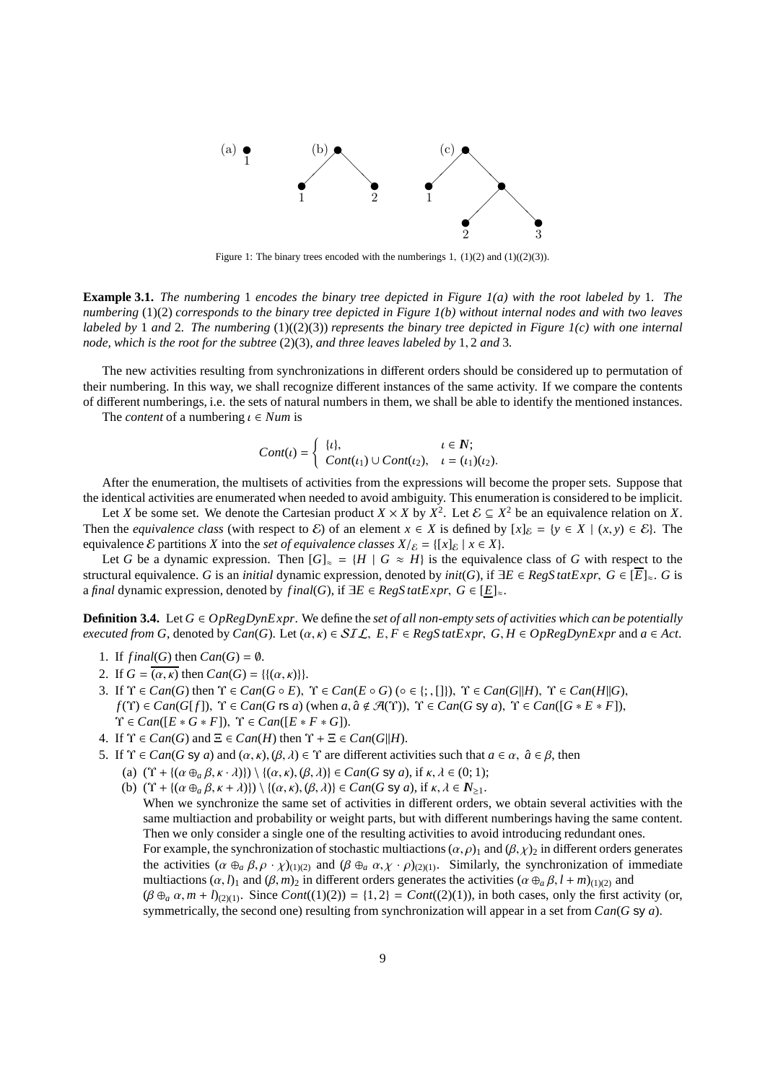

Figure 1: The binary trees encoded with the numberings 1,  $(1)(2)$  and  $(1)((2)(3))$ .

**Example 3.1.** *The numbering* 1 *encodes the binary tree depicted in Figure 1(a) with the root labeled by* 1*. The numbering* (1)(2) *corresponds to the binary tree depicted in Figure 1(b) without internal nodes and with two leaves labeled by* 1 *and* 2*. The numbering* (1)((2)(3)) *represents the binary tree depicted in Figure 1(c) with one internal node, which is the root for the subtree* (2)(3)*, and three leaves labeled by* 1, 2 *and* 3*.*

The new activities resulting from synchronizations in different orders should be considered up to permutation of their numbering. In this way, we shall recognize different instances of the same activity. If we compare the contents of different numberings, i.e. the sets of natural numbers in them, we shall be able to identify the mentioned instances.

The *content* of a numbering  $\iota \in Num$  is

$$
Cont(\iota) = \begin{cases} {\iota}, & \iota \in \mathbb{N}; \\ Cont(\iota_1) \cup Cont(\iota_2), & \iota = (\iota_1)(\iota_2). \end{cases}
$$

After the enumeration, the multisets of activities from the expressions will become the proper sets. Suppose that the identical activities are enumerated when needed to avoid ambiguity. This enumeration is considered to be implicit.

Let *X* be some set. We denote the Cartesian product  $X \times X$  by  $X^2$ . Let  $\mathcal{E} \subseteq X^2$  be an equivalence relation on *X*. Then the *equivalence class* (with respect to  $\mathcal{E}$ ) of an element  $x \in X$  is defined by  $[x]_{\mathcal{E}} = \{y \in X \mid (x, y) \in \mathcal{E}\}\)$ . The equivalence  $\mathcal{E}$  partitions *X* into the *set of equivalence classes*  $X/\varepsilon = \{ [x]_{\varepsilon} | x \in X \}$ .

Let *G* be a dynamic expression. Then  $[G]_{\approx} = \{H \mid G \approx H\}$  is the equivalence class of *G* with respect to the structural equivalence. *G* is an *initial* dynamic expression, denoted by  $init(G)$ , if  $\exists E \in RegStatExpr$ ,  $G \in [\overline{E}]_{\approx}$ . *G* is a *final* dynamic expression, denoted by *final*(*G*), if  $\exists E \in RegStatExpr$ ,  $G \in [E]_{\approx}$ .

**Definition 3.4.** Let  $G \in OpRegDynExp$ . We define the *set of all non-empty sets of activities which can be potentially executed from G*, denoted by *Can*(*G*). Let  $(\alpha, \kappa) \in \mathcal{SIL}$ ,  $E, F \in RegStatexpr$ ,  $G, H \in OpRegDynExpr$  and  $a \in Act$ .

- 1. If  $final(G)$  then  $Can(G) = \emptyset$ .
- 2. If  $G = (a, \kappa)$  then  $Can(G) = \{ \{ (\alpha, \kappa) \} \}.$
- 3. If Υ ∈ *Can*(*G*) then Υ ∈ *Can*(*G E*), Υ ∈ *Can*(*E G*) (◦ ∈ {; , []}), Υ ∈ *Can*(*G*k*H*), Υ ∈ *Can*(*H*k*G*),  $f(\Upsilon) \in Can(G[f])$ ,  $\Upsilon \in Can(G \text{ is } a)$  (when  $a, \hat{a} \notin \mathcal{A}(\Upsilon)$ ),  $\Upsilon \in Can(G \text{ sy } a)$ ,  $\Upsilon \in Can(G \times E \times F)$ ),  $\Upsilon \in Can([E * G * F]), \ \Upsilon \in Can([E * F * G]).$
- 4. If  $\Upsilon \in Can(G)$  and  $\Xi \in Can(H)$  then  $\Upsilon + \Xi \in Can(G||H)$ .
- 5. If  $\Upsilon \in Can(G \text{ sy } a)$  and  $(\alpha, \kappa), (\beta, \lambda) \in \Upsilon$  are different activities such that  $a \in \alpha$ ,  $\hat{a} \in \beta$ , then
	- (a)  $(\Upsilon + \{(\alpha \oplus_{a} \beta, \kappa \cdot \lambda)\}) \setminus \{(\alpha, \kappa), (\beta, \lambda)\}\in Can(G \text{ sy } a), \text{ if } \kappa, \lambda \in (0, 1);$
	- (b)  $(\Upsilon + \{(\alpha \oplus_{\alpha} \beta, \kappa + \lambda)\}) \setminus \{(\alpha, \kappa), (\beta, \lambda)\}\in Can(G \text{ sy } a), \text{ if } \kappa, \lambda \in \mathbb{N}_{\geq 1}.$ When we synchronize the same set of activities in different orders, we obtain several activities with the same multiaction and probability or weight parts, but with different numberings having the same content. Then we only consider a single one of the resulting activities to avoid introducing redundant ones. For example, the synchronization of stochastic multiactions  $(\alpha, \rho)$ <sub>1</sub> and  $(\beta, \chi)$ <sub>2</sub> in different orders generates the activities  $(\alpha \oplus_{a} \beta, \rho \cdot \chi)_{(1)(2)}$  and  $(\beta \oplus_{a} \alpha, \chi \cdot \rho)_{(2)(1)}$ . Similarly, the synchronization of immediate multiactions  $(\alpha, l)$ <sub>1</sub> and  $(\beta, m)$ <sub>2</sub> in different orders generates the activities  $(\alpha \oplus_{a} \beta, l + m)$ <sub>(1)(2)</sub> and  $(\beta \oplus_a \alpha, m + l)_{(2)(1)}$ . Since *Cont*((1)(2)) = {1, 2} = *Cont*((2)(1)), in both cases, only the first activity (or, symmetrically, the second one) resulting from synchronization will appear in a set from *Can*(*G* sy *a*).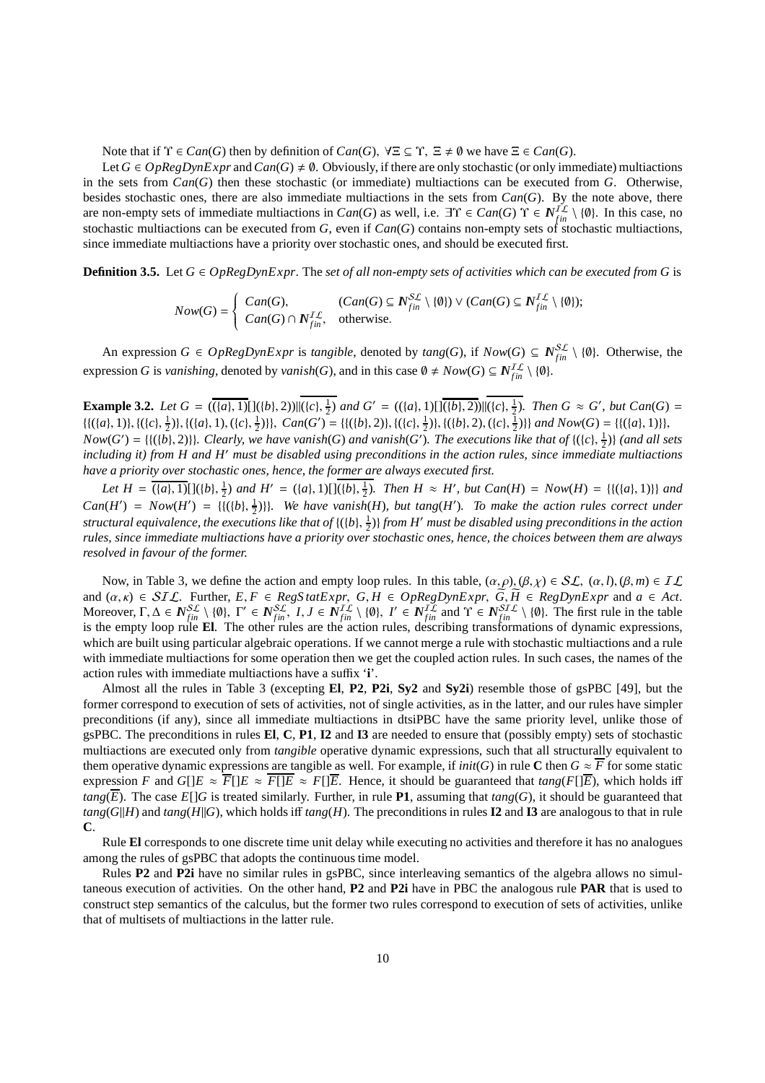Note that if  $\Upsilon \in Can(G)$  then by definition of  $Can(G)$ ,  $\forall \Xi \subseteq \Upsilon$ ,  $\Xi \neq \emptyset$  we have  $\Xi \in Can(G)$ .

Let  $G \in OpRegDynExpr$  and  $Can(G) \neq \emptyset$ . Obviously, if there are only stochastic (or only immediate) multiactions in the sets from *Can*(*G*) then these stochastic (or immediate) multiactions can be executed from *G*. Otherwise, besides stochastic ones, there are also immediate multiactions in the sets from  $Can(G)$ . By the note above, there are non-empty sets of immediate multiactions in  $Can(G)$  as well, i.e.  $\exists \Upsilon \in Can(G) \Upsilon \in N_{fin}^{I\mathcal{L}} \setminus \{\emptyset\}$ . In this case, no stochastic multiactions can be executed from  $G$ , even if  $Can(G)$  contains non-empty sets of stochastic multiactions, since immediate multiactions have a priority over stochastic ones, and should be executed first.

**Definition 3.5.** Let  $G \in OpRegDynExp$ . The *set of all non-empty sets of activities which can be executed from G* is

$$
Now(G) = \begin{cases} Can(G), & (Can(G) \subseteq N_{fin}^{SL} \setminus \{\emptyset\}) \vee (Can(G) \subseteq N_{fin}^{IL} \setminus \{\emptyset\}); \\ Can(G) \cap N_{fin}^{IL}, & \text{otherwise.} \end{cases}
$$

An expression  $G \in OpRegDynExpr$  is *tangible*, denoted by  $tang(G)$ , if  $Now(G) \subseteq N_{fin}^{SL} \setminus \{0\}$ . Otherwise, the expression *G* is *vanishing*, denoted by *vanish*(*G*), and in this case  $\emptyset \neq Now(G) \subseteq N_{fin}^{IL} \setminus \{\emptyset\}.$ 

**Example 3.2.** Let  $G = ((a), 1) [((b), 2)) | ((c), \frac{1}{2})$  and  $G' = ((a), 1) [(\overline{(b)}, 2)) | ((c), \frac{1}{2})$ . Then  $G \approx G'$ , but  $Can(G) =$  $\{ \{ (\{a\}, 1)\}, \{ (\{c\}, \frac{1}{2})\}, \{ (\{a\}, 1), (\{c\}, \frac{1}{2})\} \}, Can(G') = \{ \{ (\{b\}, 2)\}, \{ (\{c\}, \frac{1}{2})\}, \{ (\{b\}, 2), (\{c\}, \frac{1}{2})\} \}$  and  $Now(G) = \{ (\{a\}, 1)\}$ ,  $Now(G') = \{ \{ (\{b\}, 2) \} \}$ . Clearly, we have vanish(*G*) and vanish(*G'*). The executions like that of  $\{ (\{c\}, \frac{1}{2}) \}$  (and all sets *including it) from H and H*′ *must be disabled using preconditions in the action rules, since immediate multiactions have a priority over stochastic ones, hence, the former are always executed first.*

*Let*  $H = \overline{(\{a\}, 1)}[\{(b), \frac{1}{2})$  *and*  $H' = (\{a\}, 1)[[(b), \frac{1}{2})$ *. Then*  $H \approx H'$ *, but*  $Can(H) = Now(H) = \{((\{a\}, 1)\}\$ *and*  $Can(H') = Now(H') = \{ \{ (\{b\}, \frac{1}{2}) \} \}$ *. We have vanish*(*H*)*, but tang*(*H*')*. To make the action rules correct under structural equivalence, the executions like that of* {({*b*}, 1 2 )} *from H*′ *must be disabled using preconditions in the action rules, since immediate multiactions have a priority over stochastic ones, hence, the choices between them are always resolved in favour of the former.*

Now, in Table 3, we define the action and empty loop rules. In this table,  $(\alpha, \rho), (\beta, \chi) \in SL$ ,  $(\alpha, l), (\beta, m) \in IL$ and  $(\alpha, \kappa) \in SL\mathcal{L}$ . Further,  $E, F \in \mathcal{RegS}$  tatExpr,  $G, H \in \mathcal{O}$  pRegDynExpr,  $G, H \in \mathcal{RegD}$ ynExpr and  $a \in \mathcal{Act}$ . Moreover,  $\Gamma, \Delta \in N_{fin}^{SL} \setminus \{\emptyset\}, \Gamma' \in N_{fin}^{SL}, I, J \in N_{fin}^{IL} \setminus \{\emptyset\}, I' \in N_{fin}^{IL}$  and  $\Upsilon \in N_{fin}^{SL} \setminus \{\emptyset\}.$  The first rule in the table is the empty loop rule **El**. The other rules are the action rules, describing transformations of dynamic expressions, which are built using particular algebraic operations. If we cannot merge a rule with stochastic multiactions and a rule with immediate multiactions for some operation then we get the coupled action rules. In such cases, the names of the action rules with immediate multiactions have a suffix '**i**'.

Almost all the rules in Table 3 (excepting **El**, **P2**, **P2i**, **Sy2** and **Sy2i**) resemble those of gsPBC [49], but the former correspond to execution of sets of activities, not of single activities, as in the latter, and our rules have simpler preconditions (if any), since all immediate multiactions in dtsiPBC have the same priority level, unlike those of gsPBC. The preconditions in rules **El**, **C**, **P1**, **I2** and **I3** are needed to ensure that (possibly empty) sets of stochastic multiactions are executed only from *tangible* operative dynamic expressions, such that all structurally equivalent to them operative dynamic expressions are tangible as well. For example, if  $init(G)$  in rule **C** then  $G \approx \overline{F}$  for some static expression *F* and *G*[ $|E \approx \overline{F}$ ] $|E \approx \overline{F}$ ] $|E \approx \overline{F}$ ] $|E \approx \overline{F}$ ] $|E$ . Hence, it should be guaranteed that  $tan g(F$ [ $|E$ ), which holds iff *tang*( $\overline{E}$ ). The case *E*[]*G* is treated similarly. Further, in rule **P1**, assuming that *tang*(*G*), it should be guaranteed that  $tang(G||H)$  and  $tang(H||G)$ , which holds iff  $tang(H)$ . The preconditions in rules **I2** and **I3** are analogous to that in rule **C**.

Rule **El** corresponds to one discrete time unit delay while executing no activities and therefore it has no analogues among the rules of gsPBC that adopts the continuous time model.

Rules **P2** and **P2i** have no similar rules in gsPBC, since interleaving semantics of the algebra allows no simultaneous execution of activities. On the other hand, **P2** and **P2i** have in PBC the analogous rule **PAR** that is used to construct step semantics of the calculus, but the former two rules correspond to execution of sets of activities, unlike that of multisets of multiactions in the latter rule.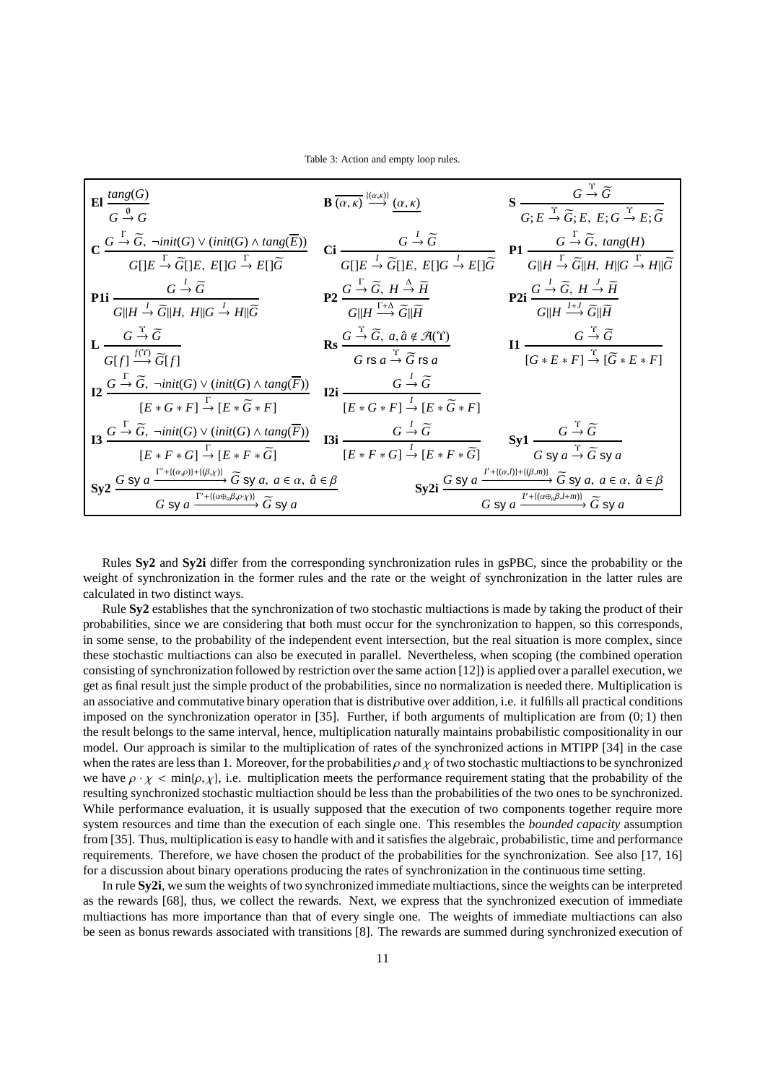Table 3: Action and empty loop rules.

| El $\frac{\text{tang}(G)}{G \stackrel{\emptyset}{\rightarrow} G}$                                                                                                                                                                                                                                                                                                                                                                                                                                | <b>B</b> $\overline{(\alpha,\kappa)} \stackrel{\{(\alpha,\kappa)\}}{\longrightarrow} (\alpha,\kappa)$                                                                                    | $S \frac{G \stackrel{\text{T}}{\rightarrow} \widetilde{G}}{G; E \stackrel{\text{T}}{\rightarrow} \widetilde{G}; E, E; G \stackrel{\text{T}}{\rightarrow} E; \widetilde{G}}$                                                              |
|--------------------------------------------------------------------------------------------------------------------------------------------------------------------------------------------------------------------------------------------------------------------------------------------------------------------------------------------------------------------------------------------------------------------------------------------------------------------------------------------------|------------------------------------------------------------------------------------------------------------------------------------------------------------------------------------------|------------------------------------------------------------------------------------------------------------------------------------------------------------------------------------------------------------------------------------------|
| $\textbf{C}\xrightarrow{G\overset{\Gamma}{\to}\widetilde{G},\ \neg init(G)\ \vee\ (init(G)\ \wedge \ \textit{tang}(\overline{E}))}{G[]E\overset{\Gamma}{\to}\widetilde{G}[]E,\ E[]G\overset{\Gamma}{\to} E[]\widetilde{G}}\quad \textbf{C}\textbf{i}\xrightarrow{G\overset{I}{\to}\widetilde{G}}\widetilde{G[]E,\ E[]G\overset{I}{\to} E[]\widetilde{G}}\quad \textbf{P}\textbf{1}\xrightarrow{G\overset{\Gamma}{\to}\widetilde{G},\ \textit{tang}(H)}\ \overline{G[]H\overset{\Gamma$           |                                                                                                                                                                                          |                                                                                                                                                                                                                                          |
| <b>P1i</b> $\frac{G \stackrel{I}{\rightarrow} \widetilde{G}}{G  H \stackrel{I}{\rightarrow} \widetilde{G}  H, H  G \stackrel{I}{\rightarrow} H  \widetilde{G}}$                                                                                                                                                                                                                                                                                                                                  | $P2 \frac{G \stackrel{\Gamma}{\rightarrow} \widetilde{G}, H \stackrel{\Delta}{\rightarrow} \widetilde{H}}{G  H \stackrel{\Gamma+\Delta}{\longrightarrow} \widetilde{G}  \widetilde{H}}$  | <b>P2i</b> $\frac{G \stackrel{I}{\rightarrow} \widetilde{G}, H \stackrel{I}{\rightarrow} \widetilde{H}}{G  H \stackrel{I \rightarrow I}{\rightarrow} \widetilde{G}  \widetilde{H}}$                                                      |
| $\mathbf{L} \xrightarrow[G]{} \overbrace{G[f]} \xrightarrow{f(\Upsilon)} \widetilde{G}[f]$                                                                                                                                                                                                                                                                                                                                                                                                       | <b>Rs</b> $\frac{G \overset{\text{T}}{\rightarrow} \widetilde{G}, a, \hat{a} \notin \mathcal{A}(\Upsilon)}{G \text{ is } a \overset{\Upsilon}{\rightarrow} \widetilde{G} \text{ is } a}$ | $\mathbf{I1} \xrightarrow[G*E*F] \xrightarrow{\Upsilon} [\widetilde{G}*E*F]$                                                                                                                                                             |
| <b>12</b> $\frac{G \overset{\Gamma}{\rightarrow} \widetilde{G}, \ \neg init(G) \lor (init(G) \land tang(\overline{F}))}{[E * G * F] \overset{\Gamma}{\rightarrow} [E * \widetilde{G} * F]}$ <b>12i</b> $\frac{G \overset{I}{\rightarrow} \widetilde{G}}{[E * G * F] \overset{I}{\rightarrow} [E * \widetilde{G} * F]}$                                                                                                                                                                           |                                                                                                                                                                                          |                                                                                                                                                                                                                                          |
| <b>I3</b> $\frac{G \overset{\Gamma}{\rightarrow} \widetilde{G}$ , $\neg init(G) \lor (init(G) \land tang(\overline{F}))$<br>$[E * F * G] \overset{\Gamma}{\rightarrow} [E * F * \widetilde{G}]$<br><b>I3i</b> $\frac{G \overset{\Gamma}{\rightarrow} \widetilde{G}}{[E * F * G] \overset{\Gamma}{\rightarrow} [E * F * \widetilde{G}]}$<br>$\qquad \qquad$ Sy1 $\frac{G \overset{\Gamma}{\rightarrow} \widetilde{G}}{G \text{ sy } a \overset{\Gamma}{\rightarrow} \widetilde{G} \text{ sy } a}$ |                                                                                                                                                                                          |                                                                                                                                                                                                                                          |
| Sy2 $\frac{G \text{ sy } a \xrightarrow{\Gamma'+((\alpha,\rho))+((\beta,\chi))} \widetilde{G} \text{ sy } a, a \in \alpha, \hat{a} \in \beta}{G \text{ sy } a \xrightarrow{\Gamma'+((\alpha \oplus_a \beta, \rho \chi))} \widetilde{G} \text{ sy } a}$                                                                                                                                                                                                                                           |                                                                                                                                                                                          | Sy2i $\frac{G \text{ sy } a \xrightarrow{l'+((\alpha,l))+((\beta,m))} \widetilde{G} \text{ sy } a, a \in \alpha, \hat{a} \in \beta}{G \text{ sy } a \xrightarrow{l'+((\alpha \oplus_{\alpha} \beta, l+m))} \widetilde{G} \text{ sy } a}$ |

Rules **Sy2** and **Sy2i** differ from the corresponding synchronization rules in gsPBC, since the probability or the weight of synchronization in the former rules and the rate or the weight of synchronization in the latter rules are calculated in two distinct ways.

Rule **Sy2** establishes that the synchronization of two stochastic multiactions is made by taking the product of their probabilities, since we are considering that both must occur for the synchronization to happen, so this corresponds, in some sense, to the probability of the independent event intersection, but the real situation is more complex, since these stochastic multiactions can also be executed in parallel. Nevertheless, when scoping (the combined operation consisting of synchronization followed by restriction over the same action [12]) is applied over a parallel execution, we get as final result just the simple product of the probabilities, since no normalization is needed there. Multiplication is an associative and commutative binary operation that is distributive over addition, i.e. it fulfills all practical conditions imposed on the synchronization operator in [35]. Further, if both arguments of multiplication are from (0; 1) then the result belongs to the same interval, hence, multiplication naturally maintains probabilistic compositionality in our model. Our approach is similar to the multiplication of rates of the synchronized actions in MTIPP [34] in the case when the rates are less than 1. Moreover, for the probabilities  $\rho$  and  $\chi$  of two stochastic multiactions to be synchronized we have  $\rho \cdot \chi$  < min{ $\rho, \chi$ }, i.e. multiplication meets the performance requirement stating that the probability of the resulting synchronized stochastic multiaction should be less than the probabilities of the two ones to be synchronized. While performance evaluation, it is usually supposed that the execution of two components together require more system resources and time than the execution of each single one. This resembles the *bounded capacity* assumption from [35]. Thus, multiplication is easy to handle with and it satisfies the algebraic, probabilistic, time and performance requirements. Therefore, we have chosen the product of the probabilities for the synchronization. See also [17, 16] for a discussion about binary operations producing the rates of synchronization in the continuous time setting.

In rule **Sy2i**, we sum the weights of two synchronized immediate multiactions, since the weights can be interpreted as the rewards [68], thus, we collect the rewards. Next, we express that the synchronized execution of immediate multiactions has more importance than that of every single one. The weights of immediate multiactions can also be seen as bonus rewards associated with transitions [8]. The rewards are summed during synchronized execution of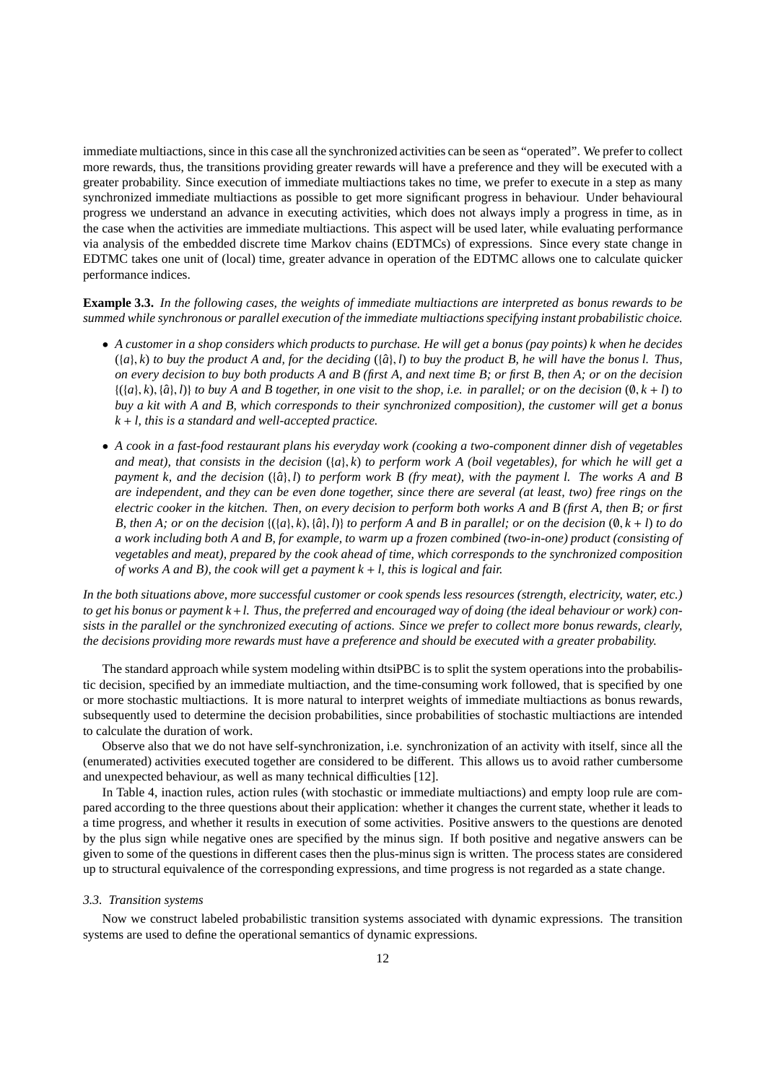immediate multiactions, since in this case all the synchronized activities can be seen as "operated". We prefer to collect more rewards, thus, the transitions providing greater rewards will have a preference and they will be executed with a greater probability. Since execution of immediate multiactions takes no time, we prefer to execute in a step as many synchronized immediate multiactions as possible to get more significant progress in behaviour. Under behavioural progress we understand an advance in executing activities, which does not always imply a progress in time, as in the case when the activities are immediate multiactions. This aspect will be used later, while evaluating performance via analysis of the embedded discrete time Markov chains (EDTMCs) of expressions. Since every state change in EDTMC takes one unit of (local) time, greater advance in operation of the EDTMC allows one to calculate quicker performance indices.

**Example 3.3.** *In the following cases, the weights of immediate multiactions are interpreted as bonus rewards to be summed while synchronous or parallel execution of the immediate multiactions specifying instant probabilistic choice.*

- *A customer in a shop considers which products to purchase. He will get a bonus (pay points) k when he decides*  $({a}, k)$  *to buy the product A and, for the deciding*  $({a}, l)$  *to buy the product B, he will have the bonus l. Thus, on every decision to buy both products A and B (first A, and next time B; or first B, then A; or on the decision*  $\{(a, k), \{\hat{a}\}, l\}$  *to buy A and B together, in one visit to the shop, i.e. in parallel; or on the decision*  $(0, k + l)$  *to buy a kit with A and B, which corresponds to their synchronized composition), the customer will get a bonus k* + *l, this is a standard and well-accepted practice.*
- *A cook in a fast-food restaurant plans his everyday work (cooking a two-component dinner dish of vegetables and meat), that consists in the decision* ({*a*}, *k*) *to perform work A (boil vegetables), for which he will get a payment k, and the decision* ({*a*ˆ}, *l*) *to perform work B (fry meat), with the payment l. The works A and B are independent, and they can be even done together, since there are several (at least, two) free rings on the electric cooker in the kitchen. Then, on every decision to perform both works A and B (first A, then B; or first B*, then A; or on the decision  $\{(a), k), \{a\}, l\}$  to perform A and B in parallel; or on the decision  $(\emptyset, k + l)$  to do *a work including both A and B, for example, to warm up a frozen combined (two-in-one) product (consisting of vegetables and meat), prepared by the cook ahead of time, which corresponds to the synchronized composition of works A and B), the cook will get a payment k* + *l, this is logical and fair.*

*In the both situations above, more successful customer or cook spends less resources (strength, electricity, water, etc.) to get his bonus or payment k*+*l. Thus, the preferred and encouraged way of doing (the ideal behaviour or work) consists in the parallel or the synchronized executing of actions. Since we prefer to collect more bonus rewards, clearly, the decisions providing more rewards must have a preference and should be executed with a greater probability.*

The standard approach while system modeling within dtsiPBC is to split the system operations into the probabilistic decision, specified by an immediate multiaction, and the time-consuming work followed, that is specified by one or more stochastic multiactions. It is more natural to interpret weights of immediate multiactions as bonus rewards, subsequently used to determine the decision probabilities, since probabilities of stochastic multiactions are intended to calculate the duration of work.

Observe also that we do not have self-synchronization, i.e. synchronization of an activity with itself, since all the (enumerated) activities executed together are considered to be different. This allows us to avoid rather cumbersome and unexpected behaviour, as well as many technical difficulties [12].

In Table 4, inaction rules, action rules (with stochastic or immediate multiactions) and empty loop rule are compared according to the three questions about their application: whether it changes the current state, whether it leads to a time progress, and whether it results in execution of some activities. Positive answers to the questions are denoted by the plus sign while negative ones are specified by the minus sign. If both positive and negative answers can be given to some of the questions in different cases then the plus-minus sign is written. The process states are considered up to structural equivalence of the corresponding expressions, and time progress is not regarded as a state change.

#### *3.3. Transition systems*

Now we construct labeled probabilistic transition systems associated with dynamic expressions. The transition systems are used to define the operational semantics of dynamic expressions.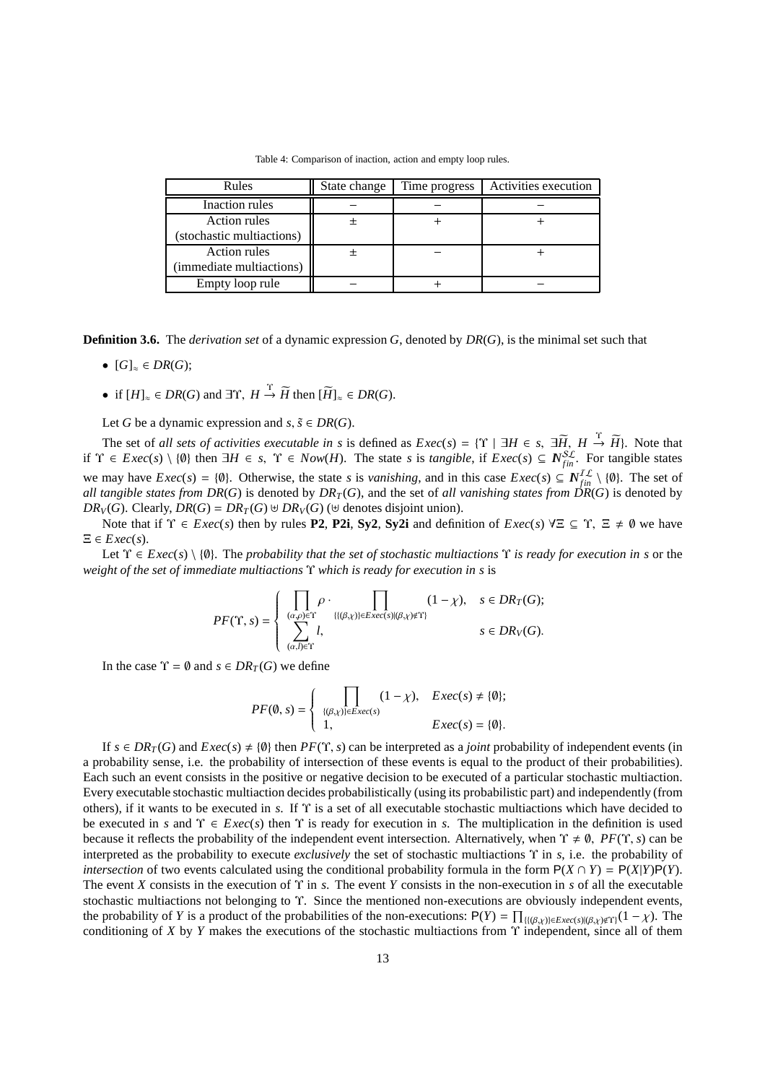Table 4: Comparison of inaction, action and empty loop rules.

| Rules                     | State change | Time progress | Activities execution |
|---------------------------|--------------|---------------|----------------------|
| Inaction rules            |              |               |                      |
| Action rules              |              |               |                      |
| (stochastic multiactions) |              |               |                      |
| Action rules              |              |               |                      |
| (immediate multiactions)  |              |               |                      |
| Empty loop rule           |              |               |                      |

**Definition 3.6.** The *derivation set* of a dynamic expression *G*, denoted by *DR*(*G*), is the minimal set such that

- $[G]_{\approx} \in DR(G)$ ;
- if  $[H]_{\approx} \in DR(G)$  and  $\exists \Upsilon$ ,  $H \stackrel{\Upsilon}{\rightarrow} \widetilde{H}$  then  $[\widetilde{H}]_{\approx} \in DR(G)$ .

Let *G* be a dynamic expression and  $s, \tilde{s} \in DR(G)$ .

The set of *all sets of activities executable in s* is defined as  $Exec(s) = \{\Upsilon \mid \exists H \in s, \exists \widetilde{H}, H \stackrel{\Upsilon}{\rightarrow} \widetilde{H}\}\)$ . Note that if  $\Upsilon \in \text{Exec}(s) \setminus \{\emptyset\}$  then  $\exists H \in s$ ,  $\Upsilon \in \text{Now}(H)$ . The state *s* is *tangible*, if  $\text{Exec}(s) \subseteq \mathbb{N}_{fin}^{\mathcal{SL}}$ . For tangible states we may have  $Exec(s) = \{\emptyset\}$ . Otherwise, the state *s* is *vanishing*, and in this case  $Exec(s) \subseteq N_{fin}^{IL} \setminus \{\emptyset\}$ . The set of *all tangible states from DR(G)* is denoted by  $DR_T(G)$ , and the set of *all vanishing states from*  $DR(G)$  is denoted by *DR*<sup>*V*</sup>(*G*). Clearly, *DR*<sup>(*G*</sup>) = *DR<sub><i>T*</sub>(*G*) ⊎ *DR<sub><i>V*</sub>(*G*) (⊎ denotes disjoint union).

Note that if  $\Upsilon \in \text{Exec}(s)$  then by rules **P2**, **P2i**, **Sy2**, **Sy2i** and definition of  $\text{Exec}(s)$   $\forall \Xi \subseteq \Upsilon$ ,  $\Xi \neq \emptyset$  we have  $\Xi \in Excel(s)$ .

Let Υ ∈ *Exec*(*s*) \ {∅}. The *probability that the set of stochastic multiactions* Υ *is ready for execution in s* or the *weight of the set of immediate multiactions* Υ *which is ready for execution in s* is

$$
PF(\Upsilon,s)=\left\{\begin{array}{ll}\prod\limits_{(a,\rho)\in\Upsilon}\rho\cdot\prod\limits_{\{|\langle\beta,\chi\rangle\}\in Exc(s)|(\beta,\chi)\not\in\Upsilon\}}(1-\chi), & s\in DR_T(G);\\ \sum\limits_{(a,l)\in\Upsilon}l, & s\in DR_V(G).\end{array}\right.
$$

In the case  $\Upsilon = \emptyset$  and  $s \in DR_T(G)$  we define

$$
PF(\emptyset, s) = \begin{cases} \prod_{\{(\beta,\chi)\} \in \text{Exec}(s)} (1-\chi), & \text{Exec}(s) \neq \{\emptyset\}; \\ 1, & \text{Exec}(s) = \{\emptyset\}. \end{cases}
$$

If  $s \in DR_T(G)$  and  $Exec(s) \neq \{0\}$  then  $PF(\Upsilon, s)$  can be interpreted as a *joint* probability of independent events (in a probability sense, i.e. the probability of intersection of these events is equal to the product of their probabilities). Each such an event consists in the positive or negative decision to be executed of a particular stochastic multiaction. Every executable stochastic multiaction decides probabilistically (using its probabilistic part) and independently (from others), if it wants to be executed in *s*. If Υ is a set of all executable stochastic multiactions which have decided to be executed in *s* and  $\Upsilon \in \text{Exec}(s)$  then  $\Upsilon$  is ready for execution in *s*. The multiplication in the definition is used because it reflects the probability of the independent event intersection. Alternatively, when  $\Upsilon \neq \emptyset$ , *PF*( $\Upsilon$ , *s*) can be interpreted as the probability to execute *exclusively* the set of stochastic multiactions Υ in *s*, i.e. the probability of *intersection* of two events calculated using the conditional probability formula in the form  $P(X \cap Y) = P(X|Y)P(Y)$ . The event *X* consists in the execution of Υ in *s*. The event *Y* consists in the non-execution in *s* of all the executable stochastic multiactions not belonging to Υ. Since the mentioned non-executions are obviously independent events, the probability of *Y* is a product of the probabilities of the non-executions:  $P(Y) = \prod_{\{(\beta,\chi)\}\in \text{Exec}(s)|(\beta,\chi)\notin \Upsilon]}(1-\chi)$ . The conditioning of *X* by *Y* makes the executions of the stochastic multiactions from Υ independent, since all of them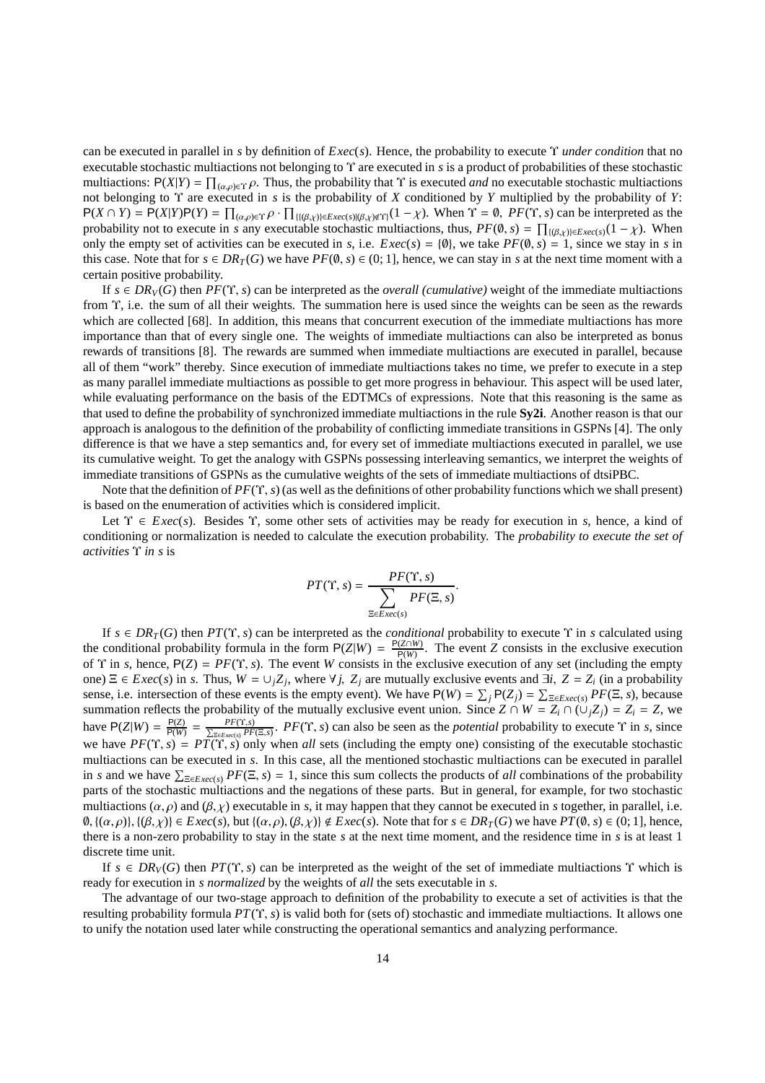can be executed in parallel in *s* by definition of *Exec*(*s*). Hence, the probability to execute Υ *under condition* that no executable stochastic multiactions not belonging to Υ are executed in *s* is a product of probabilities of these stochastic multiactions:  $P(X|Y) = \prod_{(\alpha,\rho)\in\Upsilon} \rho$ . Thus, the probability that  $\Upsilon$  is executed *and* no executable stochastic multiactions not belonging to Υ are executed in *s* is the probability of *X* conditioned by *Y* multiplied by the probability of *Y*:  $P(X \cap Y) = P(X|Y)P(Y) = \prod_{(\alpha,\rho) \in \Upsilon} \rho \cdot \prod_{\{\{\beta,\chi\} \in E \times e(\zeta) \mid (\beta,\chi) \notin \Upsilon\}} (1 - \chi)$ . When  $\Upsilon = \emptyset$ ,  $PF(\Upsilon, s)$  can be interpreted as the probability not to execute in *s* any executable stochastic multiactions, thus,  $PF(\emptyset, s) = \prod_{\{(\beta,\chi)\}\in \text{Exec}(s)}(1-\chi)$ . When only the empty set of activities can be executed in *s*, i.e.  $Exec(s) = \{\emptyset\}$ , we take  $PF(\emptyset, s) = 1$ , since we stay in *s* in this case. Note that for  $s \in DR_T(G)$  we have  $PF(\emptyset, s) \in (0, 1]$ , hence, we can stay in *s* at the next time moment with a certain positive probability.

If  $s \in DR_V(G)$  then  $PF(\Upsilon, s)$  can be interpreted as the *overall (cumulative)* weight of the immediate multiactions from Υ, i.e. the sum of all their weights. The summation here is used since the weights can be seen as the rewards which are collected [68]. In addition, this means that concurrent execution of the immediate multiactions has more importance than that of every single one. The weights of immediate multiactions can also be interpreted as bonus rewards of transitions [8]. The rewards are summed when immediate multiactions are executed in parallel, because all of them "work" thereby. Since execution of immediate multiactions takes no time, we prefer to execute in a step as many parallel immediate multiactions as possible to get more progress in behaviour. This aspect will be used later, while evaluating performance on the basis of the EDTMCs of expressions. Note that this reasoning is the same as that used to define the probability of synchronized immediate multiactions in the rule **Sy2i**. Another reason is that our approach is analogous to the definition of the probability of conflicting immediate transitions in GSPNs [4]. The only difference is that we have a step semantics and, for every set of immediate multiactions executed in parallel, we use its cumulative weight. To get the analogy with GSPNs possessing interleaving semantics, we interpret the weights of immediate transitions of GSPNs as the cumulative weights of the sets of immediate multiactions of dtsiPBC.

Note that the definition of *PF*(Υ, *s*) (as well as the definitions of other probability functions which we shall present) is based on the enumeration of activities which is considered implicit.

Let  $\Upsilon \in \text{Exec}(s)$ . Besides  $\Upsilon$ , some other sets of activities may be ready for execution in *s*, hence, a kind of conditioning or normalization is needed to calculate the execution probability. The *probability to execute the set of activities* Υ *in s* is

$$
PT(\Upsilon, s) = \frac{PF(\Upsilon, s)}{\sum_{\Xi \in E \text{vec}(s)} PF(\Xi, s)}.
$$

If  $s \in DR_T(G)$  then  $PT(\Upsilon, s)$  can be interpreted as the *conditional* probability to execute  $\Upsilon$  in *s* calculated using the conditional probability formula in the form  $P(Z|W) = \frac{P(Z \cap W)}{P(W)}$  $\frac{(Z \cap W)}{P(W)}$ . The event *Z* consists in the exclusive execution of Υ in *s*, hence, P(*Z*) = *PF*(Υ, *s*). The event *W* consists in the exclusive execution of any set (including the empty one)  $\Xi \in \text{Exec}(s)$  in *s*. Thus,  $W = \cup_j Z_j$ , where  $\forall j$ ,  $Z_j$  are mutually exclusive events and  $\exists i$ ,  $Z = Z_i$  (in a probability sense, i.e. intersection of these events is the empty event). We have  $P(W) = \sum_j P(Z_j) = \sum_{\exists \in E \text{,} \text{rec}(s)} PF(\Xi, s)$ , because summation reflects the probability of the mutually exclusive event union. Since  $Z \cap W = Z_i \cap (\cup_j Z_j) = Z_i = Z$ , we have  $P(Z|W) = \frac{P(Z)}{P(W)}$  $\frac{P(Z)}{P(W)} = \frac{PF(\Upsilon, s)}{\sum_{z \in E \times e(s)} PF(\Xi, s)}$ . *PF*(Υ, *s*) can also be seen as the *potential* probability to execute Υ in *s*, since we have  $PF(\Upsilon, s) = PT(\Upsilon, s)$  only when *all* sets (including the empty one) consisting of the executable stochastic multiactions can be executed in *s*. In this case, all the mentioned stochastic multiactions can be executed in parallel in *s* and we have  $\sum_{\Xi \in E \times e(c(s))} PF(\Xi, s) = 1$ , since this sum collects the products of *all* combinations of the probability parts of the stochastic multiactions and the negations of these parts. But in general, for example, for two stochastic multiactions  $(\alpha, \rho)$  and  $(\beta, \chi)$  executable in *s*, it may happen that they cannot be executed in *s* together, in parallel, i.e. ∅, {(α, ρ)}, {(β, χ)} ∈ *Exec*(*s*), but {(α, ρ), (β, χ)} < *Exec*(*s*). Note that for *s* ∈ *DR<sup>T</sup>* (*G*) we have *PT*(∅, *s*) ∈ (0; 1], hence, there is a non-zero probability to stay in the state *s* at the next time moment, and the residence time in *s* is at least 1 discrete time unit.

If  $s \in DR_V(G)$  then  $PT(\Upsilon, s)$  can be interpreted as the weight of the set of immediate multiactions  $\Upsilon$  which is ready for execution in *s normalized* by the weights of *all* the sets executable in *s*.

The advantage of our two-stage approach to definition of the probability to execute a set of activities is that the resulting probability formula *PT*(Υ, *s*) is valid both for (sets of) stochastic and immediate multiactions. It allows one to unify the notation used later while constructing the operational semantics and analyzing performance.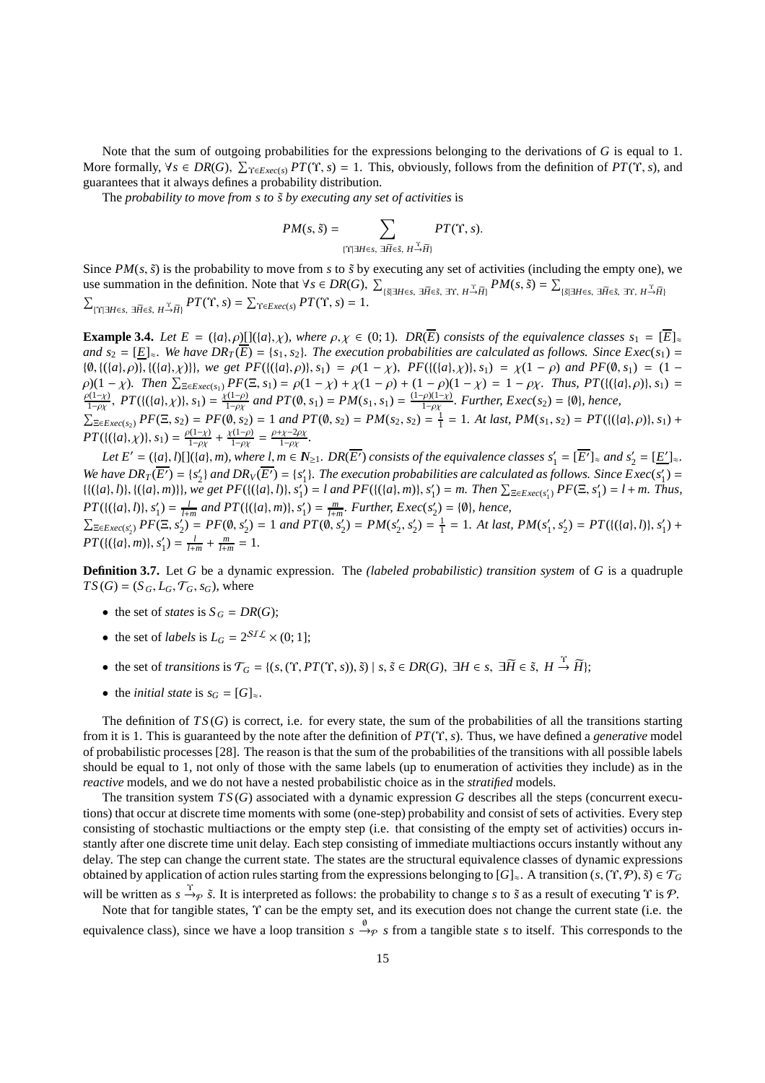Note that the sum of outgoing probabilities for the expressions belonging to the derivations of *G* is equal to 1. More formally,  $\forall s \in DR(G), \sum_{\Upsilon \in E \text{vec}(s)} PT(\Upsilon, s) = 1$ . This, obviously, follows from the definition of  $PT(\Upsilon, s)$ , and guarantees that it always defines a probability distribution.

The *probability to move from s to*  $\tilde{s}$  *by executing any set of activities* is

$$
PM(s, \tilde{s}) = \sum_{\{\Upsilon \mid \exists H \in s, \ \exists \widetilde{H} \in \tilde{s}, \ H \stackrel{\Upsilon}{\rightarrow} \widetilde{H}\}} PT(\Upsilon, s).
$$

Since  $PM(s, \tilde{s})$  is the probability to move from *s* to  $\tilde{s}$  by executing any set of activities (including the empty one), we use summation in the definition. Note that  $\forall s \in DR(G), \sum$  $\{ \tilde{s} | \exists H \in \mathfrak{s}, \exists \widetilde{H} \in \mathfrak{s}, \exists \Upsilon, H \overset{\tau}{\rightarrow} \widetilde{H} \}$   $PM(s, \tilde{s}) = \sum_{i=1}^{n} P(f_i, \tilde{s})$  $\sum_{\text{if } \mathbf{X} \in \mathcal{F}} \sum_{\mathbf{X} \in \mathcal{F}} \mathbf{X} = \sum_{\mathbf{X} \in \mathcal{F}} \mathbf{X} \mathbf{X} \mathbf{X} \mathbf{X} \mathbf{X} = \mathbf{X} \mathbf{X} \mathbf{X} \mathbf{X} \mathbf{X} \mathbf{X} \mathbf{X} \mathbf{X} \mathbf{X} \mathbf{X} \mathbf{X} \mathbf{X} \mathbf{X} \mathbf{X} \mathbf{X} \mathbf{X} \mathbf{X} \mathbf{X} \mathbf{X} \mathbf{X} \mathbf{X}$  ${PT(\Upsilon, s) = \sum_{\Upsilon \in \mathcal{E} \text{vec}(s)} PT(\Upsilon, s) = \sum_{\Upsilon \in \mathcal{E} \text{vec}(s)} PT(\Upsilon, s) = 1.}$ 

**Example 3.4.** *Let*  $E = (\{a\}, \rho) [(\{a\}, \chi)$ *, where*  $\rho, \chi \in (0, 1)$ *. DR*( $\overline{E}$ ) *consists of the equivalence classes*  $s_1 = [\overline{E}]_{\approx}$ *and*  $s_2 = [E]_{\approx}$ *. We have*  $DR_T(\overline{E}) = \{s_1, s_2\}$ *. The execution probabilities are calculated as follows. Since*  $Exec(s_1)$  *=* { $\emptyset$ , {({a},  $\rho$ }}, {({a},  $\chi$ )}}, we get PF({({a},  $\rho$ }},  $s_1$ ) =  $\rho(1 - \chi)$ , PF({({a},  $\chi$ )},  $s_1$ ) =  $\chi(1 - \rho)$  and PF( $\emptyset$ ,  $s_1$ ) = (1 - $\rho$ )(1 - χ)*. Then*  $\sum_{\Xi \in Excel} P(F(\Xi, s_1) = \rho(1 - \chi) + \chi(1 - \rho) + (1 - \rho)(1 - \chi) = 1 - \rho\chi$ *. Thus, PT*({{(*a*},  $\rho$ }}, *s*<sub>1</sub>) =  $\rho(1 - \chi) - \chi(1 - \rho) - \chi(1 - \rho)$ <br> $\rho(1 - \chi) - \frac{P(f(\{s\}) - \chi)}{P(f(\{s\}) - \chi)} = \frac{P(f(\{s\}) - P(f(\{s\}))}{P(f(\{s\})) - P(f(\{s\}))}$  $P T(\{(a_i, \chi)\}, s_1) = \frac{\chi(1-\rho)}{1-\rho\chi}$  $\frac{\chi(1-\rho)}{1-\rho\chi}$  and  $PT(\emptyset, s_1) = PM(s_1, s_1) = \frac{(1-\rho)(1-\chi)}{1-\rho\chi}$  $\frac{f(\rho)(1-\chi)}{1-\rho\chi}$ . Further, Exec(s<sub>2</sub>) = {**Ø**}, hence,  $\sum_{\Xi \in E: \text{Rec}(s_2)} PF(\Xi, s_2) = PF(\emptyset, s_2) = 1$  and  $PT(\emptyset, s_2) = PM(s_2, s_2) = \frac{1}{1} = 1$ . At last,  $PM(s_1, s_2) = PT(\{(a), \rho\}, s_1) +$  $PT({{(a)}, \chi)}$ ,  $s_1) = \frac{\rho(1-\chi)}{1-\rho\chi}$  $\frac{\gamma(1-\chi)}{1-\rho\chi} + \frac{\chi(1-\rho)}{1-\rho\chi}$  $\frac{\gamma(1-\rho)}{1-\rho\chi} = \frac{\rho+\chi-2\rho\chi}{1-\rho\chi}$ 1−ρχ *.*

Let  $E' = (\{a\}, l) [](\{a\}, m)$ , where  $l, m \in N_{\geq 1}$ .  $DR(\overline{E'})$  consists of the equivalence classes  $s'_1 = [\overline{E'}]_{\approx}$  and  $s'_2 = [\underline{E'}]_{\approx}$ . We have  $DR_T(\overline{E'}) = \{s'_2\}$  and  $DR_V(\overline{E'}) = \{s'_1\}$ . The execution probabilities are calculated as follows. Since  $Exec(s'_1)$  $\{(\{(a), b)\}, \{(\{a\}, m)\}\}\$ , we get  $PF(\{(\{(a), b)\}, s'_1) = l \text{ and } PF(\{(\{a\}, m)\}, s'_1) = m\}$ . Then  $\sum_{\exists \in E \text{vec}(s'_1)} PF(\Xi, s'_1) = l + m\$ . Thus, *PT*({({*a*}, *h*)}, *s*<sup>'</sup><sub>1</sub>) =  $\frac{l}{l+m}$  and PT({{({*a*}, *m*)}, *s*<sup>'</sup><sub>1</sub>) =  $\frac{m}{l+m}$ . Further, Exec(*s*'<sub>2</sub>) = {0}, hence,  $\sum_{\Xi \in E \times ec(s'_2)} PF(\Xi, s'_2) = PF(\emptyset, s'_2) = 1$  and  $PT(\emptyset, s'_2) = PM(s'_2, s'_2) = \frac{1}{1} = 1$ . At last,  $PM(s'_1, s'_2) = PT(\{(a), b), s'_1) +$ 

 $PT({{(a)}, m)}, s'_1) = \frac{l}{l+m} + \frac{m}{l+m} = 1.$ 

**Definition 3.7.** Let *G* be a dynamic expression. The *(labeled probabilistic) transition system* of *G* is a quadruple  $TS(G) = (S_G, L_G, \mathcal{T}_G, s_G)$ , where

- the set of *states* is  $S_G = DR(G);$
- the set of *labels* is  $L_G = 2^{ST\mathcal{L}} \times (0; 1]$ ;
- the set of *transitions* is  $\mathcal{T}_G = \{ (s, (\Upsilon, PT(\Upsilon, s)), \tilde{s}) \mid s, \tilde{s} \in DR(G), \exists H \in s, \exists \widetilde{H} \in \tilde{s}, H \stackrel{\Upsilon}{\rightarrow} \widetilde{H} \};$
- the *initial state* is  $s_G = [G]_{\approx}$ .

The definition of  $TS(G)$  is correct, i.e. for every state, the sum of the probabilities of all the transitions starting from it is 1. This is guaranteed by the note after the definition of *PT*(Υ, *s*). Thus, we have defined a *generative* model of probabilistic processes [28]. The reason is that the sum of the probabilities of the transitions with all possible labels should be equal to 1, not only of those with the same labels (up to enumeration of activities they include) as in the *reactive* models, and we do not have a nested probabilistic choice as in the *stratified* models.

The transition system *TS* (*G*) associated with a dynamic expression *G* describes all the steps (concurrent executions) that occur at discrete time moments with some (one-step) probability and consist of sets of activities. Every step consisting of stochastic multiactions or the empty step (i.e. that consisting of the empty set of activities) occurs instantly after one discrete time unit delay. Each step consisting of immediate multiactions occurs instantly without any delay. The step can change the current state. The states are the structural equivalence classes of dynamic expressions obtained by application of action rules starting from the expressions belonging to  $[G]_∞$ . A transition  $(s, (Y, \mathcal{P}), \tilde{s}) \in \mathcal{T}_G$ will be written as *s* →*ρ s*̃. It is interpreted as follows: the probability to change *s* to *s*̃ as a result of executing Υ is *P*.

Note that for tangible states, Υ can be the empty set, and its execution does not change the current state (i.e. the equivalence class), since we have a loop transition  $s \stackrel{\emptyset}{\rightarrow} \varphi$  *s* from a tangible state *s* to itself. This corresponds to the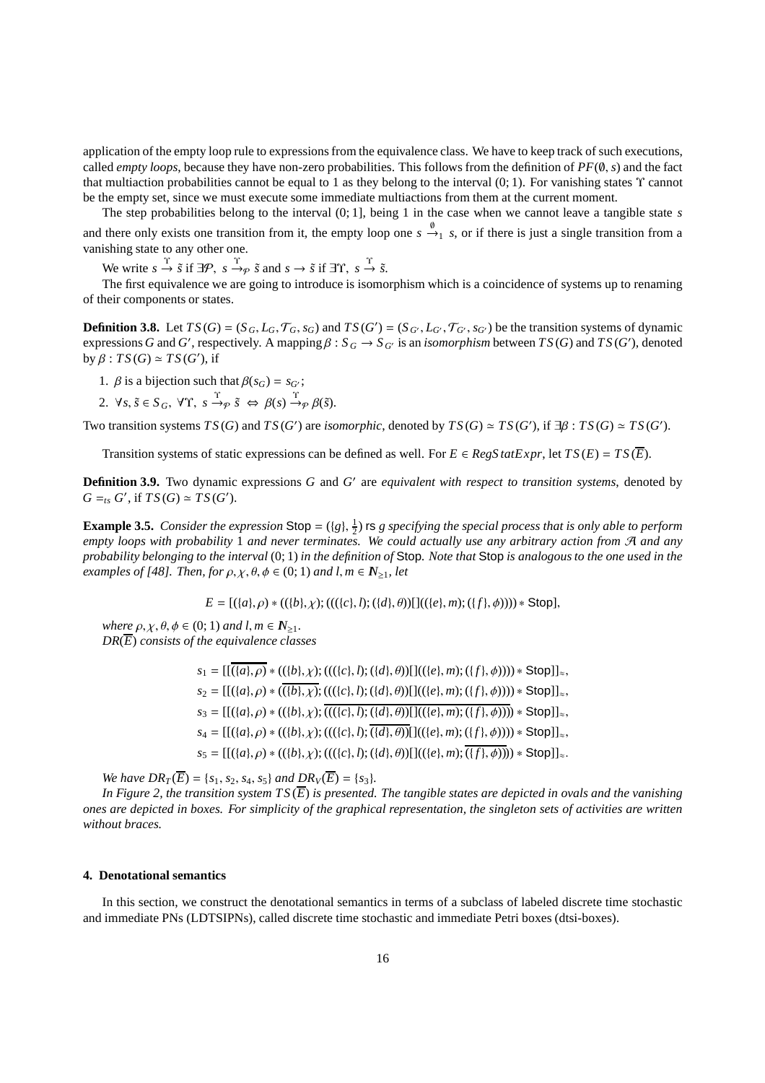application of the empty loop rule to expressions from the equivalence class. We have to keep track of such executions, called *empty loops*, because they have non-zero probabilities. This follows from the definition of *PF*(∅, *s*) and the fact that multiaction probabilities cannot be equal to 1 as they belong to the interval  $(0, 1)$ . For vanishing states  $\Upsilon$  cannot be the empty set, since we must execute some immediate multiactions from them at the current moment.

The step probabilities belong to the interval (0; 1], being 1 in the case when we cannot leave a tangible state *s* and there only exists one transition from it, the empty loop one  $s \stackrel{\emptyset}{\to}_1 s$ , or if there is just a single transition from a vanishing state to any other one.

We write  $s \stackrel{\Upsilon}{\rightarrow} \tilde{s}$  if  $\exists \mathcal{P}, s \stackrel{\Upsilon}{\rightarrow} \tilde{s}$  and  $s \rightarrow \tilde{s}$  if  $\exists \Upsilon, s \stackrel{\Upsilon}{\rightarrow} \tilde{s}$ .

The first equivalence we are going to introduce is isomorphism which is a coincidence of systems up to renaming of their components or states.

**Definition 3.8.** Let  $TS(G) = (S_G, L_G, \mathcal{T}_G, s_G)$  and  $TS(G') = (S_{G'}, L_{G'}, \mathcal{T}_{G'}, s_{G'})$  be the transition systems of dynamic expressions *G* and *G'*, respectively. A mapping  $\beta$  :  $S_G \to S_{G'}$  is an *isomorphism* between  $TS(G)$  and  $TS(G')$ , denoted by  $\beta$  :  $TS(G) \simeq TS(G')$ , if

- 1. *β* is a bijection such that  $\beta(s_G) = s_G$ ;
- 2.  $\forall s, \tilde{s} \in S_G$ ,  $\forall \Upsilon$ ,  $s \stackrel{\Upsilon}{\rightarrow} \varphi \tilde{s} \Leftrightarrow \beta(s) \stackrel{\Upsilon}{\rightarrow} \varphi \beta(\tilde{s})$ .

Two transition systems  $TS(G)$  and  $TS(G')$  are *isomorphic*, denoted by  $TS(G) \simeq TS(G')$ , if  $\exists \beta : TS(G) \simeq TS(G')$ .

Transition systems of static expressions can be defined as well. For  $E \in \text{RegSatExpr}$ , let  $TS(E) = TS(\overline{E})$ .

**Definition 3.9.** Two dynamic expressions *G* and *G* ′ are *equivalent with respect to transition systems*, denoted by  $G =_{ts} G'$ , if  $TS(G) \simeq TS(G')$ .

**Example 3.5.** *Consider the expression*  $\text{Stop} = (\{g\}, \frac{1}{2})$  **rs** *g specifying the special process that is only able to perform empty loops with probability* 1 *and never terminates. We could actually use any arbitrary action from* A *and any probability belonging to the interval* (0; 1) *in the definition of* Stop*. Note that* Stop *is analogous to the one used in the examples of [48]. Then, for*  $\rho, \chi, \theta, \phi \in (0, 1)$  *and l, m*  $\in \mathbb{N}_{\geq 1}$ *, let* 

$$
E = [(\{a\}, \rho) * ((\{b\}, \chi); (((\{c\}, l); (\{d\}, \theta))[]((\{e\}, m); (\{f\}, \phi)))) * Stop],
$$

*where*  $\rho, \chi, \theta, \phi \in (0, 1)$  *and*  $l, m \in \mathbb{N}_{\geq 1}$ . *DR*(*E*) *consists of the equivalence classes*

> $s_1 = [[(\{a\}, \rho) * (({b}, \chi); ((({c}, l); (({d}, \theta))]](({e}, m); ({f}, \phi)))) * Stop]]_{\approx}$  $s_2 = [[(\{a\}, \rho) * ((\{b\}, \chi); (((\{c\}, l); (\{d\}, \theta))]]((\{e\}, m); (\{f\}, \phi)))) * Stop]]_{\approx}$  $s_3 = [[(\{a\}, \rho) * ((\{b\}, \chi); \overline{(((\{c\}, l); (\{d\}, \theta))}][((\{e\}, m); (\{f\}, \phi)))) * \text{Stop}]]_{\approx}$  $s_4 = [[({a}, \rho) * (({b}, \chi); ((({{c}, l, l); ({{d}, \theta})})][(({{e}, m); ({{f}, \phi})})) * Stop]]_{\approx}$  $s_5 = [[({a}, \rho) * (({b}, \chi); ((({{c}, l, l); ({d}, \theta))](({{e}, m); (\overline{{f}, \phi})}) \times$  Stop]]<sub>≈</sub>.

*We have*  $DR_T(\overline{E}) = \{s_1, s_2, s_4, s_5\}$  *<i>and*  $DR_V(\overline{E}) = \{s_3\}.$ 

In Figure 2, the transition system  $TS(\overline{E})$  is presented. The tangible states are depicted in ovals and the vanishing *ones are depicted in boxes. For simplicity of the graphical representation, the singleton sets of activities are written without braces.*

# **4. Denotational semantics**

In this section, we construct the denotational semantics in terms of a subclass of labeled discrete time stochastic and immediate PNs (LDTSIPNs), called discrete time stochastic and immediate Petri boxes (dtsi-boxes).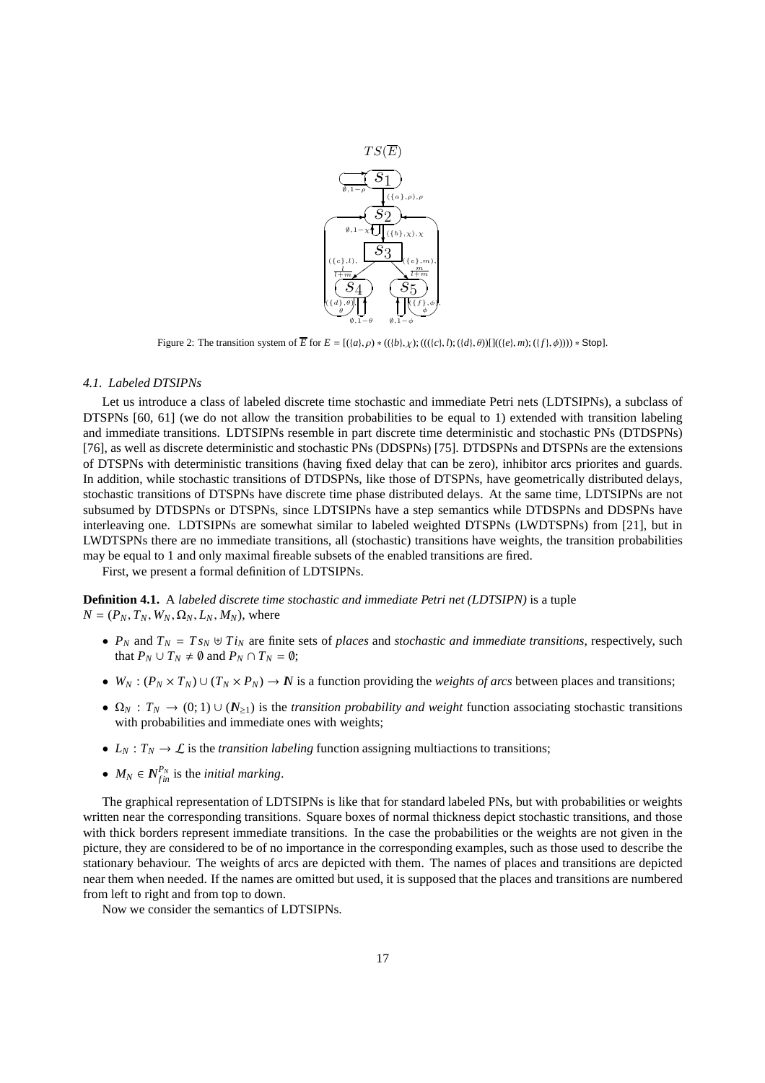

Figure 2: The transition system of  $\overline{E}$  for  $E = [({a}, \rho) * (({b}, \chi); ((({c}, h); ({d}, \theta)))](( {e}, m); ({f}, \phi)))) * Stop].$ 

#### *4.1. Labeled DTSIPNs*

Let us introduce a class of labeled discrete time stochastic and immediate Petri nets (LDTSIPNs), a subclass of DTSPNs [60, 61] (we do not allow the transition probabilities to be equal to 1) extended with transition labeling and immediate transitions. LDTSIPNs resemble in part discrete time deterministic and stochastic PNs (DTDSPNs) [76], as well as discrete deterministic and stochastic PNs (DDSPNs) [75]. DTDSPNs and DTSPNs are the extensions of DTSPNs with deterministic transitions (having fixed delay that can be zero), inhibitor arcs priorites and guards. In addition, while stochastic transitions of DTDSPNs, like those of DTSPNs, have geometrically distributed delays, stochastic transitions of DTSPNs have discrete time phase distributed delays. At the same time, LDTSIPNs are not subsumed by DTDSPNs or DTSPNs, since LDTSIPNs have a step semantics while DTDSPNs and DDSPNs have interleaving one. LDTSIPNs are somewhat similar to labeled weighted DTSPNs (LWDTSPNs) from [21], but in LWDTSPNs there are no immediate transitions, all (stochastic) transitions have weights, the transition probabilities may be equal to 1 and only maximal fireable subsets of the enabled transitions are fired.

First, we present a formal definition of LDTSIPNs.

**Definition 4.1.** A *labeled discrete time stochastic and immediate Petri net (LDTSIPN)* is a tuple  $N = (P_N, T_N, W_N, \Omega_N, L_N, M_N)$ , where

- $P_N$  and  $T_N = T s_N \oplus T i_N$  are finite sets of *places* and *stochastic and immediate transitions*, respectively, such that  $P_N \cup T_N \neq \emptyset$  and  $P_N \cap T_N = \emptyset$ ;
- $W_N$ :  $(P_N \times T_N) \cup (T_N \times P_N) \to N$  is a function providing the *weights of arcs* between places and transitions;
- $\Omega_N$ :  $T_N \to (0, 1) \cup (N_{\geq 1})$  is the *transition probability and weight* function associating stochastic transitions with probabilities and immediate ones with weights;
- $L_N: T_N \to \mathcal{L}$  is the *transition labeling* function assigning multiactions to transitions;
- $M_N \in N_{fin}^{P_N}$  is the *initial marking*.

The graphical representation of LDTSIPNs is like that for standard labeled PNs, but with probabilities or weights written near the corresponding transitions. Square boxes of normal thickness depict stochastic transitions, and those with thick borders represent immediate transitions. In the case the probabilities or the weights are not given in the picture, they are considered to be of no importance in the corresponding examples, such as those used to describe the stationary behaviour. The weights of arcs are depicted with them. The names of places and transitions are depicted near them when needed. If the names are omitted but used, it is supposed that the places and transitions are numbered from left to right and from top to down.

Now we consider the semantics of LDTSIPNs.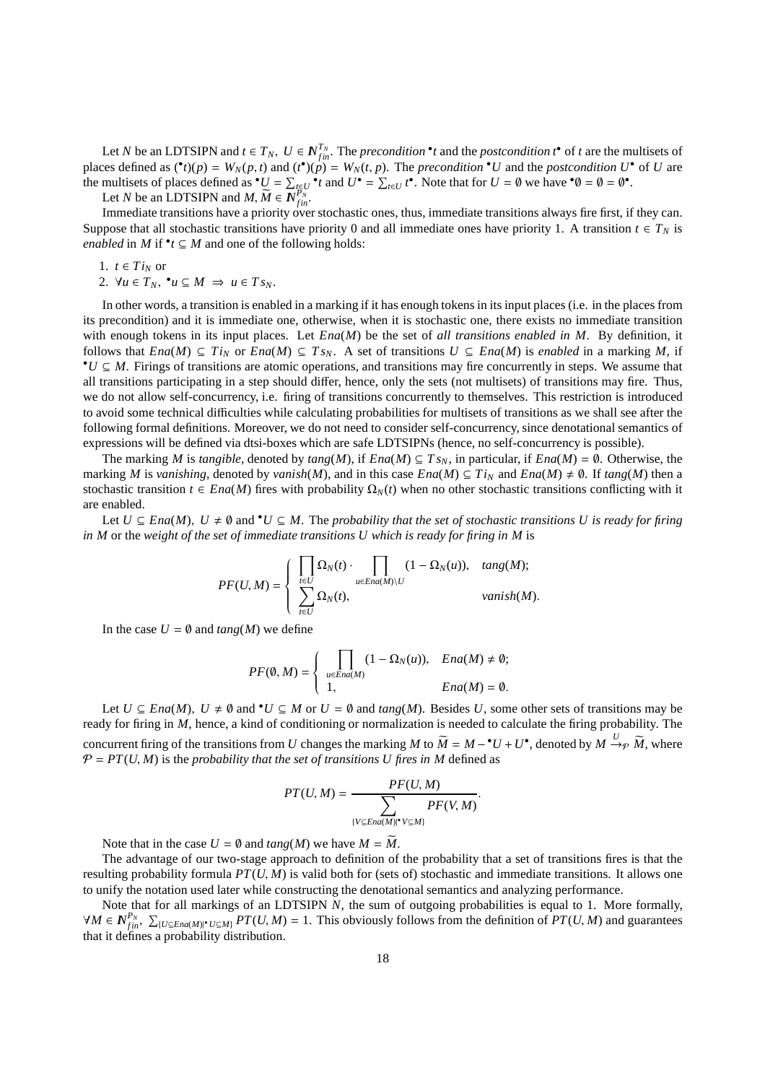Let *N* be an LDTSIPN and  $t \in T_N$ ,  $U \in N_{fin}^{T_N}$ . The *precondition* • *t* and the *postcondition t*• of *t* are the multisets of places defined as  $({}^{\bullet}t)(p) = W_N(p,t)$  and  $({}^{\bullet}t)(p) = W_N(t,p)$ . The *precondition*  ${}^{\bullet}U$  and the *postcondition*  $U^{\bullet}$  of U are the multisets of places defined as  $^{\bullet}U = \sum_{t \in U} \bullet_t^{\bullet}t$  and  $U^{\bullet} = \sum_{t \in U} t^{\bullet}$ . Note that for  $U = \emptyset$  we have  $^{\bullet}\emptyset = \emptyset = \emptyset^{\bullet}$ .

Let *N* be an LDTSIPN and  $M$ ,  $\widetilde{M} \in \overline{N}_{fin}^{P_N}$ .

Immediate transitions have a priority over stochastic ones, thus, immediate transitions always fire first, if they can. Suppose that all stochastic transitions have priority 0 and all immediate ones have priority 1. A transition  $t \in T_N$  is *enabled* in *M* if  $^{\bullet}t \subseteq M$  and one of the following holds:

1. 
$$
t \in Ti_N
$$
 or

2.  $\forall u \in T_N$ ,  $\mathbf{v} \subseteq M \implies u \in T_{S_N}$ .

In other words, a transition is enabled in a marking if it has enough tokens in its input places (i.e. in the places from its precondition) and it is immediate one, otherwise, when it is stochastic one, there exists no immediate transition with enough tokens in its input places. Let *Ena*(*M*) be the set of *all transitions enabled in M*. By definition, it follows that *Ena*(*M*) ⊆ *Ti<sub>N</sub>* or *Ena*(*M*) ⊆ *Ts<sub>N</sub>*. A set of transitions *U* ⊆ *Ena*(*M*) is *enabled* in a marking *M*, if •*U* ⊆ *M*. Firings of transitions are atomic operations, and transitions may fire concurrently in steps. We assume that all transitions participating in a step should differ, hence, only the sets (not multisets) of transitions may fire. Thus, we do not allow self-concurrency, i.e. firing of transitions concurrently to themselves. This restriction is introduced to avoid some technical difficulties while calculating probabilities for multisets of transitions as we shall see after the following formal definitions. Moreover, we do not need to consider self-concurrency, since denotational semantics of expressions will be defined via dtsi-boxes which are safe LDTSIPNs (hence, no self-concurrency is possible).

The marking *M* is *tangible*, denoted by  $tan g(M)$ , if  $Ena(M) \subseteq Ts_N$ , in particular, if  $Ena(M) = \emptyset$ . Otherwise, the marking *M* is *vanishing*, denoted by *vanish*(*M*), and in this case  $Ena(M) \subseteq Ti<sub>N</sub>$  and  $Ena(M) \neq \emptyset$ . If  $tang(M)$  then a stochastic transition  $t \in Ena(M)$  fires with probability  $\Omega_N(t)$  when no other stochastic transitions conflicting with it are enabled.

Let  $U \subseteq Ena(M)$ ,  $U \neq \emptyset$  and  $^{\bullet}U \subseteq M$ . The *probability that the set of stochastic transitions U is ready for firing in M* or the *weight of the set of immediate transitions U which is ready for firing in M* is

$$
PF(U,M) = \left\{ \begin{array}{ll} \displaystyle \prod_{t \in U} \Omega_N(t) \cdot \prod_{u \in End(M) \setminus U} (1 - \Omega_N(u)), & \textit{tang}(M); \\ \displaystyle \sum_{t \in U} \Omega_N(t), & \textit{vanish}(M). \end{array} \right.
$$

In the case  $U = \emptyset$  and  $tang(M)$  we define

$$
PF(\emptyset, M) = \begin{cases} \prod_{u \in End(M)} (1 - \Omega_N(u)), & End(M) \neq \emptyset; \\ 1, & End(M) = \emptyset. \end{cases}
$$

Let  $U \subseteq \text{Ena}(M)$ ,  $U \neq \emptyset$  and  $\mathbf{v}U \subseteq M$  or  $U = \emptyset$  and  $\text{tang}(M)$ . Besides *U*, some other sets of transitions may be ready for firing in *M*, hence, a kind of conditioning or normalization is needed to calculate the firing probability. The concurrent firing of the transitions from *U* changes the marking *M* to  $\widetilde{M} = M - {}^{\bullet}U + U^{\bullet}$ , denoted by  $M \xrightarrow{U} \widetilde{M}$ , where  $P = PT(U, M)$  is the *probability that the set of transitions U fires in* M defined as

$$
PT(U, M) = \frac{PF(U, M)}{\sum_{\{V \subseteq End(M) \mid V \subseteq M\}} PF(V, M)}.
$$

Note that in the case  $U = \emptyset$  and  $tang(M)$  we have  $M = \overline{M}$ .

The advantage of our two-stage approach to definition of the probability that a set of transitions fires is that the resulting probability formula *PT*(*U*, *M*) is valid both for (sets of) stochastic and immediate transitions. It allows one to unify the notation used later while constructing the denotational semantics and analyzing performance.

Note that for all markings of an LDTSIPN N, the sum of outgoing probabilities is equal to 1. More formally,  $\forall M \in N_{fin}^{P_N}, \ \sum_{\{U \subseteq End(M) \mid U \subseteq M\}} PT(U, M) = 1$ . This obviously follows from the definition of  $PT(U, M)$  and guarantees that it defines a probability distribution.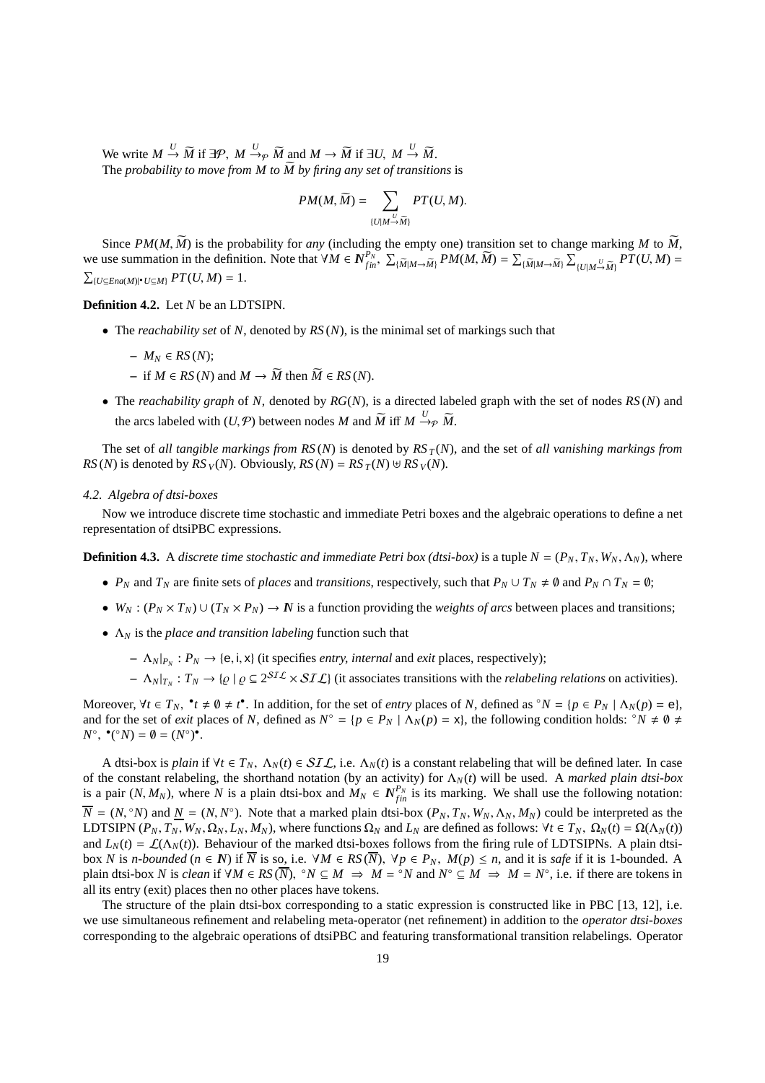We write  $M \stackrel{U}{\rightarrow} \widetilde{M}$  if  $\exists \mathcal{P}, M \stackrel{U}{\rightarrow} \widetilde{M}$  and  $M \rightarrow \widetilde{M}$  if  $\exists U, M \stackrel{U}{\rightarrow} \widetilde{M}$ . The *probability to move from M to*  $\widetilde{M}$  by firing any set of transitions is

$$
PM(M, \widetilde{M}) = \sum_{\{U \mid M \stackrel{U}{\rightarrow} \widetilde{M}\}} PT(U, M).
$$

Since  $PM(M, \widetilde{M})$  is the probability for *any* (including the empty one) transition set to change marking M to  $\widetilde{M}$ , we use summation in the definition. Note that  $\forall M \in N_{fin}^{P_N}$ ,  $\sum_{\{\widetilde{M}|M \to \widetilde{M}\}} P M(M, \widetilde{M}) = \sum_{\{\widetilde{M}|M \to \widetilde{M}\}} \sum_{\{U|M \to \widetilde{M}\}} P T(U, M) =$  $\sum_{\{U \subseteq Ena(M)|^{\bullet}} U \subseteq M\}} PT(U, M) = 1.$ 

**Definition 4.2.** Let *N* be an LDTSIPN.

• The *reachability set* of *N*, denoted by *RS* (*N*), is the minimal set of markings such that

$$
- M_N \in RS(N);
$$

- $\overline{M}$  = if  $M \in RS(N)$  and  $M \rightarrow \widetilde{M}$  then  $\widetilde{M} \in RS(N)$ .
- The *reachability graph* of *N*, denoted by *RG*(*N*), is a directed labeled graph with the set of nodes *RS* (*N*) and the arcs labeled with  $(U, \mathcal{P})$  between nodes *M* and  $\widetilde{M}$  iff  $M \xrightarrow{U} \widetilde{p} \widetilde{M}$ .

The set of *all tangible markings from RS(N)* is denoted by  $RS_T(N)$ , and the set of *all vanishing markings from*  $RS(N)$  is denoted by  $RS_V(N)$ . Obviously,  $RS(N) = RS_T(N) \cup RS_V(N)$ .

#### *4.2. Algebra of dtsi-boxes*

Now we introduce discrete time stochastic and immediate Petri boxes and the algebraic operations to define a net representation of dtsiPBC expressions.

**Definition 4.3.** A *discrete time stochastic and immediate Petri box (dtsi-box)* is a tuple  $N = (P_N, T_N, W_N, \Lambda_N)$ , where

- *P<sub>N</sub>* and  $T_N$  are finite sets of *places* and *transitions*, respectively, such that  $P_N \cup T_N \neq \emptyset$  and  $P_N \cap T_N = \emptyset$ ;
- $W_N$ :  $(P_N \times T_N) \cup (T_N \times P_N) \to N$  is a function providing the *weights of arcs* between places and transitions;
- Λ*<sup>N</sup>* is the *place and transition labeling* function such that
	- $\Lambda_N |_{P_N} : P_N \to \{e, i, x\}$  (it specifies *entry, internal* and *exit* places, respectively);
	- $\Lambda_N |_{T_N}: T_N \to \{ \varrho \mid \varrho \subseteq 2^{ST\mathcal{L}} \times ST\mathcal{L} \}$  (it associates transitions with the *relabeling relations* on activities).

Moreover,  $\forall t \in T_N$ ,  $\forall t \neq \emptyset \neq t^*$ . In addition, for the set of *entry* places of *N*, defined as  $\circ N = \{p \in P_N \mid \Lambda_N(p) = e\}$ , and for the set of *exit* places of *N*, defined as  $N^{\circ} = \{p \in P_N \mid \Lambda_N(p) = x\}$ , the following condition holds:  $\circ N \neq \emptyset$ .  $N^{\circ}, \mathbf{^{\bullet}}({}^{\circ}N) = \emptyset = (N^{\circ})^{\bullet}.$ 

A dtsi-box is *plain* if  $\forall t \in T_N$ ,  $\Lambda_N(t) \in \mathcal{S}I\mathcal{L}$ , i.e.  $\Lambda_N(t)$  is a constant relabeling that will be defined later. In case of the constant relabeling, the shorthand notation (by an activity) for Λ*N*(*t*) will be used. A *marked plain dtsi-box* is a pair  $(N, M_N)$ , where *N* is a plain dtsi-box and  $M_N \in N_{fin}^{P_N}$  is its marking. We shall use the following notation:  $\overline{N} = (N, {}^{\circ}N)$  and  $\underline{N} = (N, N^{\circ})$ . Note that a marked plain dtsi-box  $(P_N, T_N, W_N, \Lambda_N, M_N)$  could be interpreted as the LDTSIPN  $(P_N, T_N, W_N, \Omega_N, L_N, M_N)$ , where functions  $\Omega_N$  and  $L_N$  are defined as follows:  $\forall t \in T_N$ ,  $\Omega_N(t) = \Omega(\Lambda_N(t))$ and  $L_N(t) = \mathcal{L}(\Lambda_N(t))$ . Behaviour of the marked dtsi-boxes follows from the firing rule of LDTSIPNs. A plain dtsibox *N* is *n*-bounded ( $n \in \mathbb{N}$ ) if  $\overline{N}$  is so, i.e.  $\forall M \in RS(\overline{N})$ ,  $\forall p \in P_N$ ,  $M(p) \leq n$ , and it is *safe* if it is 1-bounded. A plain dtsi-box *N* is *clean* if  $\forall M \in RS(\overline{N})$ ,  $\degree N \subseteq M \Rightarrow M = \degree N$  and  $N^{\degree} \subseteq M \Rightarrow M = N^{\degree}$ , i.e. if there are tokens in all its entry (exit) places then no other places have tokens.

The structure of the plain dtsi-box corresponding to a static expression is constructed like in PBC [13, 12], i.e. we use simultaneous refinement and relabeling meta-operator (net refinement) in addition to the *operator dtsi-boxes* corresponding to the algebraic operations of dtsiPBC and featuring transformational transition relabelings. Operator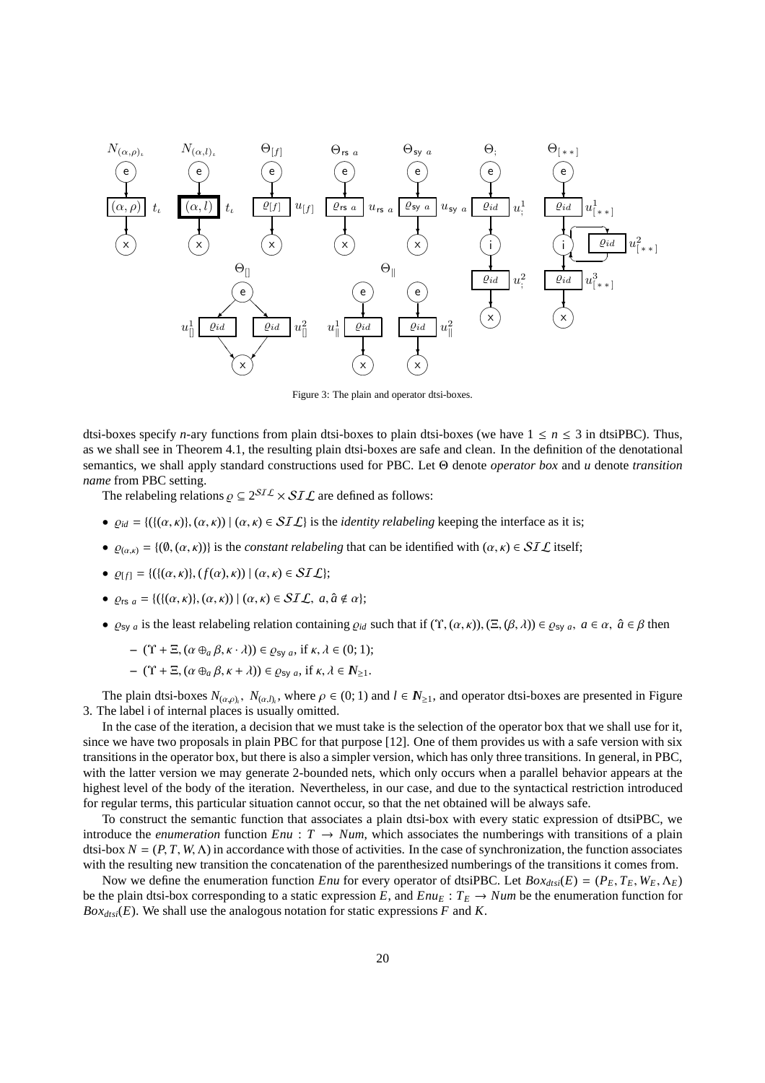

Figure 3: The plain and operator dtsi-boxes.

dtsi-boxes specify *n*-ary functions from plain dtsi-boxes to plain dtsi-boxes (we have  $1 \le n \le 3$  in dtsiPBC). Thus, as we shall see in Theorem 4.1, the resulting plain dtsi-boxes are safe and clean. In the definition of the denotational semantics, we shall apply standard constructions used for PBC. Let Θ denote *operator box* and *u* denote *transition name* from PBC setting.

The relabeling relations  $\rho \subseteq 2^{STL} \times STL$  are defined as follows:

- $\varrho_{id} = \{ (\{(\alpha, \kappa), (\alpha, \kappa)) \mid (\alpha, \kappa) \in \mathcal{SIL} \}$  is the *identity relabeling* keeping the interface as it is;
- $Q_{(\alpha,\kappa)} = \{(\emptyset, (\alpha,\kappa))\}$  is the *constant relabeling* that can be identified with  $(\alpha,\kappa) \in \mathcal{SIL}$  itself;
- $\rho_{[f]} = \{ (\{( \alpha, \kappa), (f(\alpha), \kappa)) | (\alpha, \kappa) \in SL \} \}$ ;
- $\varrho_{rs a} = \{ (\{ (\alpha, \kappa), (\alpha, \kappa) \mid (\alpha, \kappa) \in SL\mathcal{L}, a, \hat{a} \notin \alpha \};\right)$
- $\varrho_{\text{sv }a}$  is the least relabeling relation containing  $\varrho_{id}$  such that if  $(\Upsilon, (\alpha, \kappa))$ ,  $(\Xi, (\beta, \lambda)) \in \varrho_{\text{sv }a}$ ,  $a \in \alpha$ ,  $\hat{a} \in \beta$  then

$$
- (\Upsilon + \Xi, (\alpha \oplus_a \beta, \kappa \cdot \lambda)) \in \varrho_{\text{sy } a}, \text{ if } \kappa, \lambda \in (0, 1);
$$

$$
- (\Upsilon + \Xi, (\alpha \oplus_a \beta, \kappa + \lambda)) \in \varrho_{\text{sy } a}, \text{ if } \kappa, \lambda \in \mathbb{N}_{\geq 1}.
$$

The plain dtsi-boxes  $N_{(\alpha,\rho)}$ ,  $N_{(\alpha,l)}$ , where  $\rho \in (0,1)$  and  $l \in N_{\geq 1}$ , and operator dtsi-boxes are presented in Figure 3. The label i of internal places is usually omitted.

In the case of the iteration, a decision that we must take is the selection of the operator box that we shall use for it, since we have two proposals in plain PBC for that purpose [12]. One of them provides us with a safe version with six transitions in the operator box, but there is also a simpler version, which has only three transitions. In general, in PBC, with the latter version we may generate 2-bounded nets, which only occurs when a parallel behavior appears at the highest level of the body of the iteration. Nevertheless, in our case, and due to the syntactical restriction introduced for regular terms, this particular situation cannot occur, so that the net obtained will be always safe.

To construct the semantic function that associates a plain dtsi-box with every static expression of dtsiPBC, we introduce the *enumeration* function  $Enu : T \rightarrow Num$ , which associates the numberings with transitions of a plain dtsi-box  $N = (P, T, W, \Lambda)$  in accordance with those of activities. In the case of synchronization, the function associates with the resulting new transition the concatenation of the parenthesized numberings of the transitions it comes from.

Now we define the enumeration function *Enu* for every operator of dtsiPBC. Let  $Box_{x}$   $(E) = (P_E, T_E, W_E, \Lambda_E)$ be the plain dtsi-box corresponding to a static expression *E*, and  $E_{I\!U_E}: T_E \to Num$  be the enumeration function for  $Box_{dtsi}(E)$ . We shall use the analogous notation for static expressions *F* and *K*.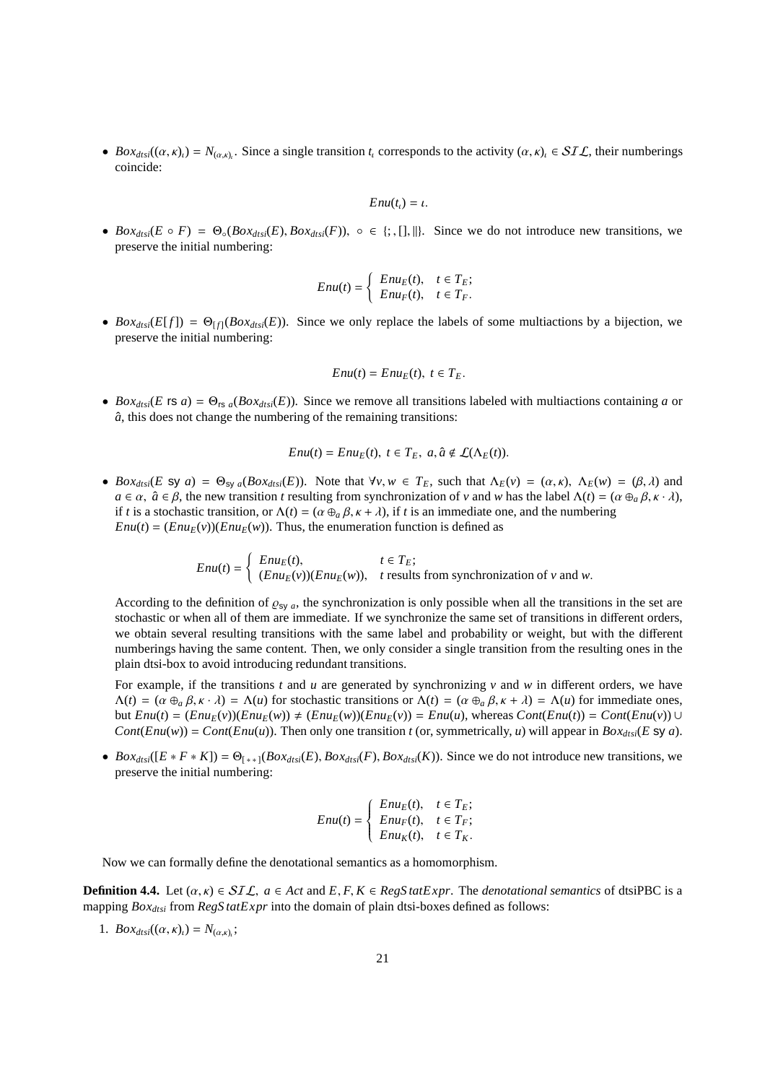•  $Box_{dtsi}((\alpha, \kappa)_i) = N_{(\alpha, \kappa)_i}$ . Since a single transition  $t_i$  corresponds to the activity  $(\alpha, \kappa)_i \in \mathcal{SIL}$ , their numberings coincide:

$$
Enu(t_{\iota})=\iota.
$$

•  $Box_{dtsi}(E \circ F) = \Theta_{\circ}(Box_{dtsi}(E), Box_{dtsi}(F)), \circ \in \{; , [], \| \}$ . Since we do not introduce new transitions, we preserve the initial numbering:

$$
Enu(t) = \begin{cases} Enu_E(t), & t \in T_E; \\ Enu_F(t), & t \in T_F. \end{cases}
$$

•  $Box_{dis}(E[f]) = \Theta_{[f]}(Box_{dist}(E))$ . Since we only replace the labels of some multiactions by a bijection, we preserve the initial numbering:

$$
Enu(t) = Enu_E(t), t \in T_E.
$$

• *Box<sub>dtsi</sub>*(*E* rs *a*) =  $\Theta_{rs}$  *a*(*Box<sub>dtsi</sub>*(*E*)). Since we remove all transitions labeled with multiactions containing *a* or  $\hat{a}$ , this does not change the numbering of the remaining transitions:

$$
Enu(t) = EnuE(t), t \in TE, a, \hat{a} \notin \mathcal{L}(\Lambda_E(t)).
$$

•  $Box_{ds}(E \text{ sy } a) = \Theta_{\text{sy } a}(Box_{ds}(E))$ . Note that  $\forall v, w \in T_E$ , such that  $\Lambda_E(v) = (\alpha, \kappa), \Lambda_E(w) = (\beta, \lambda)$  and  $a \in \alpha$ ,  $\hat{a} \in \beta$ , the new transition *t* resulting from synchronization of *v* and *w* has the label  $\Lambda(t) = (\alpha \oplus_{a} \beta, \kappa \cdot \lambda)$ , if *t* is a stochastic transition, or  $\Lambda(t) = (\alpha \bigoplus_{a} \beta, \kappa + \lambda)$ , if *t* is an immediate one, and the numbering  $Enu(t) = (Enu_E(v))(Enu_E(w))$ . Thus, the enumeration function is defined as

$$
Enu(t) = \begin{cases} Enu_E(t), & t \in T_E; \\ (Enu_E(v))(Enu_E(w)), & t \text{ results from synchronization of } v \text{ and } w. \end{cases}
$$

According to the definition of  $\varrho_{s_y}$ , the synchronization is only possible when all the transitions in the set are stochastic or when all of them are immediate. If we synchronize the same set of transitions in different orders, we obtain several resulting transitions with the same label and probability or weight, but with the different numberings having the same content. Then, we only consider a single transition from the resulting ones in the plain dtsi-box to avoid introducing redundant transitions.

For example, if the transitions *t* and *u* are generated by synchronizing *v* and *w* in different orders, we have  $\Lambda(t) = (\alpha \oplus_{\alpha} \beta, \kappa \cdot \lambda) = \Lambda(u)$  for stochastic transitions or  $\Lambda(t) = (\alpha \oplus_{\alpha} \beta, \kappa + \lambda) = \Lambda(u)$  for immediate ones, but  $Env(t) = (Env(v))(Env(w)) \neq (Env(w))(Env(v)) = Env(u)$ , whereas  $Cont(Env(t)) = Cont(Env(v)) \cup$ *Cont*(*Enu*(*w*)) = *Cont*(*Enu*(*u*)). Then only one transition *t* (or, symmetrically, *u*) will appear in *Box<sub>dtsi</sub>*(*E* sy *a*).

•  $Box_{dis}([E * F * K]) = \Theta_{(**]}(Box_{dis}(E), Box_{dis}(F), Box_{dis}(K))$ . Since we do not introduce new transitions, we preserve the initial numbering:

$$
Enu(t) = \begin{cases} Enu_E(t), & t \in T_E; \\ Enu_F(t), & t \in T_F; \\ Enu_K(t), & t \in T_K. \end{cases}
$$

Now we can formally define the denotational semantics as a homomorphism.

**Definition 4.4.** Let  $(\alpha, \kappa) \in \mathcal{SIL}$ ,  $a \in Act$  and  $E, F, K \in RegStatexpr$ . The *denotational semantics* of dtsiPBC is a mapping *Boxdtsi* from *RegS tatExpr* into the domain of plain dtsi-boxes defined as follows:

1.  $Box_{dtsi}((\alpha, \kappa)_i) = N_{(\alpha, \kappa)_i};$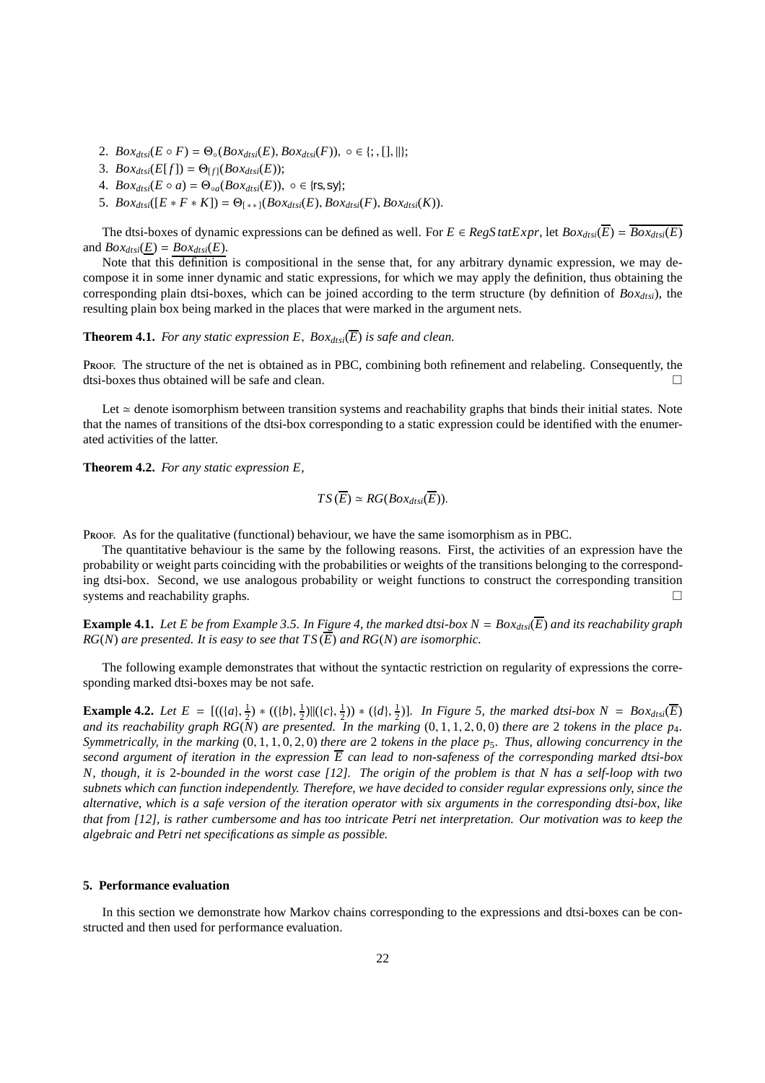- 2.  $Box_{dtsi}(E \circ F) = \Theta_{\circ}(Box_{dtsi}(E), Box_{dtsi}(F)), \circ \in \{\, ; , [], ||\}$ ;
- 3.  $Box_{dist}(E[f]) = \Theta_{[f]}(Box_{dist}(E));$
- 4.  $Box_{dtsi}(E \circ a) = \Theta_{\circ a}(Box_{dtsi}(E)), \circ \in \{\text{rs}, \text{sy}\};$
- 5.  $Box_{dtsi}([E * F * K]) = \Theta_{[**]}(Box_{dtsi}(E), Box_{dtsi}(F), Box_{dtsi}(K)).$

The dtsi-boxes of dynamic expressions can be defined as well. For  $E \in RegStatexpr$ , let  $Box_{dtsi}(\overline{E}) = \overline{Box_{dtsi}(E)}$ and  $Box_{dtsi}(E) = Box_{dtsi}(E)$ .

Note that this definition is compositional in the sense that, for any arbitrary dynamic expression, we may decompose it in some inner dynamic and static expressions, for which we may apply the definition, thus obtaining the corresponding plain dtsi-boxes, which can be joined according to the term structure (by definition of *Boxdtsi*), the resulting plain box being marked in the places that were marked in the argument nets.

**Theorem 4.1.** *For any static expression E,*  $Box_{dtsi}(\overline{E})$  *is safe and clean.* 

Proof. The structure of the net is obtained as in PBC, combining both refinement and relabeling. Consequently, the dtsi-boxes thus obtained will be safe and clean.

Let ≃ denote isomorphism between transition systems and reachability graphs that binds their initial states. Note that the names of transitions of the dtsi-box corresponding to a static expression could be identified with the enumerated activities of the latter.

**Theorem 4.2.** *For any static expression E,*

$$
TS(\overline{E}) \simeq RG(Box_{dtsi}(\overline{E})).
$$

Proof. As for the qualitative (functional) behaviour, we have the same isomorphism as in PBC.

The quantitative behaviour is the same by the following reasons. First, the activities of an expression have the probability or weight parts coinciding with the probabilities or weights of the transitions belonging to the corresponding dtsi-box. Second, we use analogous probability or weight functions to construct the corresponding transition systems and reachability graphs.  $\square$ 

**Example 4.1.** Let E be from Example 3.5. In Figure 4, the marked dtsi-box  $N = Box_{dst}(\overline{E})$  and its reachability graph  $RG(N)$  *are presented. It is easy to see that*  $TS(\overline{E})$  *and*  $RG(N)$  *are isomorphic.* 

The following example demonstrates that without the syntactic restriction on regularity of expressions the corresponding marked dtsi-boxes may be not safe.

**Example 4.2.** Let  $E = [(({a}, \frac{1}{2}) * (({b}, \frac{1}{2})||({c}, \frac{1}{2})) * ({d}, \frac{1}{2})]$ . In Figure 5, the marked dtsi-box  $N = Box_{dtsi}(\overline{E})$ and its reachability graph  $RG(N)$  are presented. In the marking  $(0, 1, 1, 2, 0, 0)$  there are 2 tokens in the place p<sub>4</sub>. *Symmetrically, in the marking* (0, 1, 1, 0, 2, 0) *there are* 2 *tokens in the place p*5*. Thus, allowing concurrency in the second argument of iteration in the expression E can lead to non-safeness of the corresponding marked dtsi-box N, though, it is* 2*-bounded in the worst case [12]. The origin of the problem is that N has a self-loop with two subnets which can function independently. Therefore, we have decided to consider regular expressions only, since the alternative, which is a safe version of the iteration operator with six arguments in the corresponding dtsi-box, like that from [12], is rather cumbersome and has too intricate Petri net interpretation. Our motivation was to keep the algebraic and Petri net specifications as simple as possible.*

# **5. Performance evaluation**

In this section we demonstrate how Markov chains corresponding to the expressions and dtsi-boxes can be constructed and then used for performance evaluation.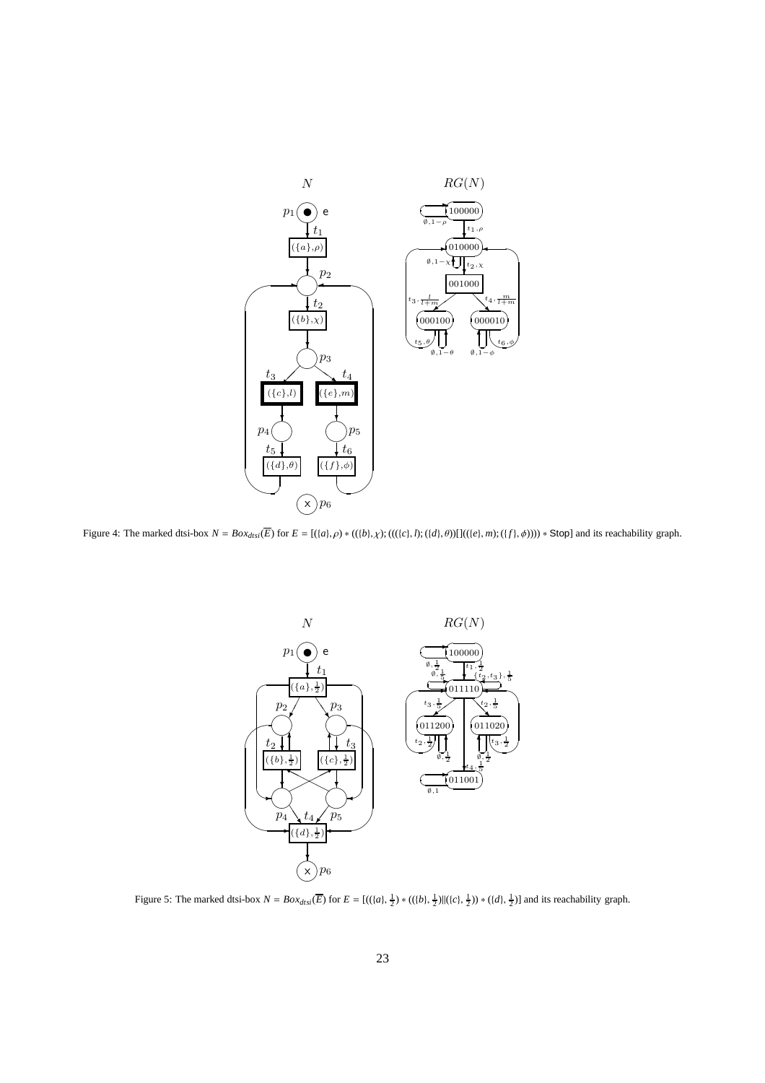![](_page_22_Figure_0.jpeg)

Figure 4: The marked dtsi-box  $N = Box_{dis}(\overline{E})$  for  $E = [(a], \rho) * (({b}, \chi) ; ((({c}, l); ({d}, \theta)) ] (({e}, m); ({f}, \phi)))) * Stop]$  and its reachability graph.

![](_page_22_Figure_2.jpeg)

Figure 5: The marked dtsi-box  $N = Box_{dtsi}(\overline{E})$  for  $E = [(({a}, \frac{1}{2}) * (({b}, \frac{1}{2})||({{c}}, \frac{1}{2})) * ({d}, \frac{1}{2})]$  and its reachability graph.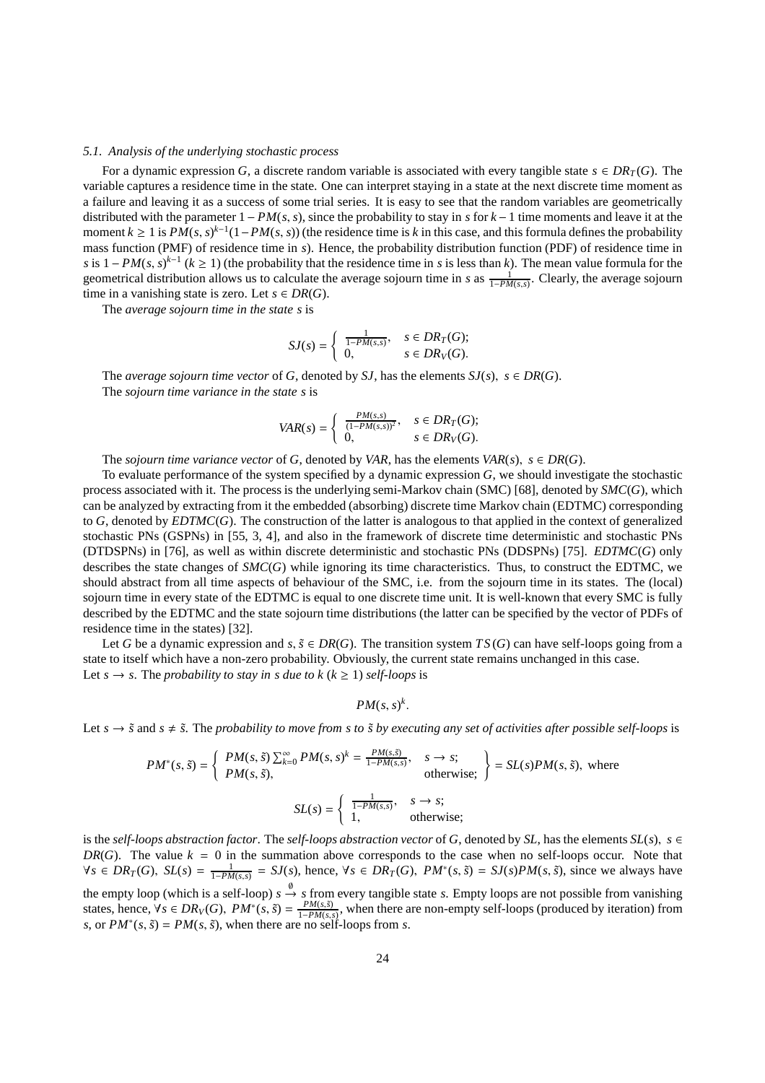# *5.1. Analysis of the underlying stochastic process*

For a dynamic expression *G*, a discrete random variable is associated with every tangible state  $s \in DR_T(G)$ . The variable captures a residence time in the state. One can interpret staying in a state at the next discrete time moment as a failure and leaving it as a success of some trial series. It is easy to see that the random variables are geometrically distributed with the parameter 1− *PM*(*s*, *s*), since the probability to stay in *s* for *k*−1 time moments and leave it at the moment  $k \ge 1$  is  $PM(s, s)^{k-1}(1 - PM(s, s))$  (the residence time is *k* in this case, and this formula defines the probability mass function (PMF) of residence time in *s*). Hence, the probability distribution function (PDF) of residence time in *s* is  $1 - PM(s, s)^{k-1}$  ( $k \ge 1$ ) (the probability that the residence time in *s* is less than *k*). The mean value formula for the geometrical distribution allows us to calculate the average sojourn time in *s* as  $\frac{1}{1-P M(s,s)}$ . Clearly, the average sojourn time in a vanishing state is zero. Let  $s \in DR(G)$ .

The *average sojourn time in the state s* is

$$
SJ(s) = \begin{cases} \frac{1}{1 - PM(s,s)}, & s \in DR_T(G); \\ 0, & s \in DR_V(G). \end{cases}
$$

The *average sojourn time vector* of *G*, denoted by *SJ*, has the elements  $SJ(s)$ ,  $s \in DR(G)$ . The *sojourn time variance in the state s* is

$$
VAR(s) = \begin{cases} \frac{PM(s,s)}{(1 - PM(s,s))^2}, & s \in DR_T(G); \\ 0, & s \in DR_V(G). \end{cases}
$$

The *sojourn time variance vector* of *G*, denoted by *VAR*, has the elements *VAR*(*s*),  $s \in DR(G)$ .

To evaluate performance of the system specified by a dynamic expression *G*, we should investigate the stochastic process associated with it. The process is the underlying semi-Markov chain (SMC) [68], denoted by *SMC*(*G*), which can be analyzed by extracting from it the embedded (absorbing) discrete time Markov chain (EDTMC) corresponding to *G*, denoted by *EDTMC*(*G*). The construction of the latter is analogous to that applied in the context of generalized stochastic PNs (GSPNs) in [55, 3, 4], and also in the framework of discrete time deterministic and stochastic PNs (DTDSPNs) in [76], as well as within discrete deterministic and stochastic PNs (DDSPNs) [75]. *EDTMC*(*G*) only describes the state changes of *SMC*(*G*) while ignoring its time characteristics. Thus, to construct the EDTMC, we should abstract from all time aspects of behaviour of the SMC, i.e. from the sojourn time in its states. The (local) sojourn time in every state of the EDTMC is equal to one discrete time unit. It is well-known that every SMC is fully described by the EDTMC and the state sojourn time distributions (the latter can be specified by the vector of PDFs of residence time in the states) [32].

Let *G* be a dynamic expression and *s*,  $\tilde{s} \in DR(G)$ . The transition system  $TS(G)$  can have self-loops going from a state to itself which have a non-zero probability. Obviously, the current state remains unchanged in this case. Let  $s \to s$ . The *probability to stay in s due to k* ( $k \ge 1$ ) *self-loops* is

 $PM(s, s)^k$ .

Let  $s \to \tilde{s}$  and  $s \neq \tilde{s}$ . The *probability to move from s to*  $\tilde{s}$  *by executing any set of activities after possible self-loops* is

$$
PM^*(s, \tilde{s}) = \begin{cases} PM(s, \tilde{s}) \sum_{k=0}^{\infty} PM(s, s)^k = \frac{PM(s, \tilde{s})}{1 - PM(s, \tilde{s})}, & s \to s; \\ PM(s, \tilde{s}), & \text{otherwise}; \end{cases} = SL(s)PM(s, \tilde{s}), \text{ where}
$$

$$
SL(s) = \begin{cases} \frac{1}{1 - PM(s, \tilde{s})}, & s \to s; \\ 1, & \text{otherwise}; \end{cases}
$$

is the *self-loops abstraction factor*. The *self-loops abstraction vector* of *G*, denoted by *SL*, has the elements  $SL(s)$ ,  $s \in$ *DR*(*G*). The value  $k = 0$  in the summation above corresponds to the case when no self-loops occur. Note that  $\forall s \in DR_T(G)$ ,  $SL(s) = \frac{1}{1 - PM(s,s)} = SJ(s)$ , hence,  $\forall s \in DR_T(G)$ ,  $PM^*(s, \tilde{s}) = SJ(s)PM(s, \tilde{s})$ , since we always have the empty loop (which is a self-loop)  $s \stackrel{\emptyset}{\rightarrow} s$  from every tangible state *s*. Empty loops are not possible from vanishing states, hence,  $\forall s \in DR_V(G)$ ,  $PM^*(s, \tilde{s}) = \frac{PM(s, \tilde{s})}{1 - PM(s, s)}$ , when there are non-empty self-loops (produced by iteration) from *s*, or  $PM^*(s, \tilde{s}) = PM(s, \tilde{s})$ , when there are no self-loops from *s*.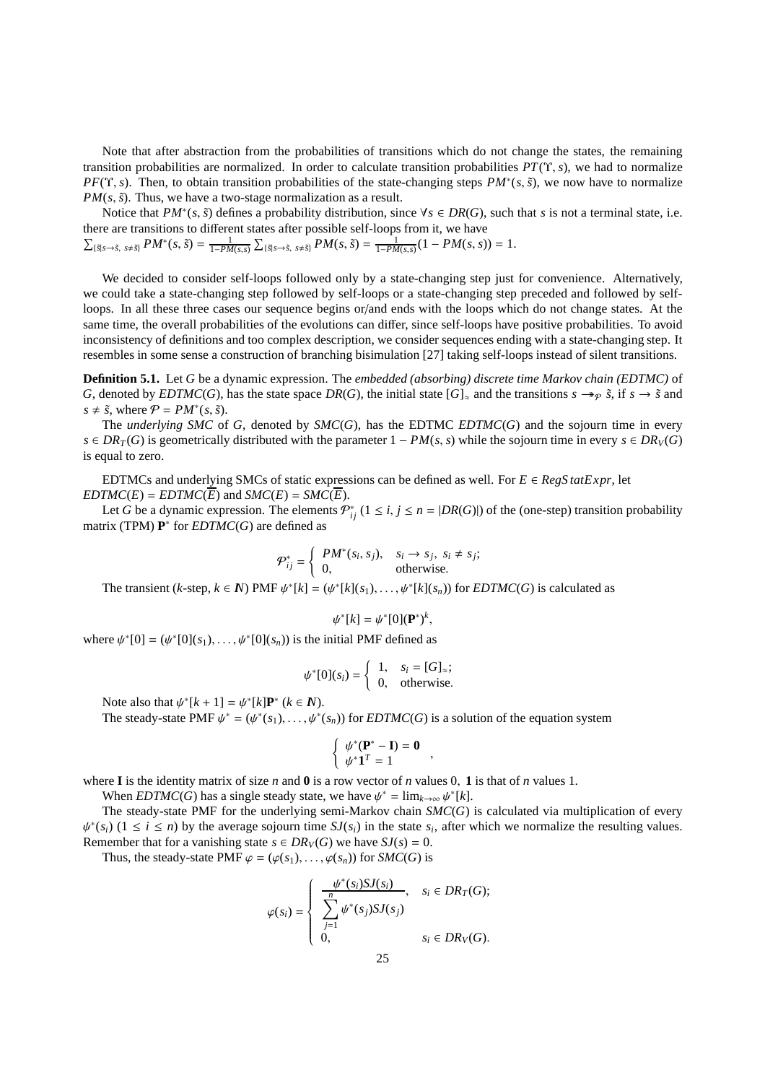Note that after abstraction from the probabilities of transitions which do not change the states, the remaining transition probabilities are normalized. In order to calculate transition probabilities  $PT(\Upsilon, s)$ , we had to normalize *PF*(Υ, *s*). Then, to obtain transition probabilities of the state-changing steps  $PM*(s, \tilde{s})$ , we now have to normalize  $PM(s, \tilde{s})$ . Thus, we have a two-stage normalization as a result.

Notice that  $PM^*(s, \tilde{s})$  defines a probability distribution, since  $\forall s \in DR(G)$ , such that *s* is not a terminal state, i.e. there are transitions to different states after possible self-loops from it, we have

$$
\sum_{\{\tilde{s}|s\rightarrow\tilde{s}, s\neq\tilde{s}\}}PM^*(s, \tilde{s}) = \frac{1}{1 - PM(s, s)}\sum_{\{\tilde{s}|s\rightarrow\tilde{s}, s\neq\tilde{s}\}}PM(s, \tilde{s}) = \frac{1}{1 - PM(s, s)}(1 - PM(s, s)) = 1.
$$

We decided to consider self-loops followed only by a state-changing step just for convenience. Alternatively, we could take a state-changing step followed by self-loops or a state-changing step preceded and followed by selfloops. In all these three cases our sequence begins or/and ends with the loops which do not change states. At the same time, the overall probabilities of the evolutions can differ, since self-loops have positive probabilities. To avoid inconsistency of definitions and too complex description, we consider sequences ending with a state-changing step. It resembles in some sense a construction of branching bisimulation [27] taking self-loops instead of silent transitions.

**Definition 5.1.** Let *G* be a dynamic expression. The *embedded (absorbing) discrete time Markov chain (EDTMC)* of *G*, denoted by *EDTMC*(*G*), has the state space *DR*(*G*), the initial state  $[G]_{\approx}$  and the transitions  $s \rightarrow p \tilde{s}$ , if  $s \rightarrow \tilde{s}$  and  $s \neq \tilde{s}$ , where  $P = PM^*(s, \tilde{s})$ .

The *underlying SMC* of *G*, denoted by *SMC*(*G*), has the EDTMC *EDTMC*(*G*) and the sojourn time in every *s* ∈ *DR*<sub>*T*</sub>(*G*) is geometrically distributed with the parameter  $1 - PM(s, s)$  while the sojourn time in every  $s \in DR_V(G)$ is equal to zero.

EDTMCs and underlying SMCs of static expressions can be defined as well. For  $E \in RegS \cdot tatExpr$ , let *EDTMC*(*E*) = *EDTMC*(*E*) and *SMC*(*E*) = *SMC*(*E*).

Let *G* be a dynamic expression. The elements  $\mathcal{P}_{ij}^*$  ( $1 \le i, j \le n = |DR(G)|$ ) of the (one-step) transition probability matrix (TPM) **P** ∗ for *EDTMC*(*G*) are defined as

$$
\mathcal{P}_{ij}^* = \begin{cases} PM^*(s_i, s_j), & s_i \to s_j, \ s_i \neq s_j; \\ 0, & \text{otherwise.} \end{cases}
$$

The transient (*k*-step,  $k \in \mathbb{N}$ ) PMF  $\psi^*[k] = (\psi^*[k](s_1), \dots, \psi^*[k](s_n))$  for *EDTMC*(*G*) is calculated as

$$
\psi^*[k] = \psi^*[0](\mathbf{P}^*)^k,
$$

where  $\psi^*[0] = (\psi^*[0](s_1), \dots, \psi^*[0](s_n))$  is the initial PMF defined as

$$
\psi^*[0](s_i) = \begin{cases} 1, & s_i = [G]_{\approx}; \\ 0, & \text{otherwise.} \end{cases}
$$

Note also that  $\psi^*[k+1] = \psi^*[k] \mathbf{P}^*$  ( $k \in \mathbb{N}$ ).

The steady-state PMF  $\psi^* = (\psi^*(s_1), \dots, \psi^*(s_n))$  for *EDTMC*(*G*) is a solution of the equation system

$$
\begin{cases} \psi^*(\mathbf{P}^* - \mathbf{I}) = \mathbf{0} \\ \psi^* \mathbf{1}^T = 1 \end{cases}
$$

,

where **I** is the identity matrix of size *n* and **0** is a row vector of *n* values 0, **1** is that of *n* values 1.

When *EDTMC*(*G*) has a single steady state, we have  $\psi^* = \lim_{k \to \infty} \psi^*[k]$ .

The steady-state PMF for the underlying semi-Markov chain *SMC*(*G*) is calculated via multiplication of every  $\psi^*(s_i)$  ( $1 \le i \le n$ ) by the average sojourn time  $SJ(s_i)$  in the state  $s_i$ , after which we normalize the resulting values. Remember that for a vanishing state  $s \in DR_V(G)$  we have  $SJ(s) = 0$ .

Thus, the steady-state PMF  $\varphi = (\varphi(s_1), \dots, \varphi(s_n))$  for *SMC(G)* is

$$
\varphi(s_i) = \begin{cases} \frac{\psi^*(s_i) SJ(s_i)}{\sum\limits_{j=1}^n \psi^*(s_j) SJ(s_j)}, & s_i \in DR_T(G); \\ 0, & s_i \in DR_V(G). \end{cases}
$$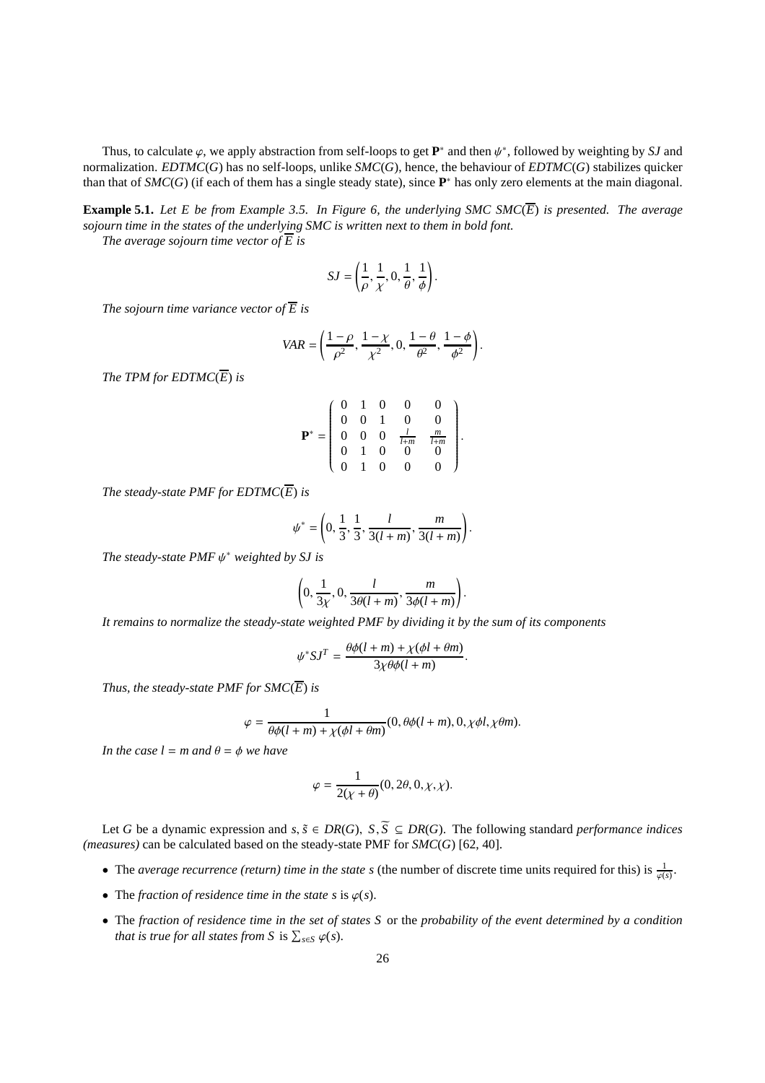Thus, to calculate  $\varphi$ , we apply abstraction from self-loops to get  $\mathbf{P}^*$  and then  $\psi^*$ , followed by weighting by *SJ* and normalization. *EDTMC*(*G*) has no self-loops, unlike *SMC*(*G*), hence, the behaviour of *EDTMC*(*G*) stabilizes quicker than that of *SMC*(*G*) (if each of them has a single steady state), since **P** <sup>∗</sup> has only zero elements at the main diagonal.

**Example 5.1.** *Let E be from Example 3.5. In Figure 6, the underlying SMC SMC* $(\overline{E})$  *is presented. The average sojourn time in the states of the underlying SMC is written next to them in bold font.*

*The average sojourn time vector of*  $\overline{E}$  *is* 

$$
SJ = \left(\frac{1}{\rho}, \frac{1}{\chi}, 0, \frac{1}{\theta}, \frac{1}{\phi}\right).
$$

*The sojourn time variance vector of*  $\overline{E}$  *is* 

$$
VAR = \left(\frac{1-\rho}{\rho^2}, \frac{1-\chi}{\chi^2}, 0, \frac{1-\theta}{\theta^2}, \frac{1-\phi}{\phi^2}\right).
$$

*The TPM for EDTMC* $(\overline{E})$  *is* 

$$
\mathbf{P}^* = \left(\begin{array}{cccccc} 0 & 1 & 0 & 0 & 0 \\ 0 & 0 & 1 & 0 & 0 \\ 0 & 0 & 0 & \frac{l}{l+m} & \frac{m}{l+m} \\ 0 & 1 & 0 & 0 & 0 \\ 0 & 1 & 0 & 0 & 0 \end{array}\right)
$$

.

.

*The steady-state PMF for EDTMC* $(\overline{E})$  *is* 

$$
\psi^* = \left(0, \frac{1}{3}, \frac{1}{3}, \frac{l}{3(l+m)}, \frac{m}{3(l+m)}\right).
$$

*The steady-state PMF* ψ <sup>∗</sup> *weighted by SJ is*

$$
\left(0, \frac{1}{3\chi}, 0, \frac{l}{3\theta(l+m)}, \frac{m}{3\phi(l+m)}\right).
$$

*It remains to normalize the steady-state weighted PMF by dividing it by the sum of its components*

$$
\psi^* SJ^T = \frac{\theta \phi(l+m) + \chi(\phi l + \theta m)}{3\chi \theta \phi(l+m)}
$$

*Thus, the steady-state PMF for*  $SMC(\overline{E})$  *is* 

$$
\varphi = \frac{1}{\theta\phi(l+m) + \chi(\phi l + \theta m)}(0, \theta\phi(l+m), 0, \chi\phi l, \chi\theta m).
$$

*In the case*  $l = m$  *and*  $\theta = \phi$  *we have* 

$$
\varphi = \frac{1}{2(\chi + \theta)}(0, 2\theta, 0, \chi, \chi).
$$

Let *G* be a dynamic expression and *s*,  $\tilde{s}$  ∈ *DR*(*G*), *S*,  $\tilde{S}$  ⊆ *DR*(*G*). The following standard *performance indices (measures)* can be calculated based on the steady-state PMF for  $SMC(G)$  [62, 40].

- The *average recurrence (return) time in the state s* (the number of discrete time units required for this) is  $\frac{1}{\varphi(s)}$ .
- The *fraction of residence time in the state s* is  $\varphi(s)$ .
- The *fraction of residence time in the set of states S* or the *probability of the event determined by a condition that is true for all states from S* is  $\sum_{s \in S} \varphi(s)$ *.*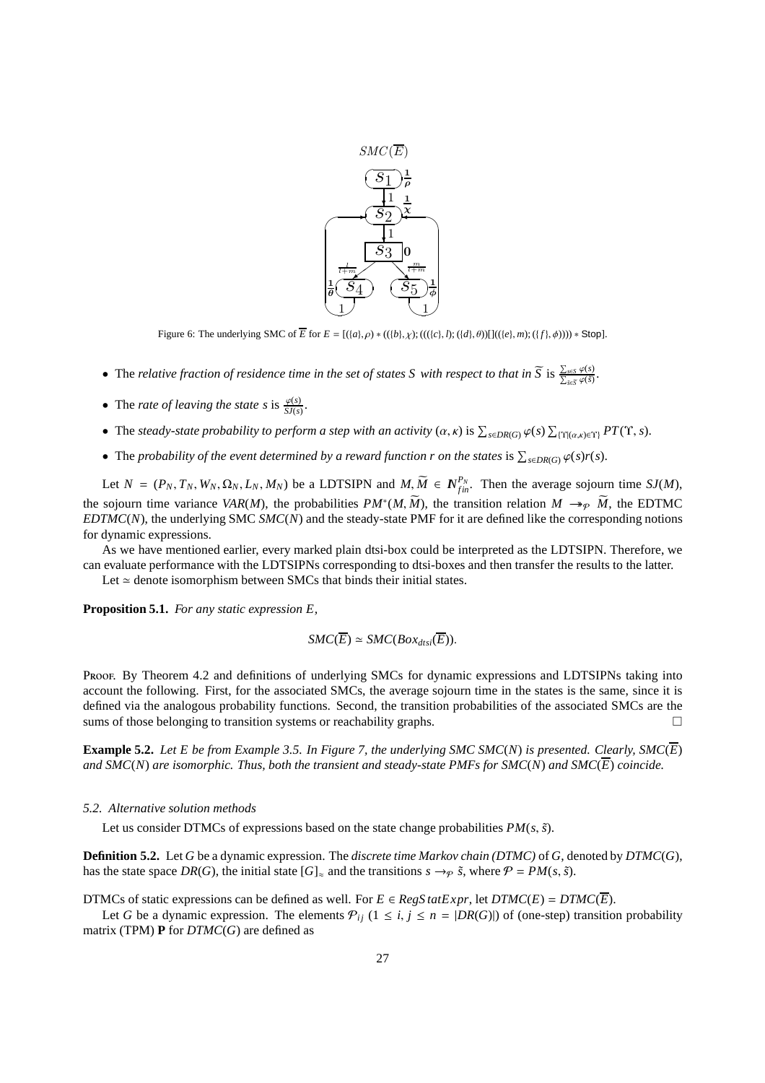![](_page_26_Figure_0.jpeg)

Figure 6: The underlying SMC of  $\overline{E}$  for  $E = [({a}, \rho) * (({b}, \chi); ((({c}, h); ({d}, \theta)))](({e}, m); ({f}, \phi)))) * Stop$ .

- The *relative fraction of residence time in the set of states S with respect to that in*  $\widetilde{S}$  *is*  $\frac{\sum_{s\in S}\varphi(s)}{\sum_{\tilde{s}\in\tilde{S}}\varphi(\tilde{s})}$ *.*
- The *rate of leaving the state s* is  $\frac{\varphi(s)}{SJ(s)}$ .
- The *steady-state probability to perform a step with an activity*  $(\alpha, \kappa)$  *is*  $\sum_{s \in DR(G)} \varphi(s) \sum_{\{\Upsilon | (\alpha,\kappa) \in \Upsilon\}} PT(\Upsilon, s)$ *.*
- The *probability of the event determined by a reward function r on the states* is  $\sum_{s \in DR(G)} \varphi(s)r(s)$ .

Let  $N = (P_N, T_N, W_N, \Omega_N, L_N, M_N)$  be a LDTSIPN and  $M, \widetilde{M} \in N_{fin}^{P_N}$ . Then the average sojourn time  $SJ(M)$ , the sojourn time variance *VAR*(*M*), the probabilities  $PM^*(M, \widetilde{M})$ , the transition relation  $M \to_{\mathcal{P}} \widetilde{M}$ , the EDTMC *EDTMC*(*N*), the underlying SMC *SMC*(*N*) and the steady-state PMF for it are defined like the corresponding notions for dynamic expressions.

As we have mentioned earlier, every marked plain dtsi-box could be interpreted as the LDTSIPN. Therefore, we can evaluate performance with the LDTSIPNs corresponding to dtsi-boxes and then transfer the results to the latter.

Let  $\simeq$  denote isomorphism between SMCs that binds their initial states.

**Proposition 5.1.** *For any static expression E,*

$$
SMC(\overline{E}) \simeq SMC(Box_{dtsi}(\overline{E})).
$$

Proof. By Theorem 4.2 and definitions of underlying SMCs for dynamic expressions and LDTSIPNs taking into account the following. First, for the associated SMCs, the average sojourn time in the states is the same, since it is defined via the analogous probability functions. Second, the transition probabilities of the associated SMCs are the sums of those belonging to transition systems or reachability graphs.  $\Box$ 

**Example 5.2.** *Let E be from Example 3.5. In Figure 7, the underlying SMC SMC*(*N*) *is presented. Clearly, SMC*(*E*) *and SMC*(*N*) *are isomorphic. Thus, both the transient and steady-state PMFs for SMC*(*N*) *and SMC*(*E*) *coincide.*

# *5.2. Alternative solution methods*

Let us consider DTMCs of expressions based on the state change probabilities  $PM(s, \tilde{s})$ .

**Definition 5.2.** Let *G* be a dynamic expression. The *discrete time Markov chain (DTMC)* of *G*, denoted by *DTMC*(*G*), has the state space *DR*(*G*), the initial state  $[G]_{\approx}$  and the transitions  $s \rightarrow \varphi \tilde{s}$ , where  $\mathcal{P} = PM(s, \tilde{s})$ .

DTMCs of static expressions can be defined as well. For  $E \in RegS \, \text{tatExpr}$ , let  $\text{DTMC}(E) = \text{DTMC}(\overline{E})$ .

Let *G* be a dynamic expression. The elements  $P_{ij}$  ( $1 \le i, j \le n = |DR(G)|$ ) of (one-step) transition probability matrix (TPM) **P** for *DTMC*(*G*) are defined as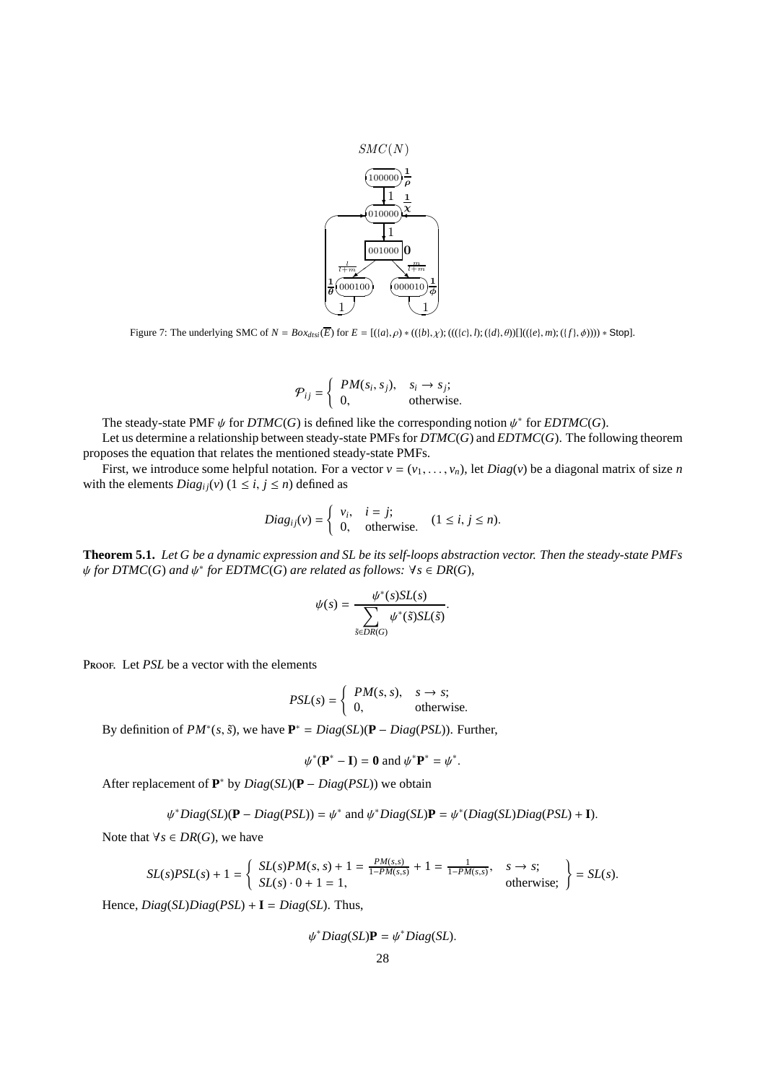![](_page_27_Figure_0.jpeg)

Figure 7: The underlying SMC of *N* = *Boxdtsi*(*E*) for *E* = [({*a*}, ρ) ∗ (({*b*}, χ); ((({*c*}, *l*); ({*d*}, θ))[](({*e*}, *m*); ({*f*}, φ)))) ∗ Stop].

$$
\mathcal{P}_{ij} = \begin{cases} PM(s_i, s_j), & s_i \to s_j; \\ 0, & \text{otherwise.} \end{cases}
$$

The steady-state PMF  $\psi$  for *DTMC*(*G*) is defined like the corresponding notion  $\psi^*$  for *EDTMC*(*G*).

Let us determine a relationship between steady-state PMFs for *DTMC*(*G*) and *EDTMC*(*G*). The following theorem proposes the equation that relates the mentioned steady-state PMFs.

First, we introduce some helpful notation. For a vector  $v = (v_1, \ldots, v_n)$ , let *Diag(v)* be a diagonal matrix of size *n* with the elements  $Diag_{ij}(v)$  ( $1 \le i, j \le n$ ) defined as

$$
Diag_{ij}(v) = \begin{cases} v_i, & i = j; \\ 0, & \text{otherwise.} \end{cases} (1 \le i, j \le n).
$$

**Theorem 5.1.** *Let G be a dynamic expression and SL be its self-loops abstraction vector. Then the steady-state PMFs*  $\psi$  *for DTMC*(*G*) *and*  $\psi^*$  *for EDTMC*(*G*) *are related as follows:*  $\forall s \in DR(G)$ *,* 

$$
\psi(s) = \frac{\psi^*(s)SL(s)}{\sum_{\tilde{s} \in DR(G)} \psi^*(\tilde{s})SL(\tilde{s})}.
$$

Proof. Let *PSL* be a vector with the elements

$$
PSL(s) = \begin{cases} PM(s, s), & s \to s; \\ 0, & \text{otherwise.} \end{cases}
$$

By definition of  $PM^*(s, \tilde{s})$ , we have  $\mathbf{P}^* = Diag(SL)(\mathbf{P} - Diag(PSL))$ . Further,

$$
\psi^*(\mathbf{P}^* - \mathbf{I}) = \mathbf{0} \text{ and } \psi^* \mathbf{P}^* = \psi^*.
$$

After replacement of **P** <sup>∗</sup> by *Diag*(*SL*)(**P** − *Diag*(*PSL*)) we obtain

$$
\psi^*Diag(SL)(\mathbf{P} - Diag(PSL)) = \psi^* \text{ and } \psi^*Diag(SL)\mathbf{P} = \psi^*(Diag(SL)Diag(PSL) + \mathbf{I}).
$$

Note that  $\forall s \in DR(G)$ , we have

$$
SL(s)PSL(s) + 1 = \left\{ \begin{array}{l} SL(s)PM(s, s) + 1 = \frac{PM(s, s)}{1 - PM(s, s)} + 1 = \frac{1}{1 - PM(s, s)}, \quad s \to s; \\ SL(s) \cdot 0 + 1 = 1, \quad \text{otherwise;} \end{array} \right\} = SL(s).
$$

Hence,  $Diag(SL)Diag(PSL) + I = Diag(SL)$ . Thus,

$$
\psi^*Diag(SL)\mathbf{P}=\psi^*Diag(SL).
$$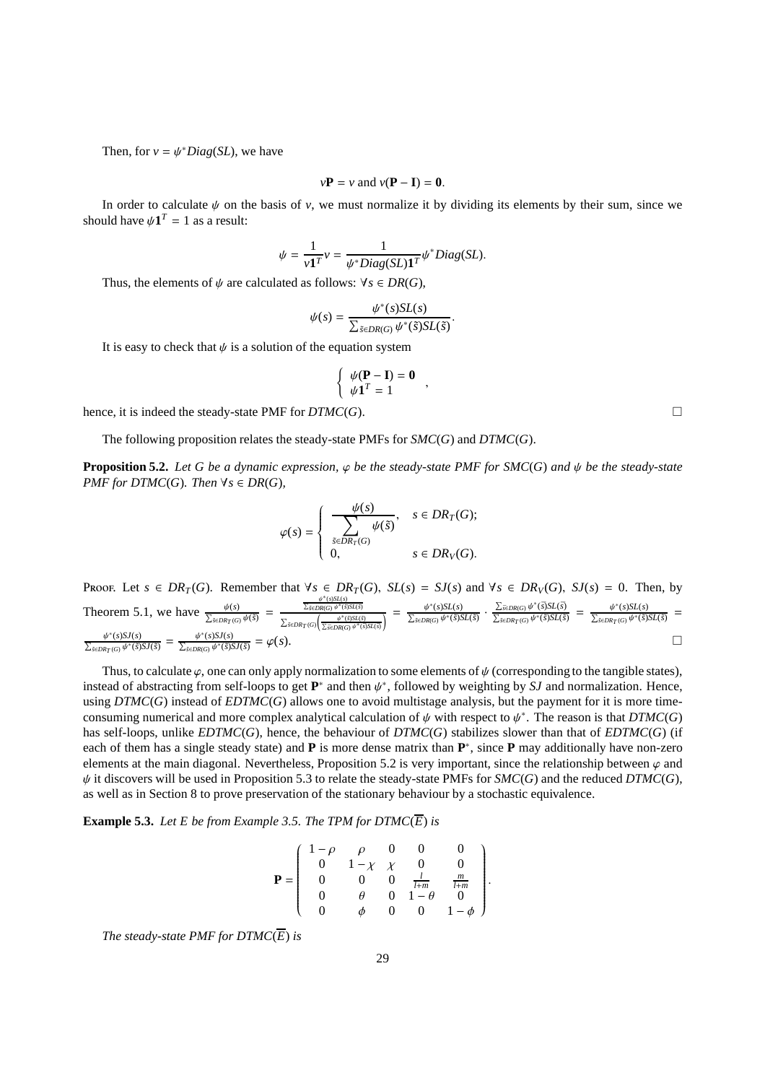Then, for  $v = \psi^*Diag(SL)$ , we have

$$
v
$$
**P** =  $v$  and  $v$ (**P** – **I**) = **0**.

In order to calculate  $\psi$  on the basis of  $v$ , we must normalize it by dividing its elements by their sum, since we should have  $\psi \mathbf{1}^T = 1$  as a result:

$$
\psi = \frac{1}{v\mathbf{1}^T} v = \frac{1}{\psi^* Diag(SL)\mathbf{1}^T} \psi^* Diag(SL).
$$

Thus, the elements of  $\psi$  are calculated as follows:  $\forall s \in DR(G)$ ,

$$
\psi(s) = \frac{\psi^*(s)SL(s)}{\sum_{\tilde{s} \in DR(G)} \psi^*(\tilde{s})SL(\tilde{s})}
$$

.

,

It is easy to check that  $\psi$  is a solution of the equation system

$$
\begin{cases} \psi(\mathbf{P} - \mathbf{I}) = \mathbf{0} \\ \psi \mathbf{1}^T = 1 \end{cases}
$$

hence, it is indeed the steady-state PMF for  $DTMC(G)$ .

The following proposition relates the steady-state PMFs for *SMC*(*G*) and *DTMC*(*G*).

**Proposition 5.2.** *Let G be a dynamic expression,*  $\varphi$  *be the steady-state PMF for SMC(G) and*  $\psi$  *be the steady-state PMF for DTMC*(*G*)*. Then*  $\forall s \in DR(G)$ *,* 

$$
\varphi(s) = \begin{cases} \frac{\psi(s)}{\displaystyle\sum_{\tilde{s} \in DR_T(G)} \psi(\tilde{s})}, & s \in DR_T(G); \\ 0, & s \in DR_V(G). \end{cases}
$$

**PROOF.** Let  $s \in DR_T(G)$ . Remember that  $\forall s \in DR_T(G)$ ,  $SL(s) = SJ(s)$  and  $\forall s \in DR_V(G)$ ,  $SJ(s) = 0$ . Then, by Theorem 5.1, we have  $\frac{\psi(s)}{\sum_{\tilde{s}\in DR_{T}(G)}\psi(\tilde{s})} = \frac{\frac{\psi^{*}(s)SL(s)}{\sum_{\tilde{s}\in DR_{T}(G)}\psi^{*}(\tilde{s})SL(\tilde{s})}}{\sum_{\tilde{s}\in DR_{T}(G)}\frac{\psi^{*}(\tilde{s})SL(\tilde{s})SL(\tilde{s})}}$  $\frac{\frac{\sqrt{\sum_{\tilde{S}\in DR(G)}\psi^*(\tilde{S})SL(\tilde{S})}}{\sum_{\tilde{S}\in DR(G)}\psi^*(\tilde{S})SL(\tilde{S})}}}{\sum_{\tilde{S}\in DR(G)}\frac{\psi^*(\tilde{S})SL(\tilde{S})}{\sqrt{\sum_{\tilde{S}\in DR(G)}\psi^*(\tilde{S})SL(\tilde{S})}}}\ = \ \frac{\psi^*(s)SL(s)}{\sum_{\tilde{S}\in DR(G)}\psi^*(\tilde{S})SL(\tilde{S})}\ \cdot\ \frac{\sum_{\tilde{S}\in DR(G)}\psi^*(\tilde{S})SL(\tilde{S})}{\sqrt{\sum$  $\frac{\sum_{\tilde{s} \in DR(G)} \psi^*(\tilde{s}) SL(\tilde{s})}{\sum_{\tilde{s} \in DR_T(G)} \psi^*(\tilde{s}) SL(\tilde{s})} = \frac{\psi^*(s) SL(s)}{\sum_{\tilde{s} \in DR_T(G)} \psi^*(\tilde{s}) SL(\tilde{s})}$ =  $\frac{\psi^*(s)SJ(s)}{\sum_{\tilde{s} \in DR_T(G)} \psi^*(\tilde{s})SJ(\tilde{s})} = \frac{\psi^*(s)SJ(s)}{\sum_{\tilde{s} \in DR(G)} \psi^*(\tilde{s})SJ(\tilde{s})}$  $=\varphi(s).$ 

Thus, to calculate  $\varphi$ , one can only apply normalization to some elements of  $\psi$  (corresponding to the tangible states), instead of abstracting from self-loops to get  $\mathbf{P}^*$  and then  $\psi^*$ , followed by weighting by *SJ* and normalization. Hence, using *DTMC*(*G*) instead of *EDTMC*(*G*) allows one to avoid multistage analysis, but the payment for it is more timeconsuming numerical and more complex analytical calculation of  $\psi$  with respect to  $\psi^*$ . The reason is that  $DTMC(G)$ has self-loops, unlike *EDTMC*(*G*), hence, the behaviour of *DTMC*(*G*) stabilizes slower than that of *EDTMC*(*G*) (if each of them has a single steady state) and **P** is more dense matrix than  $P^*$ , since **P** may additionally have non-zero elements at the main diagonal. Nevertheless, Proposition 5.2 is very important, since the relationship between  $\varphi$  and  $\psi$  it discovers will be used in Proposition 5.3 to relate the steady-state PMFs for *SMC*(*G*) and the reduced *DTMC*(*G*), as well as in Section 8 to prove preservation of the stationary behaviour by a stochastic equivalence.

**Example 5.3.** *Let E be from Example 3.5. The TPM for DTMC*( $\overline{E}$ ) *is* 

$$
\mathbf{P} = \begin{pmatrix} 1-\rho & \rho & 0 & 0 & 0 \\ 0 & 1-\chi & \chi & 0 & 0 \\ 0 & 0 & 0 & \frac{l}{l+m} & \frac{m}{l+m} \\ 0 & \theta & 0 & 1-\theta & 0 \\ 0 & \phi & 0 & 0 & 1-\phi \end{pmatrix}
$$

.

*The steady-state PMF for DTMC* $(\overline{E})$  *is*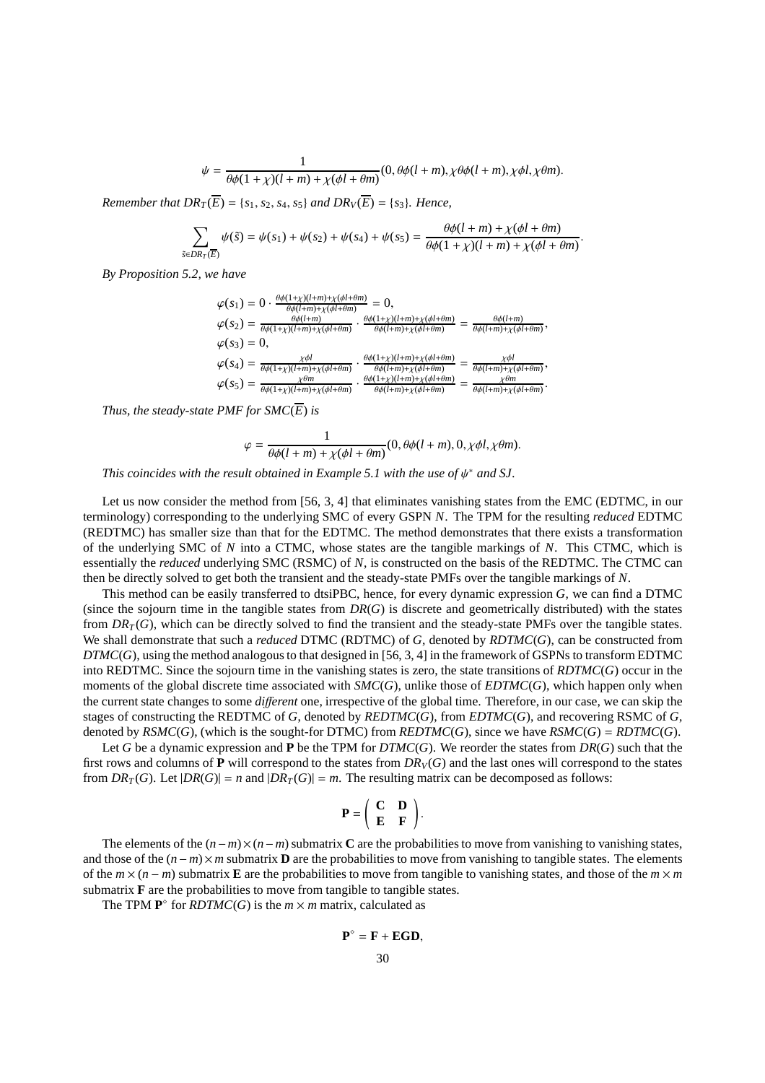$$
\psi = \frac{1}{\theta\phi(1+\chi)(l+m)+\chi(\phi l+\theta m)}(0,\theta\phi(l+m),\chi\theta\phi(l+m),\chi\phi l,\chi\theta m).
$$

*Remember that*  $DR_T(\overline{E}) = \{s_1, s_2, s_4, s_5\}$  *and*  $DR_V(\overline{E}) = \{s_3\}$ *. Hence,* 

$$
\sum_{DR_T(\overline{E})} \psi(\tilde{s}) = \psi(s_1) + \psi(s_2) + \psi(s_4) + \psi(s_5) = \frac{\theta \phi(l+m) + \chi(\phi l + \theta m)}{\theta \phi(1 + \chi)(l+m) + \chi(\phi l + \theta m)}
$$

.

*By Proposition 5.2, we have*

*s*˜∈*DR<sup>T</sup>* (*E*)

$$
\varphi(s_1) = 0 \cdot \frac{\theta \phi(1+\chi)(l+m)+\chi(\phi l+\theta m)}{\theta \phi(l+m)+\chi(\phi l+\theta m)} = 0,
$$
  
\n
$$
\varphi(s_2) = \frac{\theta \phi(l+m)}{\theta \phi(1+\chi)(l+m)+\chi(\phi l+\theta m)} \cdot \frac{\theta \phi(1+\chi)(l+m)+\chi(\phi l+\theta m)}{\theta \phi(l+m)+\chi(\phi l+\theta m)} = \frac{\theta \phi(l+m)}{\theta \phi(l+m)+\chi(\phi l+\theta m)},
$$
  
\n
$$
\varphi(s_3) = 0,
$$
  
\n
$$
\varphi(s_4) = \frac{\chi \phi l}{\theta \phi(1+\chi)(l+m)+\chi(\phi l+\theta m)} \cdot \frac{\theta \phi(1+\chi)(l+m)+\chi(\phi l+\theta m)}{\theta \phi(l+m)+\chi(\phi l+\theta m)} = \frac{\chi \phi l}{\theta \phi(l+m)+\chi(\phi l+\theta m)},
$$
  
\n
$$
\varphi(s_5) = \frac{\chi \theta m}{\theta \phi(1+\chi)(l+m)+\chi(\phi l+\theta m)} \cdot \frac{\theta \phi(1+\chi)(l+m)+\chi(\phi l+\theta m)}{\theta \phi(l+m)+\chi(\phi l+\theta m)} = \frac{\chi \theta m}{\theta \phi(l+m)+\chi(\phi l+\theta m)}.
$$

*Thus, the steady-state PMF for*  $SMC(\overline{E})$  *is* 

$$
\varphi = \frac{1}{\theta \phi(l+m) + \chi(\phi l + \theta m)} (0, \theta \phi(l+m), 0, \chi \phi l, \chi \theta m).
$$

*This coincides with the result obtained in Example 5.1 with the use of ψ<sup>\*</sup> and SJ.* 

Let us now consider the method from [56, 3, 4] that eliminates vanishing states from the EMC (EDTMC, in our terminology) corresponding to the underlying SMC of every GSPN *N*. The TPM for the resulting *reduced* EDTMC (REDTMC) has smaller size than that for the EDTMC. The method demonstrates that there exists a transformation of the underlying SMC of *N* into a CTMC, whose states are the tangible markings of *N*. This CTMC, which is essentially the *reduced* underlying SMC (RSMC) of *N*, is constructed on the basis of the REDTMC. The CTMC can then be directly solved to get both the transient and the steady-state PMFs over the tangible markings of *N*.

This method can be easily transferred to dtsiPBC, hence, for every dynamic expression *G*, we can find a DTMC (since the sojourn time in the tangible states from *DR*(*G*) is discrete and geometrically distributed) with the states from  $DR<sub>T</sub>(G)$ , which can be directly solved to find the transient and the steady-state PMFs over the tangible states. We shall demonstrate that such a *reduced* DTMC (RDTMC) of *G*, denoted by *RDTMC*(*G*), can be constructed from *DTMC*(*G*), using the method analogous to that designed in [56, 3, 4] in the framework of GSPNs to transform EDTMC into REDTMC. Since the sojourn time in the vanishing states is zero, the state transitions of *RDTMC*(*G*) occur in the moments of the global discrete time associated with *SMC*(*G*), unlike those of *EDTMC*(*G*), which happen only when the current state changes to some *di*ff*erent* one, irrespective of the global time. Therefore, in our case, we can skip the stages of constructing the REDTMC of *G*, denoted by *REDTMC*(*G*), from *EDTMC*(*G*), and recovering RSMC of *G*, denoted by  $\textit{RSMC}(G)$ , (which is the sought-for DTMC) from  $\textit{REDTMC}(G)$ , since we have  $\textit{RSMC}(G) = \textit{RDTMC}(G)$ .

Let *G* be a dynamic expression and **P** be the TPM for *DTMC*(*G*). We reorder the states from *DR*(*G*) such that the first rows and columns of **P** will correspond to the states from  $DR<sub>V</sub>(G)$  and the last ones will correspond to the states from  $DR_T(G)$ . Let  $|DR(G)| = n$  and  $|DR_T(G)| = m$ . The resulting matrix can be decomposed as follows:

$$
\mathbf{P} = \left( \begin{array}{cc} \mathbf{C} & \mathbf{D} \\ \mathbf{E} & \mathbf{F} \end{array} \right).
$$

The elements of the  $(n-m) \times (n-m)$  submatrix **C** are the probabilities to move from vanishing to vanishing states, and those of the (*n*− *m*)× *m* submatrix **D** are the probabilities to move from vanishing to tangible states. The elements of the  $m \times (n - m)$  submatrix **E** are the probabilities to move from tangible to vanishing states, and those of the  $m \times m$ submatrix  $\bf{F}$  are the probabilities to move from tangible to tangible states.

The TPM  $\mathbf{P}^{\circ}$  for *RDTMC(G)* is the  $m \times m$  matrix, calculated as

$$
\mathbf{P}^{\diamond} = \mathbf{F} + \mathbf{EGD},
$$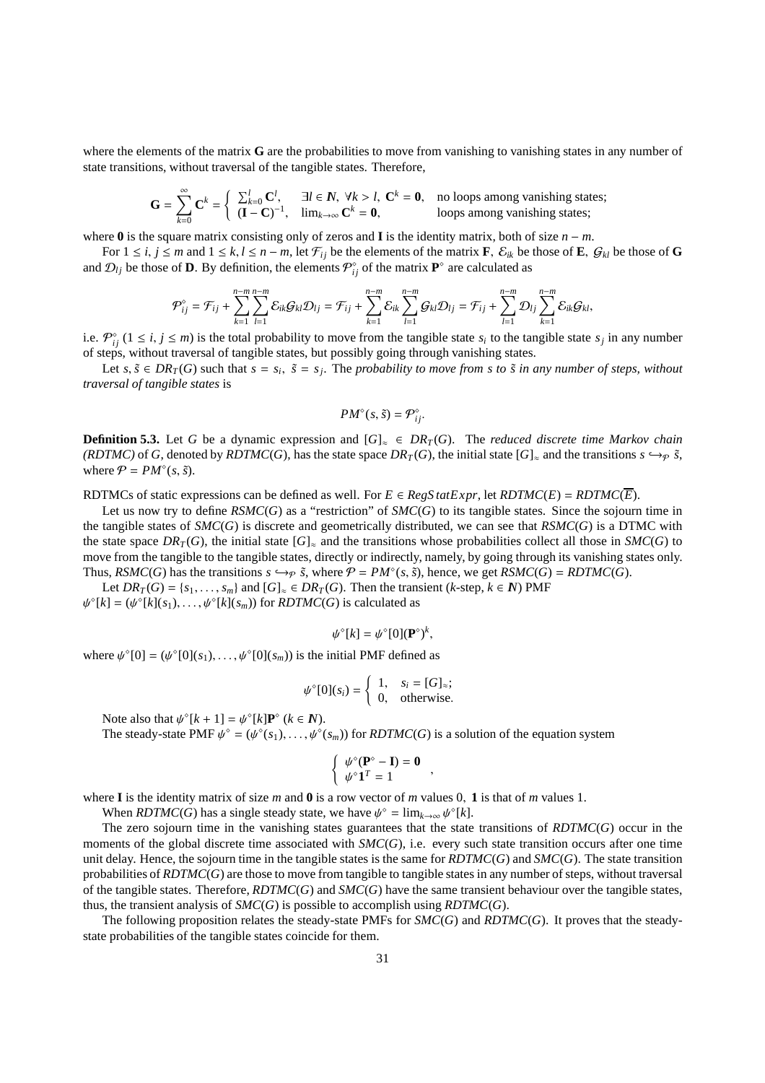where the elements of the matrix **G** are the probabilities to move from vanishing to vanishing states in any number of state transitions, without traversal of the tangible states. Therefore,

$$
\mathbf{G} = \sum_{k=0}^{\infty} \mathbf{C}^k = \begin{cases} \sum_{k=0}^{l} \mathbf{C}^l, & \exists l \in \mathbb{N}, \ \forall k > l, \ \mathbf{C}^k = \mathbf{0}, \quad \text{no loops among vanishing states;} \\ (\mathbf{I} - \mathbf{C})^{-1}, & \lim_{k \to \infty} \mathbf{C}^k = \mathbf{0}, \quad \text{loops among vanishing states;} \end{cases}
$$

where **0** is the square matrix consisting only of zeros and **I** is the identity matrix, both of size *n* − *m*.

For  $1 \le i, j \le m$  and  $1 \le k, l \le n - m$ , let  $\mathcal{F}_{ij}$  be the elements of the matrix **F**,  $\mathcal{E}_{ik}$  be those of **E**,  $\mathcal{G}_{kl}$  be those of **G** and  $\mathcal{D}_{lj}$  be those of **D**. By definition, the elements  $\mathcal{P}^{\circ}_{ij}$  of the matrix  $\mathbf{P}^{\circ}$  are calculated as

$$
\mathcal{P}_{ij}^{\diamond} = \mathcal{F}_{ij} + \sum_{k=1}^{n-m} \sum_{l=1}^{n-m} \mathcal{E}_{ik} \mathcal{G}_{kl} \mathcal{D}_{lj} = \mathcal{F}_{ij} + \sum_{k=1}^{n-m} \mathcal{E}_{ik} \sum_{l=1}^{n-m} \mathcal{G}_{kl} \mathcal{D}_{lj} = \mathcal{F}_{ij} + \sum_{l=1}^{n-m} \mathcal{D}_{lj} \sum_{k=1}^{n-m} \mathcal{E}_{ik} \mathcal{G}_{kl},
$$

i.e.  $\mathcal{P}_{ij}^{\circ}$  ( $1 \le i, j \le m$ ) is the total probability to move from the tangible state  $s_i$  to the tangible state  $s_j$  in any number of steps, without traversal of tangible states, but possibly going through vanishing states.

Let  $s, \tilde{s} \in DR_T(G)$  such that  $s = s_i$ ,  $\tilde{s} = s_j$ . The *probability to move from s to*  $\tilde{s}$  *in any number of steps, without traversal of tangible states* is

$$
PM^{\diamond}(s,\tilde{s})=\mathcal{P}_{ij}^{\diamond}.
$$

**Definition 5.3.** Let *G* be a dynamic expression and  $[G]_{\approx} \in DR_T(G)$ . The *reduced discrete time Markov chain (RDTMC)* of *G*, denoted by *RDTMC*(*G*), has the state space  $DR<sub>T</sub>(G)$ , the initial state  $[G]_{\approx}$  and the transitions  $s \hookrightarrow_{\mathcal{P}} \tilde{s}$ , where  $P = PM^{\circ}(s, \tilde{s})$ .

RDTMCs of static expressions can be defined as well. For  $E \in RegStateExpr$ , let  $RDTMC(E) = RDTMC(E)$ .

Let us now try to define  $\mathit{RSMC}(G)$  as a "restriction" of  $\mathit{SMC}(G)$  to its tangible states. Since the sojourn time in the tangible states of *SMC*(*G*) is discrete and geometrically distributed, we can see that *RSMC*(*G*) is a DTMC with the state space  $DR<sub>T</sub>(G)$ , the initial state  $[G]_{\approx}$  and the transitions whose probabilities collect all those in *SMC*(*G*) to move from the tangible to the tangible states, directly or indirectly, namely, by going through its vanishing states only. Thus, *RSMC*(*G*) has the transitions  $s \hookrightarrow_{\mathcal{P}} \tilde{s}$ , where  $\mathcal{P} = PM^{\circ}(s, \tilde{s})$ , hence, we get *RSMC*(*G*) = *RDTMC*(*G*).

Let  $DR_T(G) = \{s_1, \ldots, s_m\}$  and  $[G]_{\approx} \in DR_T(G)$ . Then the transient (*k*-step,  $k \in N$ ) PMF  $\psi^{\circ}[k] = (\psi^{\circ}[k](s_1), \dots, \psi^{\circ}[k](s_m))$  for *RDTMC(G)* is calculated as

$$
\psi^{\diamond}[k] = \psi^{\diamond}[0](\mathbf{P}^{\diamond})^k,
$$

where  $\psi^{\circ}[0] = (\psi^{\circ}[0](s_1), \dots, \psi^{\circ}[0](s_m))$  is the initial PMF defined as

$$
\psi^{\circ}[0](s_i) = \begin{cases} 1, & s_i = [G]_{\approx}; \\ 0, & \text{otherwise.} \end{cases}
$$

Note also that  $\psi^{\circ}[k+1] = \psi^{\circ}[k] \mathbf{P}^{\circ}$  ( $k \in \mathbf{N}$ ).

The steady-state PMF  $\psi^{\circ} = (\psi^{\circ}(s_1), \dots, \psi^{\circ}(s_m))$  for *RDTMC(G)* is a solution of the equation system

$$
\begin{cases} \psi^{\diamond}(\mathbf{P}^{\diamond} - \mathbf{I}) = \mathbf{0} \\ \psi^{\diamond} \mathbf{1}^T = 1 \end{cases}
$$

,

where **I** is the identity matrix of size *m* and **0** is a row vector of *m* values 0, **1** is that of *m* values 1.

When *RDTMC*(*G*) has a single steady state, we have  $\psi^{\circ} = \lim_{k \to \infty} \psi^{\circ}[k]$ .

The zero sojourn time in the vanishing states guarantees that the state transitions of *RDTMC*(*G*) occur in the moments of the global discrete time associated with *SMC*(*G*), i.e. every such state transition occurs after one time unit delay. Hence, the sojourn time in the tangible states is the same for *RDTMC*(*G*) and *SMC*(*G*). The state transition probabilities of *RDTMC*(*G*) are those to move from tangible to tangible states in any number of steps, without traversal of the tangible states. Therefore, *RDTMC*(*G*) and *SMC*(*G*) have the same transient behaviour over the tangible states, thus, the transient analysis of *SMC*(*G*) is possible to accomplish using *RDTMC*(*G*).

The following proposition relates the steady-state PMFs for *SMC*(*G*) and *RDTMC*(*G*). It proves that the steadystate probabilities of the tangible states coincide for them.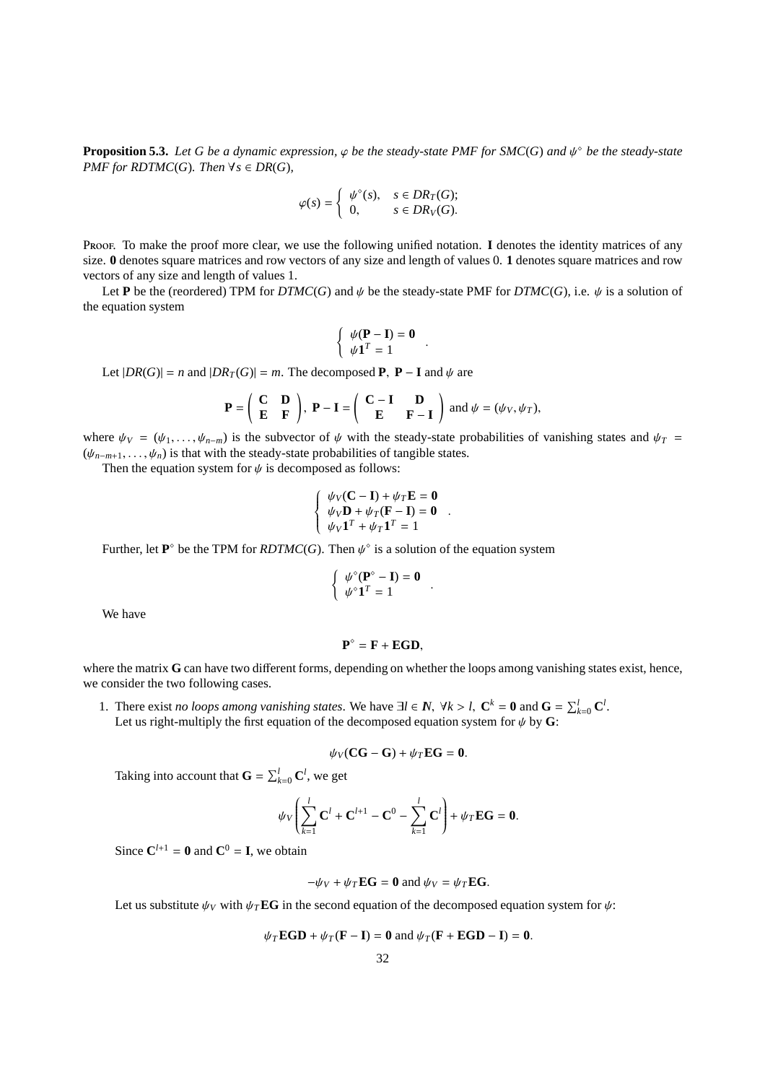**Proposition 5.3.** Let G be a dynamic expression,  $\varphi$  be the steady-state PMF for SMC(G) and  $\psi^{\circ}$  be the steady-state *PMF for RDTMC*(*G*)*. Then*  $\forall s \in DR(G)$ *,* 

$$
\varphi(s) = \begin{cases} \psi^{\diamond}(s), & s \in DR_T(G); \\ 0, & s \in DR_V(G). \end{cases}
$$

Proof. To make the proof more clear, we use the following unified notation. I denotes the identity matrices of any size. **0** denotes square matrices and row vectors of any size and length of values 0. **1** denotes square matrices and row vectors of any size and length of values 1.

Let **P** be the (reordered) TPM for *DTMC*(*G*) and  $\psi$  be the steady-state PMF for *DTMC*(*G*), i.e.  $\psi$  is a solution of the equation system

$$
\left\{\begin{array}{c} \psi(\mathbf{P} - \mathbf{I}) = \mathbf{0} \\ \psi \mathbf{1}^T = 1 \end{array}\right..
$$

Let  $|DR(G)| = n$  and  $|DR_T(G)| = m$ . The decomposed **P**, **P** − **I** and  $\psi$  are

$$
\mathbf{P} = \begin{pmatrix} \mathbf{C} & \mathbf{D} \\ \mathbf{E} & \mathbf{F} \end{pmatrix}, \ \mathbf{P} - \mathbf{I} = \begin{pmatrix} \mathbf{C} - \mathbf{I} & \mathbf{D} \\ \mathbf{E} & \mathbf{F} - \mathbf{I} \end{pmatrix} \text{ and } \psi = (\psi_V, \psi_T),
$$

where  $\psi_V = (\psi_1, \dots, \psi_{n-m})$  is the subvector of  $\psi$  with the steady-state probabilities of vanishing states and  $\psi_T =$  $(\psi_{n-m+1}, \ldots, \psi_n)$  is that with the steady-state probabilities of tangible states.

Then the equation system for  $\psi$  is decomposed as follows:

$$
\begin{cases}\n\psi_V(\mathbf{C} - \mathbf{I}) + \psi_T \mathbf{E} = \mathbf{0} \\
\psi_V \mathbf{D} + \psi_T (\mathbf{F} - \mathbf{I}) = \mathbf{0} \\
\psi_V \mathbf{1}^T + \psi_T \mathbf{1}^T = 1\n\end{cases}
$$

.

.

Further, let  $\mathbf{P}^{\circ}$  be the TPM for *RDTMC(G)*. Then  $\psi^{\circ}$  is a solution of the equation system

$$
\left\{ \begin{array}{l} \psi^{\diamond}(\mathbf{P}^{\diamond}-\mathbf{I})=\mathbf{0} \\ \psi^{\diamond}\mathbf{1}^T=1 \end{array} \right.
$$

We have

$$
\mathbf{P}^{\diamond} = \mathbf{F} + \mathbf{EGD},
$$

where the matrix **G** can have two different forms, depending on whether the loops among vanishing states exist, hence, we consider the two following cases.

1. There exist *no loops among vanishing states*. We have  $\exists l \in \mathbb{N}, \forall k > l, C^k = 0 \text{ and } G = \sum_{k=0}^l C^l$ . Let us right-multiply the first equation of the decomposed equation system for  $\psi$  by **G**:

$$
\psi_V (CG - G) + \psi_T EG = 0.
$$

Taking into account that  $\mathbf{G} = \sum_{k=0}^{l} \mathbf{C}^l$ , we get

$$
\psi_V \left( \sum_{k=1}^l \mathbf{C}^l + \mathbf{C}^{l+1} - \mathbf{C}^0 - \sum_{k=1}^l \mathbf{C}^l \right) + \psi_T \mathbf{E} \mathbf{G} = \mathbf{0}.
$$

Since  $C^{l+1} = 0$  and  $C^0 = I$ , we obtain

$$
-\psi_V + \psi_T \mathbf{E} \mathbf{G} = \mathbf{0} \text{ and } \psi_V = \psi_T \mathbf{E} \mathbf{G}.
$$

Let us substitute  $\psi_V$  with  $\psi_T \mathbf{EG}$  in the second equation of the decomposed equation system for  $\psi$ :

$$
\psi_T \mathbf{EGD} + \psi_T (\mathbf{F} - \mathbf{I}) = \mathbf{0} \text{ and } \psi_T (\mathbf{F} + \mathbf{EGD} - \mathbf{I}) = \mathbf{0}.
$$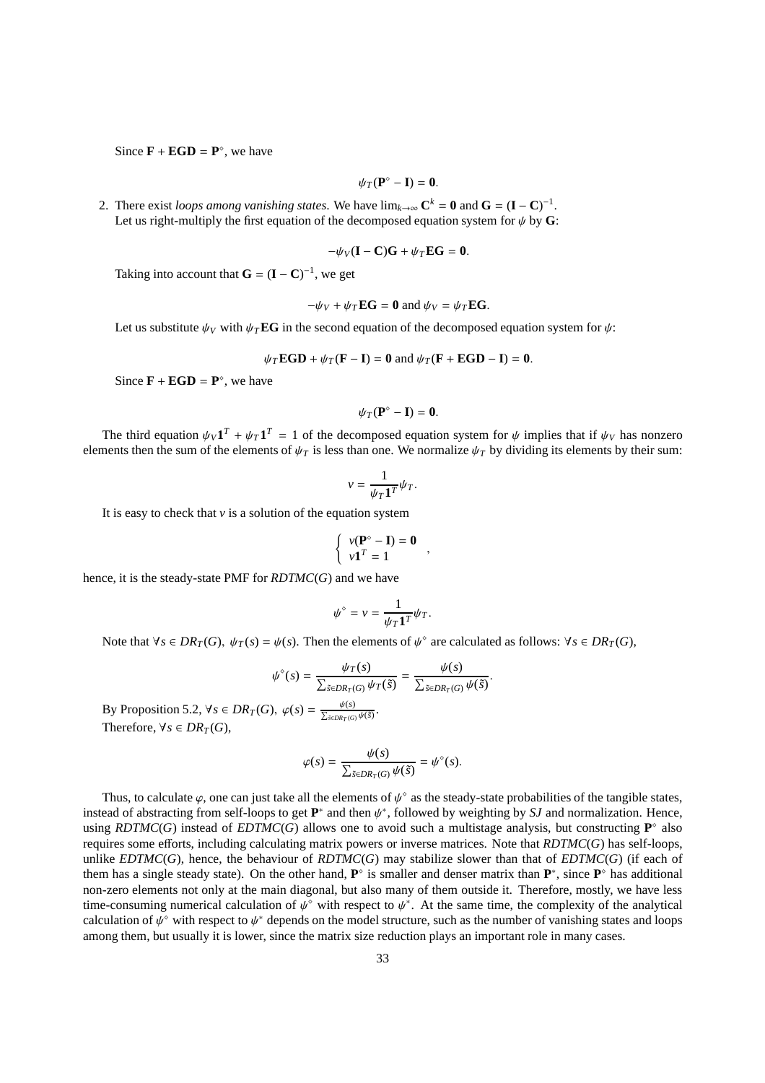Since  $\mathbf{F} + \mathbf{EGD} = \mathbf{P}^\circ$ , we have

$$
\psi_T(\mathbf{P}^\diamond-\mathbf{I})=\mathbf{0}.
$$

2. There exist *loops among vanishing states*. We have  $\lim_{k\to\infty} C^k = 0$  and  $G = (I - C)^{-1}$ . Let us right-multiply the first equation of the decomposed equation system for  $\psi$  by G:

$$
-\psi_V(\mathbf{I}-\mathbf{C})\mathbf{G}+\psi_T\mathbf{E}\mathbf{G}=\mathbf{0}.
$$

Taking into account that  $G = (I - C)^{-1}$ , we get

$$
-\psi_V + \psi_T \mathbf{EG} = \mathbf{0} \text{ and } \psi_V = \psi_T \mathbf{EG}.
$$

Let us substitute  $\psi_V$  with  $\psi_T$ **EG** in the second equation of the decomposed equation system for  $\psi$ :

$$
\psi_T \mathbf{EGD} + \psi_T (\mathbf{F} - \mathbf{I}) = \mathbf{0} \text{ and } \psi_T (\mathbf{F} + \mathbf{EGD} - \mathbf{I}) = \mathbf{0}.
$$

Since  $\mathbf{F} + \mathbf{EGD} = \mathbf{P}^\circ$ , we have

$$
\psi_T(\mathbf{P}^\diamond-\mathbf{I})=\mathbf{0}.
$$

The third equation  $\psi_V \mathbf{1}^T + \psi_T \mathbf{1}^T = 1$  of the decomposed equation system for  $\psi$  implies that if  $\psi_V$  has nonzero elements then the sum of the elements of  $\psi_T$  is less than one. We normalize  $\psi_T$  by dividing its elements by their sum:

$$
v = \frac{1}{\psi_T \mathbf{1}^T} \psi_T.
$$

It is easy to check that  $v$  is a solution of the equation system

$$
\begin{cases}\nv(\mathbf{P}^\diamond - \mathbf{I}) = \mathbf{0} \\
v\mathbf{1}^T = 1\n\end{cases}
$$

hence, it is the steady-state PMF for *RDTMC*(*G*) and we have

$$
\psi^{\diamond} = \nu = \frac{1}{\psi_T \mathbf{1}^T} \psi_T.
$$

Note that  $\forall s \in DR_T(G), \psi_T(s) = \psi(s)$ . Then the elements of  $\psi^{\circ}$  are calculated as follows:  $\forall s \in DR_T(G)$ ,

$$
\psi^{\circ}(s) = \frac{\psi_T(s)}{\sum_{\tilde{s} \in DR_T(G)} \psi_T(\tilde{s})} = \frac{\psi(s)}{\sum_{\tilde{s} \in DR_T(G)} \psi(\tilde{s})}.
$$

By Proposition 5.2,  $\forall s \in DR_T(G)$ ,  $\varphi(s) = \frac{\psi(s)}{\sum_{\tilde{s} \in DR_T(G)} \psi(\tilde{s})}$ . Therefore,  $\forall s \in DR_T(G)$ 

$$
\varphi(s) = \frac{\psi(s)}{\sum_{\tilde{s} \in DR_T(G)} \psi(\tilde{s})} = \psi^{\circ}(s).
$$

Thus, to calculate  $\varphi$ , one can just take all the elements of  $\psi^{\circ}$  as the steady-state probabilities of the tangible states, instead of abstracting from self-loops to get  $\mathbf{P}^*$  and then  $\psi^*$ , followed by weighting by *SJ* and normalization. Hence, using *RDTMC(G)* instead of *EDTMC(G)* allows one to avoid such a multistage analysis, but constructing  $P^{\circ}$  also requires some efforts, including calculating matrix powers or inverse matrices. Note that *RDTMC*(*G*) has self-loops, unlike *EDTMC*(*G*), hence, the behaviour of *RDTMC*(*G*) may stabilize slower than that of *EDTMC*(*G*) (if each of them has a single steady state). On the other hand,  $P^{\circ}$  is smaller and denser matrix than  $P^*$ , since  $P^{\circ}$  has additional non-zero elements not only at the main diagonal, but also many of them outside it. Therefore, mostly, we have less time-consuming numerical calculation of  $\psi^{\circ}$  with respect to  $\psi^*$ . At the same time, the complexity of the analytical calculation of  $\psi^{\diamond}$  with respect to  $\psi^*$  depends on the model structure, such as the number of vanishing states and loops among them, but usually it is lower, since the matrix size reduction plays an important role in many cases.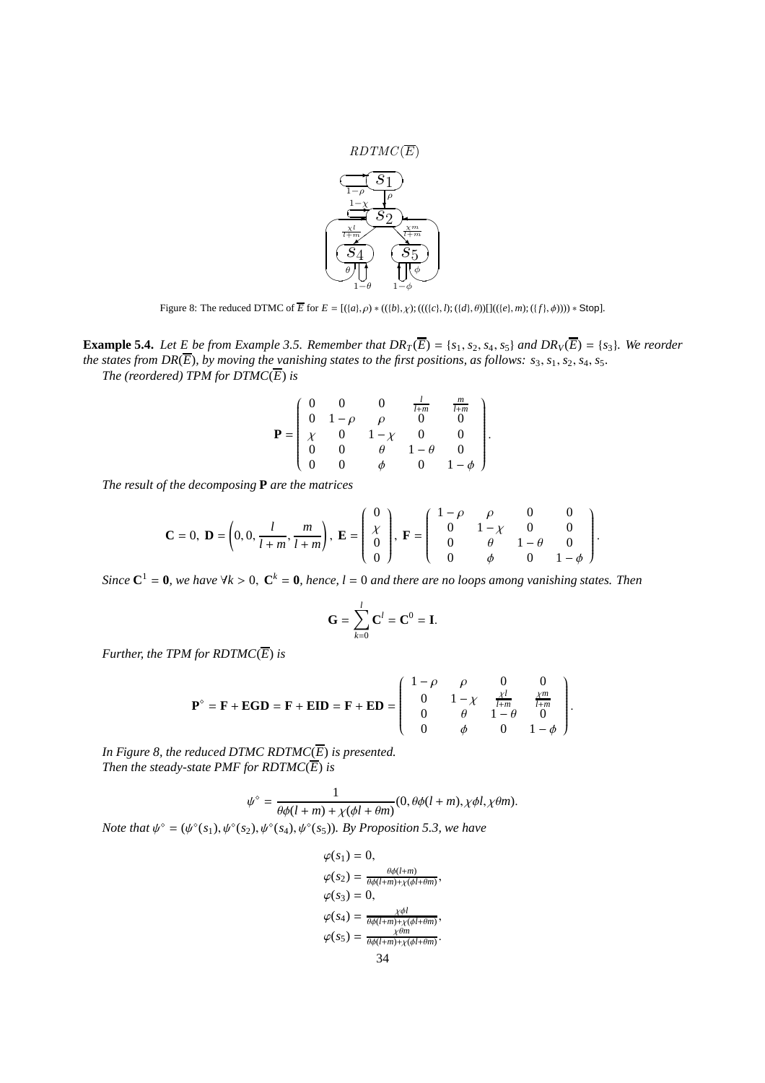![](_page_33_Figure_0.jpeg)

Figure 8: The reduced DTMC of  $\overline{E}$  for  $E = [(a, \rho) * ((b, \chi); (((c, \lambda); ((d, \theta)))]((e, \eta); ((f, \phi)))) * Stop].$ 

**Example 5.4.** Let E be from Example 3.5. Remember that  $DR_T(\overline{E}) = \{s_1, s_2, s_4, s_5\}$  and  $DR_V(\overline{E}) = \{s_3\}$ . We reorder *the states from DR(* $\overline{E}$ *), by moving the vanishing states to the first positions, as follows:*  $s_3$ *,*  $s_1$ *,*  $s_2$ *,*  $s_4$ *,*  $s_5$ *. The (reordered) TPM for*  $DTMC(E)$  *is* 

$$
\mathbf{P} = \begin{pmatrix} 0 & 0 & 0 & \frac{l}{l+m} & \frac{m}{l+m} \\ 0 & 1-\rho & \rho & 0 & 0 \\ \chi & 0 & 1-\chi & 0 & 0 \\ 0 & 0 & \theta & 1-\theta & 0 \\ 0 & 0 & \phi & 0 & 1-\phi \end{pmatrix}.
$$

*The result of the decomposing* **P** *are the matrices*

$$
\mathbf{C} = 0, \ \mathbf{D} = \left(0, 0, \frac{l}{l+m}, \frac{m}{l+m}\right), \ \mathbf{E} = \left(\begin{array}{c} 0\\ \chi\\ 0\\ 0 \end{array}\right), \ \mathbf{F} = \left(\begin{array}{ccc} 1-\rho & \rho & 0 & 0\\ 0 & 1-\chi & 0 & 0\\ 0 & \theta & 1-\theta & 0\\ 0 & \phi & 0 & 1-\phi \end{array}\right).
$$

*Since*  $C^1 = 0$ , we have  $\forall k > 0$ ,  $C^k = 0$ , hence,  $l = 0$  and there are no loops among vanishing states. Then

$$
\mathbf{G} = \sum_{k=0}^{l} \mathbf{C}^{l} = \mathbf{C}^{0} = \mathbf{I}.
$$

*Further, the TPM for RDTMC* $(\overline{E})$  *is* 

$$
\mathbf{P}^{\circ} = \mathbf{F} + \mathbf{EGD} = \mathbf{F} + \mathbf{EID} = \mathbf{F} + \mathbf{ED} = \begin{pmatrix} 1-\rho & \rho & 0 & 0 \\ 0 & 1-\chi & \frac{\chi l}{l+m} & \frac{\chi m}{l+m} \\ 0 & \theta & 1-\theta & 0 \\ 0 & \phi & 0 & 1-\phi \end{pmatrix}.
$$

*In Figure 8, the reduced DTMC RDTMC* $(\overline{E})$  *is presented. Then the steady-state PMF for RDTMC* $(\overline{E})$  *is* 

$$
\psi^{\diamond} = \frac{1}{\theta \phi(l+m) + \chi(\phi l + \theta m)} (0, \theta \phi(l+m), \chi \phi l, \chi \theta m).
$$

*Note that*  $\psi^{\circ} = (\psi^{\circ}(s_1), \psi^{\circ}(s_2), \psi^{\circ}(s_4), \psi^{\circ}(s_5))$ *. By Proposition 5.3, we have* 

$$
\varphi(s_1) = 0,
$$
  
\n
$$
\varphi(s_2) = \frac{\theta \phi(l+m)}{\theta \phi(l+m) + \chi(\phi l + \theta m)},
$$
  
\n
$$
\varphi(s_3) = 0,
$$
  
\n
$$
\varphi(s_4) = \frac{\chi \phi l}{\theta \phi(l+m) + \chi(\phi l + \theta m)},
$$
  
\n
$$
\varphi(s_5) = \frac{\chi \theta m}{\theta \phi(l+m) + \chi(\phi l + \theta m)}.
$$
  
\n
$$
34
$$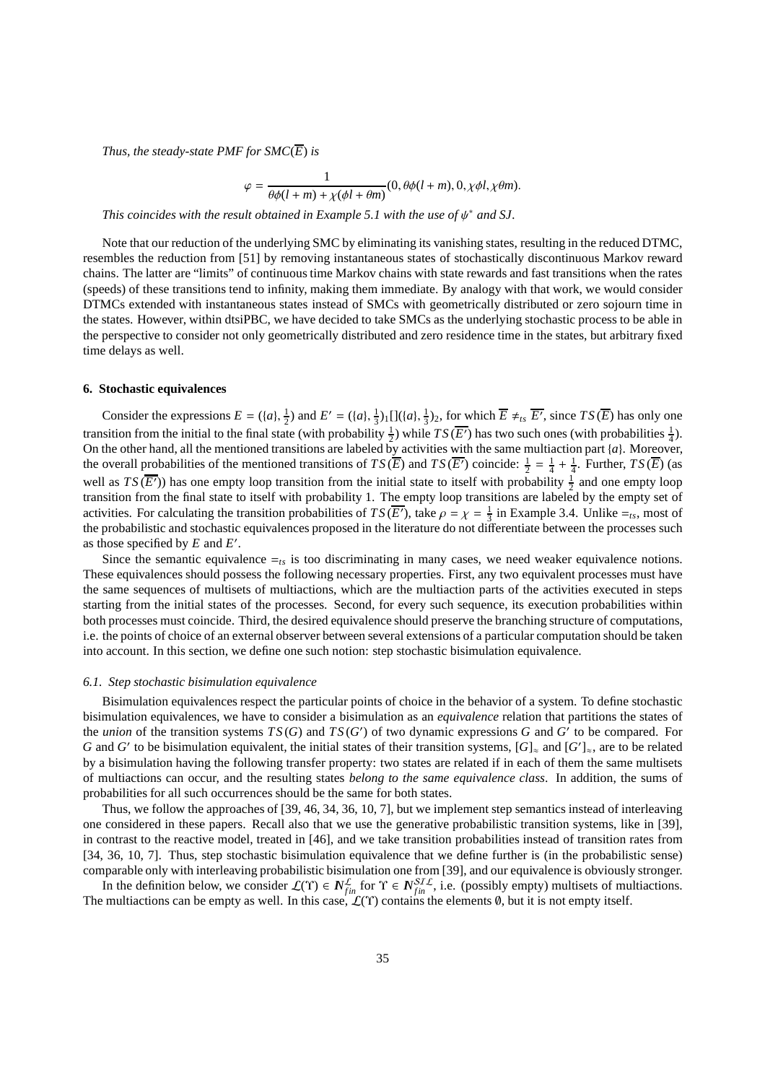*Thus, the steady-state PMF for*  $SMC(\overline{E})$  *is* 

$$
\varphi = \frac{1}{\theta \phi(l+m) + \chi(\phi l + \theta m)} (0, \theta \phi(l+m), 0, \chi \phi l, \chi \theta m).
$$

*This coincides with the result obtained in Example 5.1 with the use of*  $\psi^*$  *and SJ.* 

Note that our reduction of the underlying SMC by eliminating its vanishing states, resulting in the reduced DTMC, resembles the reduction from [51] by removing instantaneous states of stochastically discontinuous Markov reward chains. The latter are "limits" of continuous time Markov chains with state rewards and fast transitions when the rates (speeds) of these transitions tend to infinity, making them immediate. By analogy with that work, we would consider DTMCs extended with instantaneous states instead of SMCs with geometrically distributed or zero sojourn time in the states. However, within dtsiPBC, we have decided to take SMCs as the underlying stochastic process to be able in the perspective to consider not only geometrically distributed and zero residence time in the states, but arbitrary fixed time delays as well.

## **6. Stochastic equivalences**

Consider the expressions  $E = (\{a\}, \frac{1}{2})$  and  $E' = (\{a\}, \frac{1}{3})_1 [](\{a\}, \frac{1}{3})_2$ , for which  $\overline{E} \neq_{ts} \overline{E'}$ , since  $TS(\overline{E})$  has only one transition from the initial to the final state (with probability  $\frac{1}{2}$ ) while  $TS(\overline{E'})$  has two such ones (with probabilities  $\frac{1}{4}$ ). On the other hand, all the mentioned transitions are labeled by activities with the same multiaction part {*a*}. Moreover, the overall probabilities of the mentioned transitions of  $TS(\overline{E})$  and  $TS(\overline{E'})$  coincide:  $\frac{1}{2} = \frac{1}{4} + \frac{1}{4}$ . Further,  $TS(\overline{E})$  (as well as  $TS(\overline{E'})$  has one empty loop transition from the initial state to itself with probability  $\frac{1}{2}$  and one empty loop transition from the final state to itself with probability 1. The empty loop transitions are labeled by the empty set of activities. For calculating the transition probabilities of  $TS(\overline{E'})$ , take  $\rho = \chi = \frac{1}{3}$  in Example 3.4. Unlike  $=_{ts}$ , most of the probabilistic and stochastic equivalences proposed in the literature do not differentiate between the processes such as those specified by *E* and *E* ′ .

Since the semantic equivalence  $=_{ts}$  is too discriminating in many cases, we need weaker equivalence notions. These equivalences should possess the following necessary properties. First, any two equivalent processes must have the same sequences of multisets of multiactions, which are the multiaction parts of the activities executed in steps starting from the initial states of the processes. Second, for every such sequence, its execution probabilities within both processes must coincide. Third, the desired equivalence should preserve the branching structure of computations, i.e. the points of choice of an external observer between several extensions of a particular computation should be taken into account. In this section, we define one such notion: step stochastic bisimulation equivalence.

## *6.1. Step stochastic bisimulation equivalence*

Bisimulation equivalences respect the particular points of choice in the behavior of a system. To define stochastic bisimulation equivalences, we have to consider a bisimulation as an *equivalence* relation that partitions the states of the *union* of the transition systems  $TS(G)$  and  $TS(G')$  of two dynamic expressions  $G$  and  $G'$  to be compared. For *G* and *G'* to be bisimulation equivalent, the initial states of their transition systems,  $[G]_{\approx}$  and  $[G']_{\approx}$ , are to be related by a bisimulation having the following transfer property: two states are related if in each of them the same multisets of multiactions can occur, and the resulting states *belong to the same equivalence class*. In addition, the sums of probabilities for all such occurrences should be the same for both states.

Thus, we follow the approaches of [39, 46, 34, 36, 10, 7], but we implement step semantics instead of interleaving one considered in these papers. Recall also that we use the generative probabilistic transition systems, like in [39], in contrast to the reactive model, treated in [46], and we take transition probabilities instead of transition rates from [34, 36, 10, 7]. Thus, step stochastic bisimulation equivalence that we define further is (in the probabilistic sense) comparable only with interleaving probabilistic bisimulation one from [39], and our equivalence is obviously stronger.

In the definition below, we consider  $\mathcal{L}(\Upsilon) \in \mathbb{N}_{fin}^{\mathcal{L}}$  for  $\Upsilon \in \mathbb{N}_{fin}^{ST\mathcal{L}}$ , i.e. (possibly empty) multisets of multiactions. The multiactions can be empty as well. In this case,  $\mathcal{L}(Y)$  contains the elements  $\emptyset$ , but it is not empty itself.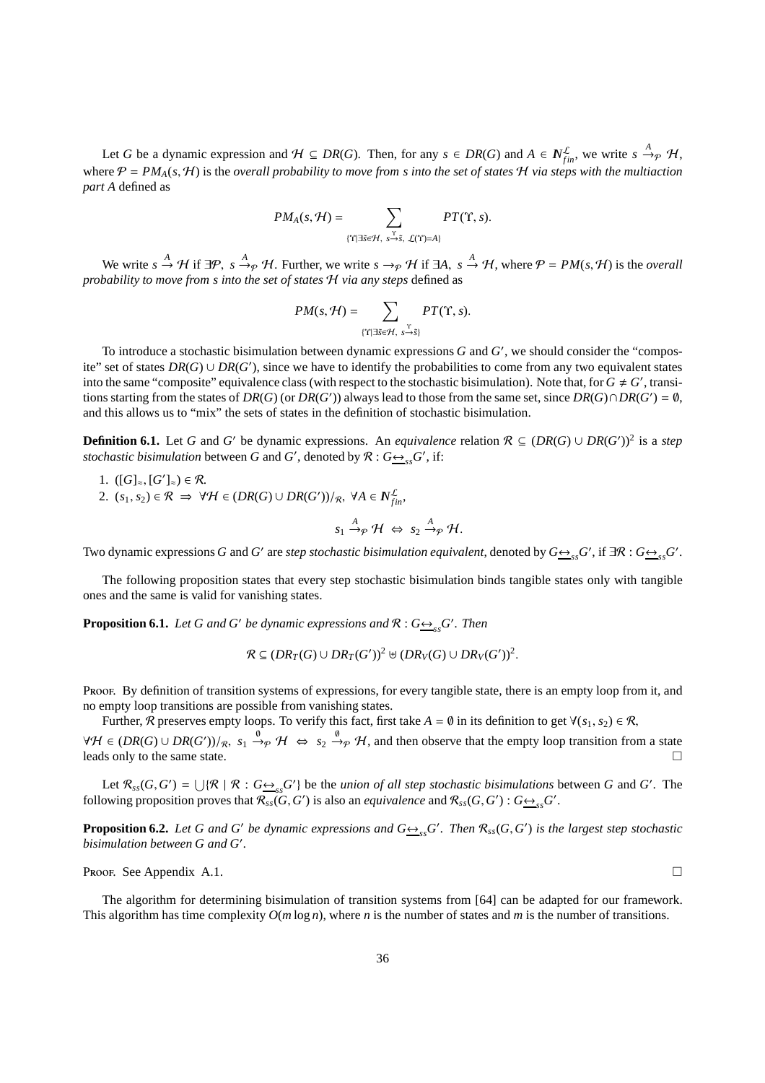Let *G* be a dynamic expression and  $H \subseteq DR(G)$ . Then, for any  $s \in DR(G)$  and  $A \in N_{fin}^{\mathcal{L}}$ , we write  $s \stackrel{A}{\rightarrow} p \mathcal{H}$ , where  $P = PM_A(s, H)$  is the *overall probability to move from s into the set of states* H *via steps with the multiaction part A* defined as

$$
PM_A(s,\mathcal{H})=\sum_{\substack{\Upsilon \\ \{\Upsilon\mid \exists \tilde{s}\in \mathcal{H},\; s\rightarrow \tilde{s},\; \mathcal{L}(\Upsilon)=A\}}}PT(\Upsilon,s).
$$

We write  $s \xrightarrow{A} H$  if  $\exists P$ ,  $s \xrightarrow{A} P$  H. Further, we write  $s \rightarrow_P H$  if  $\exists A$ ,  $s \xrightarrow{A} H$ , where  $P = PM(s, H)$  is the *overall probability to move from s into the set of states* H *via any steps* defined as

$$
PM(s, \mathcal{H}) = \sum_{\{\Upsilon \mid \exists \tilde{s} \in \mathcal{H}, s \stackrel{\Upsilon}{\rightarrow} \tilde{s}\}} PT(\Upsilon, s).
$$

To introduce a stochastic bisimulation between dynamic expressions  $G$  and  $G'$ , we should consider the "composite" set of states  $DR(G) \cup DR(G')$ , since we have to identify the probabilities to come from any two equivalent states into the same "composite" equivalence class (with respect to the stochastic bisimulation). Note that, for  $G \neq G'$ , transitions starting from the states of  $DR(G)$  (or  $DR(G')$ ) always lead to those from the same set, since  $DR(G) \cap DR(G') = \emptyset$ , and this allows us to "mix" the sets of states in the definition of stochastic bisimulation.

**Definition 6.1.** Let *G* and *G'* be dynamic expressions. An *equivalence* relation  $\mathcal{R} \subseteq (DR(G) \cup DR(G'))^2$  is a *step stochastic bisimulation* between *G* and *G*<sup>'</sup>, denoted by  $\mathcal{R}: G \rightarrow S^S$ <sub>*ss*</sub>*G*<sup>'</sup>, if:

1. ([*G*]<sub>≈</sub>, [*G'*]<sub>≈</sub>) ∈ *R*. 2.  $(s_1, s_2) \in \mathcal{R}$  ⇒  $\forall \mathcal{H} \in (DR(G) \cup DR(G'))/R$ ,  $\forall A \in \mathbb{N}^{\mathcal{L}}_{fin}$ ,  $s_1 \stackrel{A}{\rightarrow} p \mathcal{H} \Leftrightarrow s_2 \stackrel{A}{\rightarrow} p \mathcal{H}.$ 

Two dynamic expressions *G* and *G*' are *step stochastic bisimulation equivalent*, denoted by  $G \rightarrow_{ss} G'$ , if  $\exists \mathcal{R}: G \rightarrow_{ss} G'$ .

The following proposition states that every step stochastic bisimulation binds tangible states only with tangible ones and the same is valid for vanishing states.

**Proposition 6.1.** *Let* G and G' be dynamic expressions and  $\mathcal{R}: G \rightarrow S$ <sub>ss</sub> G'. Then

$$
\mathcal{R} \subseteq (DR_T(G) \cup DR_T(G'))^2 \uplus (DR_V(G) \cup DR_V(G'))^2.
$$

Proof. By definition of transition systems of expressions, for every tangible state, there is an empty loop from it, and no empty loop transitions are possible from vanishing states.

Further, R preserves empty loops. To verify this fact, first take  $A = \emptyset$  in its definition to get  $\forall (s_1, s_2) \in \mathcal{R}$ ,

 $\forall H \in (DR(G) \cup DR(G'))/R$ ,  $s_1 \stackrel{\emptyset}{\rightarrow} H \Leftrightarrow s_2 \stackrel{\emptyset}{\rightarrow} H$ , and then observe that the empty loop transition from a state leads only to the same state.

Let  $\mathcal{R}_{ss}(G, G') = \bigcup \{ \mathcal{R} \mid \mathcal{R} : G \rightarrow_{ss} G' \}$  be the *union of all step stochastic bisimulations* between *G* and *G'*. The following proposition proves that  $\mathcal{R}_{ss}(G, G')$  is also an *equivalence* and  $\mathcal{R}_{ss}(G, G')$  :  $G \rightarrow_{ss} G'$ .

**Proposition 6.2.** Let G and G' be dynamic expressions and  $G \rightarrow S_{ss} G'$ . Then  $\mathcal{R}_{ss}(G, G')$  is the largest step stochastic *bisimulation between G and G*′ *.*

Proof. See Appendix A.1.

The algorithm for determining bisimulation of transition systems from [64] can be adapted for our framework. This algorithm has time complexity *O*(*m* log *n*), where *n* is the number of states and *m* is the number of transitions.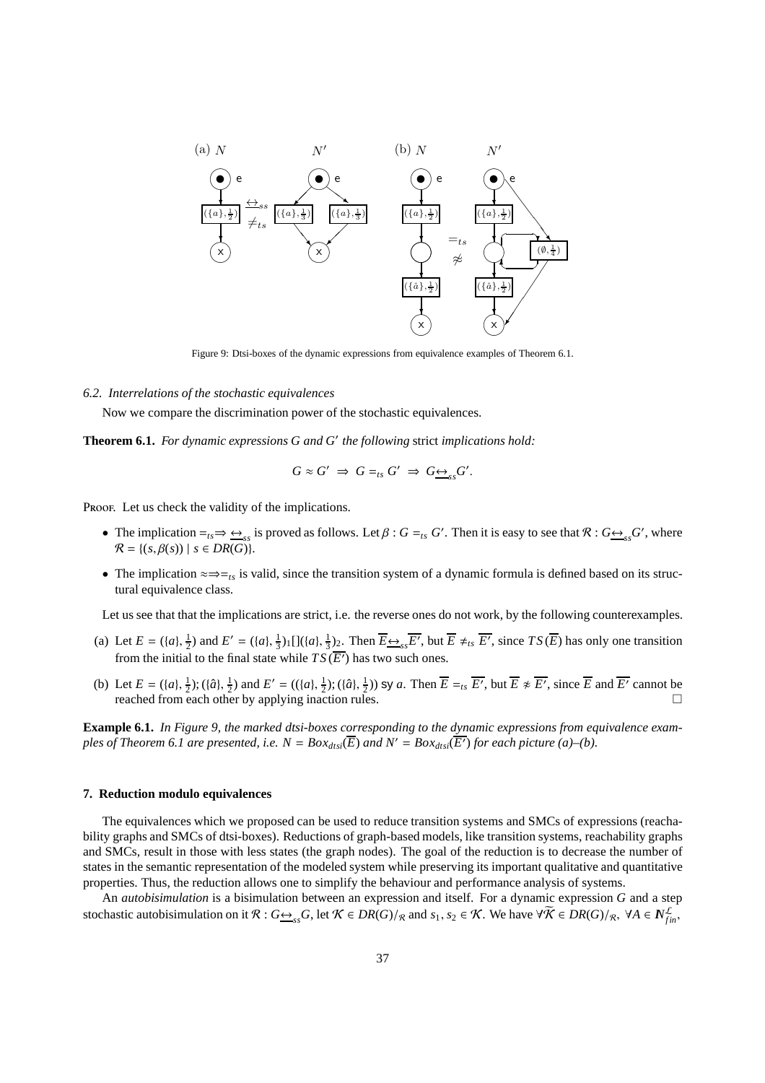

Figure 9: Dtsi-boxes of the dynamic expressions from equivalence examples of Theorem 6.1.

### *6.2. Interrelations of the stochastic equivalences*

Now we compare the discrimination power of the stochastic equivalences.

**Theorem 6.1.** *For dynamic expressions G and G*′ *the following* strict *implications hold:*

$$
G \approx G' \Rightarrow G =_{ts} G' \Rightarrow G \underline{\leftrightarrow}_{ss} G'.
$$

PROOF. Let us check the validity of the implications.

- The implication  $=_{ts} \Rightarrow \underline{\leftrightarrow}_{ss}$  is proved as follows. Let  $\beta$  :  $G =_{ts} G'$ . Then it is easy to see that  $\mathcal{R}$  :  $G \underline{\leftrightarrow}_{ss} G'$ , where  $\mathcal{R} = \{ (s, \beta(s)) \mid s \in DR(G) \}.$
- The implication  $\approx \Rightarrow_{t,s}$  is valid, since the transition system of a dynamic formula is defined based on its structural equivalence class.

Let us see that that the implications are strict, i.e. the reverse ones do not work, by the following counterexamples.

- (a) Let  $E = (\{a\}, \frac{1}{2})$  and  $E' = (\{a\}, \frac{1}{3})_1 \left[ \frac{\{(a\}, \frac{1}{3})_2 \dots \text{Then } E \rightarrow s} \frac{\overline{E'}}{\sqrt{s}}$ , but  $\overline{E} \neq t_s \overline{E'}$ , since  $TS(\overline{E})$  has only one transition from the initial to the final state while  $TS(\overline{E'})$  has two such ones.
- (b) Let  $E = (\{a\}, \frac{1}{2})$ ;  $(\{\hat{a}\}, \frac{1}{2})$  and  $E' = ((\{a\}, \frac{1}{2})$ ;  $(\{\hat{a}\}, \frac{1}{2}))$  sy a. Then  $\overline{E} =_{ts} \overline{E'}$ , but  $\overline{E} \neq \overline{E'}$ , since  $\overline{E}$  and  $\overline{E'}$  cannot be reached from each other by applying inaction rules.  $\square$

**Example 6.1.** *In Figure 9, the marked dtsi-boxes corresponding to the dynamic expressions from equivalence examples of Theorem 6.1 are presented, i.e.*  $N = Box_{dtsi}(\overline{E})$  and  $N' = Box_{dtsi}(\overline{E'})$  for each picture (a)–(b).

# **7. Reduction modulo equivalences**

The equivalences which we proposed can be used to reduce transition systems and SMCs of expressions (reachability graphs and SMCs of dtsi-boxes). Reductions of graph-based models, like transition systems, reachability graphs and SMCs, result in those with less states (the graph nodes). The goal of the reduction is to decrease the number of states in the semantic representation of the modeled system while preserving its important qualitative and quantitative properties. Thus, the reduction allows one to simplify the behaviour and performance analysis of systems.

An *autobisimulation* is a bisimulation between an expression and itself. For a dynamic expression *G* and a step stochastic autobisimulation on it  $\mathcal{R}: G \rightarrow_{ss} G$ , let  $\mathcal{K} \in DR(G)/_{\mathcal{R}}$  and  $s_1, s_2 \in \mathcal{K}$ . We have  $\forall \widetilde{\mathcal{K}} \in DR(G)/_{\mathcal{R}}$ ,  $\forall A \in N_{fin}^{\mathcal{L}}$ ,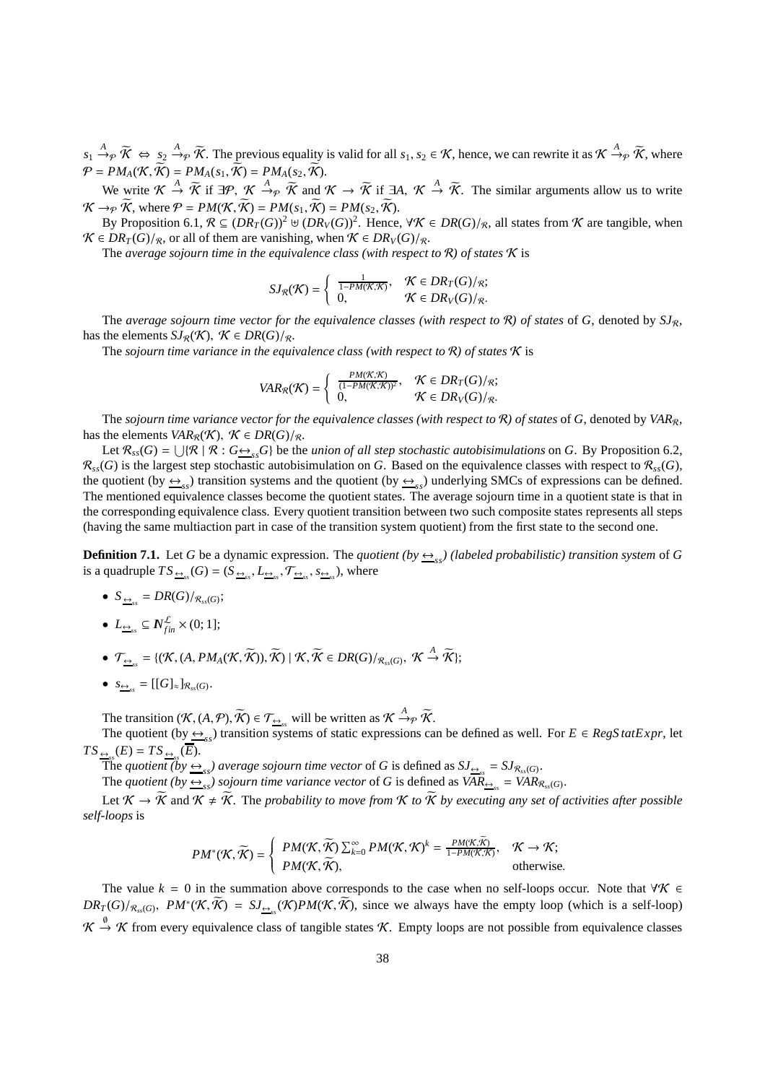$s_1 \xrightarrow{A} \widetilde{\mathcal{K}} \Leftrightarrow s_2 \xrightarrow{A} \widetilde{\mathcal{K}}$ . The previous equality is valid for all  $s_1, s_2 \in \mathcal{K}$ , hence, we can rewrite it as  $\mathcal{K} \xrightarrow{A} \widetilde{\mathcal{K}}$ , where  $P = PM_A(K, \widetilde{K}) = PM_A(s_1, \widetilde{K}) = PM_A(s_2, \widetilde{K}).$ 

We write  $\mathcal{K} \stackrel{A}{\to} \widetilde{\mathcal{K}}$  if  $\exists \mathcal{P}, \mathcal{K} \stackrel{A}{\to} \widetilde{\mathcal{K}}$  and  $\mathcal{K} \to \widetilde{\mathcal{K}}$  if  $\exists A, \mathcal{K} \stackrel{A}{\to} \widetilde{\mathcal{K}}$ . The similar arguments allow us to write  $\mathcal{K} \rightarrow_{\mathcal{P}} \widetilde{\mathcal{K}}$ , where  $\mathcal{P} = PM(\mathcal{K}, \widetilde{\mathcal{K}}) = PM(s_1, \widetilde{\mathcal{K}}) = PM(s_2, \widetilde{\mathcal{K}})$ .

By Proposition 6.1,  $\mathcal{R} \subseteq (DR_T(G))^2 \uplus (DR_V(G))^2$ . Hence,  $\forall \mathcal{K} \in DR(G)/_{\mathcal{R}}$ , all states from  $\mathcal{K}$  are tangible, when  $\mathcal{K}$  ∈ *DR<sub>T</sub>*(*G*)/<sub>*R*</sub>, or all of them are vanishing, when  $\mathcal{K}$  ∈ *DR<sub>V</sub>*(*G*)/<sub>*R*</sub>.

The *average sojourn time in the equivalence class (with respect to* R*) of states* K is

$$
SJ_{\mathcal{R}}(\mathcal{K}) = \begin{cases} \frac{1}{1 - PM(\mathcal{K}, \mathcal{K})}, & \mathcal{K} \in DR_T(G)/_{\mathcal{R}}; \\ 0, & \mathcal{K} \in DR_V(G)/_{\mathcal{R}}. \end{cases}
$$

The *average sojourn time vector for the equivalence classes (with respect to R) of states of G, denoted by*  $SI_{R}$ *,* has the elements  $SJ_{\mathcal{R}}(\mathcal{K})$ ,  $\mathcal{K} \in DR(G)/_{\mathcal{R}}$ .

The *sojourn time variance in the equivalence class (with respect to*  $\mathcal{R}$ ) of states  $\mathcal{K}$  is

$$
VAR_{\mathcal{R}}(\mathcal{K}) = \left\{ \begin{array}{ll} \frac{PM(\mathcal{K}, \mathcal{K})}{(1 - PM(\mathcal{K}, \mathcal{K}))^2}, & \mathcal{K} \in DR_T(G)/_{\mathcal{R}}; \\ 0, & \mathcal{K} \in DR_V(G)/_{\mathcal{R}}. \end{array} \right.
$$

The *sojourn time variance vector for the equivalence classes (with respect to*  $\mathcal{R}$ ) of states of  $G$ , denoted by  $VAR_R$ , has the elements *VAR<sub>R</sub>*(*K*),  $K \in DR(G)/R$ .

Let  $\mathcal{R}_{ss}(G) = \bigcup \{ \mathcal{R} \mid \mathcal{R} : G \rightarrow_{ss} G \}$  be the *union of all step stochastic autobisimulations* on *G*. By Proposition 6.2,  $\mathcal{R}_{ss}(G)$  is the largest step stochastic autobisimulation on *G*. Based on the equivalence classes with respect to  $\mathcal{R}_{ss}(G)$ , the quotient (by  $\leftrightarrow$ <sub>ss</sub>) transition systems and the quotient (by  $\leftrightarrow$ <sub>ss</sub>) underlying SMCs of expressions can be defined. The mentioned equivalence classes become the quotient states. The average sojourn time in a quotient state is that in the corresponding equivalence class. Every quotient transition between two such composite states represents all steps (having the same multiaction part in case of the transition system quotient) from the first state to the second one.

**Definition 7.1.** Let *G* be a dynamic expression. The *quotient* (by  $\leftrightarrow$ <sub>ss</sub>) (labeled probabilistic) transition system of *G* is a quadruple  $TS_{\frac{\leftrightarrow}{\infty}}(G) = (S_{\frac{\leftrightarrow}{\infty}s}, L_{\frac{\leftrightarrow}{\infty}s}, \mathcal{T}_{\frac{\leftrightarrow}{\infty}s}, s_{\frac{\leftrightarrow}{\infty}s})$ , where

- $S_{\frac{\leftrightarrow}{ss}} = DR(G)/_{\mathcal{R}_{ss}(G)};$
- $L_{\underline{\leftrightarrow}_{ss}} \subseteq \mathbb{N}_{fin}^{\mathcal{L}} \times (0; 1];$
- $\mathcal{T}_{\frac{\leftrightarrow}{\infty}} = \{(\mathcal{K}, (A, PM_A(\mathcal{K}, \widetilde{\mathcal{K}})), \widetilde{\mathcal{K}}) \mid \mathcal{K}, \widetilde{\mathcal{K}} \in DR(G)/_{\mathcal{R}_{ss}(G)}, \mathcal{K} \stackrel{A}{\rightarrow} \widetilde{\mathcal{K}}\};$
- $S_{\underbrace{\leftrightarrow}_{ss}} = [[G]_{\approx}]_{\mathcal{R}_{ss}(G)}$ .

The transition  $(K, (A, \mathcal{P}), \widetilde{K}) \in \mathcal{T}_{\triangleq_{ss}}$  will be written as  $K \xrightarrow{A} \widetilde{\mathcal{P}}$ .

The quotient (by  $\xrightarrow{f}$ <sub>ss</sub>) transition systems of static expressions can be defined as well. For  $E \in RegS \cdot tatExpr$ , let  $TS_{\frac{\leftrightarrow}{2}ss}(E) = TS_{\frac{\leftrightarrow}{2}ss}(E).$ 

The *quotient* (by  $\underline{\leftrightarrow}_{ss}$ ) average sojourn time vector of *G* is defined as  $SJ_{\underline{\leftrightarrow}_{ss}} = SJ_{\mathcal{R}_{ss}(G)}$ .

The *quotient* (by  $\frac{\leftrightarrow}{s}$  *sojourn time variance vector* of *G* is defined as  $VAR_{\frac{\leftrightarrow}{s}} = VAR_{R_{ss}(G)}$ .

Let  $K \to \widetilde{K}$  and  $K \neq \widetilde{K}$ . The *probability to move from*  $K$  *to*  $\widetilde{K}$  *by executing any set of activities after possible self-loops* is

$$
PM^*(\mathcal{K}, \widetilde{\mathcal{K}}) = \begin{cases} PM(\mathcal{K}, \widetilde{\mathcal{K}}) \sum_{k=0}^{\infty} PM(\mathcal{K}, \mathcal{K})^k = \frac{PM(\mathcal{K}, \widetilde{\mathcal{K}})}{1 - PM(\mathcal{K}, \mathcal{K})}, & \mathcal{K} \to \mathcal{K}; \\ PM(\mathcal{K}, \widetilde{\mathcal{K}}), & \text{otherwise.} \end{cases}
$$

The value  $k = 0$  in the summation above corresponds to the case when no self-loops occur. Note that  $\forall K \in$  $DR_T(G)/_{\mathcal{R}_{ss}(G)}$ ,  $PM^*(\mathcal{K}, \widetilde{\mathcal{K}}) = SJ_{\frac{\epsilon}{2\epsilon s}}(\mathcal{K})PM(\mathcal{K}, \widetilde{\mathcal{K}})$ , since we always have the empty loop (which is a self-loop)  $\mathcal{K} \stackrel{\emptyset}{\rightarrow} \mathcal{K}$  from every equivalence class of tangible states  $\mathcal{K}$ . Empty loops are not possible from equivalence classes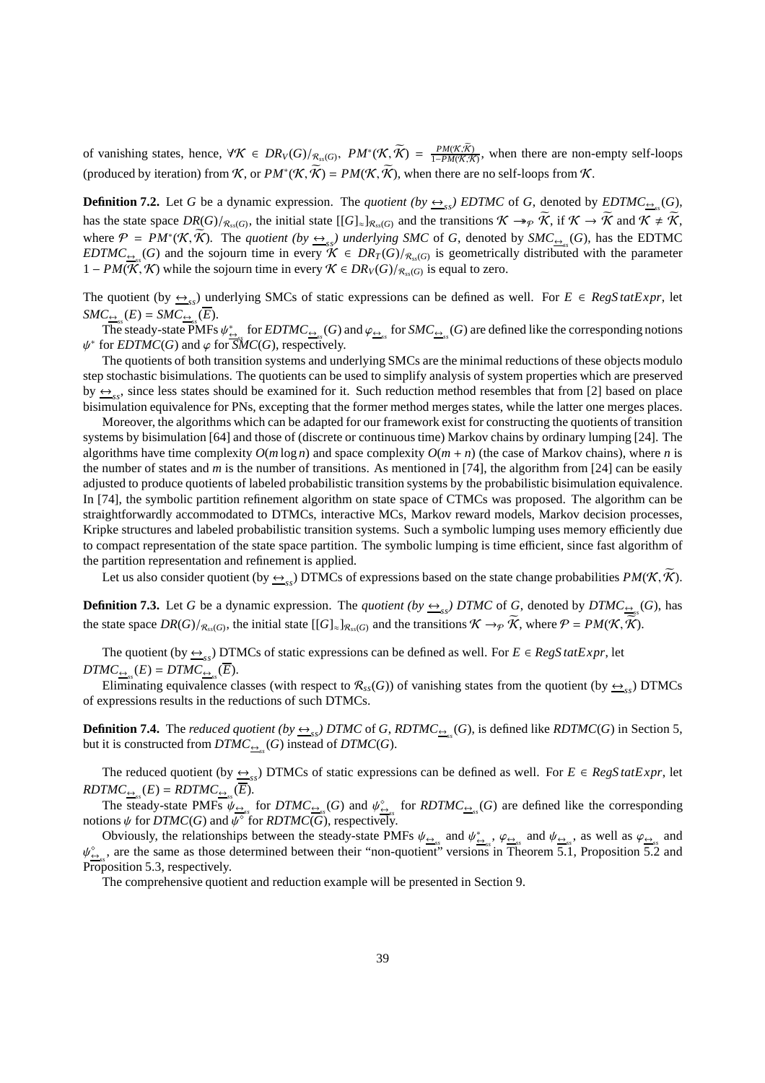of vanishing states, hence,  $\forall K \in DR_V(G)/_{\mathcal{R}_{ss}(G)}$ ,  $PM^*(\mathcal{K}, \widetilde{\mathcal{K}}) = \frac{PM(\mathcal{K}, \mathcal{K})}{1 - PM(\mathcal{K}, \mathcal{K})}$ , when there are non-empty self-loops (produced by iteration) from K, or  $PM^*(\mathcal{K}, \widetilde{\mathcal{K}}) = PM(\mathcal{K}, \widetilde{\mathcal{K}})$ , when there are no self-loops from K.

**Definition 7.2.** Let *G* be a dynamic expression. The *quotient* (by  $\frac{\leftrightarrow}{\text{ss}}$ ) *EDTMC* of *G*, denoted by *EDTMC*<sub> $\frac{\leftrightarrow}{\text{ss}}$ <sub>*SS</sub>*(*G*),</sub></sub> has the state space  $DR(G)/_{\mathcal{R}_{ss}(G)}$ , the initial state  $[[G]_{\approx}]_{\mathcal{R}_{ss}(G)}$  and the transitions  $\mathcal{K} \to \mathcal{R}$ , if  $\mathcal{K} \to \mathcal{K}$  and  $\mathcal{K} \neq \mathcal{K}$ , where  $\mathcal{P} = PM^*(\mathcal{K}, \widetilde{\mathcal{K}})$ . The *quotient* (by  $\underline{\leftrightarrow}_{ss}$ ) underlying SMC of G, denoted by SMC<sub> $\underline{\leftrightarrow}_{ss}$ </sub>(G), has the EDTMC *EDTMC*<sub> $\frac{G}{G}$ </sub> (*G*) and the sojourn time in every  $K \in DR_T(G)/_{R_{ss}(G)}$  is geometrically distributed with the parameter 1 − *PM*( $\mathcal{K}, \mathcal{K}$ ) while the sojourn time in every  $\mathcal{K} \in DR_V(G)/_{\mathcal{R}_\text{ss}(G)}$  is equal to zero.

The quotient (by  $\xrightarrow{\leftrightarrow}_{ss}$ ) underlying SMCs of static expressions can be defined as well. For  $E \in RegSatExpr$ , let  $SMC_{\underbrace{\leftrightarrow}_{ss}}(E) = SMC_{\underbrace{\leftrightarrow}_{ss}}(\overline{E}).$ 

The steady-state PMFs  $\psi_{\leftrightarrow}^s$  for  $EDTMC_{\leftrightarrow}^s(G)$  and  $\varphi_{\leftrightarrow}^s$  for  $SMC_{\leftrightarrow}^s(G)$  are defined like the corresponding notions  $\psi^*$  for *EDTMC*(*G*) and  $\varphi$  for *SMC*(*G*), respectively.

The quotients of both transition systems and underlying SMCs are the minimal reductions of these objects modulo step stochastic bisimulations. The quotients can be used to simplify analysis of system properties which are preserved by  $\frac{A}{S}$  since less states should be examined for it. Such reduction method resembles that from [2] based on place bisimulation equivalence for PNs, excepting that the former method merges states, while the latter one merges places.

Moreover, the algorithms which can be adapted for our framework exist for constructing the quotients of transition systems by bisimulation [64] and those of (discrete or continuous time) Markov chains by ordinary lumping [24]. The algorithms have time complexity  $O(m \log n)$  and space complexity  $O(m + n)$  (the case of Markov chains), where *n* is the number of states and *m* is the number of transitions. As mentioned in [74], the algorithm from [24] can be easily adjusted to produce quotients of labeled probabilistic transition systems by the probabilistic bisimulation equivalence. In [74], the symbolic partition refinement algorithm on state space of CTMCs was proposed. The algorithm can be straightforwardly accommodated to DTMCs, interactive MCs, Markov reward models, Markov decision processes, Kripke structures and labeled probabilistic transition systems. Such a symbolic lumping uses memory efficiently due to compact representation of the state space partition. The symbolic lumping is time efficient, since fast algorithm of the partition representation and refinement is applied.

Let us also consider quotient (by  $\frac{1}{\leftarrow s}$ ) DTMCs of expressions based on the state change probabilities  $PM(\mathcal{K}, \mathcal{K})$ .

**Definition 7.3.** Let *G* be a dynamic expression. The *quotient* (by  $\frac{\Delta}{\sigma_{ss}}$ ) DTMC of *G*, denoted by DTMC<sub> $\frac{\Delta}{\sigma_{ss}}$ (*G*), has</sub> the state space  $DR(G)/_{\mathcal{R}_{ss}(G)}$ , the initial state  $[[G]_{\approx}]_{\mathcal{R}_{ss}(G)}$  and the transitions  $\mathcal{K} \to_{\mathcal{P}} \mathcal{K}$ , where  $\mathcal{P} = PM(\mathcal{K}, \mathcal{K})$ .

The quotient (by  $\xrightarrow{f}$ <sub>ss</sub>) DTMCs of static expressions can be defined as well. For  $E \in RegS \cdot tatExpr$ , let  $DTMC_{\frac{\leftrightarrow}{2ss}}(E) = DTMC_{\frac{\leftrightarrow}{2ss}}(\overline{E}).$ 

Eliminating equivalence classes (with respect to  $\mathcal{R}_{ss}(G)$ ) of vanishing states from the quotient (by  $\frac{\Theta}{\Theta_{ss}}$ ) DTMCs of expressions results in the reductions of such DTMCs.

**Definition 7.4.** The *reduced quotient* (by  $\frac{\leftrightarrow}{s}$  DTMC of *G*, *RDTMC*<sub> $\frac{\leftrightarrow}{s}$ </sub> (*G*), is defined like *RDTMC*(*G*) in Section 5, but it is constructed from  $DTMC_{\frac{\leftrightarrow}{\sigma}}(G)$  instead of  $DTMC(G)$ .

The reduced quotient (by  $\frac{\leftrightarrow}{\text{ss}}$ ) DTMCs of static expressions can be defined as well. For  $E \in RegStatexpr$ , let  $\mathit{RDTMC}_{\underline{\leftrightarrow}_{ss}}(E) = \mathit{RDTMC}_{\underline{\leftrightarrow}_{ss}}(\overline{E}).$ 

The steady-state PMFs  $\psi_{\underline{\leftrightarrow}_{\alpha}}$  for  $DTMC_{\underline{\leftrightarrow}_{\alpha}}(G)$  and  $\psi_{\underline{\leftrightarrow}_{\alpha}}^{\diamond}$  for  $RDTMC_{\underline{\leftrightarrow}_{\alpha}}(G)$  are defined like the corresponding notions  $\psi$  for *DTMC*(*G*) and  $\overline{\psi^{\circ}}$  for *RDTMC*(*G*), respectively.

Obviously, the relationships between the steady-state PMFs  $\psi_{\underline{\leftrightarrow}_{ss}}$  and  $\psi_{\underline{\leftrightarrow}_{ss}}$ ,  $\varphi_{\underline{\leftrightarrow}_{ss}}$  and  $\psi_{\underline{\leftrightarrow}_{ss}}$ , as well as  $\varphi_{\underline{\leftrightarrow}_{ss}}$  and  $\psi_{\zeta_{\alpha}}^{\circ}$ , are the same as those determined between their "non-quotient" versions in Theorem 5.1, Proposition 5.2 and Proposition 5.3, respectively.

The comprehensive quotient and reduction example will be presented in Section 9.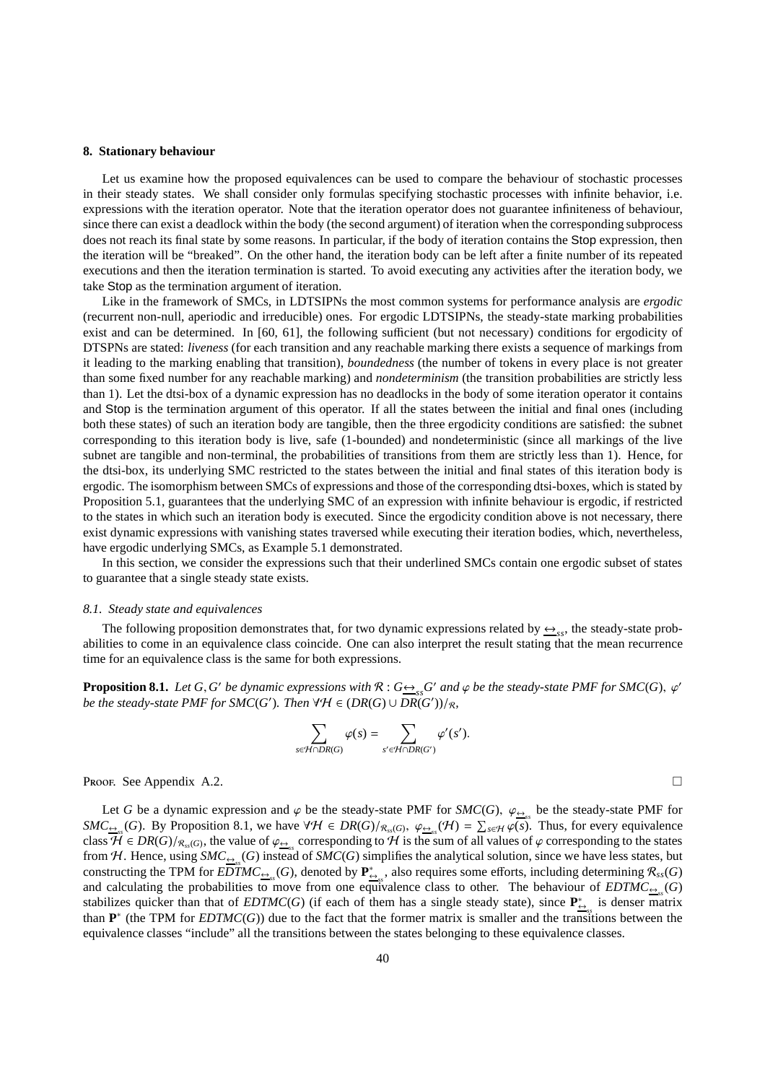# **8. Stationary behaviour**

Let us examine how the proposed equivalences can be used to compare the behaviour of stochastic processes in their steady states. We shall consider only formulas specifying stochastic processes with infinite behavior, i.e. expressions with the iteration operator. Note that the iteration operator does not guarantee infiniteness of behaviour, since there can exist a deadlock within the body (the second argument) of iteration when the corresponding subprocess does not reach its final state by some reasons. In particular, if the body of iteration contains the Stop expression, then the iteration will be "breaked". On the other hand, the iteration body can be left after a finite number of its repeated executions and then the iteration termination is started. To avoid executing any activities after the iteration body, we take Stop as the termination argument of iteration.

Like in the framework of SMCs, in LDTSIPNs the most common systems for performance analysis are *ergodic* (recurrent non-null, aperiodic and irreducible) ones. For ergodic LDTSIPNs, the steady-state marking probabilities exist and can be determined. In [60, 61], the following sufficient (but not necessary) conditions for ergodicity of DTSPNs are stated: *liveness* (for each transition and any reachable marking there exists a sequence of markings from it leading to the marking enabling that transition), *boundedness* (the number of tokens in every place is not greater than some fixed number for any reachable marking) and *nondeterminism* (the transition probabilities are strictly less than 1). Let the dtsi-box of a dynamic expression has no deadlocks in the body of some iteration operator it contains and Stop is the termination argument of this operator. If all the states between the initial and final ones (including both these states) of such an iteration body are tangible, then the three ergodicity conditions are satisfied: the subnet corresponding to this iteration body is live, safe (1-bounded) and nondeterministic (since all markings of the live subnet are tangible and non-terminal, the probabilities of transitions from them are strictly less than 1). Hence, for the dtsi-box, its underlying SMC restricted to the states between the initial and final states of this iteration body is ergodic. The isomorphism between SMCs of expressions and those of the corresponding dtsi-boxes, which is stated by Proposition 5.1, guarantees that the underlying SMC of an expression with infinite behaviour is ergodic, if restricted to the states in which such an iteration body is executed. Since the ergodicity condition above is not necessary, there exist dynamic expressions with vanishing states traversed while executing their iteration bodies, which, nevertheless, have ergodic underlying SMCs, as Example 5.1 demonstrated.

In this section, we consider the expressions such that their underlined SMCs contain one ergodic subset of states to guarantee that a single steady state exists.

#### *8.1. Steady state and equivalences*

The following proposition demonstrates that, for two dynamic expressions related by  $\leftrightarrow$ <sub>ss</sub>, the steady-state probabilities to come in an equivalence class coincide. One can also interpret the result stating that the mean recurrence time for an equivalence class is the same for both expressions.

**Proposition 8.1.** *Let*  $G$ ,  $G'$  *be dynamic expressions with*  $R: G \rightarrowtail_{ss} G'$  *and*  $\varphi$  *be the steady-state PMF for SMC*(*G*),  $\varphi'$ *be the steady-state PMF for SMC(G'). Then*  $\forall \mathcal{H} \in (DR(G) \cup DR(G'))/R$ *,* 

$$
\sum_{s \in \mathcal{H} \cap DR(G)} \varphi(s) = \sum_{s' \in \mathcal{H} \cap DR(G')} \varphi'(s').
$$

**Proof.** See Appendix A.2.

Let *G* be a dynamic expression and  $\varphi$  be the steady-state PMF for *SMC*(*G*),  $\varphi_{\frac{\Theta}{2s}}$  be the steady-state PMF for *SMC*<sub> $\triangleq$ </sub> (*G*). By Proposition 8.1, we have ∀H ∈ *DR*(*G*)/ $_{R_{ss}(G)}$ ,  $\varphi_{\triangleq_{ss}}(\mathcal{H}) = \sum_{s \in \mathcal{H}} \varphi(s)$ . Thus, for every equivalence class  $\mathcal{\hat{H}} \in DR(G)/_{\mathcal{R}_{ss}(G)}$ , the value of  $\varphi_{\frac{\leftrightarrow}{s}}$  corresponding to  $\mathcal{H}$  is the sum of all values of  $\varphi$  corresponding to the states from H. Hence, using  $SMC_{\frac{\leftrightarrow}{s}}(G)$  instead of  $SMC(G)$  simplifies the analytical solution, since we have less states, but constructing the TPM for  $\overline{EDTMC_{\underbrace{\leftrightarrow}} }$  (*G*), denoted by  $\mathbf{P}_{\underbrace{\leftrightarrow}}^*$ , also requires some efforts, including determining  $\mathcal{R}_{ss}(G)$ and calculating the probabilities to move from one equivalence class to other. The behaviour of  $EDTMC_{\frac{\Theta}{\epsilon s}}(G)$ stabilizes quicker than that of *EDTMC*(*G*) (if each of them has a single steady state), since  $P_{\frac{\leftrightarrow}{a}}^*$  is denser matrix than  $P^*$  (the TPM for *EDTMC(G))* due to the fact that the former matrix is smaller and the transitions between the equivalence classes "include" all the transitions between the states belonging to these equivalence classes.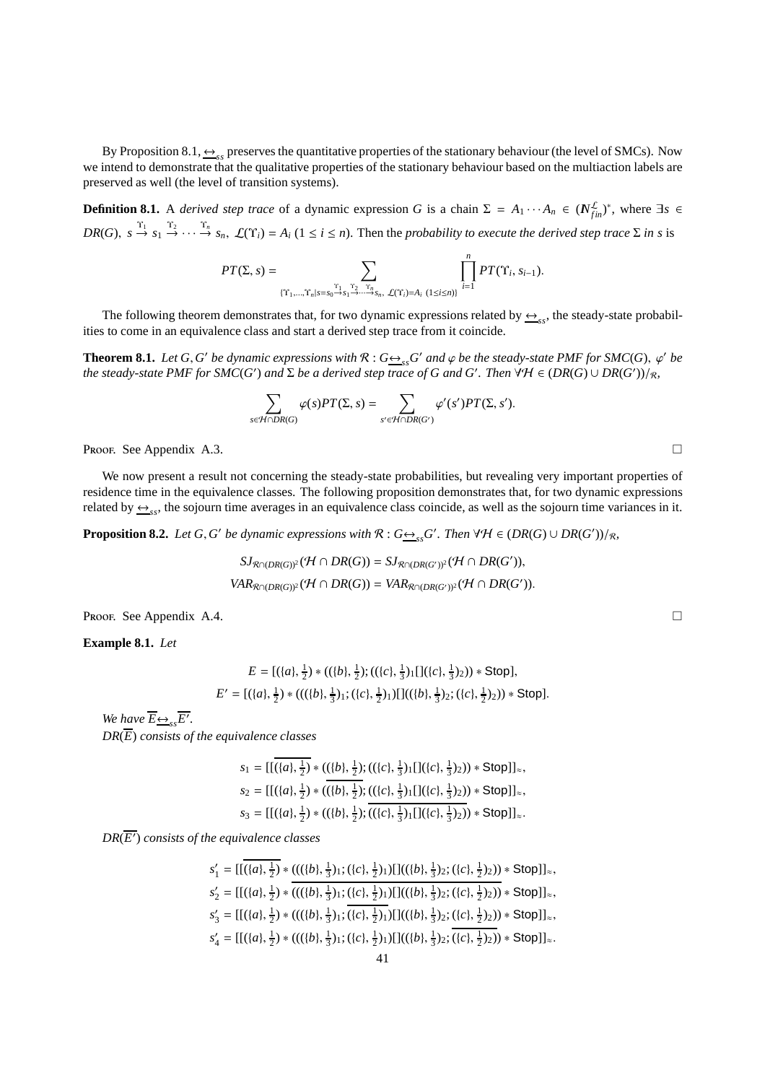By Proposition 8.1,  $\leftrightarrow$ <sub>ss</sub> preserves the quantitative properties of the stationary behaviour (the level of SMCs). Now we intend to demonstrate that the qualitative properties of the stationary behaviour based on the multiaction labels are preserved as well (the level of transition systems).

**Definition 8.1.** A *derived step trace* of a dynamic expression *G* is a chain  $\Sigma = A_1 \cdots A_n \in (N_{fin}^{\mathcal{L}})^*$ , where  $\exists s \in$  $DR(G)$ ,  $s \stackrel{\Upsilon_1}{\rightarrow} s_1 \stackrel{\Upsilon_2}{\rightarrow} \cdots \stackrel{\Upsilon_n}{\rightarrow} s_n$ ,  $\mathcal{L}(\Upsilon_i) = A_i$  ( $1 \leq i \leq n$ ). Then the *probability to execute the derived step trace*  $\Sigma$  *<i>in s* is

$$
PT(\Sigma, s) = \sum_{\{ \Upsilon_1, \dots, \Upsilon_n \mid s = s_0 \to s_1 \to \dots \to s_n, \ L(\Upsilon_i) = A_i \ (1 \le i \le n) \}} \prod_{i=1}^n PT(\Upsilon_i, s_{i-1}).
$$

The following theorem demonstrates that, for two dynamic expressions related by  $\leftrightarrow$ <sub>ss</sub>, the steady-state probabilities to come in an equivalence class and start a derived step trace from it coincide.

**Theorem 8.1.** *Let G*, *G' be dynamic expressions with*  $R: G \rightarrow_{ss} G'$  *and*  $\varphi$  *be the steady-state PMF for SMC*(*G*),  $\varphi'$  *be* the steady-state PMF for SMC(G') and  $\Sigma$  be a derived step trace of G and G'. Then  $\forall H \in (DR(G) \cup DR(G'))/_{\mathcal{R}}$ ,

$$
\sum_{s \in \mathcal{H} \cap DR(G)} \varphi(s) PT(\Sigma, s) = \sum_{s' \in \mathcal{H} \cap DR(G')} \varphi'(s') PT(\Sigma, s').
$$

**Proof.** See Appendix A.3.

We now present a result not concerning the steady-state probabilities, but revealing very important properties of residence time in the equivalence classes. The following proposition demonstrates that, for two dynamic expressions related by  $\xrightarrow{\leftrightarrow}_{ss}$ , the sojourn time averages in an equivalence class coincide, as well as the sojourn time variances in it.

**Proposition 8.2.** Let  $G$ ,  $G'$  be dynamic expressions with  $\mathcal{R}: G \rightarrow_{ss} G'$ . Then  $\forall \mathcal{H} \in (DR(G) \cup DR(G'))/R$ ,

$$
SI_{\mathcal{R}\cap (DR(G))^2}(\mathcal{H}\cap DR(G))=SI_{\mathcal{R}\cap (DR(G'))^2}(\mathcal{H}\cap DR(G')),
$$
  

$$
VAR_{\mathcal{R}\cap (DR(G))^2}(\mathcal{H}\cap DR(G))=VAR_{\mathcal{R}\cap (DR(G'))^2}(\mathcal{H}\cap DR(G')).
$$

Proof. See Appendix A.4.

**Example 8.1.** *Let*

$$
E = [(\{a\}, \frac{1}{2}) * ((\{b\}, \frac{1}{2}) ; ((\{c\}, \frac{1}{3})_1 [](\{c\}, \frac{1}{3})_2)) * Stop],
$$
  

$$
E' = [(\{a\}, \frac{1}{2}) * (((\{b\}, \frac{1}{3})_1; (\{c\}, \frac{1}{2})_1) []((\{b\}, \frac{1}{3})_2; (\{c\}, \frac{1}{2})_2)) * Stop].
$$

*We have*  $\overline{E} \rightarrow \overline{E'}$ . *DR*(*E*) *consists of the equivalence classes*

$$
s_1 = [[(\lbrace a \rbrace, \frac{1}{2}) * ((\lbrace b \rbrace, \frac{1}{2}) ; ((\lbrace c \rbrace, \frac{1}{3})_1 [[(\lbrace c \rbrace, \frac{1}{3})_2)) * Stop]]_{\approx},
$$
  
\n
$$
s_2 = [[(\lbrace a \rbrace, \frac{1}{2}) * ((\lbrace b \rbrace, \frac{1}{2}) ; ((\lbrace c \rbrace, \frac{1}{3})_1 [[(\lbrace c \rbrace, \frac{1}{3})_2)) * Stop]]_{\approx},
$$
  
\n
$$
s_3 = [[(\lbrace a \rbrace, \frac{1}{2}) * ((\lbrace b \rbrace, \frac{1}{2}) ; ((\lbrace c \rbrace, \frac{1}{3})_1 [[(\lbrace c \rbrace, \frac{1}{3})_2)) * Stop]]_{\approx}.
$$

*DR*(*E*′ ) *consists of the equivalence classes*

$$
s'_1 = [[(\{a\}, \frac{1}{2}) * (((\{b\}, \frac{1}{3})_1; (\{c\}, \frac{1}{2})_1) [[((\{b\}, \frac{1}{3})_2; (\{c\}, \frac{1}{2})_2)) * Stop]]_{\approx},
$$
  
\n
$$
s'_2 = [[(\{a\}, \frac{1}{2}) * (((\{b\}, \frac{1}{3})_1; (\{c\}, \frac{1}{2})_1) [[((\{b\}, \frac{1}{3})_2; (\{c\}, \frac{1}{2})_2)) * Stop]]_{\approx},
$$
  
\n
$$
s'_3 = [[(\{a\}, \frac{1}{2}) * (((\{b\}, \frac{1}{3})_1; (\{c\}, \frac{1}{2})_1) [[((\{b\}, \frac{1}{3})_2; (\{c\}, \frac{1}{2})_2)) * Stop]]_{\approx},
$$
  
\n
$$
s'_4 = [[(\{a\}, \frac{1}{2}) * (((\{b\}, \frac{1}{3})_1; (\{c\}, \frac{1}{2})_1) [[((\{b\}, \frac{1}{3})_2; (\{c\}, \frac{1}{2})_2)) * Stop]]_{\approx}.
$$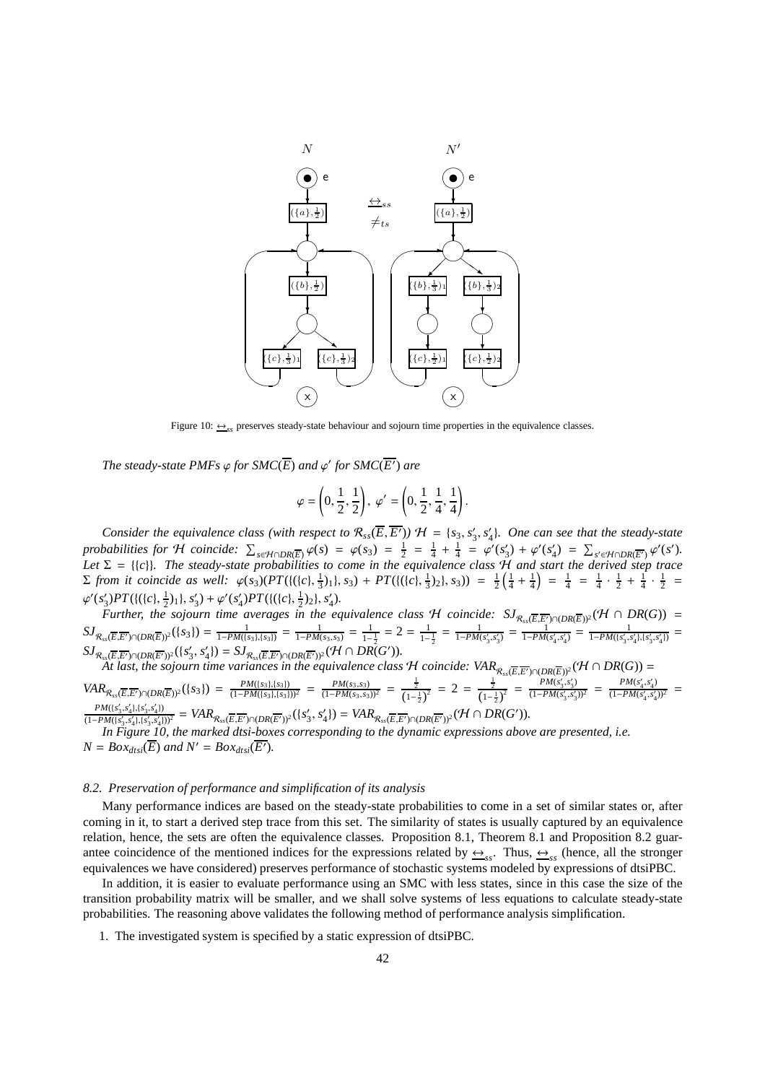

Figure 10:  $\leftrightarrow$ <sub>s</sub> preserves steady-state behaviour and sojourn time properties in the equivalence classes.

*The steady-state PMFs*  $\varphi$  *for SMC*( $\overline{E}$ ) *and*  $\varphi'$  *for SMC*( $\overline{E'}$ ) *are* 

$$
\varphi = \left(0,\frac{1}{2},\frac{1}{2}\right),\; \varphi' = \left(0,\frac{1}{2},\frac{1}{4},\frac{1}{4}\right).
$$

*Consider the equivalence class (with respect to*  $\mathcal{R}_{ss}(\overline{E},\overline{E'})$ )  $\mathcal{H} = \{s_3,s'_3,s'_4\}$ *. One can see that the steady-state* probabilities for H coincide:  $\sum_{s \in \mathcal{H} \cap DR(\overline{E})} \varphi(s) = \varphi(s_3) = \frac{1}{2} = \frac{1}{4} + \frac{1}{4} = \varphi'(s_3') + \varphi'(s_4') = \sum_{s' \in \mathcal{H} \cap DR(\overline{E'})} \varphi'(s')$ . *Let* Σ = {{*c*}}*. The steady-state probabilities to come in the equivalence class* H *and start the derived step trace*  $\Sigma$  *from it coincide as well:*  $\varphi(s_3)(PT(\{(c), \frac{1}{3})_1\}, s_3) + PT(\{(c), \frac{1}{3})_2\}, s_3) = \frac{1}{2}(\frac{1}{4} + \frac{1}{4}) = \frac{1}{4} = \frac{1}{4} \cdot \frac{1}{2} + \frac{1}{4} \cdot \frac{1}{2} = \frac{1}{4}$  $\frac{1}{3}$ /11, 33) + 1 1 (((1),  $\frac{1}{3}$ /21, 33)) =  $\frac{1}{2}$ ( $\frac{1}{4}$  +  $\frac{1}{4}$ ) =  $\frac{1}{4}$  =  $\frac{1}{4}$  +  $\frac{1}{2}$  +  $\frac{1}{4}$  +  $\frac{1}{2}$  $\varphi'(s'_3)PT(\{(c), \frac{1}{2})_1\}, s'_3) + \varphi'(s'_4)PT(\{(c), \frac{1}{2})_2\}, s'_4).$ 

*Further, the sojourn time averages in the equivalence class H coincide:*  $SJ_{\mathcal{R}_{ss}(\overline{E},\overline{E'})\cap (DR(\overline{E}))^2}(\mathcal{H}\cap DR(G))$  =  $SJ_{\mathcal{R}_{ss}(\overline{E},\overline{E'})\cap (DR(\overline{E}))^2}(\lbrace s_3 \rbrace) = \frac{1}{1-PM(\lbrace s_3 \rbrace,\lbrace s_3 \rbrace)} = \frac{1}{1-PM(s_3,s_3)} = \frac{1}{1-\lbrace s_3 \rbrace}$  $\frac{1}{1-\frac{1}{2}}=2=\frac{1}{1-\frac{1}{2}}$  $\frac{1}{1-\frac{1}{2}} = \frac{1}{1-PM(s'_3,s'_3)} = \frac{1}{1-PM(s'_4,s'_4)} = \frac{1}{1-PM((s'_3,s'_4), (s'_3,s'_4))} =$  $SJ_{\mathcal{R}_{ss}(\overline{E},\overline{E'})\cap (DR(\overline{E'}))^2}(\lbrace s'_3,s'_4\rbrace) = SJ_{\mathcal{R}_{ss}(\overline{E},\overline{E'})\cap (DR(\overline{E'}))^2}(\mathcal{H}\cap DR(\overline{G'})).$ 

*At last, the sojourn time variances in the equivalence class H coincide:*  $VAR_{R_{ss}(\overline{E},\overline{E'})\cap (DR(\overline{E}))^2}(H\cap DR(G))$  *=* 

$$
VAR_{R_{ss}(\overline{E},\overline{E'})\cap (DR(\overline{E}))^2}(\{s_3\}) = \frac{PM(s_3,\{s_3\})}{(1-PM(s_3,\{s_3\}))^2} = \frac{PM(s_3,s_3)}{(1-PM(s_3,s_3))^2} = \frac{\frac{1}{2}}{(1-\frac{1}{2})^2} = 2 = \frac{\frac{1}{2}}{(1-\frac{1}{2})^2} = \frac{PM(s'_3,s'_3)}{(1-PM(s'_3,s'_3))^2} = \frac{PM(s'_4,s'_4)}{(1-PM(s'_3,s'_4))^2} = \frac{PM(s'_4,s'_4)}{(1-PM(s'_4,s'_4))^2} = \frac{PM(s'_4,s'_4)}{(1-PM(s'_4,s'_4))^2} = \frac{PM(s'_4,s'_4)}{(1-PM(s'_4,s'_4))^2} = \frac{PM(s'_4,s'_4)}{(1-PM(s'_4,s'_4))^2} = \frac{PM(s'_4,s'_4)}{(1-PM(s'_4,s'_4))^2} = \frac{PM(s'_4,s'_4)}{(1-PM(s'_4,s'_4))^2} = \frac{PM(s'_4,s'_4)}{(1-PM(s'_4,s'_4))^2} = \frac{PM(s'_4,s'_4)}{(1-PM(s'_4,s'_4))^2} = \frac{PM(s'_4,s'_4)}{(1-PM(s'_4,s'_4))^2} = \frac{PM(s'_4,s'_4)}{(1-PM(s'_4,s'_4))^2} = \frac{PM(s'_4,s'_4)}{(1-PM(s'_4,s'_4))^2} = \frac{PM(s'_4,s'_4)}{(1-PM(s'_4,s'_4))^2} = \frac{PM(s'_4,s'_4)}{(1-PM(s'_4,s'_4))^2} = \frac{PM(s'_4,s'_4)}{(1-PM(s'_4,s'_4))^2} = \frac{PM(s'_4,s'_4)}{(1-PM(s'_4,s'_4))^2} = \frac{PM(s'_4,s'_4)}{(1-PM(s'_4,s'_4))^2} = \frac{PM(s'_4,s'_4)}{(1-PM(s'_4,s'_4))^2} = \frac{PM(s'_4,s'_4)}{(1-PM(s'_4,s'_4))^2} = \frac{PM(s'_4,s'_4)}{(1-PM(s'_4,s'_4))^2} = \frac{M(s'_4,s'_4)}{(1-PM(s'_4,s'_4))^2} = \frac{M(s'_4,s'_4)}{(1-PM(s'_4,s'_4))^2} = \frac{M(s'_4,s'_4)}{(1-PM(s'_4,s'_4))^2} = \frac{M(s'_4,s'_4)}{(1-PM
$$

 $\frac{PM(S_5, s'_4), (s'_3, s'_4))}{(1-PM([s'_3, s'_4), [s'_3, s'_4]))^2} = VAR_{\mathcal{R}_{ss}(\overline{E}, \overline{E'}) \cap (DR(\overline{E'}))^2}(\{s'_3, s'_4\}) = VAR_{\mathcal{R}_{ss}(\overline{E}, \overline{E'}) \cap (DR(\overline{E'}))^2}(\mathcal{H} \cap DR(G')).$ 

*In Figure 10, the marked dtsi-boxes corresponding to the dynamic expressions above are presented, i.e.*  $N = Box_{dtsi}(\overline{E})$  *and*  $N' = Box_{dtsi}(\overline{E'})$ *.* 

### *8.2. Preservation of performance and simplification of its analysis*

Many performance indices are based on the steady-state probabilities to come in a set of similar states or, after coming in it, to start a derived step trace from this set. The similarity of states is usually captured by an equivalence relation, hence, the sets are often the equivalence classes. Proposition 8.1, Theorem 8.1 and Proposition 8.2 guarantee coincidence of the mentioned indices for the expressions related by  $\frac{\leftrightarrow}{ss}$ . Thus,  $\frac{\leftrightarrow}{ss}$  (hence, all the stronger equivalences we have considered) preserves performance of stochastic systems modeled by expressions of dtsiPBC.

In addition, it is easier to evaluate performance using an SMC with less states, since in this case the size of the transition probability matrix will be smaller, and we shall solve systems of less equations to calculate steady-state probabilities. The reasoning above validates the following method of performance analysis simplification.

1. The investigated system is specified by a static expression of dtsiPBC.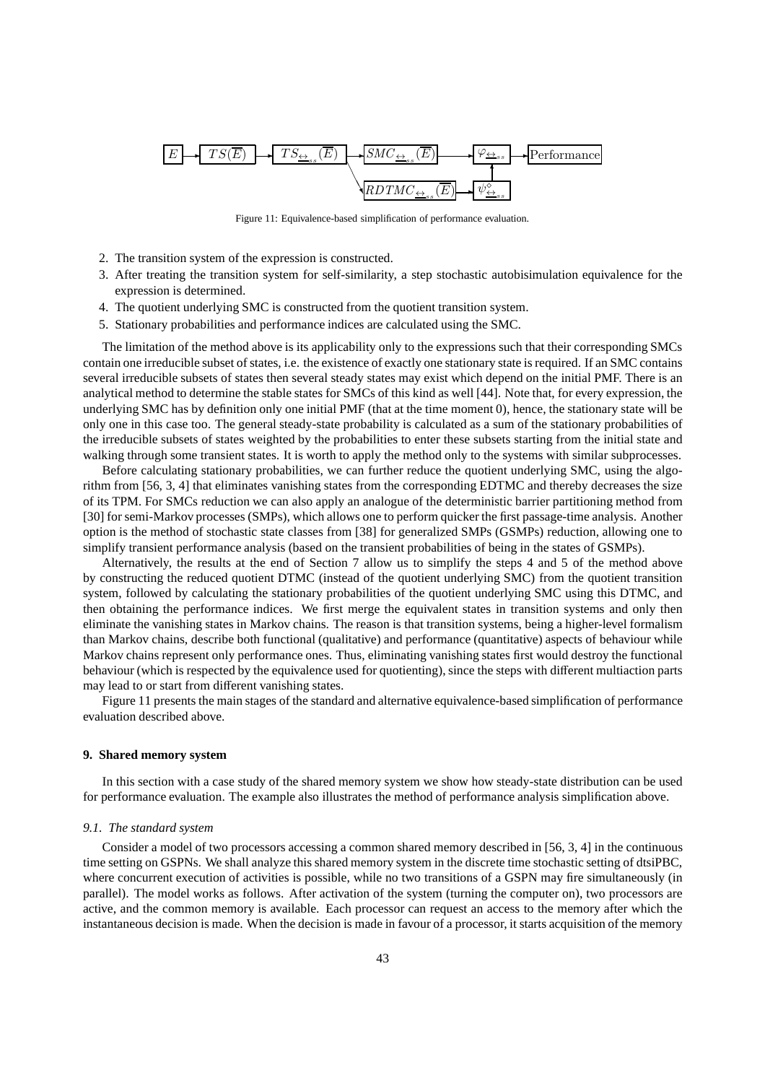

Figure 11: Equivalence-based simplification of performance evaluation.

- 2. The transition system of the expression is constructed.
- 3. After treating the transition system for self-similarity, a step stochastic autobisimulation equivalence for the expression is determined.
- 4. The quotient underlying SMC is constructed from the quotient transition system.
- 5. Stationary probabilities and performance indices are calculated using the SMC.

The limitation of the method above is its applicability only to the expressions such that their corresponding SMCs contain one irreducible subset of states, i.e. the existence of exactly one stationary state is required. If an SMC contains several irreducible subsets of states then several steady states may exist which depend on the initial PMF. There is an analytical method to determine the stable states for SMCs of this kind as well [44]. Note that, for every expression, the underlying SMC has by definition only one initial PMF (that at the time moment 0), hence, the stationary state will be only one in this case too. The general steady-state probability is calculated as a sum of the stationary probabilities of the irreducible subsets of states weighted by the probabilities to enter these subsets starting from the initial state and walking through some transient states. It is worth to apply the method only to the systems with similar subprocesses.

Before calculating stationary probabilities, we can further reduce the quotient underlying SMC, using the algorithm from [56, 3, 4] that eliminates vanishing states from the corresponding EDTMC and thereby decreases the size of its TPM. For SMCs reduction we can also apply an analogue of the deterministic barrier partitioning method from [30] for semi-Markov processes (SMPs), which allows one to perform quicker the first passage-time analysis. Another option is the method of stochastic state classes from [38] for generalized SMPs (GSMPs) reduction, allowing one to simplify transient performance analysis (based on the transient probabilities of being in the states of GSMPs).

Alternatively, the results at the end of Section 7 allow us to simplify the steps 4 and 5 of the method above by constructing the reduced quotient DTMC (instead of the quotient underlying SMC) from the quotient transition system, followed by calculating the stationary probabilities of the quotient underlying SMC using this DTMC, and then obtaining the performance indices. We first merge the equivalent states in transition systems and only then eliminate the vanishing states in Markov chains. The reason is that transition systems, being a higher-level formalism than Markov chains, describe both functional (qualitative) and performance (quantitative) aspects of behaviour while Markov chains represent only performance ones. Thus, eliminating vanishing states first would destroy the functional behaviour (which is respected by the equivalence used for quotienting), since the steps with different multiaction parts may lead to or start from different vanishing states.

Figure 11 presents the main stages of the standard and alternative equivalence-based simplification of performance evaluation described above.

### **9. Shared memory system**

In this section with a case study of the shared memory system we show how steady-state distribution can be used for performance evaluation. The example also illustrates the method of performance analysis simplification above.

#### *9.1. The standard system*

Consider a model of two processors accessing a common shared memory described in [56, 3, 4] in the continuous time setting on GSPNs. We shall analyze this shared memory system in the discrete time stochastic setting of dtsiPBC, where concurrent execution of activities is possible, while no two transitions of a GSPN may fire simultaneously (in parallel). The model works as follows. After activation of the system (turning the computer on), two processors are active, and the common memory is available. Each processor can request an access to the memory after which the instantaneous decision is made. When the decision is made in favour of a processor, it starts acquisition of the memory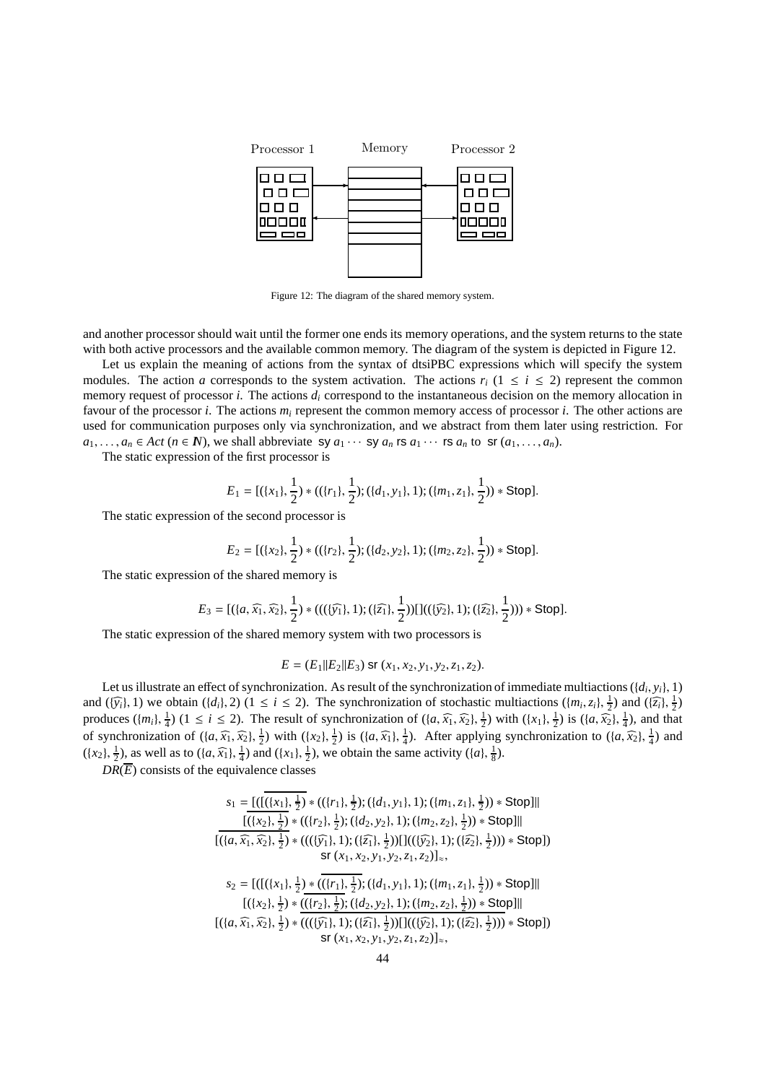

Figure 12: The diagram of the shared memory system.

and another processor should wait until the former one ends its memory operations, and the system returns to the state with both active processors and the available common memory. The diagram of the system is depicted in Figure 12.

Let us explain the meaning of actions from the syntax of dtsiPBC expressions which will specify the system modules. The action *a* corresponds to the system activation. The actions  $r_i$  ( $1 \le i \le 2$ ) represent the common memory request of processor *i*. The actions *d<sup>i</sup>* correspond to the instantaneous decision on the memory allocation in favour of the processor *i*. The actions *m<sup>i</sup>* represent the common memory access of processor *i*. The other actions are used for communication purposes only via synchronization, and we abstract from them later using restriction. For  $a_1, \ldots, a_n \in \text{Act} \ (n \in \mathbb{N})$ , we shall abbreviate sy  $a_1 \cdots$  sy  $a_n$  rs  $a_1 \cdots$  rs  $a_n$  to sr  $(a_1, \ldots, a_n)$ .

The static expression of the first processor is

$$
E_1 = [(\{x_1\}, \frac{1}{2}) * ((\{r_1\}, \frac{1}{2}); (\{d_1, y_1\}, 1); (\{m_1, z_1\}, \frac{1}{2})) * Stop].
$$

The static expression of the second processor is

$$
E_2 = [(\{x_2\}, \frac{1}{2}) * ((\{r_2\}, \frac{1}{2}); (\{d_2, y_2\}, 1); (\{m_2, z_2\}, \frac{1}{2})) * \text{Stop}].
$$

The static expression of the shared memory is

$$
E_3 = [(\{a, \widehat{x_1}, \widehat{x_2}\}, \frac{1}{2}) * (((\{\widehat{y_1}\}, 1); (\{\widehat{z_1}\}, \frac{1}{2}))[]((\{\widehat{y_2}\}, 1); (\{\widehat{z_2}\}, \frac{1}{2}))) * Stop].
$$

The static expression of the shared memory system with two processors is

$$
E = (E_1||E_2||E_3) \text{ sr } (x_1, x_2, y_1, y_2, z_1, z_2).
$$

Let us illustrate an effect of synchronization. As result of the synchronization of immediate multiactions ({*d<sup>i</sup>* , *yi*}, 1) and  $(\{\hat{y}_i\}, 1)$  we obtain  $(\{d_i\}, 2)$  ( $1 \le i \le 2$ ). The synchronization of stochastic multiactions  $(\{m_i, z_i\}, \frac{1}{2})$  and  $(\{\hat{z}_i\}, \frac{1}{2})$ produces  $({m_i}, \frac{1}{4})$  ( $1 \le i \le 2$ ). The result of synchronization of  $({a}, \widehat{x_1}, \widehat{x_2}, \frac{1}{2})$  with  $({x_1}, \frac{1}{2})$  is  $({a}, \widehat{x_2}, \frac{1}{4})$ , and that of synchronization of  $(\lbrace a, \widehat{x_1}, \widehat{x_2} \rbrace, \frac{1}{2})$  with  $(\lbrace x_2 \rbrace, \frac{1}{2})$  is  $(\lbrace a, \widehat{x_1} \rbrace, \frac{1}{4})$ . After applying synchronization to  $(\lbrace a, \widehat{x_2} \rbrace, \frac{1}{4})$  and  $(\lbrace x_2 \rbrace, \frac{1}{2})$ , as well as to  $(\lbrace a, \widehat{x_1} \rbrace, \frac{1}{4})$  and  $(\lbrace x_1 \rbrace, \frac{1}{2})$ , we obtain the same activity  $(\lbrace a \rbrace, \frac{1}{8})$ .

 $DR(\overline{E})$  consists of the equivalence classes

$$
s_1 = \frac{\left(\left(\left(\{x_1\}, \frac{1}{2}\right) * ((\{r_1\}, \frac{1}{2}); (\{d_1, y_1\}, 1); (\{m_1, z_1\}, \frac{1}{2})) * \text{Stop}\right)\right)}{\left[\left(\left\{x_2\}, \frac{1}{2}\right) * ((\{r_2\}, \frac{1}{2}); ((d_2, y_2), 1); (\{m_2, z_2\}, \frac{1}{2})) * \text{Stop}\right]\right|}
$$
\n
$$
\left[\left(\left\{a, \widehat{x_1}, \widehat{x_2}\}, \frac{1}{2}\right) * (((\widehat{y_1}), 1); (\widehat{z_1}, \frac{1}{2})) \right] \left[\left(\left\{\hat{y_2}\}, 1\right); (\widehat{z_2}, \frac{1}{2}))\right) * \text{Stop}\right]\right]
$$
\n
$$
s_2 = \left[\left(\left[\left(\{x_1\}, \frac{1}{2}\right) * \frac{\left(\left\{\{r_1\}, \frac{1}{2}\right\}; (\{d_1, y_1\}, 1); (\{m_1, z_1\}, \frac{1}{2})) * \text{Stop}\right\}\right]\right]
$$
\n
$$
\left[\left(\left\{x_2\}, \frac{1}{2}\right) * \frac{\left(\left\{\{r_1\}, \frac{1}{2}\right\}; (\{d_1, y_1\}, 1); (\{m_1, z_1\}, \frac{1}{2})) * \text{Stop}\right\}\right]\right]
$$
\n
$$
\left[\left(\left\{x_2\}, \frac{1}{2}\right) * \frac{\left(\left\{\{r_2\}, \frac{1}{2}\right\}; (\{d_2, y_2\}, 1); (\{m_2, z_2\}, \frac{1}{2})) * \text{Stop}\right\}\right]
$$
\n
$$
\left[\left(\left\{a, \widehat{x_1}, \widehat{x_2}\}, \frac{1}{2}\right) * \frac{\left(\left(\left\{\{r_1\}, \frac{1}{2}\right\}; (\{d_2, y_2\}, 1); (\{m_2, z_2\}, \frac{1}{2}))\right) * \text{Stop}\right]\right|
$$
\n
$$
s_1(x_1, x_2, y_1, y_2, z_1, z_2)\right]_{\approx},
$$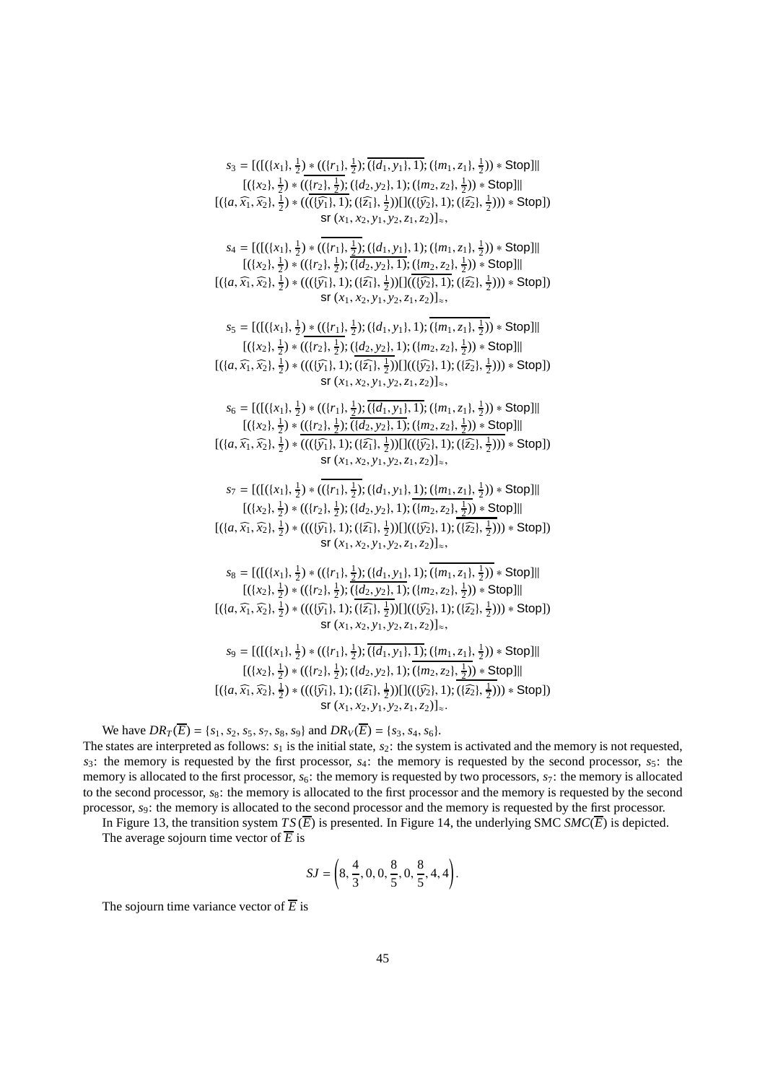$s_3 = [([((x_1), \frac{1}{2}) * (({r_1}, \frac{1}{2}) ; ((d_1, y_1), 1); ((m_1, z_1), \frac{1}{2})) * Stop]]$  $[(\{x_2\}, \frac{1}{2}) * ((\{r_2\}, \frac{1}{2}) ; (\{d_2, y_2\}, 1) ; (\{m_2, z_2\}, \frac{1}{2})) * \text{Stop}]]$  $[({a, \widehat{x_1}, \widehat{x_2}}, \frac{1}{2}) * ((\overline{(\widehat{y_1}, 1)}; (\overline{z_1}, \frac{1}{2}))][((\overline{\widehat{y_2}}, 1); (\overline{z_2}, \frac{1}{2}))) * Stop])$  $\mathsf{sr}(x_1, x_2, y_1, y_2, z_1, z_2)]_{\approx}$ ,  $s_4 = [([((x_1), \frac{1}{2}) * (({r_1}, \frac{1}{2}); ((d_1, y_1), 1); ((m_1, z_1), \frac{1}{2})) * Stop]]$  $[(\{x_2\}, \frac{1}{2}) * ((\{r_2\}, \frac{1}{2}); \overline{(\{d_2, y_2\}, 1)}; \underline{(\{m_2, z_2\}, \frac{1}{2})}) * \text{Stop}]]$  $[({a, \widehat{x_1}, \widehat{x_2}}, \frac{1}{2}) * (((\widehat{\{y_1\}}, 1); (\widehat{\{z_1\}}, \frac{1}{2}))\prod(\overline{\{\{y_2\}}, 1); (\{\overline{z_2}\}, \frac{1}{2}))) * Stop])$  $sr(x_1, x_2, y_1, y_2, z_1, z_2)]_{\approx}$ ,  $s_5 = [([((x_1), \frac{1}{2}) * (({r_1}, \frac{1}{2}); ((d_1, y_1), 1); ((m_1, z_1), \frac{1}{2})) * Stop]]$  $[(\{x_2\}, \frac{1}{2}) * ((\{r_2\}, \frac{1}{2}); (\{\{d_2, y_2\}, 1); (\{m_2, z_2\}, \frac{1}{2})) * Stop]]$  $[({a, \widehat{x_1}, \widehat{x_2}}, \frac{1}{2}) * (((\widehat{y_1}, 1); (\widehat{z_1}, \frac{1}{2}))][((\widehat{y_2}, 1); (\widehat{z_2}, \frac{1}{2}))) * Stop])$  $\mathbf{S} \mathbf{r}$  (*x*<sub>1</sub>, *x*<sub>2</sub>, *y*<sub>1</sub>, *y*<sub>2</sub>, *z*<sub>1</sub>, *z*<sub>2</sub>)]<sub>≈</sub>,  $s_6 = [([((x_1), \frac{1}{2}) * ((r_1), \frac{1}{2}); \overline{((d_1, y_1)}, 1); ((m_1, z_1), \frac{1}{2})) * \text{Stop}]]$  $[(\{x_2\}, \frac{1}{2}) * ((\{r_2\}, \frac{1}{2}); \overline{(\{d_2, y_2\}, 1)}; (\{m_2, z_2\}, \frac{1}{2})) * Stop]]$  $[({a, \widehat{x_1}, \widehat{x_2}}, \frac{1}{2}) * (((\widehat{y_1}, 1); (\widehat{z_1}, \frac{1}{2}))][((\widehat{y_2}, 1); (\widehat{z_2}, \frac{1}{2}))) * Stop])$  $\mathsf{S} \mathsf{r}(x_1, x_2, y_1, y_2, z_1, z_2)|_{\approx}$ ,  $s_7 = [([((x_1), \frac{1}{2}) * (({r_1}, \frac{1}{2}); ((d_1, y_1), \frac{1}{2}); ((m_1, z_1), \frac{1}{2})) * Stop]]$  $[(\{x_2\}, \frac{1}{2}) * ((\{r_2\}, \frac{1}{2}); (\{d_2, y_2\}, 1); (\{m_2, z_2\}, \frac{1}{2})) * \text{Stop}]]$  $[({a, \widehat{x_1}, \widehat{x_2}}, \frac{1}{2}) * (((\widehat{y_1}, 1); (\widehat{z_1}, \frac{1}{2}))][((\widehat{y_2}, 1); (\widehat{z_2}, \frac{1}{2}))) * Stop])$  $\mathsf{sr}(x_1, x_2, y_1, y_2, z_1, z_2)]_{\approx}$ ,  $s_8 = [([((x_1), \frac{1}{2}) * (({r_1}, \frac{1}{2}); ((d_1, y_1), 1); ((m_1, z_1), \frac{1}{2})) * Stop]]$  $[(\{x_2\}, \frac{1}{2}) * ((\{r_2\}, \frac{1}{2}); \overline{(\{d_2, y_2\}, 1)}; (\{m_2, z_2\}, \frac{1}{2})) * \text{Stop}]]$  $[({a, \widehat{x_1}, \widehat{x_2}}, \frac{1}{2}) * (((\widehat{y_1}, 1); (\widehat{z_1}, \frac{1}{2}))][((\widehat{y_2}, 1); (\widehat{z_2}, \frac{1}{2}))) * Stop])$  $\mathsf{sr}(x_1, x_2, y_1, y_2, z_1, z_2)]_{\approx}$ ,  $s_9 = [([((x_1), \frac{1}{2}) * (({r_1}, \frac{1}{2}); \overline{((d_1, y_1)}, \overline{1}); ((m_1, z_1), \frac{1}{2})) * Stop]]$  $[(\{x_2\}, \frac{1}{2}) * ((\{r_2\}, \frac{1}{2}); (\{d_2, y_2\}, 1); (\{m_2, z_2\}, \frac{1}{2})) * Stop]]$  $[({a, \widehat{x_1}, \widehat{x_2}}, \frac{1}{2}) * (((\widehat{y_1}, 1); (\widehat{z_1}, \frac{1}{2}))][((\widehat{y_2}, 1); (\widehat{z_2}, \frac{1}{2}))) * Stop])$  $\mathbf{S} \mathbf{r}$   $(x_1, x_2, y_1, y_2, z_1, z_2)] \approx$ .

We have  $DR_T(\overline{E}) = \{s_1, s_2, s_5, s_7, s_8, s_9\}$  and  $DR_V(\overline{E}) = \{s_3, s_4, s_6\}.$ The states are interpreted as follows:  $s_1$  is the initial state,  $s_2$ : the system is activated and the memory is not requested,  $s_3$ : the memory is requested by the first processor,  $s_4$ : the memory is requested by the second processor,  $s_5$ : the memory is allocated to the first processor, *s*6: the memory is requested by two processors, *s*7: the memory is allocated to the second processor,  $s_8$ : the memory is allocated to the first processor and the memory is requested by the second

processor, *s*9: the memory is allocated to the second processor and the memory is requested by the first processor. In Figure 13, the transition system  $TS(\overline{E})$  is presented. In Figure 14, the underlying SMC  $SMC(\overline{E})$  is depicted. The average sojourn time vector of  $\overline{E}$  is

$$
SJ = \left(8, \frac{4}{3}, 0, 0, \frac{8}{5}, 0, \frac{8}{5}, 4, 4\right).
$$

The sojourn time variance vector of  $\overline{E}$  is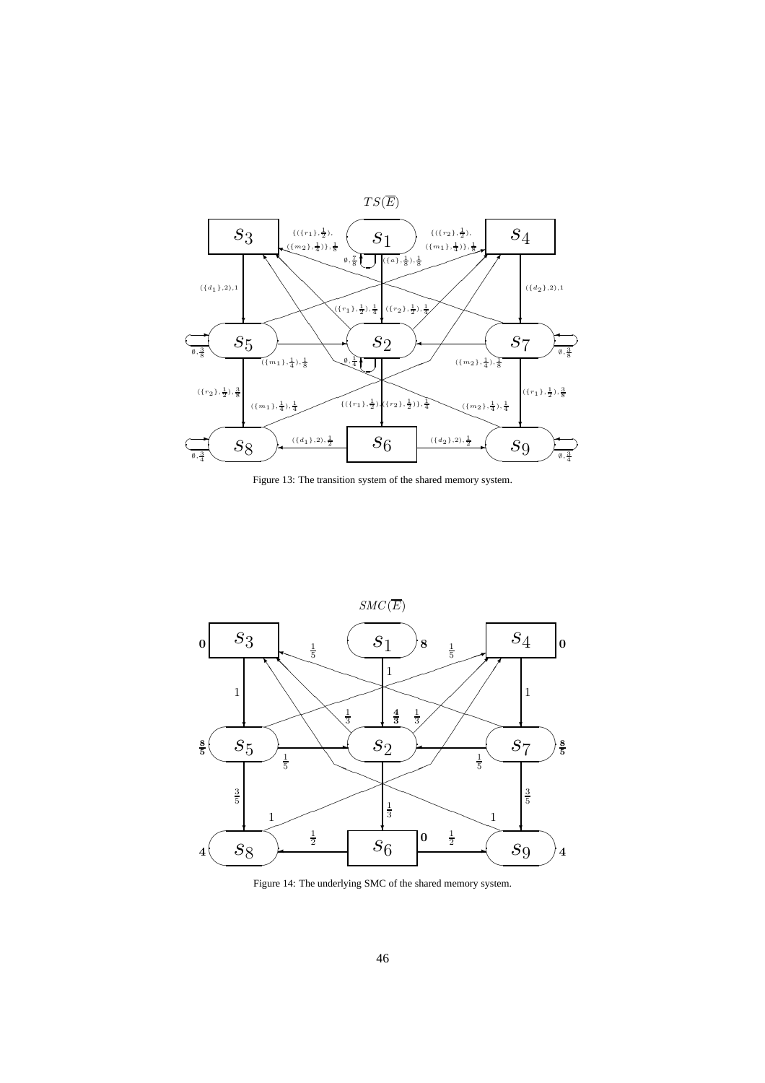

Figure 13: The transition system of the shared memory system.



Figure 14: The underlying SMC of the shared memory system.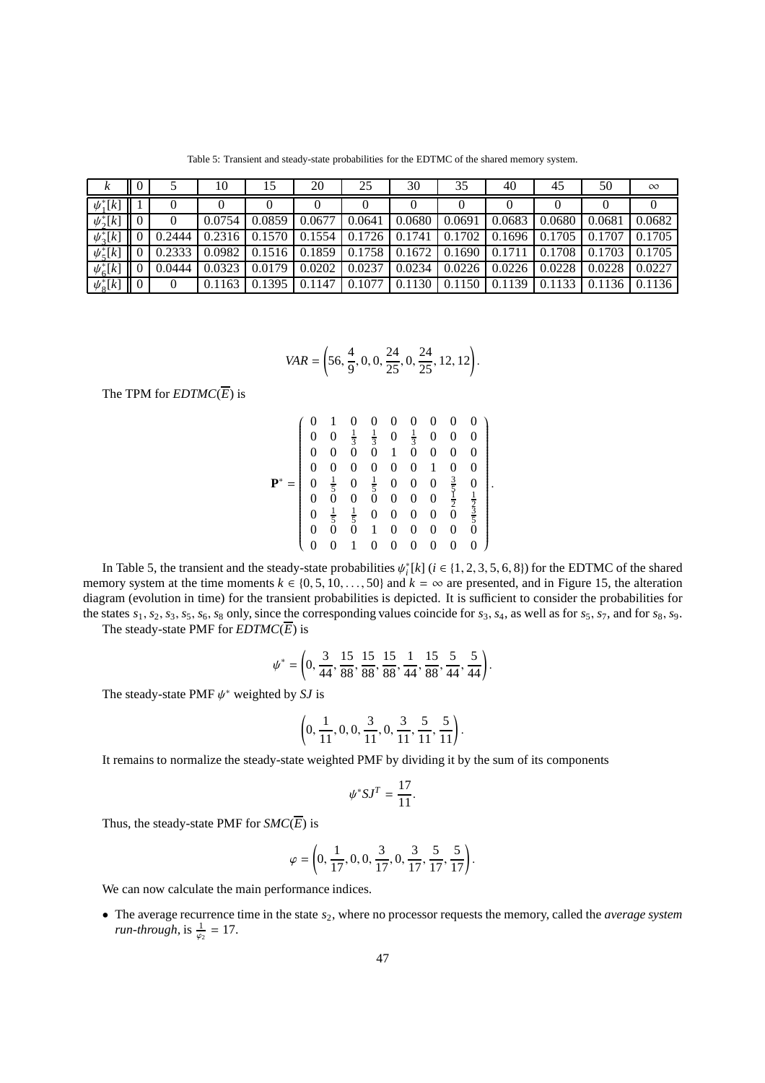Table 5: Transient and steady-state probabilities for the EDTMC of the shared memory system.

| κ                   | v                   |        | 10     |        | 20     | 25     | 30     | 35     | 40     | 45     | 50     | $\infty$ |
|---------------------|---------------------|--------|--------|--------|--------|--------|--------|--------|--------|--------|--------|----------|
| $\psi_1^*[k]$       |                     |        |        |        |        | O      | U      |        |        |        |        |          |
| $\psi_2^*[k]$       |                     |        | 0.0754 | 0.0859 | 0.0677 | 0.0641 | 0.0680 | 0.0691 | 0.0683 | 0.0680 | 0.0681 | 0.0682   |
| $\psi_3^*[k]$       |                     | 0.2444 | 0.2316 | 0.1570 | 0.1554 | 0.1726 | 0.1741 | 0.1702 | 0.1696 | 0.1705 | 0.1707 | 0.1705   |
| $\psi_{\zeta}^*[k]$ |                     | 0.2333 | 0.0982 | 0.1516 | 0.1859 | 0.1758 | 0.1672 | 0.1690 | 0.1711 | 0.1708 | 0.1703 | 0.1705   |
| $\psi_6^*[k]$       |                     | 0.0444 | 0.0323 | 0.0179 | 0.0202 | 0.0237 | 0.0234 | 0.0226 | 0.0226 | 0.0228 | 0.0228 | 0.0227   |
| $\psi_{8}^*[k]$     | $\overline{0}$<br>Ш |        | 0.1163 | 0.1395 | 0.1147 | 0.1077 | 0.1130 | 0.1150 | 0.1139 | 0.1133 | 0.1136 | 0.1136   |

$$
VAR = \left(56, \frac{4}{9}, 0, 0, \frac{24}{25}, 0, \frac{24}{25}, 12, 12\right).
$$

The TPM for  $EDTMC(\overline{E})$  is

| 0              |                 | 0              | 0                          | 0                | 0              | 0                | 0                           | 0                                                                     |
|----------------|-----------------|----------------|----------------------------|------------------|----------------|------------------|-----------------------------|-----------------------------------------------------------------------|
| 0              | $\overline{0}$  | $\frac{1}{3}$  | $\frac{1}{3}$              | $\boldsymbol{0}$ | $\frac{1}{3}$  | $\overline{0}$   | $\overline{0}$              | $\overline{0}$                                                        |
| 0              | 0               |                |                            | 1                |                | $\overline{0}$   | 0                           | 0                                                                     |
| $\overline{0}$ | 0               | 0              | 0                          | 0                | 0              | 1                | 0                           | 0                                                                     |
| 0              | $\frac{1}{5}$ 0 | $\overline{0}$ | $\frac{1}{5}$ <sup>0</sup> | $\boldsymbol{0}$ | $\overline{0}$ | $\boldsymbol{0}$ | $\frac{3}{5}$ $\frac{1}{2}$ | $\boldsymbol{0}$                                                      |
| 0              |                 | $\overline{0}$ |                            | 0                | 0              | $\boldsymbol{0}$ |                             |                                                                       |
| 0              | $\frac{1}{5}$   | $\frac{1}{5}$  | $\overline{0}$             | 0                | 0              | $\boldsymbol{0}$ | $\bar{0}$                   | $\frac{1}{2}$ $\frac{1}{5}$ $\frac{1}{5}$ $\frac{1}{5}$ $\frac{1}{5}$ |
| 0              | ŏ               | $\overline{0}$ | 1                          | 0                | 0              | $\boldsymbol{0}$ | 0                           |                                                                       |
| 0              | 0               |                | 0                          | 0                | 0              | 0                | 0                           | $\overline{0}$                                                        |

.

In Table 5, the transient and the steady-state probabilities  $\psi_i^*[k]$  ( $i \in \{1, 2, 3, 5, 6, 8\}$ ) for the EDTMC of the shared memory system at the time moments  $k \in \{0, 5, 10, \ldots, 50\}$  and  $k = \infty$  are presented, and in Figure 15, the alteration diagram (evolution in time) for the transient probabilities is depicted. It is sufficient to consider the probabilities for the states *s*1, *s*2, *s*3, *s*5, *s*6, *s*<sup>8</sup> only, since the corresponding values coincide for *s*3, *s*4, as well as for *s*5, *s*7, and for *s*8, *s*9. The steady-state PMF for  $EDTMC(\overline{E})$  is

$$
\psi^* = \left(0, \frac{3}{44}, \frac{15}{88}, \frac{15}{88}, \frac{15}{88}, \frac{1}{44}, \frac{15}{88}, \frac{5}{44}, \frac{5}{44}\right).
$$

The steady-state PMF  $\psi^*$  weighted by *SJ* is

$$
\left(0, \frac{1}{11}, 0, 0, \frac{3}{11}, 0, \frac{3}{11}, \frac{5}{11}, \frac{5}{11}\right).
$$

It remains to normalize the steady-state weighted PMF by dividing it by the sum of its components

$$
\psi^* S J^T = \frac{17}{11}.
$$

Thus, the steady-state PMF for  $SMC(\overline{E})$  is

$$
\varphi = \left(0, \frac{1}{17}, 0, 0, \frac{3}{17}, 0, \frac{3}{17}, \frac{5}{17}, \frac{5}{17}\right).
$$

We can now calculate the main performance indices.

• The average recurrence time in the state *s*2, where no processor requests the memory, called the *average system run-through*, is  $\frac{1}{\varphi_2} = 17$ .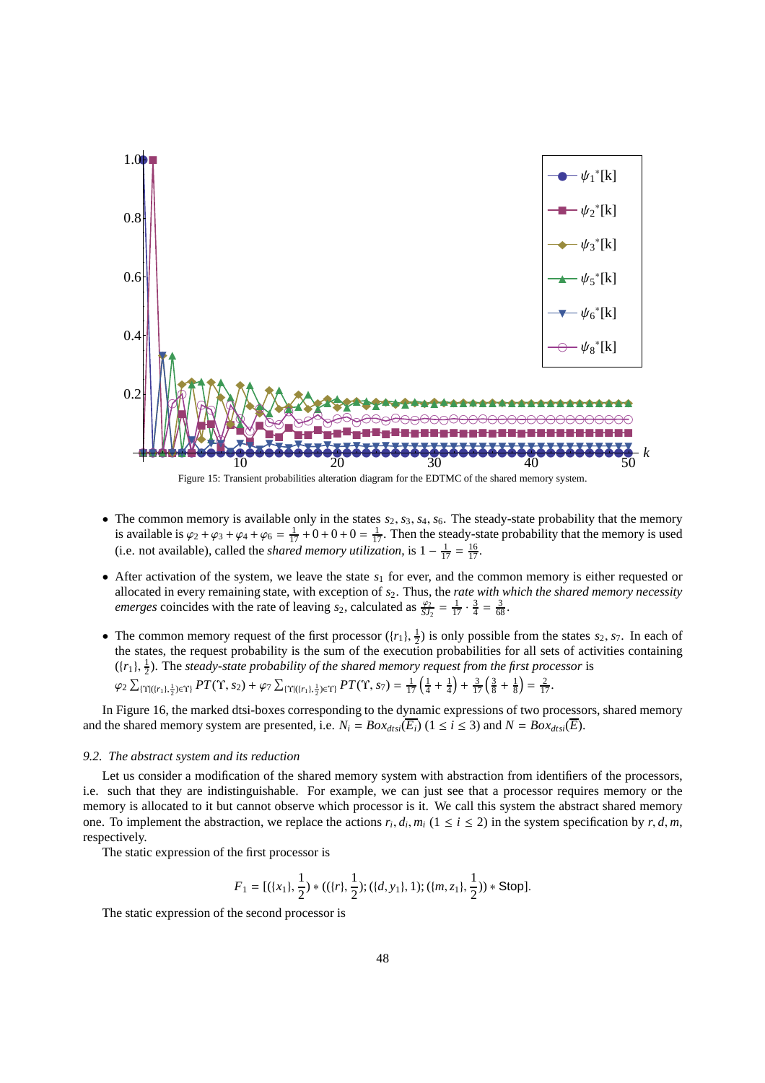

Figure 15: Transient probabilities alteration diagram for the EDTMC of the shared memory system.

- The common memory is available only in the states  $s_2$ ,  $s_3$ ,  $s_4$ ,  $s_6$ . The steady-state probability that the memory is available is  $\varphi_2 + \varphi_3 + \varphi_4 + \varphi_6 = \frac{1}{17} + 0 + 0 + 0 = \frac{1}{17}$ . Then the steady-state probability that the memory is used (i.e. not available), called the *shared memory utilization*, is  $1 - \frac{1}{17} = \frac{16}{17}$ .
- After activation of the system, we leave the state  $s_1$  for ever, and the common memory is either requested or allocated in every remaining state, with exception of *s*2. Thus, the *rate with which the shared memory necessity emerges* coincides with the rate of leaving *s*<sub>2</sub>, calculated as  $\frac{\varphi_2}{SJ_2} = \frac{1}{17} \cdot \frac{3}{4} = \frac{3}{68}$ .
- The common memory request of the first processor  $({r_1}, \frac{1}{2})$  is only possible from the states *s*<sub>2</sub>, *s*<sub>7</sub>. In each of the states, the request probability is the sum of the execution probabilities for all sets of activities containing  $(\{r_1\}, \frac{1}{2})$ . The *steady-state probability of the shared memory request from the first processor* is  $\varphi_2 \sum_{\{ \Upsilon | ( \{r_1 \}, \frac{1}{2}) \in \Upsilon \}} PT(\Upsilon, s_2) + \varphi_7 \sum_{\{ \Upsilon | ( \{r_1 \}, \frac{1}{2}) \in \Upsilon \}} PT(\Upsilon, s_7) = \frac{1}{17} \left( \frac{1}{4} + \frac{1}{4} \right) + \frac{3}{17} \left( \frac{3}{8} + \frac{1}{8} \right) = \frac{2}{17}.$

In Figure 16, the marked dtsi-boxes corresponding to the dynamic expressions of two processors, shared memory and the shared memory system are presented, i.e.  $N_i = Box_{dtsi}(\overline{E_i})$  ( $1 \le i \le 3$ ) and  $N = Box_{dtsi}(\overline{E_i})$ .

#### *9.2. The abstract system and its reduction*

Let us consider a modification of the shared memory system with abstraction from identifiers of the processors, i.e. such that they are indistinguishable. For example, we can just see that a processor requires memory or the memory is allocated to it but cannot observe which processor is it. We call this system the abstract shared memory one. To implement the abstraction, we replace the actions  $r_i$ ,  $d_i$ ,  $m_i$  ( $1 \le i \le 2$ ) in the system specification by  $r$ ,  $d$ ,  $m$ , respectively.

The static expression of the first processor is

$$
F_1 = [(\{x_1\}, \frac{1}{2}) * ((\{r\}, \frac{1}{2}); (\{d, y_1\}, 1); (\{m, z_1\}, \frac{1}{2})) * \text{Stop}].
$$

The static expression of the second processor is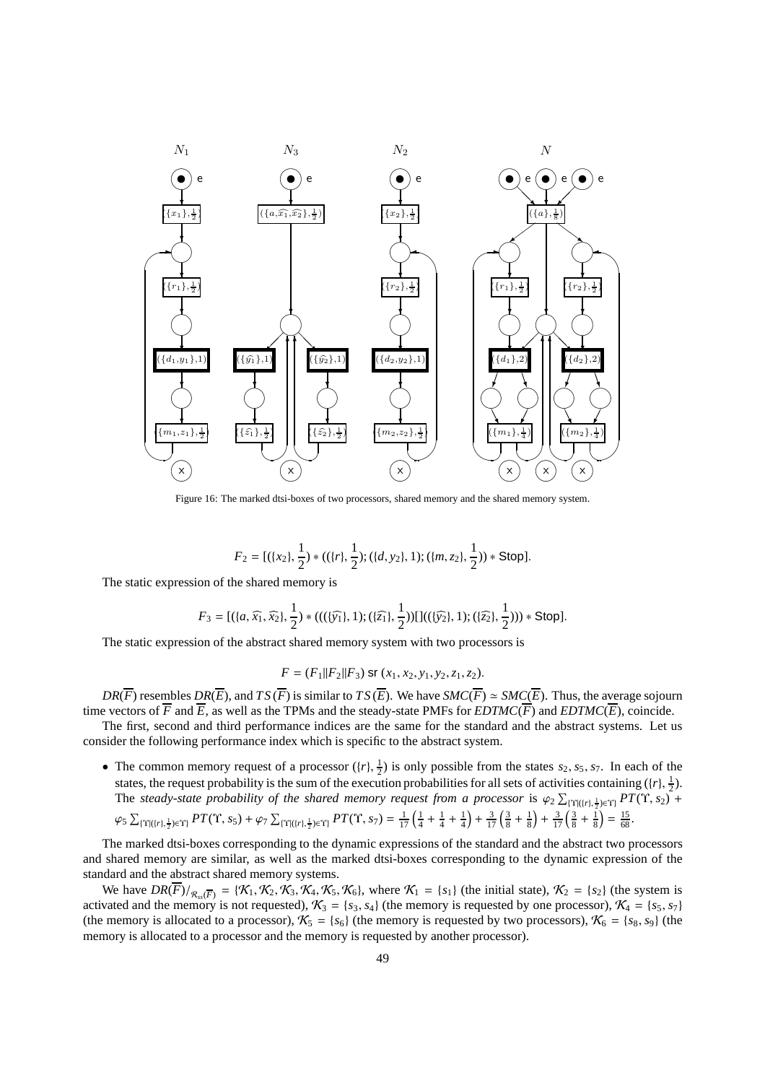

Figure 16: The marked dtsi-boxes of two processors, shared memory and the shared memory system.

$$
F_2 = [(\{x_2\}, \frac{1}{2}) * ((\{r\}, \frac{1}{2}); (\{d, y_2\}, 1); (\{m, z_2\}, \frac{1}{2})) * \text{Stop}].
$$

The static expression of the shared memory is

$$
F_3 = [(\{a, \widehat{x_1}, \widehat{x_2}\}, \frac{1}{2}) * (((\{\widehat{y_1}\}, 1); (\{\widehat{z_1}\}, \frac{1}{2}))[]((\{\widehat{y_2}\}, 1); (\{\widehat{z_2}\}, \frac{1}{2}))) * Stop].
$$

The static expression of the abstract shared memory system with two processors is

$$
F = (F_1||F_2||F_3) \text{ sr } (x_1, x_2, y_1, y_2, z_1, z_2).
$$

*DR*( $\overline{F}$ ) resembles *DR*( $\overline{E}$ ), and *TS* ( $\overline{F}$ ) is similar to *TS* ( $\overline{E}$ ). We have *SMC*( $\overline{F}$ )  $\simeq$  *SMC*( $\overline{E}$ ). Thus, the average sojourn time vectors of  $\overline{F}$  and  $\overline{E}$ , as well as the TPMs and the steady-state PMFs for *EDTMC*( $\overline{F}$ ) and *EDTMC*( $\overline{E}$ ), coincide.

The first, second and third performance indices are the same for the standard and the abstract systems. Let us consider the following performance index which is specific to the abstract system.

• The common memory request of a processor  $({r}, \frac{1}{2})$  is only possible from the states  $s_2, s_5, s_7$ . In each of the states, the request probability is the sum of the execution probabilities for all sets of activities containing  $(\{r\}, \frac{1}{2})$ . The *steady-state probability of the shared memory request from a processor* is  $\varphi_2 \sum_{\{Y | (i r), \frac{1}{2} \in Y\}} PT(Y, s_2)$  +

$$
\varphi_5 \sum_{\{\Upsilon | (r), \frac{1}{2} \in \Upsilon\}} PT(\Upsilon, s_5) + \varphi_7 \sum_{\{\Upsilon | (r), \frac{1}{2} \in \Upsilon\}} PT(\Upsilon, s_7) = \frac{1}{17} \left( \frac{1}{4} + \frac{1}{4} + \frac{1}{4} \right) + \frac{3}{17} \left( \frac{3}{8} + \frac{1}{8} \right) + \frac{3}{17} \left( \frac{3}{8} + \frac{1}{8} \right) = \frac{15}{68}.
$$

The marked dtsi-boxes corresponding to the dynamic expressions of the standard and the abstract two processors and shared memory are similar, as well as the marked dtsi-boxes corresponding to the dynamic expression of the standard and the abstract shared memory systems.

We have  $DR(\overline{F})/_{R_{s}(\overline{F})} = {\mathcal{K}_1, \mathcal{K}_2, \mathcal{K}_3, \mathcal{K}_4, \mathcal{K}_5, \mathcal{K}_6}$ , where  $\mathcal{K}_1 = {s_1}$  (the initial state),  $\mathcal{K}_2 = {s_2}$  (the system is activated and the memory is not requested),  $\mathcal{K}_3 = \{s_3, s_4\}$  (the memory is requested by one processor),  $\mathcal{K}_4 = \{s_5, s_7\}$ (the memory is allocated to a processor),  $K_5 = {s_6}$  (the memory is requested by two processors),  $K_6 = {s_8, s_9}$  (the memory is allocated to a processor and the memory is requested by another processor).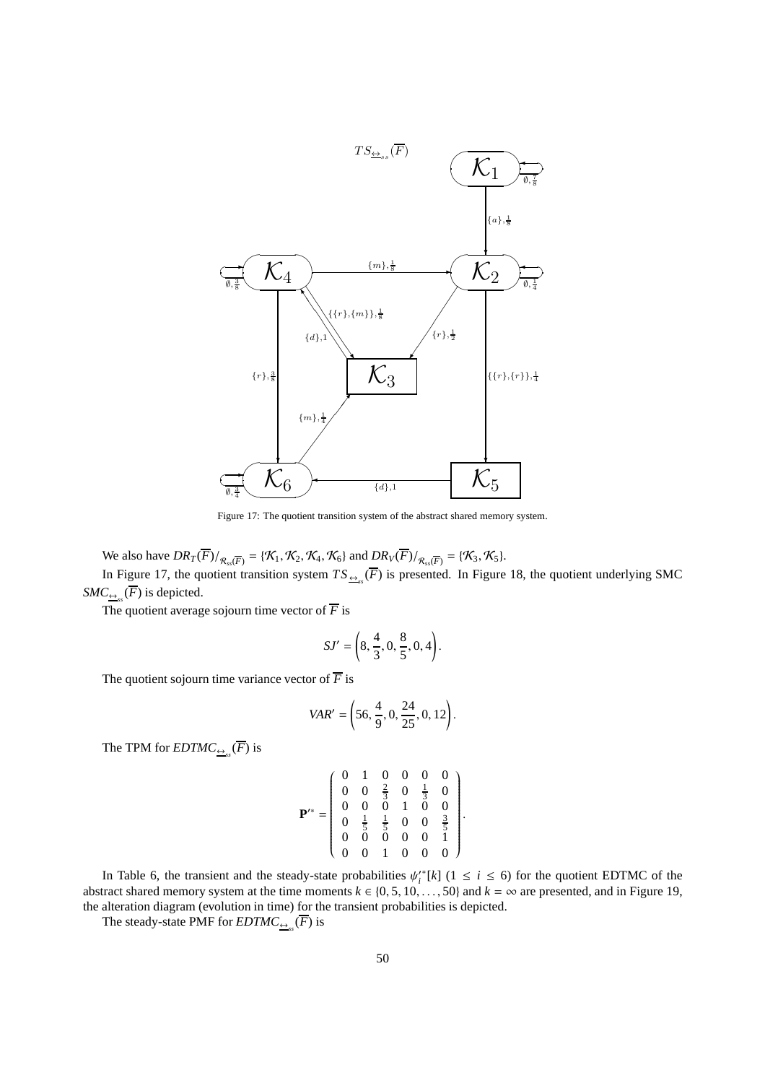

Figure 17: The quotient transition system of the abstract shared memory system.

We also have  $DR_T(\overline{F})/_{\mathcal{R}_{ss}(\overline{F})} = {\mathcal{K}_1, \mathcal{K}_2, \mathcal{K}_4, \mathcal{K}_6}$  and  $DR_V(\overline{F})/_{\mathcal{R}_{ss}(\overline{F})} = {\mathcal{K}_3, \mathcal{K}_5}.$ 

In Figure 17, the quotient transition system  $TS_{\frac{\omega s}{n}}(F)$  is presented. In Figure 18, the quotient underlying SMC  $SMC_{\underbrace{\leftrightarrow}_{ss}}(F)$  is depicted.

The quotient average sojourn time vector of  $\overline{F}$  is

$$
SJ' = \left(8, \frac{4}{3}, 0, \frac{8}{5}, 0, 4\right).
$$

The quotient sojourn time variance vector of  $\overline{F}$  is

$$
VAR' = \left(56, \frac{4}{9}, 0, \frac{24}{25}, 0, 12\right).
$$

The TPM for  $EDTMC_{\underline{\leftrightarrow}_{ss}}(F)$  is

$$
\mathbf{P}^{**} = \left(\begin{array}{cccccc} 0 & 1 & 0 & 0 & 0 & 0 \\ 0 & 0 & \frac{2}{3} & 0 & \frac{1}{3} & 0 \\ 0 & 0 & 0 & 1 & 0 & 0 \\ 0 & \frac{1}{5} & \frac{1}{5} & 0 & 0 & \frac{3}{5} \\ 0 & 0 & 0 & 0 & 0 & 1 \\ 0 & 0 & 1 & 0 & 0 & 0 \end{array}\right).
$$

In Table 6, the transient and the steady-state probabilities  $\psi_i^* [k]$  ( $1 \le i \le 6$ ) for the quotient EDTMC of the abstract shared memory system at the time moments  $k \in \{0, 5, 10, \ldots, 50\}$  and  $k = \infty$  are presented, and in Figure 19, the alteration diagram (evolution in time) for the transient probabilities is depicted.

The steady-state PMF for  $EDTMC_{\underline{\leftrightarrow}_{ss}}(F)$  is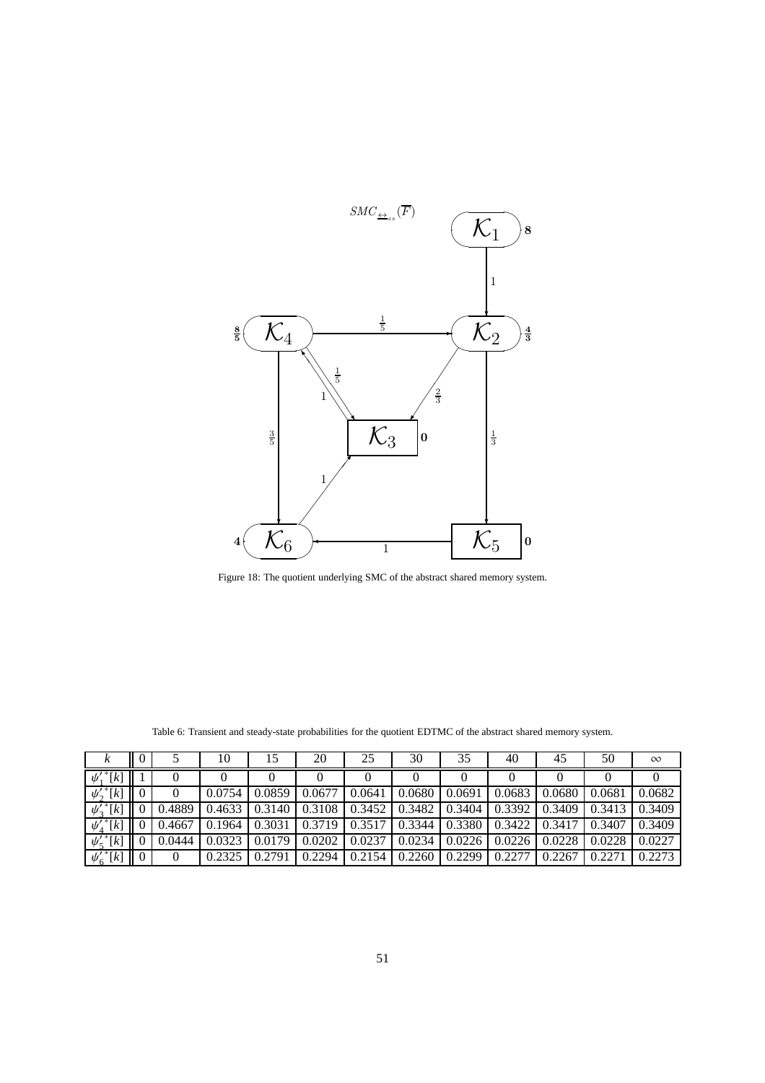

Figure 18: The quotient underlying SMC of the abstract shared memory system.

|                            |        | 10     |        | 20     | 25     | 30     | 35     | 40       | 45     | 50             | $\infty$ |
|----------------------------|--------|--------|--------|--------|--------|--------|--------|----------|--------|----------------|----------|
| $\overline{\psi_1'}^*[k]$  |        |        |        |        |        |        |        | $\theta$ |        |                |          |
| $\psi'_2$ <sup>*</sup> [k] |        | 0.0754 | 0.0859 | 0.0677 | 0.0641 | 0.0680 | 0.0691 | 0.0683   | 0.0680 | 0.0681         | 0.0682   |
| $\overline{\psi_3'}^*[k]$  | 0.4889 | 0.4633 | 0.3140 | 0.3108 | 0.3452 | 0.3482 | 0.3404 | 0.3392   | 0.3409 | 0.3413         | 0.3409   |
| $\overline{\psi'_4}^*[k]$  | 0.4667 | 0.1964 | 0.3031 | 0.3719 | 0.3517 | 0.3344 | 0.3380 | 0.3422   | 0.3417 | 0.3407         | 0.3409   |
| $\overline{\psi'_5}^*[k]$  | 0.0444 | 0.0323 | 0.0179 | 0.0202 | 0.0237 | 0.0234 | 0.0226 | 0.0226   | 0.0228 | 0.0228         | 0.0227   |
| $\overline{\psi'_6}^*[k]$  |        | 0.2325 | 0.2791 | 0.2294 | 0.2154 | 0.2260 | 0.2299 | 0.2277   | 0.2267 | $\sqrt{0.227}$ | 0.2273   |

Table 6: Transient and steady-state probabilities for the quotient EDTMC of the abstract shared memory system.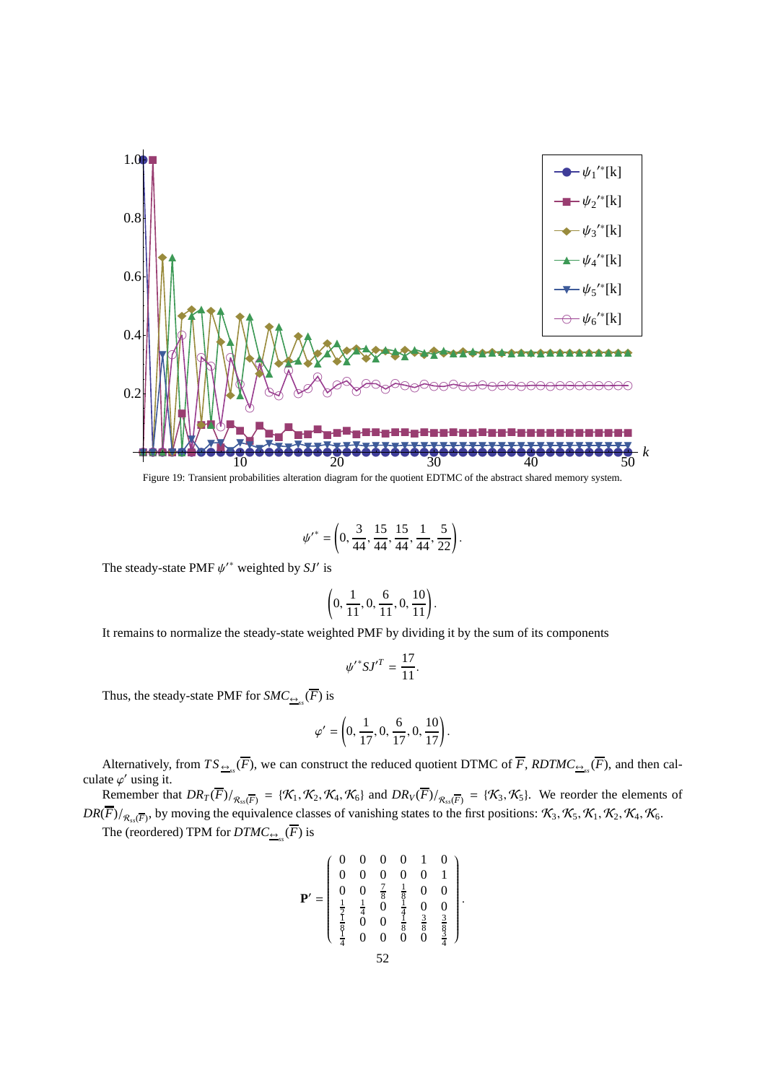

Figure 19: Transient probabilities alteration diagram for the quotient EDTMC of the abstract shared memory system.

$$
{\psi'}^* = \left(0,\frac{3}{44},\frac{15}{44},\frac{15}{44},\frac{1}{44},\frac{5}{22}\right).
$$

The steady-state PMF  $\psi^*$  weighted by SJ' is

$$
\left(0, \frac{1}{11}, 0, \frac{6}{11}, 0, \frac{10}{11}\right).
$$

It remains to normalize the steady-state weighted PMF by dividing it by the sum of its components

$$
\psi'^*SJ'^T=\frac{17}{11}.
$$

Thus, the steady-state PMF for  $SMC_{\frac{\leftrightarrow}{s}}(F)$  is

$$
\varphi' = \left(0, \frac{1}{17}, 0, \frac{6}{17}, 0, \frac{10}{17}\right).
$$

Alternatively, from  $TS_{\frac{\omega s}{n}}(F)$ , we can construct the reduced quotient DTMC of *F*,  $RDTMC_{\frac{\omega s}{n}}(F)$ , and then calculate  $\varphi'$  using it.

Remember that  $DR_T(\overline{F})/_{\mathcal{R}_{ss}(\overline{F})} = {\mathcal{K}_1, \mathcal{K}_2, \mathcal{K}_4, \mathcal{K}_6}$  and  $DR_V(\overline{F})/_{\mathcal{R}_{ss}(\overline{F})} = {\mathcal{K}_3, \mathcal{K}_5}$ . We reorder the elements of  $DR(\overline{F})/_{R_{ss}(\overline{F})}$ , by moving the equivalence classes of vanishing states to the first positions:  $\mathcal{K}_3$ ,  $\mathcal{K}_5$ ,  $\mathcal{K}_1$ ,  $\mathcal{K}_2$ ,  $\mathcal{K}_4$ ,  $\mathcal{K}_6$ .

The (reordered) TPM for  $DTMC_{\frac{\leftrightarrow}{s}}(F)$  is

$$
\mathbf{P}' = \left( \begin{array}{cccccc} 0 & 0 & 0 & 0 & 1 & 0 \\ 0 & 0 & 0 & 0 & 0 & 1 \\ 0 & 0 & \frac{7}{8} & \frac{1}{8} & 0 & 0 \\ \frac{1}{2} & \frac{1}{4} & 0 & \frac{1}{4} & 0 & 0 \\ \frac{1}{8} & 0 & 0 & \frac{1}{8} & \frac{3}{8} & \frac{3}{8} \\ \frac{1}{4} & 0 & 0 & 0 & 0 & \frac{1}{4} \end{array} \right)
$$

.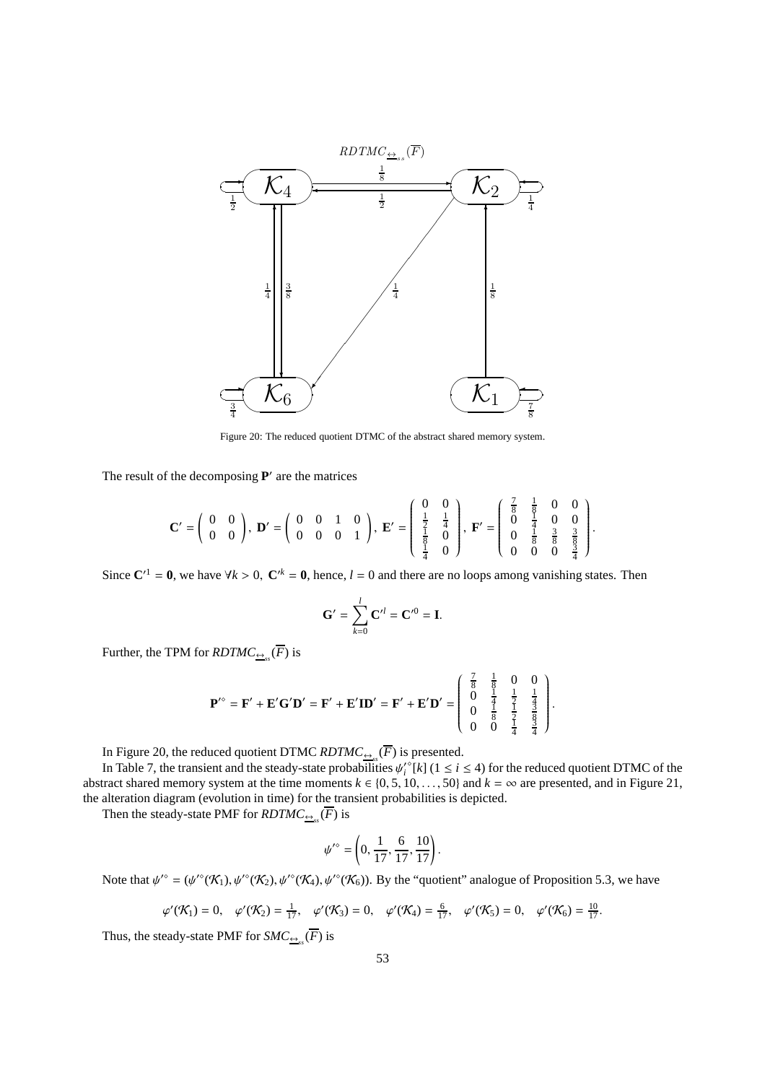

Figure 20: The reduced quotient DTMC of the abstract shared memory system.

The result of the decomposing  $P'$  are the matrices

$$
\mathbf{C}' = \begin{pmatrix} 0 & 0 \\ 0 & 0 \end{pmatrix}, \ \mathbf{D}' = \begin{pmatrix} 0 & 0 & 1 & 0 \\ 0 & 0 & 0 & 1 \end{pmatrix}, \ \mathbf{E}' = \begin{pmatrix} 0 & 0 \\ \frac{1}{2} & \frac{1}{4} \\ \frac{1}{8} & 0 \\ \frac{1}{4} & 0 \end{pmatrix}, \ \mathbf{F}' = \begin{pmatrix} \frac{7}{8} & \frac{1}{8} & 0 & 0 \\ 0 & \frac{1}{4} & 0 & 0 \\ 0 & \frac{1}{8} & \frac{3}{8} & \frac{3}{8} \\ 0 & 0 & 0 & \frac{3}{4} \end{pmatrix}
$$

.

Since  $C'^{1} = 0$ , we have  $\forall k > 0$ ,  $C'^{k} = 0$ , hence,  $l = 0$  and there are no loops among vanishing states. Then

$$
\mathbf{G}' = \sum_{k=0}^{l} \mathbf{C}'^l = \mathbf{C}'^0 = \mathbf{I}.
$$

Further, the TPM for  $\mathit{RDTMC}_{\underline{\leftrightarrow}_{\mathit{ss}}}(F)$  is

$$
\mathbf{P}'^{\circ} = \mathbf{F}' + \mathbf{E}' \mathbf{G}' \mathbf{D}' = \mathbf{F}' + \mathbf{E}' \mathbf{ID}' = \mathbf{F}' + \mathbf{E}' \mathbf{D}' = \begin{pmatrix} \frac{7}{8} & \frac{1}{8} & 0 & 0 \\ 0 & \frac{1}{4} & \frac{1}{2} & \frac{1}{4} \\ 0 & \frac{1}{8} & \frac{1}{2} & \frac{3}{8} \\ 0 & 0 & \frac{1}{4} & \frac{3}{4} \end{pmatrix}.
$$

In Figure 20, the reduced quotient DTMC  $RDTMC_{\frac{\Theta}{\epsilon s}}(F)$  is presented.

In Table 7, the transient and the steady-state probabilities  $\psi_i^{\prime\circ}[k]$  ( $1 \le i \le 4$ ) for the reduced quotient DTMC of the abstract shared memory system at the time moments  $k \in \{0, 5, 10, \ldots, 50\}$  and  $k = \infty$  are presented, and in Figure 21, the alteration diagram (evolution in time) for the transient probabilities is depicted.

Then the steady-state PMF for  $\mathit{RDTMC}_{\underline{\leftrightarrow}_{ss}}(F)$  is

$$
\psi'^{\diamond} = \left(0, \frac{1}{17}, \frac{6}{17}, \frac{10}{17}\right).
$$

Note that  $\psi^{\prime\circ} = (\psi^{\prime\circ}(\mathcal{K}_1), \psi^{\prime\circ}(\mathcal{K}_2), \psi^{\prime\circ}(\mathcal{K}_4), \psi^{\prime\circ}(\mathcal{K}_6))$ . By the "quotient" analogue of Proposition 5.3, we have

$$
\varphi'(\mathcal{K}_1) = 0, \quad \varphi'(\mathcal{K}_2) = \frac{1}{17}, \quad \varphi'(\mathcal{K}_3) = 0, \quad \varphi'(\mathcal{K}_4) = \frac{6}{17}, \quad \varphi'(\mathcal{K}_5) = 0, \quad \varphi'(\mathcal{K}_6) = \frac{10}{17}.
$$

Thus, the steady-state PMF for  $SMC_{\frac{\leftrightarrow}{s}}(F)$  is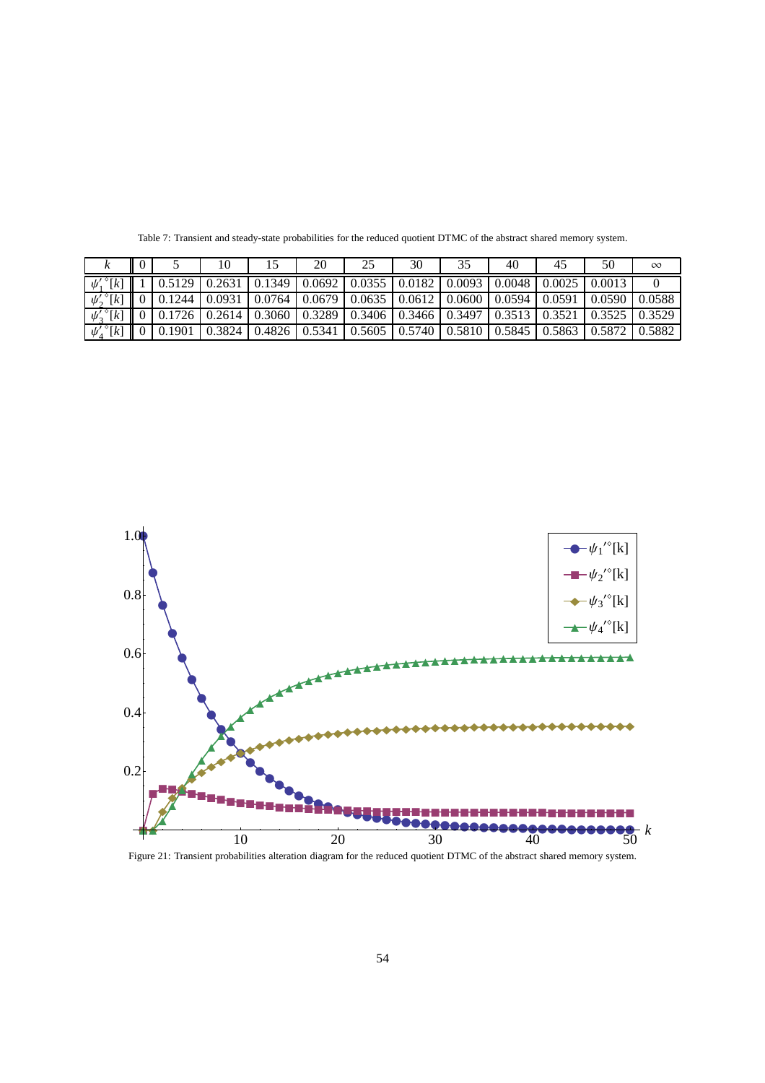|                              |  |                                                                                                                                | 20 | 30 | 40 | 45 | 50 | $\infty$ |
|------------------------------|--|--------------------------------------------------------------------------------------------------------------------------------|----|----|----|----|----|----------|
| $\psi'_i$ <sup>o</sup> [k]   |  | $\mid 0.5129 \mid 0.2631 \mid 0.1349 \mid 0.0692 \mid 0.0355 \mid 0.0182 \mid 0.0093 \mid 0.0048 \mid 0.0025 \mid 0.0013 \mid$ |    |    |    |    |    |          |
| $\psi'_2$ <sup>o</sup> [k]   |  | $\parallel$ 0   0.1244   0.0931   0.0764   0.0679   0.0635   0.0612   0.0600   0.0594   0.0591   0.0590   0.0588               |    |    |    |    |    |          |
| $\psi_2^{\prime\,\circ}[k]$  |  | $\parallel$ 0   0.1726   0.2614   0.3060   0.3289   0.3406   0.3466   0.3497   0.3513   0.3521   0.3525   0.3529               |    |    |    |    |    |          |
| $\psi_4^{\prime\, \circ}[k]$ |  | $\parallel$ 0   0.1901   0.3824   0. <del>4826</del>   0.5341   0.5605   0.5740   0.5810   0.5845   0.5863   0.5872   0.5882   |    |    |    |    |    |          |

Table 7: Transient and steady-state probabilities for the reduced quotient DTMC of the abstract shared memory system.



Figure 21: Transient probabilities alteration diagram for the reduced quotient DTMC of the abstract shared memory system.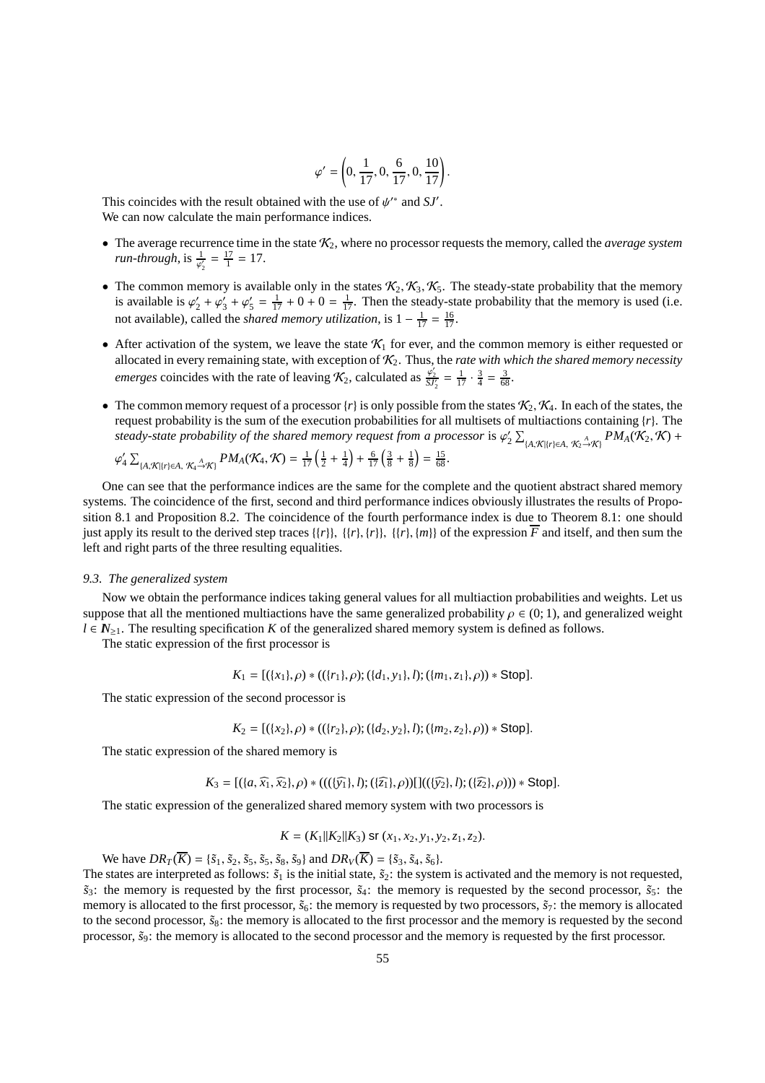$$
\varphi' = \left(0, \frac{1}{17}, 0, \frac{6}{17}, 0, \frac{10}{17}\right).
$$

This coincides with the result obtained with the use of  $\psi^*$  and  $SJ'$ . We can now calculate the main performance indices.

- The average recurrence time in the state  $K_2$ , where no processor requests the memory, called the *average system run-through*, is  $\frac{1}{\varphi'_2} = \frac{17}{1} = 17$ .
- The common memory is available only in the states  $K_2, K_3, K_5$ . The steady-state probability that the memory is available is  $\varphi'_2 + \varphi'_3 + \varphi'_5 = \frac{1}{17} + 0 + 0 = \frac{1}{17}$ . Then the steady-state probability that the memory is used (i.e. not available), called the *shared memory utilization*, is  $1 - \frac{1}{17} = \frac{16}{17}$ .
- After activation of the system, we leave the state  $\mathcal{K}_1$  for ever, and the common memory is either requested or allocated in every remaining state, with exception of K2. Thus, the *rate with which the shared memory necessity emerges* coincides with the rate of leaving  $\mathcal{K}_2$ , calculated as  $\frac{\varphi'_2}{\mathcal{S}\mathcal{Y}_2} = \frac{1}{17} \cdot \frac{3}{4} = \frac{3}{68}$ .
- The common memory request of a processor  $\{r\}$  is only possible from the states  $\mathcal{K}_2, \mathcal{K}_4$ . In each of the states, the request probability is the sum of the execution probabilities for all multisets of multiactions containing {*r*}. The *steady-state probability of the shared memory request from a processor is*  $\varphi_2' \sum_{[A,\mathcal{K}](r) \in A, \mathcal{K}_2 \to \mathcal{K}} PM_A(\mathcal{K}_2, \mathcal{K})$  *+*

$$
\varphi_4' \sum_{\{A,\mathcal{K} \mid \{r\} \in A, \mathcal{K}_4 \stackrel{A}{\to} \mathcal{K}\}} PM_A(\mathcal{K}_4, \mathcal{K}) = \frac{1}{17} \left( \frac{1}{2} + \frac{1}{4} \right) + \frac{6}{17} \left( \frac{3}{8} + \frac{1}{8} \right) = \frac{15}{68}.
$$

One can see that the performance indices are the same for the complete and the quotient abstract shared memory systems. The coincidence of the first, second and third performance indices obviously illustrates the results of Proposition 8.1 and Proposition 8.2. The coincidence of the fourth performance index is due to Theorem 8.1: one should just apply its result to the derived step traces  $\{\{r\}\}\$ ,  $\{\{r\}\$ ,  $\{\{r\}\}$ ,  $\{\{r\}\}$ , of the expression  $\overline{F}$  and itself, and then sum the left and right parts of the three resulting equalities.

## *9.3. The generalized system*

Now we obtain the performance indices taking general values for all multiaction probabilities and weights. Let us suppose that all the mentioned multiactions have the same generalized probability  $\rho \in (0, 1)$ , and generalized weight  $l \in \mathbb{N}_{\geq 1}$ . The resulting specification *K* of the generalized shared memory system is defined as follows.

The static expression of the first processor is

$$
K_1 = [(\{x_1\}, \rho) * ((\{r_1\}, \rho); (\{d_1, y_1\}, l); (\{m_1, z_1\}, \rho)) * Stop].
$$

The static expression of the second processor is

$$
K_2 = [(\{x_2\}, \rho) * ((\{r_2\}, \rho); (\{d_2, y_2\}, l); (\{m_2, z_2\}, \rho)) * Stop].
$$

The static expression of the shared memory is

$$
K_3 = [(\{a,\widehat{x_1},\widehat{x_2}\},\rho) * (((\{\widehat{y_1}\},l);(\{\widehat{z_1}\},\rho))][((\{\widehat{y_2}\},l);(\{\widehat{z_2}\},\rho))) * Stop].
$$

The static expression of the generalized shared memory system with two processors is

$$
K = (K_1||K_2||K_3) \text{ sr } (x_1, x_2, y_1, y_2, z_1, z_2).
$$

We have  $DR_T(\overline{K}) = {\{\tilde{s}_1, \tilde{s}_2, \tilde{s}_5, \tilde{s}_5, \tilde{s}_8, \tilde{s}_9\}}$  and  $DR_V(\overline{K}) = {\{\tilde{s}_3, \tilde{s}_4, \tilde{s}_6\}}$ .

The states are interpreted as follows:  $\tilde{s}_1$  is the initial state,  $\tilde{s}_2$ : the system is activated and the memory is not requested,  $\tilde{s}_3$ : the memory is requested by the first processor,  $\tilde{s}_4$ : the memory is requested by the second processor,  $\tilde{s}_5$ : the memory is allocated to the first processor,  $\tilde{s}_6$ : the memory is requested by two processors,  $\tilde{s}_7$ : the memory is allocated to the second processor,  $\tilde{s}_8$ : the memory is allocated to the first processor and the memory is requested by the second processor,  $\tilde{s}_9$ : the memory is allocated to the second processor and the memory is requested by the first processor.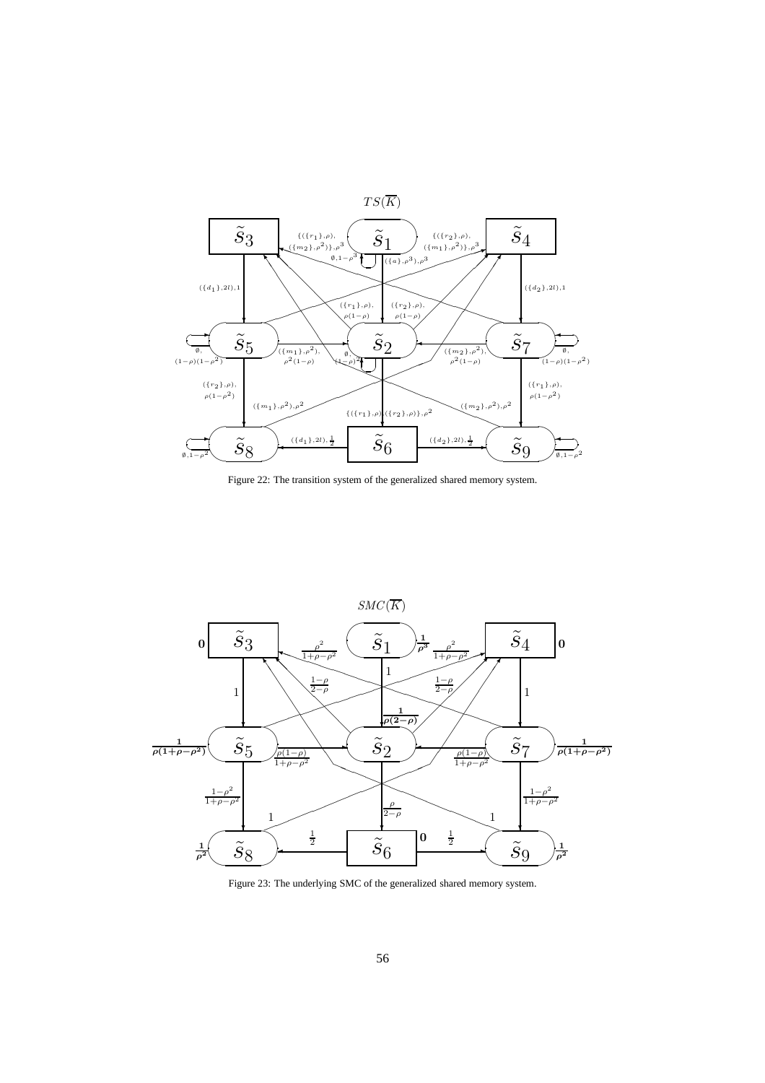

Figure 22: The transition system of the generalized shared memory system.



Figure 23: The underlying SMC of the generalized shared memory system.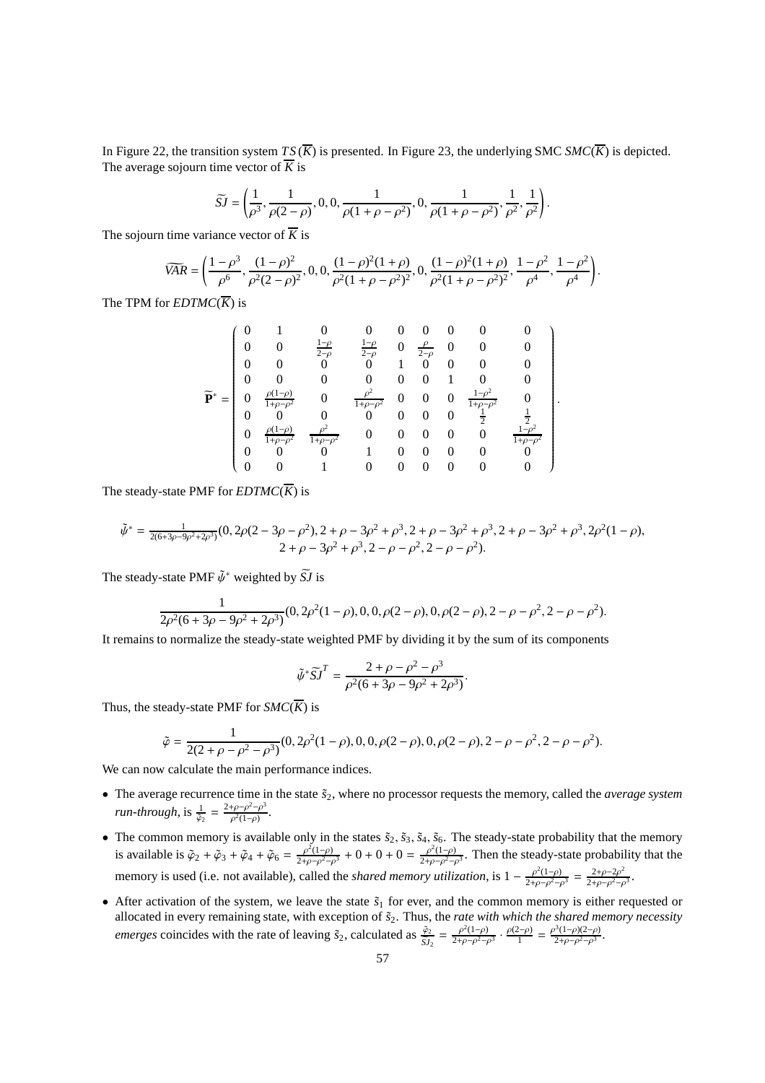In Figure 22, the transition system  $TS(\overline{K})$  is presented. In Figure 23, the underlying SMC *SMC*( $\overline{K}$ ) is depicted. The average sojourn time vector of  $\overline{K}$  is

$$
\widetilde{SI} = \left(\frac{1}{\rho^3}, \frac{1}{\rho(2-\rho)}, 0, 0, \frac{1}{\rho(1+\rho-\rho^2)}, 0, \frac{1}{\rho(1+\rho-\rho^2)}, \frac{1}{\rho^2}, \frac{1}{\rho^2}\right).
$$

The sojourn time variance vector of  $\overline{K}$  is

$$
\widetilde{VAR} = \left(\frac{1-\rho^3}{\rho^6}, \frac{(1-\rho)^2}{\rho^2(2-\rho)^2}, 0, 0, \frac{(1-\rho)^2(1+\rho)}{\rho^2(1+\rho-\rho^2)^2}, 0, \frac{(1-\rho)^2(1+\rho)}{\rho^2(1+\rho-\rho^2)^2}, \frac{1-\rho^2}{\rho^4}, \frac{1-\rho^2}{\rho^4}\right).
$$

The TPM for  $EDTMC(\overline{K})$  is

$$
\widetilde{\mathbf{P}}^* = \begin{pmatrix}\n0 & 1 & 0 & 0 & 0 & 0 & 0 & 0 & 0 \\
0 & 0 & \frac{1-\rho}{2-\rho} & \frac{1-\rho}{2-\rho} & 0 & \frac{\rho}{2-\rho} & 0 & 0 & 0 \\
0 & 0 & 0 & 0 & 1 & 0 & 0 & 0 & 0 \\
0 & 0 & 0 & 0 & 0 & 0 & 1 & 0 & 0 \\
0 & \frac{\rho(1-\rho)}{1+\rho-\rho^2} & 0 & \frac{\rho^2}{1+\rho-\rho^2} & 0 & 0 & 0 & \frac{1-\rho^2}{1+\rho-\rho^2} & 0 \\
0 & 0 & 0 & 0 & 0 & 0 & 0 & \frac{1}{2} & \frac{1}{2} \\
0 & \frac{\rho(1-\rho)}{1+\rho-\rho^2} & \frac{\rho^2}{1+\rho-\rho^2} & 0 & 0 & 0 & 0 & 0 & \frac{1-\rho^2}{1+\rho-\rho^2} \\
0 & 0 & 0 & 1 & 0 & 0 & 0 & 0 & 0 \\
0 & 0 & 1 & 0 & 0 & 0 & 0 & 0 & 0\n\end{pmatrix}
$$

.

The steady-state PMF for  $EDTMC(\overline{K})$  is

$$
\tilde{\psi}^* = \frac{1}{2(6+3\rho-9\rho^2+2\rho^3)}(0, 2\rho(2-3\rho-\rho^2), 2+\rho-3\rho^2+\rho^3, 2+\rho-3\rho^2+\rho^3, 2+\rho-3\rho^2+\rho^3, 2\rho^2(1-\rho), 2+\rho-3\rho^2+\rho^3, 2-\rho-\rho^2, 2-\rho-\rho^2).
$$

The steady-state PMF  $\tilde{\psi}^*$  weighted by  $\tilde{S}J$  is

$$
\frac{1}{2\rho^2(6+3\rho-9\rho^2+2\rho^3)}(0, 2\rho^2(1-\rho), 0, 0, \rho(2-\rho), 0, \rho(2-\rho), 2-\rho-\rho^2, 2-\rho-\rho^2).
$$

It remains to normalize the steady-state weighted PMF by dividing it by the sum of its components

$$
\tilde{\psi}^* \tilde{S} \tilde{J}^T = \frac{2 + \rho - \rho^2 - \rho^3}{\rho^2 (6 + 3\rho - 9\rho^2 + 2\rho^3)}.
$$

Thus, the steady-state PMF for  $SMC(\overline{K})$  is

$$
\tilde{\varphi} = \frac{1}{2(2+\rho-\rho^2-\rho^3)}(0, 2\rho^2(1-\rho), 0, 0, \rho(2-\rho), 0, \rho(2-\rho), 2-\rho-\rho^2, 2-\rho-\rho^2).
$$

We can now calculate the main performance indices.

- The average recurrence time in the state  $\tilde{s}_2$ , where no processor requests the memory, called the *average system run-through*, is  $\frac{1}{\tilde{\varphi}_2} = \frac{2+\rho-\rho^2-\rho^3}{\rho^2(1-\rho)}$  $\frac{\rho - \rho^2 - \rho^2}{\rho^2(1-\rho)}$ .
- The common memory is available only in the states  $\tilde{s}_2$ ,  $\tilde{s}_3$ ,  $\tilde{s}_4$ ,  $\tilde{s}_6$ . The steady-state probability that the memory is available is  $\tilde{\varphi}_2 + \tilde{\varphi}_3 + \tilde{\varphi}_4 + \tilde{\varphi}_6 = \frac{\rho^2(1-\rho)}{2\rho^2(1-\rho)^2}$  $\frac{\rho^2(1-\rho)}{2+\rho-\rho^2-\rho^3}$  + 0 + 0 + 0 =  $\frac{\rho^2(1-\rho)}{2+\rho-\rho^2-\rho^3}$  $\frac{\rho^2(1-\rho)}{2+\rho-\rho^2-\rho^3}$ . Then the steady-state probability that the memory is used (i.e. not available), called the *shared memory utilization*, is  $1 - \frac{\rho^2(1-\rho)}{2+\rho-\rho^2}$  $\frac{\rho^2(1-\rho)}{2+\rho-\rho^2-\rho^3} = \frac{2+\rho-2\rho^2}{2+\rho-\rho^2-\rho^2}$  $\frac{2+\rho-2\rho^2}{2+\rho-\rho^2-\rho^3}$ .
- After activation of the system, we leave the state  $\tilde{s}_1$  for ever, and the common memory is either requested or allocated in every remaining state, with exception of ˜*s*2. Thus, the *rate with which the shared memory necessity emerges* coincides with the rate of leaving  $\tilde{s}_2$ , calculated as  $\frac{\tilde{\varphi}_2}{S J_2} = \frac{\rho^2 (1-\rho)}{2+\rho-\rho^2-\rho^2}$  $\frac{\rho^2(1-\rho)}{2+\rho-\rho^2-\rho^3} \cdot \frac{\rho(2-\rho)}{1}$  $\frac{\rho^3(1-\rho)(2-\rho)}{1} = \frac{\rho^3(1-\rho)(2-\rho)}{2+\rho-\rho^2-\rho^3}$  $\frac{\rho^2(1-\rho)(2-\rho)}{2+\rho-\rho^2-\rho^3}$ .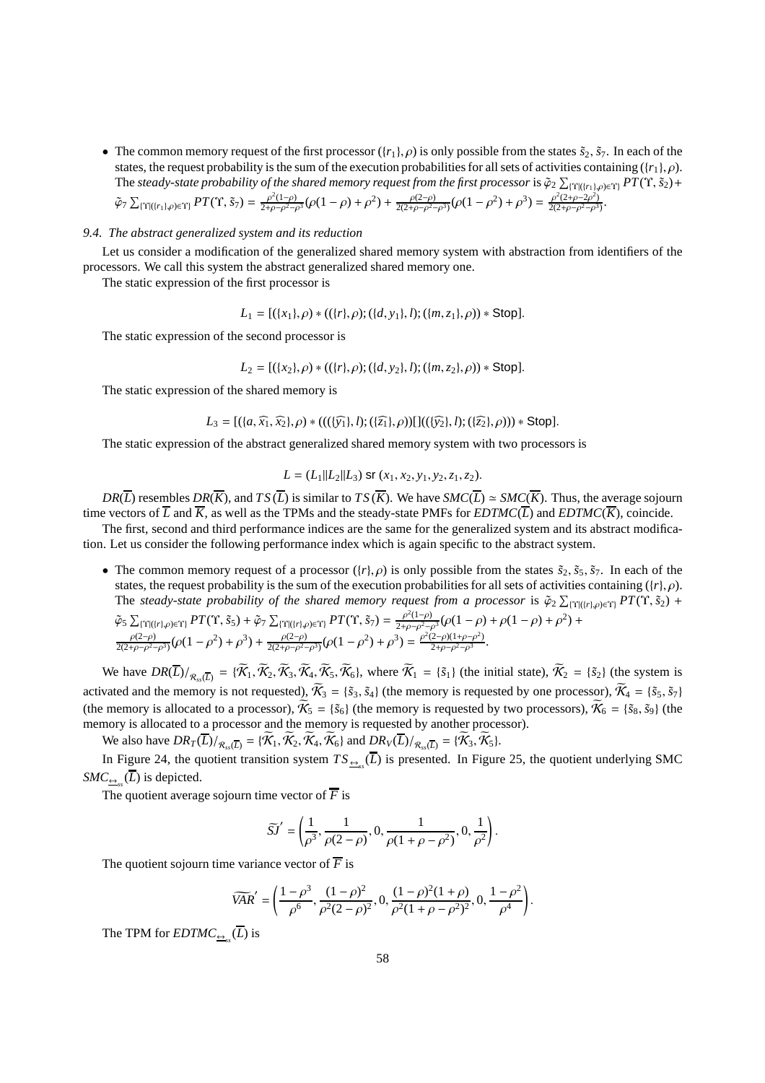• The common memory request of the first processor  $({r_1}, \rho)$  is only possible from the states  $\tilde{s}_2$ ,  $\tilde{s}_7$ . In each of the states, the request probability is the sum of the execution probabilities for all sets of activities containing  $({r_1}, \rho)$ . The steady-state probability of the shared memory request from the first processor is  $\tilde{\varphi}_2\sum_{\{\Upsilon|([r_1],\rho)\in\Upsilon\}}PT(\Upsilon,\tilde{s}_2)+$ 

$$
\tilde{\varphi}_7 \sum_{\{\Upsilon | (r_1), \rho \in \Upsilon\}} PT(\Upsilon, \tilde{s}_7) = \frac{\rho^2 (1-\rho)}{2+\rho-\rho^2-\rho^3} (\rho(1-\rho)+\rho^2) + \frac{\rho(2-\rho)}{2(2+\rho-\rho^2-\rho^3)} (\rho(1-\rho^2)+\rho^3) = \frac{\rho^2 (2+\rho-2\rho^2)}{2(2+\rho-\rho^2-\rho^3)}.
$$

# *9.4. The abstract generalized system and its reduction*

Let us consider a modification of the generalized shared memory system with abstraction from identifiers of the processors. We call this system the abstract generalized shared memory one.

The static expression of the first processor is

 $L_1 = [(\{x_1\}, \rho) * ((\{r\}, \rho); (\{d, y_1\}, l); (\{m, z_1\}, \rho)) * Stop].$ 

The static expression of the second processor is

$$
L_2 = [(\{x_2\}, \rho) * ((\{r\}, \rho); (\{d, y_2\}, l); (\{m, z_2\}, \rho)) * Stop].
$$

The static expression of the shared memory is

$$
L_3 = [(\{a,\widehat{x_1},\widehat{x_2}\},\rho) * (((\{\widehat{y_1}\},l);(\{\widehat{z_1}\},\rho))][((\{\widehat{y_2}\},l);(\{\widehat{z_2}\},\rho))) * Stop].
$$

The static expression of the abstract generalized shared memory system with two processors is

$$
L = (L_1 || L_2 || L_3) \text{ sr } (x_1, x_2, y_1, y_2, z_1, z_2).
$$

*DR*( $\overline{L}$ ) resembles *DR*( $\overline{K}$ ), and *TS* ( $\overline{L}$ ) is similar to *TS* ( $\overline{K}$ ). We have *SMC*( $\overline{L}$ ) ≃ *SMC*( $\overline{K}$ ). Thus, the average sojourn time vectors of  $\overline{L}$  and  $\overline{K}$ , as well as the TPMs and the steady-state PMFs for *EDTMC*( $\overline{L}$ ) and *EDTMC*( $\overline{K}$ ), coincide.

The first, second and third performance indices are the same for the generalized system and its abstract modification. Let us consider the following performance index which is again specific to the abstract system.

• The common memory request of a processor  $({r}, \rho)$  is only possible from the states  $\tilde{s}_2$ ,  $\tilde{s}_5$ ,  $\tilde{s}_7$ . In each of the states, the request probability is the sum of the execution probabilities for all sets of activities containing ({*r*}, ρ). The *steady-state probability of the shared memory request from <i>a processor* is  $\tilde{\varphi}_2 \sum_{\{\Upsilon | (r), \rho \in \Upsilon\}} PT(\Upsilon, \tilde{s}_2)$  +

 $^{2}$ ) +

$$
\tilde{\varphi}_{5} \sum_{\{\Upsilon | (r|, \rho) \in \Upsilon\}} PT(\Upsilon, \tilde{s}_{5}) + \tilde{\varphi}_{7} \sum_{\{\Upsilon | (r|, \rho) \in \Upsilon\}} PT(\Upsilon, \tilde{s}_{7}) = \frac{\rho^{2}(1-\rho)}{2+\rho-\rho^{2}-\rho^{3}} (\rho(1-\rho)+\rho(1-\rho)+\rho^{2}(\rho^{2}-\rho^{2}))
$$
  

$$
\frac{\rho(2-\rho)}{2(2+\rho-\rho^{2}-\rho^{3})} (\rho(1-\rho^{2})+\rho^{3}) + \frac{\rho(2-\rho)}{2(2+\rho-\rho^{2}-\rho^{3})} (\rho(1-\rho^{2})+\rho^{3}) = \frac{\rho^{2}(2-\rho)(1+\rho-\rho^{2})}{2+\rho-\rho^{2}-\rho^{3}}.
$$

We have  $DR(\overline{L})/_{R_{\alpha}(\overline{L})} = {\{\widetilde{\mathcal{K}}_1,\widetilde{\mathcal{K}}_2,\widetilde{\mathcal{K}}_3,\widetilde{\mathcal{K}}_4,\widetilde{\mathcal{K}}_5,\widetilde{\mathcal{K}}_6\}},$  where  $\widetilde{\mathcal{K}}_1 = {\{\widetilde{s}_1\}}$  (the initial state),  $\widetilde{\mathcal{K}}_2 = {\{\widetilde{s}_2\}}$  (the system is activated and the memory is not requested),  $\widetilde{K}_3 = {\{\tilde{s}_3, \tilde{s}_4\}}$  (the memory is requested by one processor),  $\widetilde{K}_4 = {\{\tilde{s}_5, \tilde{s}_7\}}$ (the memory is allocated to a processor),  $\widetilde{K}_5 = {\{\tilde{s}_6\}}$  (the memory is requested by two processors),  $\widetilde{K}_6 = {\{\tilde{s}_8, \tilde{s}_9\}}$  (the memory is allocated to a processor and the memory is requested by another processor).

We also have 
$$
DR_T(\overline{L})/_{\mathcal{R}_{ss}(\overline{L})} = \{K_1, K_2, K_4, K_6\}
$$
 and  $DR_V(\overline{L})/_{\mathcal{R}_{ss}(\overline{L})} = \{K_3, K_5\}.$ 

In Figure 24, the quotient transition system  $TS_{\frac{\Theta s}{\Theta s}}(L)$  is presented. In Figure 25, the quotient underlying SMC  $SMC_{\underbrace{\leftrightarrow}_{ss}}(L)$  is depicted.

The quotient average sojourn time vector of  $\overline{F}$  is

$$
\widetilde{S}J^{'} = \left(\frac{1}{\rho^3}, \frac{1}{\rho(2-\rho)}, 0, \frac{1}{\rho(1+\rho-\rho^2)}, 0, \frac{1}{\rho^2}\right).
$$

The quotient sojourn time variance vector of  $\overline{F}$  is

$$
\widetilde{VAR}' = \left(\frac{1-\rho^3}{\rho^6}, \frac{(1-\rho)^2}{\rho^2(2-\rho)^2}, 0, \frac{(1-\rho)^2(1+\rho)}{\rho^2(1+\rho-\rho^2)^2}, 0, \frac{1-\rho^2}{\rho^4}\right).
$$

The TPM for  $EDTMC_{\underline{\leftrightarrow}_{ss}}(L)$  is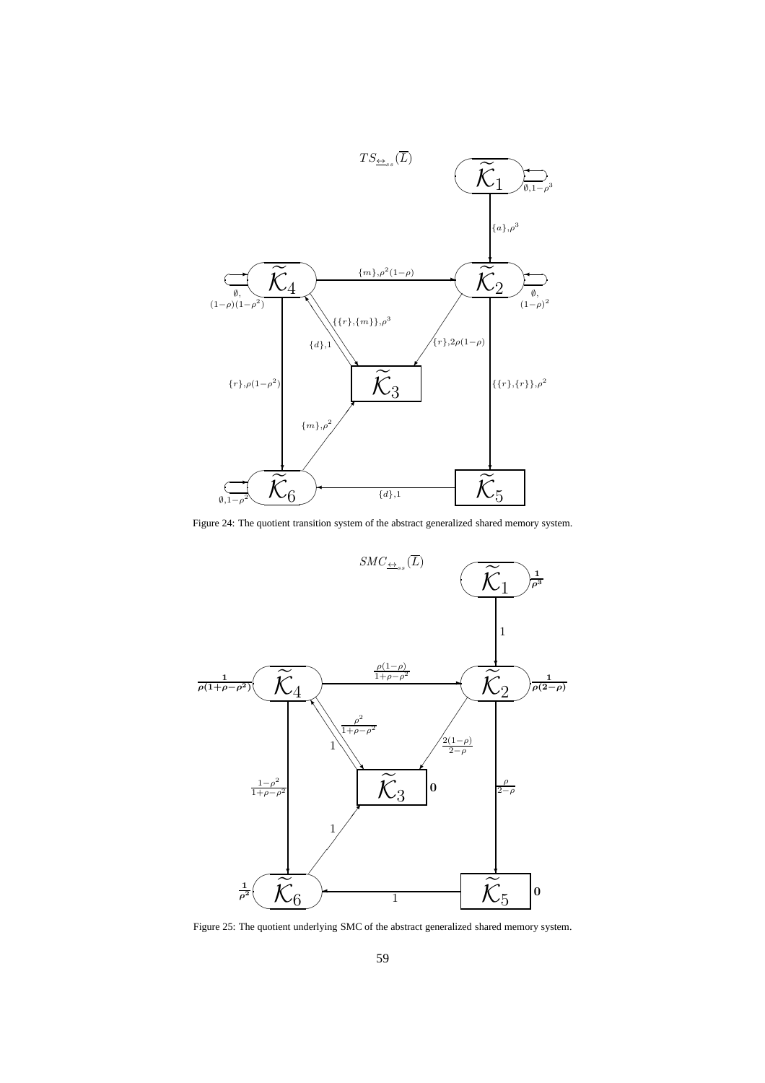

Figure 24: The quotient transition system of the abstract generalized shared memory system.



Figure 25: The quotient underlying SMC of the abstract generalized shared memory system.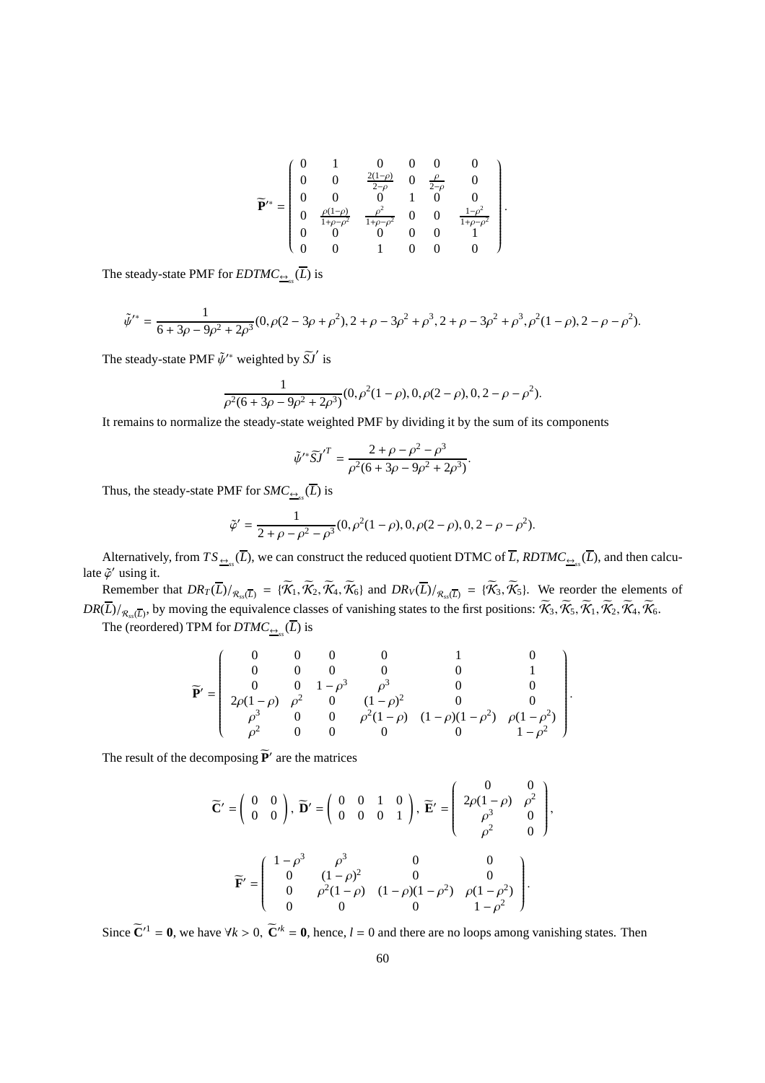$$
\widetilde{\mathbf{P}}'^* = \left( \begin{array}{cccccc} 0 & 1 & 0 & 0 & 0 & 0 \\ 0 & 0 & \frac{2(1-\rho)}{2-\rho} & 0 & \frac{\rho}{2-\rho} & 0 \\ 0 & 0 & 0 & 1 & 0 & 0 \\ 0 & \frac{\rho(1-\rho)}{1+\rho-\rho^2} & \frac{\rho^2}{1+\rho-\rho^2} & 0 & 0 & \frac{1-\rho^2}{1+\rho-\rho^2} \\ 0 & 0 & 0 & 0 & 0 & 1 \\ 0 & 0 & 1 & 0 & 0 & 0 \end{array} \right)
$$

.

.

,

The steady-state PMF for  $EDTMC_{\frac{\leftrightarrow}{2}}(L)$  is

$$
\tilde{\psi}'^* = \frac{1}{6 + 3\rho - 9\rho^2 + 2\rho^3} (0, \rho(2 - 3\rho + \rho^2), 2 + \rho - 3\rho^2 + \rho^3, 2 + \rho - 3\rho^2 + \rho^3, \rho^2(1 - \rho), 2 - \rho - \rho^2).
$$

The steady-state PMF  $\tilde{\psi}^{\prime*}$  weighted by  $\tilde{S} \tilde{J}$  is

$$
\frac{1}{\rho^2(6+3\rho-9\rho^2+2\rho^3)}(0,\rho^2(1-\rho),0,\rho(2-\rho),0,2-\rho-\rho^2).
$$

It remains to normalize the steady-state weighted PMF by dividing it by the sum of its components

$$
\tilde{\psi}'^* \tilde{S} \tilde{J}'^T = \frac{2 + \rho - \rho^2 - \rho^3}{\rho^2 (6 + 3\rho - 9\rho^2 + 2\rho^3)}.
$$

Thus, the steady-state PMF for  $SMC_{\frac{\leftrightarrow}{s}}(L)$  is

$$
\tilde{\varphi}' = \frac{1}{2 + \rho - \rho^2 - \rho^3} (0, \rho^2 (1 - \rho), 0, \rho (2 - \rho), 0, 2 - \rho - \rho^2).
$$

Alternatively, from  $TS_{\frac{\leftrightarrow}{2}}(L)$ , we can construct the reduced quotient DTMC of *L*,  $RDTMC_{\frac{\leftrightarrow}{2}}(L)$ , and then calculate  $\tilde{\varphi}'$  using it.

Remember that  $DR_T(\overline{L})/_{\mathcal{R}_{ss}(\overline{L})} = {\mathcal{K}_1, \mathcal{K}_2, \mathcal{K}_4, \mathcal{K}_6}$  and  $DR_V(\overline{L})/_{\mathcal{R}_{ss}(\overline{L})} = {\mathcal{K}_3, \mathcal{K}_5}$ . We reorder the elements of  $\mathit{DR}(\overline{L})/_{\mathcal{R}_{ss}(\overline{L})}$ , by moving the equivalence classes of vanishing states to the first positions:  $\mathcal{K}_3, \mathcal{K}_5, \mathcal{K}_1, \mathcal{K}_2, \mathcal{K}_4, \mathcal{K}_6$ .

The (reordered) TPM for  $DTMC_{\frac{\leftrightarrow}{2}S}(L)$  is

$$
\widetilde{\mathbf{P}}' = \begin{pmatrix}\n0 & 0 & 0 & 0 & 1 & 0 \\
0 & 0 & 0 & 0 & 0 & 1 \\
0 & 0 & 1 - \rho^3 & \rho^3 & 0 & 0 \\
2\rho(1-\rho) & \rho^2 & 0 & (1-\rho)^2 & 0 & 0 \\
\rho^3 & 0 & 0 & \rho^2(1-\rho) & (1-\rho)(1-\rho^2) & \rho(1-\rho^2) \\
\rho^2 & 0 & 0 & 0 & 0 & 1 - \rho^2\n\end{pmatrix}
$$

The result of the decomposing  $\tilde{P}'$  are the matrices

$$
\widetilde{\mathbf{C}}' = \begin{pmatrix} 0 & 0 \\ 0 & 0 \end{pmatrix}, \ \widetilde{\mathbf{D}}' = \begin{pmatrix} 0 & 0 & 1 & 0 \\ 0 & 0 & 0 & 1 \end{pmatrix}, \ \widetilde{\mathbf{E}}' = \begin{pmatrix} 0 & 0 & 0 \\ 2\rho(1-\rho) & \rho^2 \\ \rho^3 & 0 \\ \rho^2 & 0 \end{pmatrix}
$$

$$
\widetilde{\mathbf{F}}' = \begin{pmatrix} 1-\rho^3 & \rho^3 & 0 & 0 \\ 0 & (1-\rho)^2 & 0 & 0 \\ 0 & \rho^2(1-\rho) & (1-\rho)(1-\rho^2) & \rho(1-\rho^2) \\ 0 & 0 & 0 & 1-\rho^2 \end{pmatrix}.
$$

Since  $\tilde{\mathbf{C}}'^1 = \mathbf{0}$ , we have  $\forall k > 0$ ,  $\tilde{\mathbf{C}}'^k = \mathbf{0}$ , hence,  $l = 0$  and there are no loops among vanishing states. Then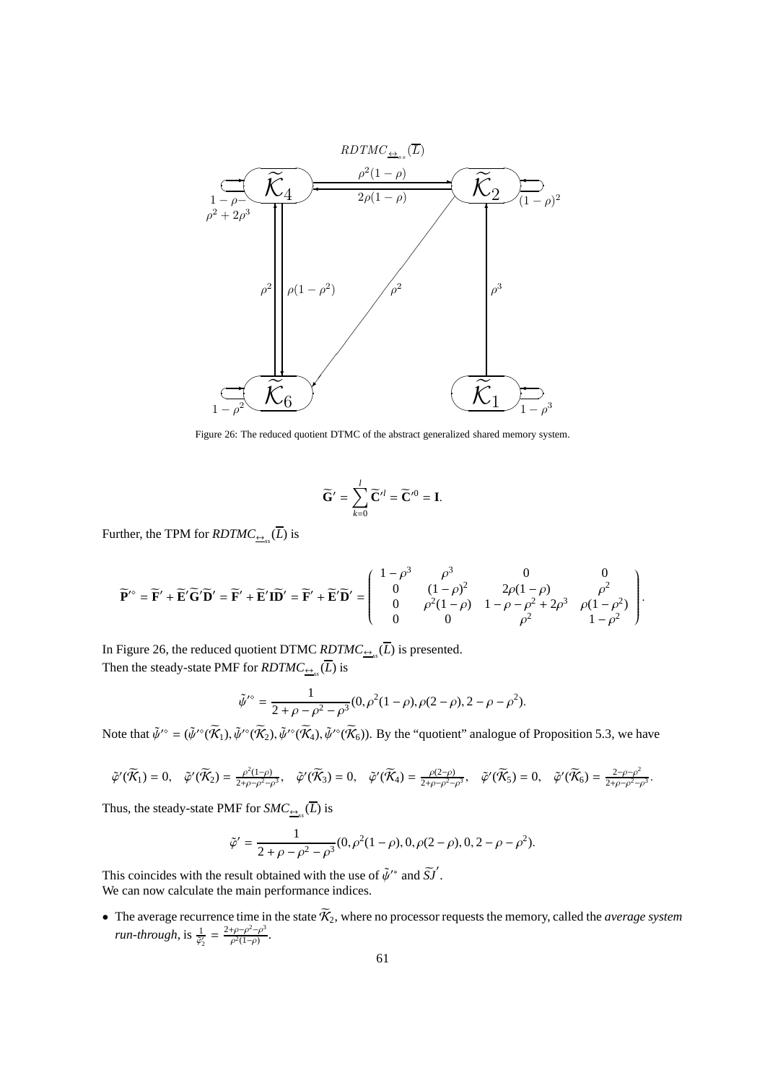

Figure 26: The reduced quotient DTMC of the abstract generalized shared memory system.

$$
\widetilde{\mathbf{G}}' = \sum_{k=0}^{l} \widetilde{\mathbf{C}}'^{l} = \widetilde{\mathbf{C}}'^{0} = \mathbf{I}.
$$

Further, the TPM for  $\mathit{RDTMC}_{\underline{\leftrightarrow}_{ss}}(L)$  is

$$
\widetilde{\mathbf{P}}^{\prime\circ} = \widetilde{\mathbf{F}}^{\prime} + \widetilde{\mathbf{E}}^{\prime} \widetilde{\mathbf{G}}^{\prime} \widetilde{\mathbf{D}}^{\prime} = \widetilde{\mathbf{F}}^{\prime} + \widetilde{\mathbf{E}}^{\prime} \widetilde{\mathbf{D}}^{\prime} = \widetilde{\mathbf{F}}^{\prime} + \widetilde{\mathbf{E}}^{\prime} \widetilde{\mathbf{D}}^{\prime} = \begin{pmatrix} 1 - \rho^3 & \rho^3 & 0 & 0 \\ 0 & (1 - \rho)^2 & 2\rho(1 - \rho) & \rho^2 \\ 0 & \rho^2(1 - \rho) & 1 - \rho - \rho^2 + 2\rho^3 & \rho(1 - \rho^2) \\ 0 & 0 & \rho^2 & 1 - \rho^2 \end{pmatrix}.
$$

In Figure 26, the reduced quotient DTMC  $RDTMC_{\frac{\Theta}{\epsilon s}}(L)$  is presented. Then the steady-state PMF for  $\mathit{RDTMC}_{\underline{\leftrightarrow}_s}(L)$  is

$$
\tilde{\psi}'^{\circ} = \frac{1}{2 + \rho - \rho^2 - \rho^3} (0, \rho^2 (1 - \rho), \rho (2 - \rho), 2 - \rho - \rho^2).
$$

Note that  $\tilde{\psi}^{\prime\circ} = (\tilde{\psi}^{\prime\circ}(\tilde{\mathcal{K}}_1), \tilde{\psi}^{\prime\circ}(\tilde{\mathcal{K}}_2), \tilde{\psi}^{\prime\circ}(\tilde{\mathcal{K}}_4), \tilde{\psi}^{\prime\circ}(\tilde{\mathcal{K}}_6)$ . By the "quotient" analogue of Proposition 5.3, we have

$$
\tilde{\varphi}'(\widetilde{\mathcal{K}}_1) = 0, \quad \tilde{\varphi}'(\widetilde{\mathcal{K}}_2) = \frac{\rho^2(1-\rho)}{2+\rho-\rho^2-\rho^3}, \quad \tilde{\varphi}'(\widetilde{\mathcal{K}}_3) = 0, \quad \tilde{\varphi}'(\widetilde{\mathcal{K}}_4) = \frac{\rho(2-\rho)}{2+\rho-\rho^2-\rho^3}, \quad \tilde{\varphi}'(\widetilde{\mathcal{K}}_5) = 0, \quad \tilde{\varphi}'(\widetilde{\mathcal{K}}_6) = \frac{2-\rho-\rho^2}{2+\rho-\rho^2-\rho^3}.
$$

Thus, the steady-state PMF for  $SMC_{\frac{\leftrightarrow}{s}}(L)$  is

$$
\tilde{\varphi}' = \frac{1}{2 + \rho - \rho^2 - \rho^3} (0, \rho^2 (1 - \rho), 0, \rho (2 - \rho), 0, 2 - \rho - \rho^2).
$$

This coincides with the result obtained with the use of  $\tilde{\psi}^*$  and  $\tilde{S}j'$ . We can now calculate the main performance indices.

• The average recurrence time in the state  $K_2$ , where no processor requests the memory, called the *average system run-through*, is  $\frac{1}{\tilde{\varphi}_2'} = \frac{2+\rho-\rho^2-\rho^3}{\rho^2(1-\rho)}$  $\frac{\rho-\rho^2-\rho^2}{\rho^2(1-\rho)}.$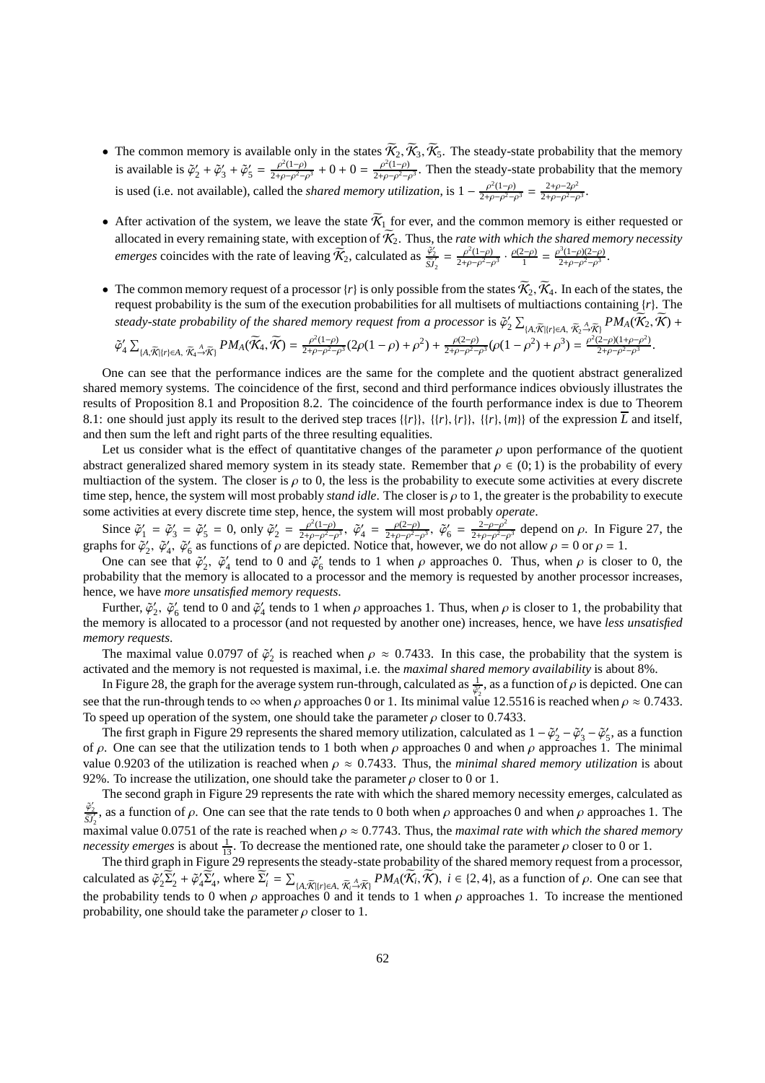- The common memory is available only in the states  $\mathcal{K}_2$ ,  $\mathcal{K}_3$ ,  $\mathcal{K}_5$ . The steady-state probability that the memory is available is  $\tilde{\varphi}'_2 + \tilde{\varphi}'_3 + \tilde{\varphi}'_5 = \frac{\rho^2(1-\rho)}{2+\rho-\rho^2-\rho^2}$  $\frac{\rho^2(1-\rho)}{2+\rho-\rho^2-\rho^3}+0+0=\frac{\rho^2(1-\rho)}{2+\rho-\rho^2-\rho^3}$  $\frac{\rho^2(1-\rho)}{2+\rho-\rho^2-\rho^3}$ . Then the steady-state probability that the memory is used (i.e. not available), called the *shared memory utilization*, is  $1 - \frac{\rho^2(1-\rho)}{2+\rho-\rho^2}$  $\frac{\rho^2(1-\rho)}{2+\rho-\rho^2-\rho^3} = \frac{2+\rho-2\rho^2}{2+\rho-\rho^2-\rho^2}$  $\frac{2+\rho-2\rho^-}{2+\rho-\rho^2-\rho^3}.$
- After activation of the system, we leave the state  $\widetilde{K}_1$  for ever, and the common memory is either requested or allocated in every remaining state, with exception of  $K_2$ . Thus, the *rate with which the shared memory necessity emerges* coincides with the rate of leaving  $\vec{\hat{X}_2}$ , calculated as  $\frac{\tilde{\varphi}_2'}{\tilde{S}'_2} = \frac{\rho^2(1-\rho)}{2+\rho-\rho^2-\rho^2}$  $\frac{\rho^2(1-\rho)}{2+\rho-\rho^2-\rho^3} \cdot \frac{\rho(2-\rho)}{1}$  $\frac{\rho^2 - \rho}{1} = \frac{\rho^3 (1 - \rho)(2 - \rho)}{2 + \rho - \rho^2 - \rho^3}$  $\frac{\rho^2(1-\rho)(2-\rho)}{2+\rho-\rho^2-\rho^3}$ .
- The common memory request of a processor  $\{r\}$  is only possible from the states  $\tilde{\mathcal{K}}_2$ ,  $\tilde{\mathcal{K}}_4$ . In each of the states, the request probability is the sum of the execution probabilities for all multisets of multiactions containing  $\{r\}$ . The *steady-state probability of the shared memory request from a processor* is  $\tilde{\varphi}'_2 \sum_{\{A, \tilde{K} \mid r\} \in A, \tilde{\chi}^A_2 \to \tilde{\chi}^A_1} PM_A(\tilde{K}_2, \tilde{K}) +$

$$
\widetilde{\varphi}_4' \sum_{\{A,\widetilde{K}\mid\{r\}\in A,\ \widetilde{K}_4\stackrel{A}{\rightarrow}\widetilde{K}\}} PM_A(\widetilde{K}_4, \widetilde{K}) = \frac{\rho^2(1-\rho)}{2+\rho-\rho^2-\rho^3}(2\rho(1-\rho)+\rho^2) + \frac{\rho(2-\rho)}{2+\rho-\rho^2-\rho^3}(\rho(1-\rho^2)+\rho^3) = \frac{\rho^2(2-\rho)(1+\rho-\rho^2)}{2+\rho-\rho^2-\rho^3}.
$$

One can see that the performance indices are the same for the complete and the quotient abstract generalized shared memory systems. The coincidence of the first, second and third performance indices obviously illustrates the results of Proposition 8.1 and Proposition 8.2. The coincidence of the fourth performance index is due to Theorem 8.1: one should just apply its result to the derived step traces  $\{\{r\}\}\{\{r\}, \{\{r\}\}\}$ ,  $\{\{r\}, \{m\}\}\$  of the expression  $\overline{L}$  and itself, and then sum the left and right parts of the three resulting equalities.

Let us consider what is the effect of quantitative changes of the parameter  $\rho$  upon performance of the quotient abstract generalized shared memory system in its steady state. Remember that  $\rho \in (0, 1)$  is the probability of every multiaction of the system. The closer is  $\rho$  to 0, the less is the probability to execute some activities at every discrete time step, hence, the system will most probably *stand idle*. The closer is ρ to 1, the greater is the probability to execute some activities at every discrete time step, hence, the system will most probably *operate*.

Since  $\tilde{\varphi}'_1 = \tilde{\varphi}'_3 = \tilde{\varphi}'_5 = 0$ , only  $\tilde{\varphi}'_2 = \frac{\rho^2(1-\rho)}{2+\rho-\rho^2-\rho^2}$  $\frac{\rho^2(1-\rho)}{2+\rho-\rho^2-\rho^3}, \; \tilde{\varphi}'_4 \; = \; \frac{\rho(2-\rho)}{2+\rho-\rho^2-\rho^3}$  $\frac{\rho(2-\rho)}{2+\rho-\rho^2-\rho^3}, \; \tilde{\varphi}'_6 = \frac{2-\rho-\rho^2}{2+\rho-\rho^2-\rho^2}$  $\frac{2-\rho-\rho^2}{2+\rho-\rho^2-\rho^3}$  depend on  $\rho$ . In Figure 27, the graphs for  $\tilde{\varphi}'_2$ ,  $\tilde{\varphi}'_4$ ,  $\tilde{\varphi}'_6$  as functions of  $\rho$  are depicted. Notice that, however, we do not allow  $\rho = 0$  or  $\rho = 1$ .

One can see that  $\tilde{\varphi}'_2$ ,  $\tilde{\varphi}'_4$  tend to 0 and  $\tilde{\varphi}'_6$  tends to 1 when  $\rho$  approaches 0. Thus, when  $\rho$  is closer to 0, the probability that the memory is allocated to a processor and the memory is requested by another processor increases, hence, we have *more unsatisfied memory requests*.

Further,  $\tilde{\varphi}'_2$ ,  $\tilde{\varphi}'_6$  tend to 0 and  $\tilde{\varphi}'_4$  tends to 1 when  $\rho$  approaches 1. Thus, when  $\rho$  is closer to 1, the probability that the memory is allocated to a processor (and not requested by another one) increases, hence, we have *less unsatisfied memory requests*.

The maximal value 0.0797 of  $\tilde{\varphi}_2'$  is reached when  $\rho \approx 0.7433$ . In this case, the probability that the system is activated and the memory is not requested is maximal, i.e. the *maximal shared memory availability* is about 8%.

In Figure 28, the graph for the average system run-through, calculated as  $\frac{1}{\phi_2}$ , as a function of  $\rho$  is depicted. One can see that the run-through tends to  $\infty$  when  $\rho$  approaches 0 or 1. Its minimal value 12.5516 is reached when  $\rho \approx 0.7433$ . To speed up operation of the system, one should take the parameter  $\rho$  closer to 0.7433.

The first graph in Figure 29 represents the shared memory utilization, calculated as  $1 - \tilde{\varphi}_2' - \tilde{\varphi}_3' - \tilde{\varphi}_5'$ , as a function of  $ρ$ . One can see that the utilization tends to 1 both when  $ρ$  approaches 0 and when  $ρ$  approaches 1. The minimal value 0.9203 of the utilization is reached when  $\rho \approx 0.7433$ . Thus, the *minimal shared memory utilization* is about 92%. To increase the utilization, one should take the parameter  $\rho$  closer to 0 or 1.

The second graph in Figure 29 represents the rate with which the shared memory necessity emerges, calculated as  $\frac{\tilde{\varphi}_2'}{\tilde{S}J_2'}$ , as a function of  $\rho$ . One can see that the rate tends to 0 both when  $\rho$  approaches 0 and when  $\rho$  approaches 1. The maximal value 0.0751 of the rate is reached when  $\rho \approx 0.7743$ . Thus, the *maximal rate with which the shared memory necessity emerges* is about  $\frac{1}{13}$ . To decrease the mentioned rate, one should take the parameter  $\rho$  closer to 0 or 1.

The third graph in Figure 29 represents the steady-state probability of the shared memory request from a processor, calculated as  $\tilde{\varphi}_2' \tilde{\Sigma}_2' + \tilde{\varphi}_4' \tilde{\Sigma}_4'$ , where  $\tilde{\Sigma}_i' = \sum_{\{A, \tilde{\mathcal{K}} \mid r\} \in A, \tilde{\mathcal{K}}_i \to \tilde{\mathcal{K}}_i} P M_A(\tilde{\mathcal{K}}_i, \tilde{\mathcal{K}}), i \in \{2, 4\}$ , as a function of  $\rho$ . One can see that the probability tends to 0 when  $\rho$  approaches 0 and it tends to 1 when  $\rho$  approaches 1. To increase the mentioned probability, one should take the parameter  $\rho$  closer to 1.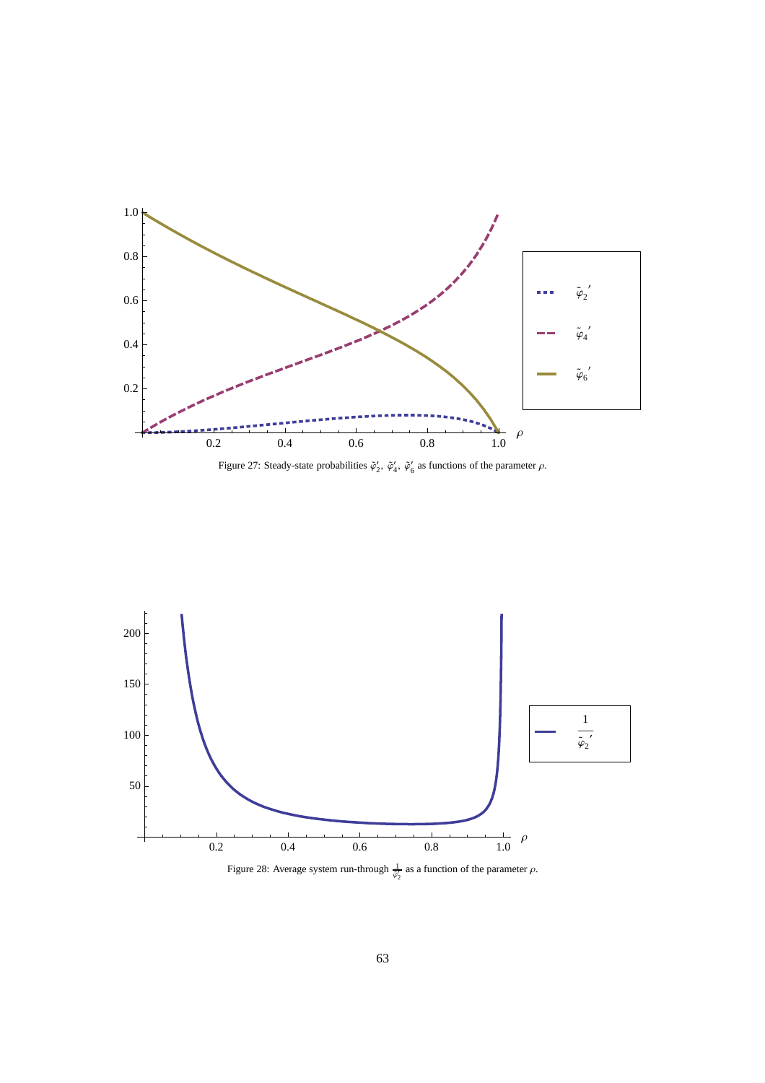

Figure 27: Steady-state probabilities  $\tilde{\varphi}'_2$ ,  $\tilde{\varphi}'_4$ ,  $\tilde{\varphi}'_6$  as functions of the parameter  $\rho$ .



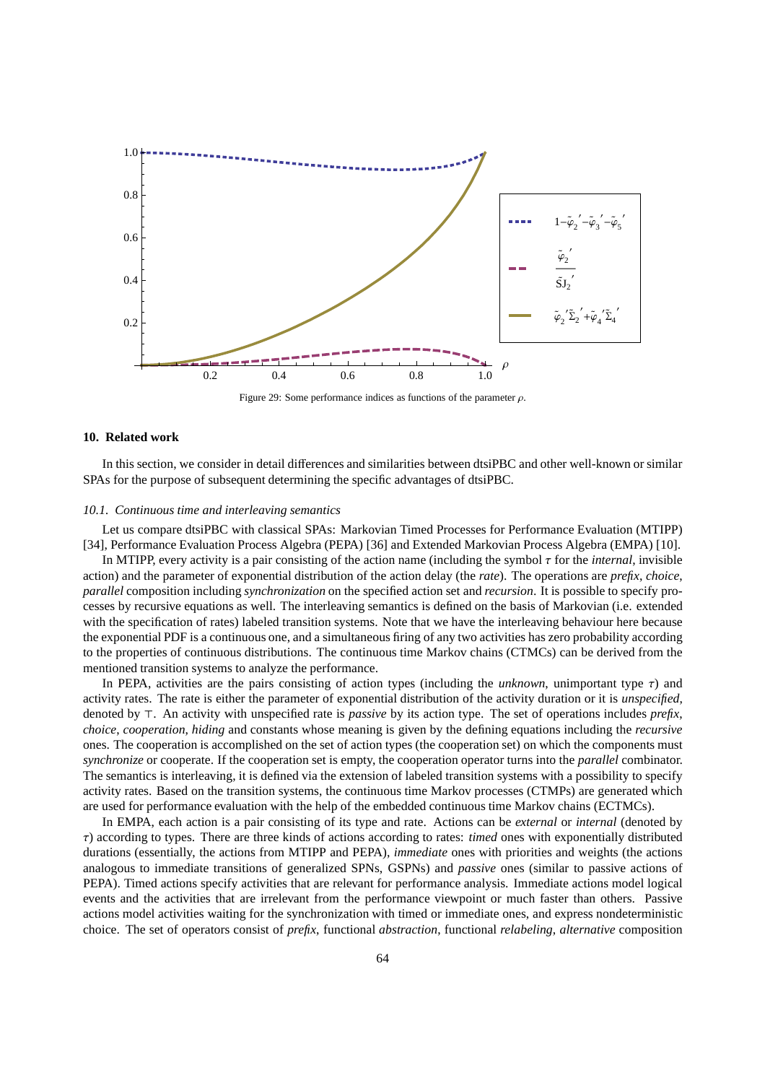

Figure 29: Some performance indices as functions of the parameter  $\rho$ .

### **10. Related work**

In this section, we consider in detail differences and similarities between dtsiPBC and other well-known or similar SPAs for the purpose of subsequent determining the specific advantages of dtsiPBC.

#### *10.1. Continuous time and interleaving semantics*

Let us compare dtsiPBC with classical SPAs: Markovian Timed Processes for Performance Evaluation (MTIPP) [34], Performance Evaluation Process Algebra (PEPA) [36] and Extended Markovian Process Algebra (EMPA) [10].

In MTIPP, every activity is a pair consisting of the action name (including the symbol τ for the *internal*, invisible action) and the parameter of exponential distribution of the action delay (the *rate*). The operations are *prefix*, *choice*, *parallel* composition including *synchronization* on the specified action set and *recursion*. It is possible to specify processes by recursive equations as well. The interleaving semantics is defined on the basis of Markovian (i.e. extended with the specification of rates) labeled transition systems. Note that we have the interleaving behaviour here because the exponential PDF is a continuous one, and a simultaneous firing of any two activities has zero probability according to the properties of continuous distributions. The continuous time Markov chains (CTMCs) can be derived from the mentioned transition systems to analyze the performance.

In PEPA, activities are the pairs consisting of action types (including the *unknown*, unimportant type τ) and activity rates. The rate is either the parameter of exponential distribution of the activity duration or it is *unspecified*, denoted by ⊤. An activity with unspecified rate is *passive* by its action type. The set of operations includes *prefix*, *choice*, *cooperation*, *hiding* and constants whose meaning is given by the defining equations including the *recursive* ones. The cooperation is accomplished on the set of action types (the cooperation set) on which the components must *synchronize* or cooperate. If the cooperation set is empty, the cooperation operator turns into the *parallel* combinator. The semantics is interleaving, it is defined via the extension of labeled transition systems with a possibility to specify activity rates. Based on the transition systems, the continuous time Markov processes (CTMPs) are generated which are used for performance evaluation with the help of the embedded continuous time Markov chains (ECTMCs).

In EMPA, each action is a pair consisting of its type and rate. Actions can be *external* or *internal* (denoted by τ) according to types. There are three kinds of actions according to rates: *timed* ones with exponentially distributed durations (essentially, the actions from MTIPP and PEPA), *immediate* ones with priorities and weights (the actions analogous to immediate transitions of generalized SPNs, GSPNs) and *passive* ones (similar to passive actions of PEPA). Timed actions specify activities that are relevant for performance analysis. Immediate actions model logical events and the activities that are irrelevant from the performance viewpoint or much faster than others. Passive actions model activities waiting for the synchronization with timed or immediate ones, and express nondeterministic choice. The set of operators consist of *prefix*, functional *abstraction*, functional *relabeling*, *alternative* composition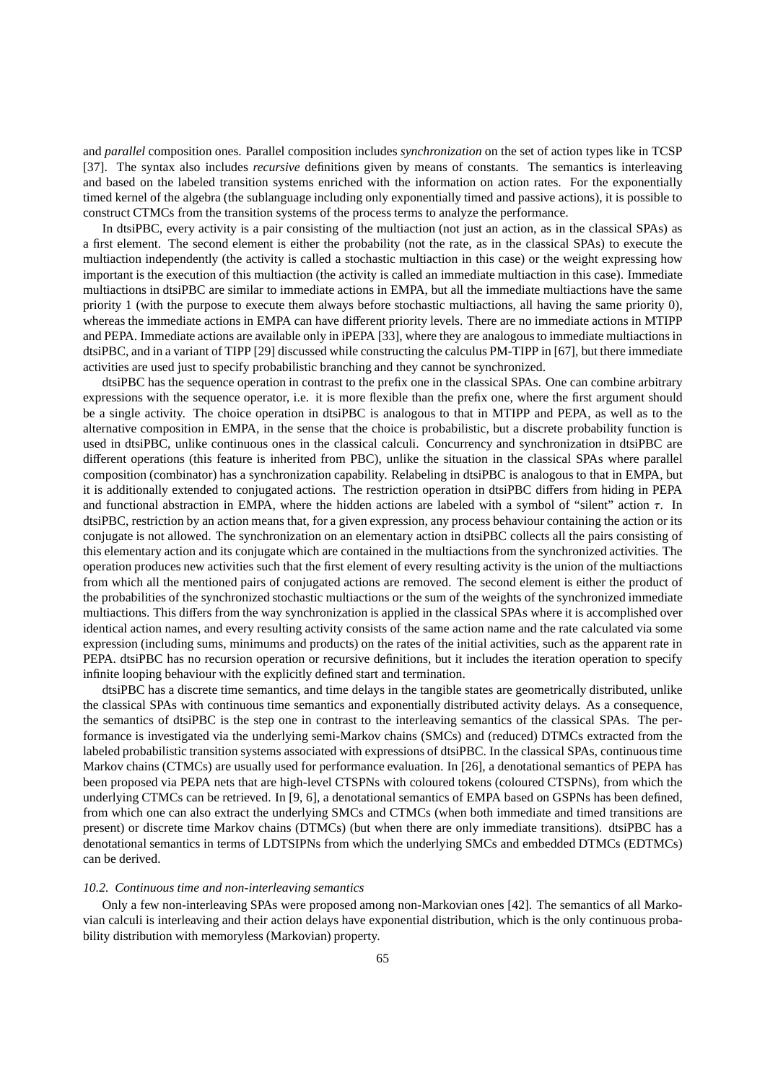and *parallel* composition ones. Parallel composition includes *synchronization* on the set of action types like in TCSP [37]. The syntax also includes *recursive* definitions given by means of constants. The semantics is interleaving and based on the labeled transition systems enriched with the information on action rates. For the exponentially timed kernel of the algebra (the sublanguage including only exponentially timed and passive actions), it is possible to construct CTMCs from the transition systems of the process terms to analyze the performance.

In dtsiPBC, every activity is a pair consisting of the multiaction (not just an action, as in the classical SPAs) as a first element. The second element is either the probability (not the rate, as in the classical SPAs) to execute the multiaction independently (the activity is called a stochastic multiaction in this case) or the weight expressing how important is the execution of this multiaction (the activity is called an immediate multiaction in this case). Immediate multiactions in dtsiPBC are similar to immediate actions in EMPA, but all the immediate multiactions have the same priority 1 (with the purpose to execute them always before stochastic multiactions, all having the same priority 0), whereas the immediate actions in EMPA can have different priority levels. There are no immediate actions in MTIPP and PEPA. Immediate actions are available only in iPEPA [33], where they are analogous to immediate multiactions in dtsiPBC, and in a variant of TIPP [29] discussed while constructing the calculus PM-TIPP in [67], but there immediate activities are used just to specify probabilistic branching and they cannot be synchronized.

dtsiPBC has the sequence operation in contrast to the prefix one in the classical SPAs. One can combine arbitrary expressions with the sequence operator, i.e. it is more flexible than the prefix one, where the first argument should be a single activity. The choice operation in dtsiPBC is analogous to that in MTIPP and PEPA, as well as to the alternative composition in EMPA, in the sense that the choice is probabilistic, but a discrete probability function is used in dtsiPBC, unlike continuous ones in the classical calculi. Concurrency and synchronization in dtsiPBC are different operations (this feature is inherited from PBC), unlike the situation in the classical SPAs where parallel composition (combinator) has a synchronization capability. Relabeling in dtsiPBC is analogous to that in EMPA, but it is additionally extended to conjugated actions. The restriction operation in dtsiPBC differs from hiding in PEPA and functional abstraction in EMPA, where the hidden actions are labeled with a symbol of "silent" action τ. In dtsiPBC, restriction by an action means that, for a given expression, any process behaviour containing the action or its conjugate is not allowed. The synchronization on an elementary action in dtsiPBC collects all the pairs consisting of this elementary action and its conjugate which are contained in the multiactions from the synchronized activities. The operation produces new activities such that the first element of every resulting activity is the union of the multiactions from which all the mentioned pairs of conjugated actions are removed. The second element is either the product of the probabilities of the synchronized stochastic multiactions or the sum of the weights of the synchronized immediate multiactions. This differs from the way synchronization is applied in the classical SPAs where it is accomplished over identical action names, and every resulting activity consists of the same action name and the rate calculated via some expression (including sums, minimums and products) on the rates of the initial activities, such as the apparent rate in PEPA. dtsiPBC has no recursion operation or recursive definitions, but it includes the iteration operation to specify infinite looping behaviour with the explicitly defined start and termination.

dtsiPBC has a discrete time semantics, and time delays in the tangible states are geometrically distributed, unlike the classical SPAs with continuous time semantics and exponentially distributed activity delays. As a consequence, the semantics of dtsiPBC is the step one in contrast to the interleaving semantics of the classical SPAs. The performance is investigated via the underlying semi-Markov chains (SMCs) and (reduced) DTMCs extracted from the labeled probabilistic transition systems associated with expressions of dtsiPBC. In the classical SPAs, continuous time Markov chains (CTMCs) are usually used for performance evaluation. In [26], a denotational semantics of PEPA has been proposed via PEPA nets that are high-level CTSPNs with coloured tokens (coloured CTSPNs), from which the underlying CTMCs can be retrieved. In [9, 6], a denotational semantics of EMPA based on GSPNs has been defined, from which one can also extract the underlying SMCs and CTMCs (when both immediate and timed transitions are present) or discrete time Markov chains (DTMCs) (but when there are only immediate transitions). dtsiPBC has a denotational semantics in terms of LDTSIPNs from which the underlying SMCs and embedded DTMCs (EDTMCs) can be derived.

## *10.2. Continuous time and non-interleaving semantics*

Only a few non-interleaving SPAs were proposed among non-Markovian ones [42]. The semantics of all Markovian calculi is interleaving and their action delays have exponential distribution, which is the only continuous probability distribution with memoryless (Markovian) property.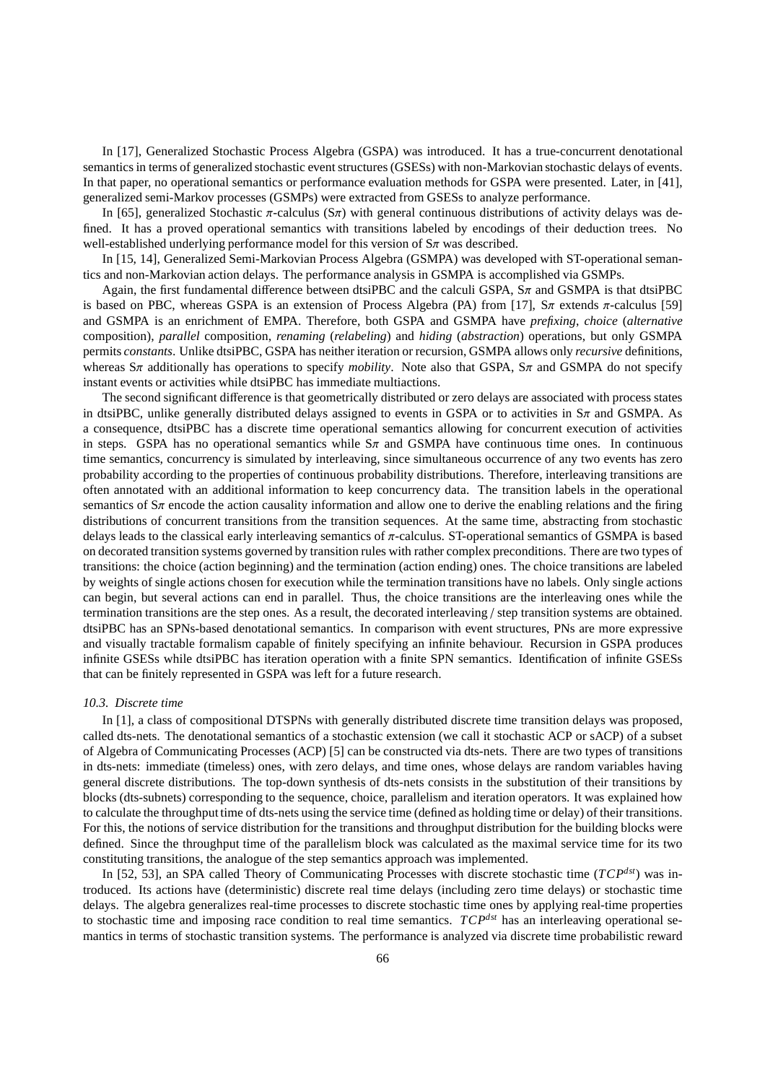In [17], Generalized Stochastic Process Algebra (GSPA) was introduced. It has a true-concurrent denotational semantics in terms of generalized stochastic event structures (GSESs) with non-Markovian stochastic delays of events. In that paper, no operational semantics or performance evaluation methods for GSPA were presented. Later, in [41], generalized semi-Markov processes (GSMPs) were extracted from GSESs to analyze performance.

In [65], generalized Stochastic  $\pi$ -calculus (S $\pi$ ) with general continuous distributions of activity delays was defined. It has a proved operational semantics with transitions labeled by encodings of their deduction trees. No well-established underlying performance model for this version of  $S_{\pi}$  was described.

In [15, 14], Generalized Semi-Markovian Process Algebra (GSMPA) was developed with ST-operational semantics and non-Markovian action delays. The performance analysis in GSMPA is accomplished via GSMPs.

Again, the first fundamental difference between dtsiPBC and the calculi GSPA,  $S_{\pi}$  and GSMPA is that dtsiPBC is based on PBC, whereas GSPA is an extension of Process Algebra (PA) from [17],  $S\pi$  extends π-calculus [59] and GSMPA is an enrichment of EMPA. Therefore, both GSPA and GSMPA have *prefixing*, *choice* (*alternative* composition), *parallel* composition, *renaming* (*relabeling*) and *hiding* (*abstraction*) operations, but only GSMPA permits *constants*. Unlike dtsiPBC, GSPA has neither iteration or recursion, GSMPA allows only *recursive* definitions, whereas Sπ additionally has operations to specify *mobility*. Note also that GSPA, Sπ and GSMPA do not specify instant events or activities while dtsiPBC has immediate multiactions.

The second significant difference is that geometrically distributed or zero delays are associated with process states in dtsiPBC, unlike generally distributed delays assigned to events in GSPA or to activities in  $S_{\pi}$  and GSMPA. As a consequence, dtsiPBC has a discrete time operational semantics allowing for concurrent execution of activities in steps. GSPA has no operational semantics while  $S_{\pi}$  and GSMPA have continuous time ones. In continuous time semantics, concurrency is simulated by interleaving, since simultaneous occurrence of any two events has zero probability according to the properties of continuous probability distributions. Therefore, interleaving transitions are often annotated with an additional information to keep concurrency data. The transition labels in the operational semantics of  $S_{\pi}$  encode the action causality information and allow one to derive the enabling relations and the firing distributions of concurrent transitions from the transition sequences. At the same time, abstracting from stochastic delays leads to the classical early interleaving semantics of π-calculus. ST-operational semantics of GSMPA is based on decorated transition systems governed by transition rules with rather complex preconditions. There are two types of transitions: the choice (action beginning) and the termination (action ending) ones. The choice transitions are labeled by weights of single actions chosen for execution while the termination transitions have no labels. Only single actions can begin, but several actions can end in parallel. Thus, the choice transitions are the interleaving ones while the termination transitions are the step ones. As a result, the decorated interleaving / step transition systems are obtained. dtsiPBC has an SPNs-based denotational semantics. In comparison with event structures, PNs are more expressive and visually tractable formalism capable of finitely specifying an infinite behaviour. Recursion in GSPA produces infinite GSESs while dtsiPBC has iteration operation with a finite SPN semantics. Identification of infinite GSESs that can be finitely represented in GSPA was left for a future research.

## *10.3. Discrete time*

In [1], a class of compositional DTSPNs with generally distributed discrete time transition delays was proposed, called dts-nets. The denotational semantics of a stochastic extension (we call it stochastic ACP or sACP) of a subset of Algebra of Communicating Processes (ACP) [5] can be constructed via dts-nets. There are two types of transitions in dts-nets: immediate (timeless) ones, with zero delays, and time ones, whose delays are random variables having general discrete distributions. The top-down synthesis of dts-nets consists in the substitution of their transitions by blocks (dts-subnets) corresponding to the sequence, choice, parallelism and iteration operators. It was explained how to calculate the throughput time of dts-nets using the service time (defined as holding time or delay) of their transitions. For this, the notions of service distribution for the transitions and throughput distribution for the building blocks were defined. Since the throughput time of the parallelism block was calculated as the maximal service time for its two constituting transitions, the analogue of the step semantics approach was implemented.

In [52, 53], an SPA called Theory of Communicating Processes with discrete stochastic time (*TCPdst*) was introduced. Its actions have (deterministic) discrete real time delays (including zero time delays) or stochastic time delays. The algebra generalizes real-time processes to discrete stochastic time ones by applying real-time properties to stochastic time and imposing race condition to real time semantics. *TCPdst* has an interleaving operational semantics in terms of stochastic transition systems. The performance is analyzed via discrete time probabilistic reward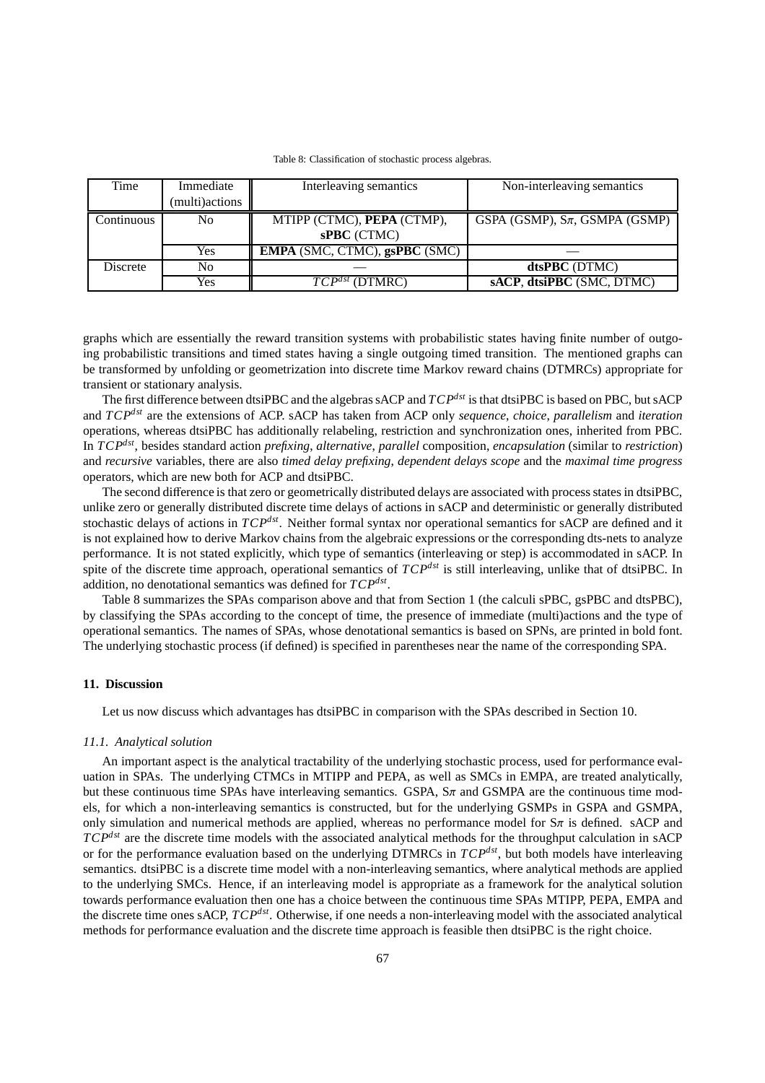| Time            | Immediate      | Interleaving semantics               | Non-interleaving semantics            |  |  |
|-----------------|----------------|--------------------------------------|---------------------------------------|--|--|
|                 | (multi)actions |                                      |                                       |  |  |
| Continuous      | No             | MTIPP (CTMC), PEPA (CTMP),           | GSPA (GSMP), $S_{\pi}$ , GSMPA (GSMP) |  |  |
|                 |                | sPBC (CTMC)                          |                                       |  |  |
|                 | Yes            | <b>EMPA</b> (SMC, CTMC), gsPBC (SMC) |                                       |  |  |
| <b>Discrete</b> | No             |                                      | dtsPBC (DTMC)                         |  |  |
|                 | Yes            | $TCP^{dst}$<br>(DTMRC)               | sACP, dtsiPBC (SMC, DTMC)             |  |  |

Table 8: Classification of stochastic process algebras.

graphs which are essentially the reward transition systems with probabilistic states having finite number of outgoing probabilistic transitions and timed states having a single outgoing timed transition. The mentioned graphs can be transformed by unfolding or geometrization into discrete time Markov reward chains (DTMRCs) appropriate for transient or stationary analysis.

The first difference between dtsiPBC and the algebras sACP and *TCPdst* is that dtsiPBC is based on PBC, but sACP and *TCPdst* are the extensions of ACP. sACP has taken from ACP only *sequence*, *choice*, *parallelism* and *iteration* operations, whereas dtsiPBC has additionally relabeling, restriction and synchronization ones, inherited from PBC. In *TCPdst*, besides standard action *prefixing*, *alternative*, *parallel* composition, *encapsulation* (similar to *restriction*) and *recursive* variables, there are also *timed delay prefixing*, *dependent delays scope* and the *maximal time progress* operators, which are new both for ACP and dtsiPBC.

The second difference is that zero or geometrically distributed delays are associated with process states in dtsiPBC, unlike zero or generally distributed discrete time delays of actions in sACP and deterministic or generally distributed stochastic delays of actions in *TCPdst*. Neither formal syntax nor operational semantics for sACP are defined and it is not explained how to derive Markov chains from the algebraic expressions or the corresponding dts-nets to analyze performance. It is not stated explicitly, which type of semantics (interleaving or step) is accommodated in sACP. In spite of the discrete time approach, operational semantics of *TCPdst* is still interleaving, unlike that of dtsiPBC. In addition, no denotational semantics was defined for *TCPdst* .

Table 8 summarizes the SPAs comparison above and that from Section 1 (the calculi sPBC, gsPBC and dtsPBC), by classifying the SPAs according to the concept of time, the presence of immediate (multi)actions and the type of operational semantics. The names of SPAs, whose denotational semantics is based on SPNs, are printed in bold font. The underlying stochastic process (if defined) is specified in parentheses near the name of the corresponding SPA.

# **11. Discussion**

Let us now discuss which advantages has dtsiPBC in comparison with the SPAs described in Section 10.

### *11.1. Analytical solution*

An important aspect is the analytical tractability of the underlying stochastic process, used for performance evaluation in SPAs. The underlying CTMCs in MTIPP and PEPA, as well as SMCs in EMPA, are treated analytically, but these continuous time SPAs have interleaving semantics. GSPA,  $S_{\pi}$  and GSMPA are the continuous time models, for which a non-interleaving semantics is constructed, but for the underlying GSMPs in GSPA and GSMPA, only simulation and numerical methods are applied, whereas no performance model for  $S_{\pi}$  is defined. sACP and *TCPdst* are the discrete time models with the associated analytical methods for the throughput calculation in sACP or for the performance evaluation based on the underlying DTMRCs in *TCPdst*, but both models have interleaving semantics. dtsiPBC is a discrete time model with a non-interleaving semantics, where analytical methods are applied to the underlying SMCs. Hence, if an interleaving model is appropriate as a framework for the analytical solution towards performance evaluation then one has a choice between the continuous time SPAs MTIPP, PEPA, EMPA and the discrete time ones sACP, *TCPdst*. Otherwise, if one needs a non-interleaving model with the associated analytical methods for performance evaluation and the discrete time approach is feasible then dtsiPBC is the right choice.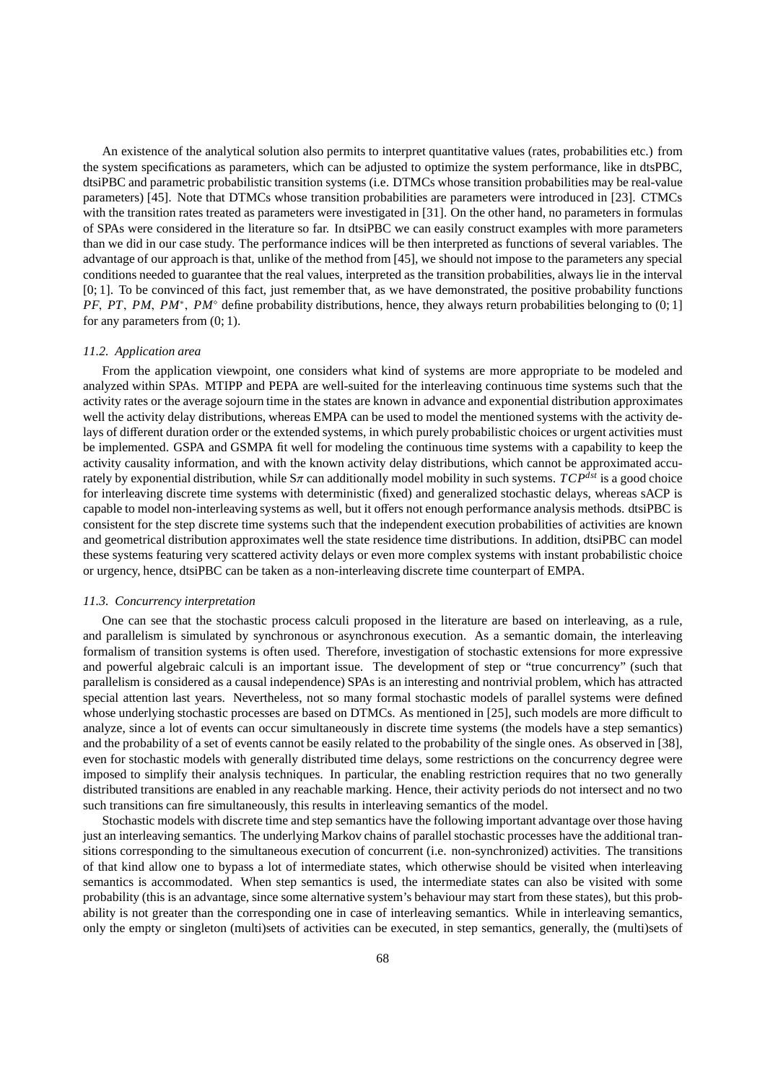An existence of the analytical solution also permits to interpret quantitative values (rates, probabilities etc.) from the system specifications as parameters, which can be adjusted to optimize the system performance, like in dtsPBC, dtsiPBC and parametric probabilistic transition systems (i.e. DTMCs whose transition probabilities may be real-value parameters) [45]. Note that DTMCs whose transition probabilities are parameters were introduced in [23]. CTMCs with the transition rates treated as parameters were investigated in [31]. On the other hand, no parameters in formulas of SPAs were considered in the literature so far. In dtsiPBC we can easily construct examples with more parameters than we did in our case study. The performance indices will be then interpreted as functions of several variables. The advantage of our approach is that, unlike of the method from [45], we should not impose to the parameters any special conditions needed to guarantee that the real values, interpreted as the transition probabilities, always lie in the interval [0; 1]. To be convinced of this fact, just remember that, as we have demonstrated, the positive probability functions *PF*, *PT*, *PM*, *PM*<sup>∗</sup>, *PM*<sup>°</sup> define probability distributions, hence, they always return probabilities belonging to (0; 1] for any parameters from (0; 1).

#### *11.2. Application area*

From the application viewpoint, one considers what kind of systems are more appropriate to be modeled and analyzed within SPAs. MTIPP and PEPA are well-suited for the interleaving continuous time systems such that the activity rates or the average sojourn time in the states are known in advance and exponential distribution approximates well the activity delay distributions, whereas EMPA can be used to model the mentioned systems with the activity delays of different duration order or the extended systems, in which purely probabilistic choices or urgent activities must be implemented. GSPA and GSMPA fit well for modeling the continuous time systems with a capability to keep the activity causality information, and with the known activity delay distributions, which cannot be approximated accurately by exponential distribution, while  $S_{\pi}$  can additionally model mobility in such systems.  $TCP^{dst}$  is a good choice for interleaving discrete time systems with deterministic (fixed) and generalized stochastic delays, whereas sACP is capable to model non-interleaving systems as well, but it offers not enough performance analysis methods. dtsiPBC is consistent for the step discrete time systems such that the independent execution probabilities of activities are known and geometrical distribution approximates well the state residence time distributions. In addition, dtsiPBC can model these systems featuring very scattered activity delays or even more complex systems with instant probabilistic choice or urgency, hence, dtsiPBC can be taken as a non-interleaving discrete time counterpart of EMPA.

#### *11.3. Concurrency interpretation*

One can see that the stochastic process calculi proposed in the literature are based on interleaving, as a rule, and parallelism is simulated by synchronous or asynchronous execution. As a semantic domain, the interleaving formalism of transition systems is often used. Therefore, investigation of stochastic extensions for more expressive and powerful algebraic calculi is an important issue. The development of step or "true concurrency" (such that parallelism is considered as a causal independence) SPAs is an interesting and nontrivial problem, which has attracted special attention last years. Nevertheless, not so many formal stochastic models of parallel systems were defined whose underlying stochastic processes are based on DTMCs. As mentioned in [25], such models are more difficult to analyze, since a lot of events can occur simultaneously in discrete time systems (the models have a step semantics) and the probability of a set of events cannot be easily related to the probability of the single ones. As observed in [38], even for stochastic models with generally distributed time delays, some restrictions on the concurrency degree were imposed to simplify their analysis techniques. In particular, the enabling restriction requires that no two generally distributed transitions are enabled in any reachable marking. Hence, their activity periods do not intersect and no two such transitions can fire simultaneously, this results in interleaving semantics of the model.

Stochastic models with discrete time and step semantics have the following important advantage over those having just an interleaving semantics. The underlying Markov chains of parallel stochastic processes have the additional transitions corresponding to the simultaneous execution of concurrent (i.e. non-synchronized) activities. The transitions of that kind allow one to bypass a lot of intermediate states, which otherwise should be visited when interleaving semantics is accommodated. When step semantics is used, the intermediate states can also be visited with some probability (this is an advantage, since some alternative system's behaviour may start from these states), but this probability is not greater than the corresponding one in case of interleaving semantics. While in interleaving semantics, only the empty or singleton (multi)sets of activities can be executed, in step semantics, generally, the (multi)sets of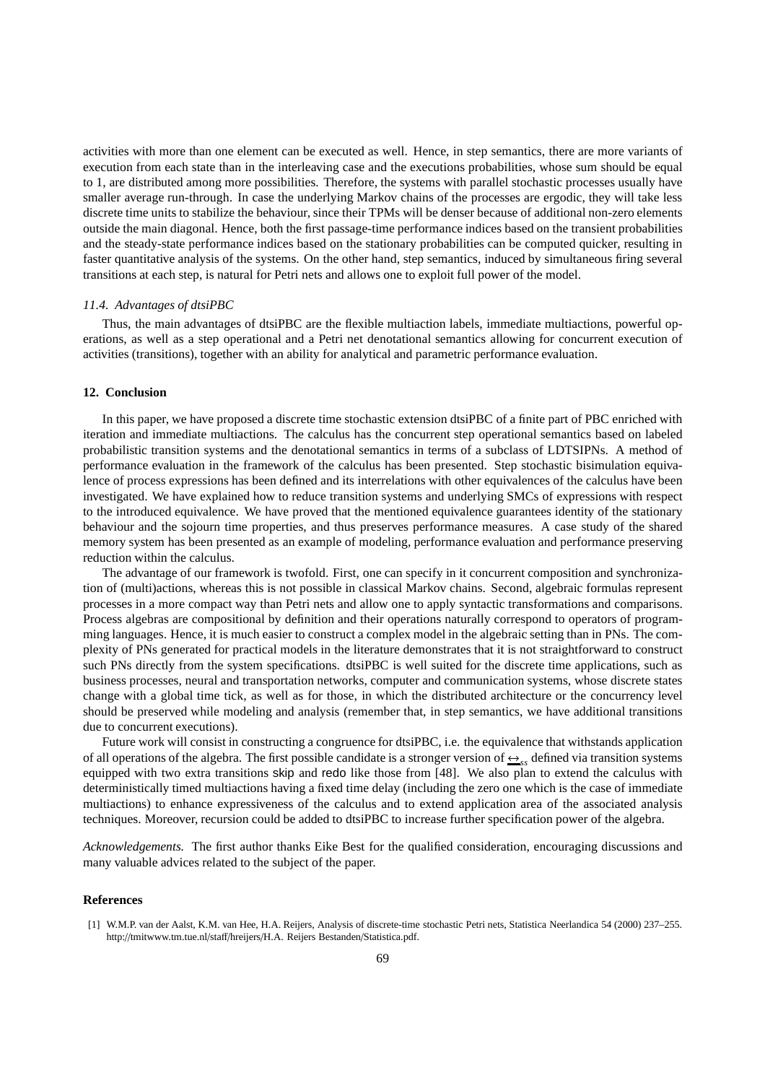activities with more than one element can be executed as well. Hence, in step semantics, there are more variants of execution from each state than in the interleaving case and the executions probabilities, whose sum should be equal to 1, are distributed among more possibilities. Therefore, the systems with parallel stochastic processes usually have smaller average run-through. In case the underlying Markov chains of the processes are ergodic, they will take less discrete time units to stabilize the behaviour, since their TPMs will be denser because of additional non-zero elements outside the main diagonal. Hence, both the first passage-time performance indices based on the transient probabilities and the steady-state performance indices based on the stationary probabilities can be computed quicker, resulting in faster quantitative analysis of the systems. On the other hand, step semantics, induced by simultaneous firing several transitions at each step, is natural for Petri nets and allows one to exploit full power of the model.

## *11.4. Advantages of dtsiPBC*

Thus, the main advantages of dtsiPBC are the flexible multiaction labels, immediate multiactions, powerful operations, as well as a step operational and a Petri net denotational semantics allowing for concurrent execution of activities (transitions), together with an ability for analytical and parametric performance evaluation.

# **12. Conclusion**

In this paper, we have proposed a discrete time stochastic extension dtsiPBC of a finite part of PBC enriched with iteration and immediate multiactions. The calculus has the concurrent step operational semantics based on labeled probabilistic transition systems and the denotational semantics in terms of a subclass of LDTSIPNs. A method of performance evaluation in the framework of the calculus has been presented. Step stochastic bisimulation equivalence of process expressions has been defined and its interrelations with other equivalences of the calculus have been investigated. We have explained how to reduce transition systems and underlying SMCs of expressions with respect to the introduced equivalence. We have proved that the mentioned equivalence guarantees identity of the stationary behaviour and the sojourn time properties, and thus preserves performance measures. A case study of the shared memory system has been presented as an example of modeling, performance evaluation and performance preserving reduction within the calculus.

The advantage of our framework is twofold. First, one can specify in it concurrent composition and synchronization of (multi)actions, whereas this is not possible in classical Markov chains. Second, algebraic formulas represent processes in a more compact way than Petri nets and allow one to apply syntactic transformations and comparisons. Process algebras are compositional by definition and their operations naturally correspond to operators of programming languages. Hence, it is much easier to construct a complex model in the algebraic setting than in PNs. The complexity of PNs generated for practical models in the literature demonstrates that it is not straightforward to construct such PNs directly from the system specifications. dtsiPBC is well suited for the discrete time applications, such as business processes, neural and transportation networks, computer and communication systems, whose discrete states change with a global time tick, as well as for those, in which the distributed architecture or the concurrency level should be preserved while modeling and analysis (remember that, in step semantics, we have additional transitions due to concurrent executions).

Future work will consist in constructing a congruence for dtsiPBC, i.e. the equivalence that withstands application of all operations of the algebra. The first possible candidate is a stronger version of  $\frac{A}{S}$ <sub>ss</sub> defined via transition systems equipped with two extra transitions skip and redo like those from [48]. We also plan to extend the calculus with deterministically timed multiactions having a fixed time delay (including the zero one which is the case of immediate multiactions) to enhance expressiveness of the calculus and to extend application area of the associated analysis techniques. Moreover, recursion could be added to dtsiPBC to increase further specification power of the algebra.

*Acknowledgements.* The first author thanks Eike Best for the qualified consideration, encouraging discussions and many valuable advices related to the subject of the paper.

# **References**

<sup>[1]</sup> W.M.P. van der Aalst, K.M. van Hee, H.A. Reijers, Analysis of discrete-time stochastic Petri nets, Statistica Neerlandica 54 (2000) 237–255. http://tmitwww.tm.tue.nl/staff/hreijers/H.A. Reijers Bestanden/Statistica.pdf.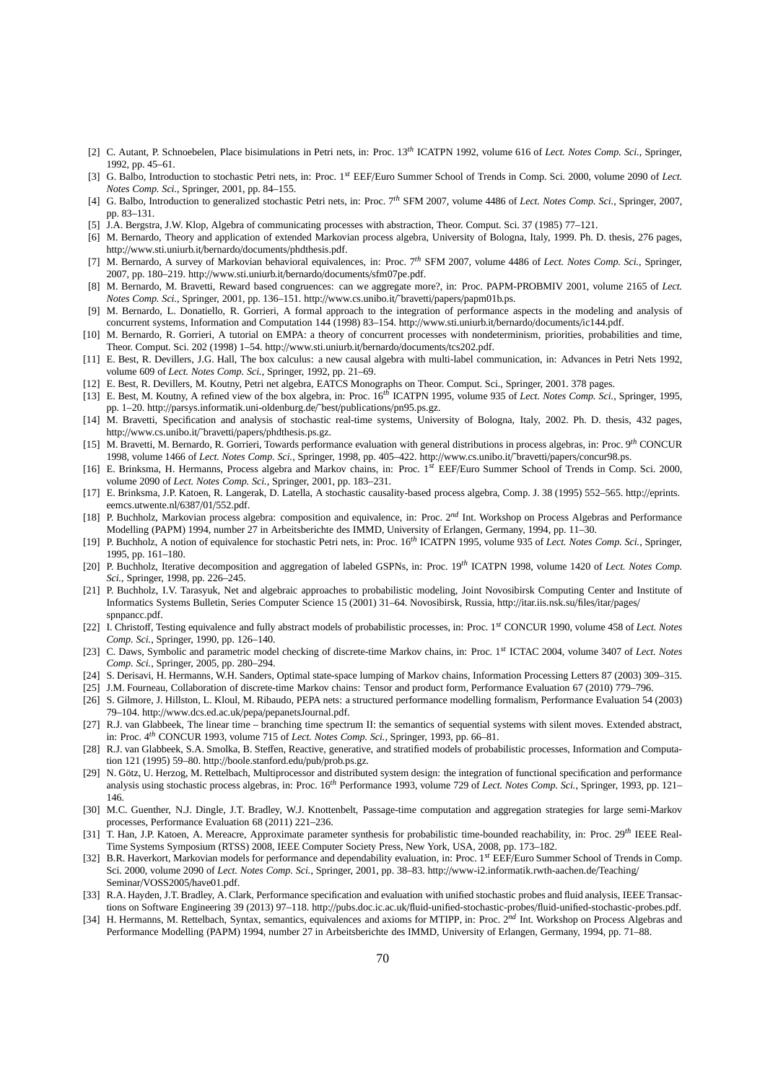- [2] C. Autant, P. Schnoebelen, Place bisimulations in Petri nets, in: Proc. 13*th* ICATPN 1992, volume 616 of *Lect. Notes Comp. Sci.*, Springer, 1992, pp. 45–61.
- [3] G. Balbo, Introduction to stochastic Petri nets, in: Proc. 1*st* EEF/Euro Summer School of Trends in Comp. Sci. 2000, volume 2090 of *Lect. Notes Comp. Sci.*, Springer, 2001, pp. 84–155.
- [4] G. Balbo, Introduction to generalized stochastic Petri nets, in: Proc. 7*th* SFM 2007, volume 4486 of *Lect. Notes Comp. Sci.*, Springer, 2007, pp. 83–131.
- [5] J.A. Bergstra, J.W. Klop, Algebra of communicating processes with abstraction, Theor. Comput. Sci. 37 (1985) 77–121.
- [6] M. Bernardo, Theory and application of extended Markovian process algebra, University of Bologna, Italy, 1999. Ph. D. thesis, 276 pages, http://www.sti.uniurb.it/bernardo/documents/phdthesis.pdf.
- [7] M. Bernardo, A survey of Markovian behavioral equivalences, in: Proc. 7*th* SFM 2007, volume 4486 of *Lect. Notes Comp. Sci.*, Springer, 2007, pp. 180–219. http://www.sti.uniurb.it/bernardo/documents/sfm07pe.pdf.
- [8] M. Bernardo, M. Bravetti, Reward based congruences: can we aggregate more?, in: Proc. PAPM-PROBMIV 2001, volume 2165 of *Lect. Notes Comp. Sci.*, Springer, 2001, pp. 136–151. http://www.cs.unibo.it/˜bravetti/papers/papm01b.ps.
- [9] M. Bernardo, L. Donatiello, R. Gorrieri, A formal approach to the integration of performance aspects in the modeling and analysis of concurrent systems, Information and Computation 144 (1998) 83–154. http://www.sti.uniurb.it/bernardo/documents/ic144.pdf.
- [10] M. Bernardo, R. Gorrieri, A tutorial on EMPA: a theory of concurrent processes with nondeterminism, priorities, probabilities and time, Theor. Comput. Sci. 202 (1998) 1–54. http://www.sti.uniurb.it/bernardo/documents/tcs202.pdf.
- [11] E. Best, R. Devillers, J.G. Hall, The box calculus: a new causal algebra with multi-label communication, in: Advances in Petri Nets 1992, volume 609 of *Lect. Notes Comp. Sci.*, Springer, 1992, pp. 21–69.
- [12] E. Best, R. Devillers, M. Koutny, Petri net algebra, EATCS Monographs on Theor. Comput. Sci., Springer, 2001. 378 pages.
- [13] E. Best, M. Koutny, A refined view of the box algebra, in: Proc. 16*th* ICATPN 1995, volume 935 of *Lect. Notes Comp. Sci.*, Springer, 1995, pp. 1–20. http://parsys.informatik.uni-oldenburg.de/˜best/publications/pn95.ps.gz.
- [14] M. Bravetti, Specification and analysis of stochastic real-time systems, University of Bologna, Italy, 2002. Ph. D. thesis, 432 pages, http://www.cs.unibo.it/˜bravetti/papers/phdthesis.ps.gz.
- [15] M. Bravetti, M. Bernardo, R. Gorrieri, Towards performance evaluation with general distributions in process algebras, in: Proc. 9*th* CONCUR 1998, volume 1466 of *Lect. Notes Comp. Sci.*, Springer, 1998, pp. 405–422. http://www.cs.unibo.it/˜bravetti/papers/concur98.ps.
- [16] E. Brinksma, H. Hermanns, Process algebra and Markov chains, in: Proc. 1*st* EEF/Euro Summer School of Trends in Comp. Sci. 2000, volume 2090 of *Lect. Notes Comp. Sci.*, Springer, 2001, pp. 183–231.
- [17] E. Brinksma, J.P. Katoen, R. Langerak, D. Latella, A stochastic causality-based process algebra, Comp. J. 38 (1995) 552–565. http://eprints. eemcs.utwente.nl/6387/01/552.pdf.
- [18] P. Buchholz, Markovian process algebra: composition and equivalence, in: Proc. 2*nd* Int. Workshop on Process Algebras and Performance Modelling (PAPM) 1994, number 27 in Arbeitsberichte des IMMD, University of Erlangen, Germany, 1994, pp. 11–30.
- [19] P. Buchholz, A notion of equivalence for stochastic Petri nets, in: Proc. 16*th* ICATPN 1995, volume 935 of *Lect. Notes Comp. Sci.*, Springer, 1995, pp. 161–180.
- [20] P. Buchholz, Iterative decomposition and aggregation of labeled GSPNs, in: Proc. 19*th* ICATPN 1998, volume 1420 of *Lect. Notes Comp. Sci.*, Springer, 1998, pp. 226–245.
- [21] P. Buchholz, I.V. Tarasyuk, Net and algebraic approaches to probabilistic modeling, Joint Novosibirsk Computing Center and Institute of Informatics Systems Bulletin, Series Computer Science 15 (2001) 31–64. Novosibirsk, Russia, http://itar.iis.nsk.su/files/itar/pages/ spnpance.pdf
- [22] I. Christoff, Testing equivalence and fully abstract models of probabilistic processes, in: Proc. 1*st* CONCUR 1990, volume 458 of *Lect. Notes Comp. Sci.*, Springer, 1990, pp. 126–140.
- [23] C. Daws, Symbolic and parametric model checking of discrete-time Markov chains, in: Proc. 1*st* ICTAC 2004, volume 3407 of *Lect. Notes Comp. Sci.*, Springer, 2005, pp. 280–294.
- [24] S. Derisavi, H. Hermanns, W.H. Sanders, Optimal state-space lumping of Markov chains, Information Processing Letters 87 (2003) 309–315.
- [25] J.M. Fourneau, Collaboration of discrete-time Markov chains: Tensor and product form, Performance Evaluation 67 (2010) 779–796. [26] S. Gilmore, J. Hillston, L. Kloul, M. Ribaudo, PEPA nets: a structured performance modelling formalism, Performance Evaluation 54 (2003)
- 79–104. http://www.dcs.ed.ac.uk/pepa/pepanetsJournal.pdf. [27] R.J. van Glabbeek, The linear time – branching time spectrum II: the semantics of sequential systems with silent moves. Extended abstract, in: Proc. 4*th* CONCUR 1993, volume 715 of *Lect. Notes Comp. Sci.*, Springer, 1993, pp. 66–81.
- [28] R.J. van Glabbeek, S.A. Smolka, B. Steffen, Reactive, generative, and stratified models of probabilistic processes, Information and Computation 121 (1995) 59–80. http://boole.stanford.edu/pub/prob.ps.gz.
- [29] N. Götz, U. Herzog, M. Rettelbach, Multiprocessor and distributed system design: the integration of functional specification and performance analysis using stochastic process algebras, in: Proc. 16*th* Performance 1993, volume 729 of *Lect. Notes Comp. Sci.*, Springer, 1993, pp. 121– 146.
- [30] M.C. Guenther, N.J. Dingle, J.T. Bradley, W.J. Knottenbelt, Passage-time computation and aggregation strategies for large semi-Markov processes, Performance Evaluation 68 (2011) 221–236.
- [31] T. Han, J.P. Katoen, A. Mereacre, Approximate parameter synthesis for probabilistic time-bounded reachability, in: Proc. 29*th* IEEE Real-Time Systems Symposium (RTSS) 2008, IEEE Computer Society Press, New York, USA, 2008, pp. 173–182.
- [32] B.R. Haverkort, Markovian models for performance and dependability evaluation, in: Proc. 1*st* EEF/Euro Summer School of Trends in Comp. Sci. 2000, volume 2090 of *Lect. Notes Comp. Sci.*, Springer, 2001, pp. 38–83. http://www-i2.informatik.rwth-aachen.de/Teaching/ Seminar/VOSS2005/have01.pdf.
- [33] R.A. Hayden, J.T. Bradley, A. Clark, Performance specification and evaluation with unified stochastic probes and fluid analysis, IEEE Transactions on Software Engineering 39 (2013) 97–118. http://pubs.doc.ic.ac.uk/fluid-unified-stochastic-probes/fluid-unified-stochastic-probes.pdf.
- [34] H. Hermanns, M. Rettelbach, Syntax, semantics, equivalences and axioms for MTIPP, in: Proc. 2*nd* Int. Workshop on Process Algebras and Performance Modelling (PAPM) 1994, number 27 in Arbeitsberichte des IMMD, University of Erlangen, Germany, 1994, pp. 71–88.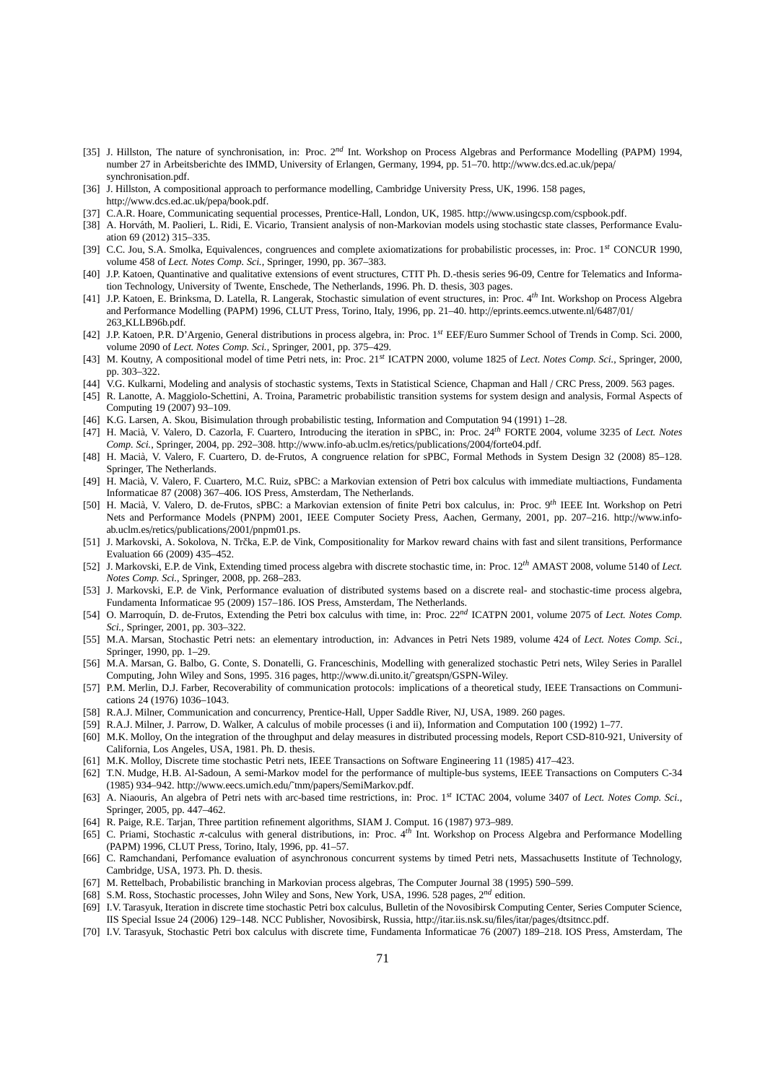- [35] J. Hillston, The nature of synchronisation, in: Proc. 2*nd* Int. Workshop on Process Algebras and Performance Modelling (PAPM) 1994, number 27 in Arbeitsberichte des IMMD, University of Erlangen, Germany, 1994, pp. 51–70. http://www.dcs.ed.ac.uk/pepa/ synchronisation.pdf.
- [36] J. Hillston, A compositional approach to performance modelling, Cambridge University Press, UK, 1996. 158 pages, http://www.dcs.ed.ac.uk/pepa/book.pdf.
- [37] C.A.R. Hoare, Communicating sequential processes, Prentice-Hall, London, UK, 1985. http://www.usingcsp.com/cspbook.pdf.
- [38] A. Horváth, M. Paolieri, L. Ridi, E. Vicario, Transient analysis of non-Markovian models using stochastic state classes, Performance Evaluation 69 (2012) 315–335.
- [39] C.C. Jou, S.A. Smolka, Equivalences, congruences and complete axiomatizations for probabilistic processes, in: Proc. 1*st* CONCUR 1990, volume 458 of *Lect. Notes Comp. Sci.*, Springer, 1990, pp. 367–383.
- [40] J.P. Katoen, Quantinative and qualitative extensions of event structures, CTIT Ph. D.-thesis series 96-09, Centre for Telematics and Information Technology, University of Twente, Enschede, The Netherlands, 1996. Ph. D. thesis, 303 pages.
- [41] J.P. Katoen, E. Brinksma, D. Latella, R. Langerak, Stochastic simulation of event structures, in: Proc. 4*th* Int. Workshop on Process Algebra and Performance Modelling (PAPM) 1996, CLUT Press, Torino, Italy, 1996, pp. 21–40. http://eprints.eemcs.utwente.nl/6487/01/ 263 KLLB96b.pdf.
- [42] J.P. Katoen, P.R. D'Argenio, General distributions in process algebra, in: Proc. 1*st* EEF/Euro Summer School of Trends in Comp. Sci. 2000, volume 2090 of *Lect. Notes Comp. Sci.*, Springer, 2001, pp. 375–429.
- [43] M. Koutny, A compositional model of time Petri nets, in: Proc. 21*st* ICATPN 2000, volume 1825 of *Lect. Notes Comp. Sci.*, Springer, 2000, pp. 303–322.
- [44] V.G. Kulkarni, Modeling and analysis of stochastic systems, Texts in Statistical Science, Chapman and Hall / CRC Press, 2009. 563 pages.
- [45] R. Lanotte, A. Maggiolo-Schettini, A. Troina, Parametric probabilistic transition systems for system design and analysis, Formal Aspects of Computing 19 (2007) 93–109.
- [46] K.G. Larsen, A. Skou, Bisimulation through probabilistic testing, Information and Computation 94 (1991) 1–28.
- [47] H. Macià, V. Valero, D. Cazorla, F. Cuartero, Introducing the iteration in sPBC, in: Proc. 24<sup>th</sup> FORTE 2004, volume 3235 of *Lect. Notes Comp. Sci.*, Springer, 2004, pp. 292–308. http://www.info-ab.uclm.es/retics/publications/2004/forte04.pdf.
- [48] H. Macià, V. Valero, F. Cuartero, D. de-Frutos, A congruence relation for sPBC, Formal Methods in System Design 32 (2008) 85-128. Springer, The Netherlands.
- [49] H. Macià, V. Valero, F. Cuartero, M.C. Ruiz, sPBC: a Markovian extension of Petri box calculus with immediate multiactions, Fundamenta Informaticae 87 (2008) 367–406. IOS Press, Amsterdam, The Netherlands.
- [50] H. Macià, V. Valero, D. de-Frutos, sPBC: a Markovian extension of finite Petri box calculus, in: Proc. 9<sup>th</sup> IEEE Int. Workshop on Petri Nets and Performance Models (PNPM) 2001, IEEE Computer Society Press, Aachen, Germany, 2001, pp. 207–216. http://www.infoab.uclm.es/retics/publications/2001/pnpm01.ps.
- [51] J. Markovski, A. Sokolova, N. Trčka, E.P. de Vink, Compositionality for Markov reward chains with fast and silent transitions, Performance Evaluation 66 (2009) 435–452.
- [52] J. Markovski, E.P. de Vink, Extending timed process algebra with discrete stochastic time, in: Proc. 12*th* AMAST 2008, volume 5140 of *Lect. Notes Comp. Sci.*, Springer, 2008, pp. 268–283.
- [53] J. Markovski, E.P. de Vink, Performance evaluation of distributed systems based on a discrete real- and stochastic-time process algebra, Fundamenta Informaticae 95 (2009) 157–186. IOS Press, Amsterdam, The Netherlands.
- [54] O. Marroquín, D. de-Frutos, Extending the Petri box calculus with time, in: Proc. 22<sup>nd</sup> ICATPN 2001, volume 2075 of *Lect. Notes Comp. Sci.*, Springer, 2001, pp. 303–322.
- [55] M.A. Marsan, Stochastic Petri nets: an elementary introduction, in: Advances in Petri Nets 1989, volume 424 of *Lect. Notes Comp. Sci.*, Springer, 1990, pp. 1–29.
- [56] M.A. Marsan, G. Balbo, G. Conte, S. Donatelli, G. Franceschinis, Modelling with generalized stochastic Petri nets, Wiley Series in Parallel Computing, John Wiley and Sons, 1995. 316 pages, http://www.di.unito.it/~greatspn/GSPN-Wiley.
- [57] P.M. Merlin, D.J. Farber, Recoverability of communication protocols: implications of a theoretical study, IEEE Transactions on Communications 24 (1976) 1036–1043.
- [58] R.A.J. Milner, Communication and concurrency, Prentice-Hall, Upper Saddle River, NJ, USA, 1989. 260 pages.
- [59] R.A.J. Milner, J. Parrow, D. Walker, A calculus of mobile processes (i and ii), Information and Computation 100 (1992) 1–77.
- [60] M.K. Molloy, On the integration of the throughput and delay measures in distributed processing models, Report CSD-810-921, University of California, Los Angeles, USA, 1981. Ph. D. thesis.
- [61] M.K. Molloy, Discrete time stochastic Petri nets, IEEE Transactions on Software Engineering 11 (1985) 417–423.
- [62] T.N. Mudge, H.B. Al-Sadoun, A semi-Markov model for the performance of multiple-bus systems, IEEE Transactions on Computers C-34 (1985) 934–942. http://www.eecs.umich.edu/˜tnm/papers/SemiMarkov.pdf.
- [63] A. Niaouris, An algebra of Petri nets with arc-based time restrictions, in: Proc. 1*st* ICTAC 2004, volume 3407 of *Lect. Notes Comp. Sci.*, Springer, 2005, pp. 447–462.
- [64] R. Paige, R.E. Tarjan, Three partition refinement algorithms, SIAM J. Comput. 16 (1987) 973–989.
- [65] C. Priami, Stochastic π-calculus with general distributions, in: Proc. 4*th* Int. Workshop on Process Algebra and Performance Modelling (PAPM) 1996, CLUT Press, Torino, Italy, 1996, pp. 41–57.
- [66] C. Ramchandani, Perfomance evaluation of asynchronous concurrent systems by timed Petri nets, Massachusetts Institute of Technology, Cambridge, USA, 1973. Ph. D. thesis.
- [67] M. Rettelbach, Probabilistic branching in Markovian process algebras, The Computer Journal 38 (1995) 590–599.
- [68] S.M. Ross, Stochastic processes, John Wiley and Sons, New York, USA, 1996. 528 pages, 2*nd* edition.
- [69] I.V. Tarasyuk, Iteration in discrete time stochastic Petri box calculus, Bulletin of the Novosibirsk Computing Center, Series Computer Science, IIS Special Issue 24 (2006) 129–148. NCC Publisher, Novosibirsk, Russia, http://itar.iis.nsk.su/files/itar/pages/dtsitncc.pdf.
- [70] I.V. Tarasyuk, Stochastic Petri box calculus with discrete time, Fundamenta Informaticae 76 (2007) 189–218. IOS Press, Amsterdam, The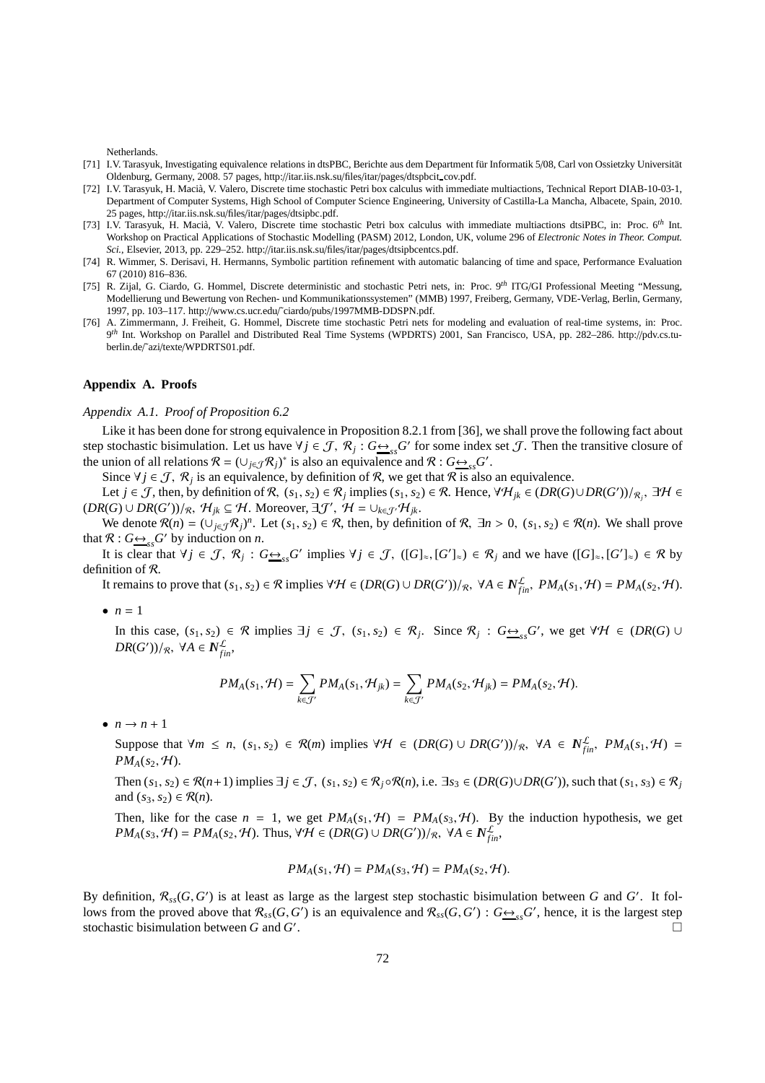Netherlands.

- [71] I.V. Tarasyuk, Investigating equivalence relations in dtsPBC, Berichte aus dem Department für Informatik 5/08, Carl von Ossietzky Universität Oldenburg, Germany, 2008. 57 pages, http://itar.iis.nsk.su/files/itar/pages/dtspbcit cov.pdf.
- [72] I.V. Tarasyuk, H. Macià, V. Valero, Discrete time stochastic Petri box calculus with immediate multiactions, Technical Report DIAB-10-03-1, Department of Computer Systems, High School of Computer Science Engineering, University of Castilla-La Mancha, Albacete, Spain, 2010. 25 pages, http://itar.iis.nsk.su/files/itar/pages/dtsipbc.pdf.
- [73] I.V. Tarasyuk, H. Macià, V. Valero, Discrete time stochastic Petri box calculus with immediate multiactions dtsiPBC, in: Proc. 6<sup>th</sup> Int. Workshop on Practical Applications of Stochastic Modelling (PASM) 2012, London, UK, volume 296 of *Electronic Notes in Theor. Comput. Sci.*, Elsevier, 2013, pp. 229–252. http://itar.iis.nsk.su/files/itar/pages/dtsipbcentcs.pdf.
- [74] R. Wimmer, S. Derisavi, H. Hermanns, Symbolic partition refinement with automatic balancing of time and space, Performance Evaluation 67 (2010) 816–836.
- [75] R. Zijal, G. Ciardo, G. Hommel, Discrete deterministic and stochastic Petri nets, in: Proc. 9*th* ITG/GI Professional Meeting "Messung, Modellierung und Bewertung von Rechen- und Kommunikationssystemen" (MMB) 1997, Freiberg, Germany, VDE-Verlag, Berlin, Germany, 1997, pp. 103–117. http://www.cs.ucr.edu/˜ciardo/pubs/1997MMB-DDSPN.pdf.
- [76] A. Zimmermann, J. Freiheit, G. Hommel, Discrete time stochastic Petri nets for modeling and evaluation of real-time systems, in: Proc. 9 *th* Int. Workshop on Parallel and Distributed Real Time Systems (WPDRTS) 2001, San Francisco, USA, pp. 282–286. http://pdv.cs.tuberlin.de/˜azi/texte/WPDRTS01.pdf.

# **Appendix A. Proofs**

# *Appendix A.1. Proof of Proposition 6.2*

Like it has been done for strong equivalence in Proposition 8.2.1 from [36], we shall prove the following fact about step stochastic bisimulation. Let us have  $\forall j \in \mathcal{J}, \mathcal{R}_j : G \rightarrowss^G G'$  for some index set  $\mathcal{J}$ . Then the transitive closure of the union of all relations  $\mathcal{R} = (\cup_{j \in \mathcal{J}} \mathcal{R}_j)^*$  is also an equivalence and  $\mathcal{R}$  :  $G \rightarrow_{ss} G'$ .

Since  $\forall j \in \mathcal{J}, \mathcal{R}_j$  is an equivalence, by definition of  $\mathcal{R}$ , we get that  $\mathcal{R}$  is also an equivalence.

Let *j* ∈ *J*, then, by definition of *R*,  $(s_1, s_2) \in R_j$  implies  $(s_1, s_2) \in R$ . Hence,  $\forall H_{jk} \in (DR(G) \cup DR(G'))/R_j$ ,  $\exists H \in$  $(DR(G) \cup DR(G'))/R$ ,  $\mathcal{H}_{jk} \subseteq \mathcal{H}$ . Moreover,  $\exists \mathcal{J}', \ \mathcal{H} = \cup_{k \in \mathcal{J}'} \mathcal{H}_{jk}$ .

We denote  $\mathcal{R}(n) = (\bigcup_{j \in \mathcal{J}} \mathcal{R}_j)^n$ . Let  $(s_1, s_2) \in \mathcal{R}$ , then, by definition of  $\mathcal{R}, \exists n > 0$ ,  $(s_1, s_2) \in \mathcal{R}(n)$ . We shall prove that  $\mathcal{R}: G \rightarrow S_{ss} G'$  by induction on *n*.

It is clear that  $\forall j \in \mathcal{J}, \mathcal{R}_j : G \rightarrow_{ss} G'$  implies  $\forall j \in \mathcal{J}, ([G]_{\approx}, [G']_{\approx}) \in \mathcal{R}_j$  and we have  $([G]_{\approx}, [G']_{\approx}) \in \mathcal{R}$  by definition of R.

It remains to prove that  $(s_1, s_2) \in \mathcal{R}$  implies  $\forall \mathcal{H} \in (DR(G) \cup DR(G'))/R$ ,  $\forall A \in \mathbb{N}_{fin}^{\mathcal{L}}$ ,  $PM_A(s_1, \mathcal{H}) = PM_A(s_2, \mathcal{H})$ .

 $\bullet$   $n=1$ 

In this case,  $(s_1, s_2) \in \mathcal{R}$  implies  $\exists j \in \mathcal{J}$ ,  $(s_1, s_2) \in \mathcal{R}_j$ . Since  $\mathcal{R}_j$  :  $G \underset{\sim}{\leftrightarrow}_{ss} G'$ , we get  $\forall \mathcal{H} \in (DR(G) \cup$  $DR(G'))/R$ ,  $\forall A \in \mathbb{N}^{\mathcal{L}}_{fin}$ ,

$$
PM_A(s_1,\mathcal{H})=\sum_{k\in\mathcal{J}'}PM_A(s_1,\mathcal{H}_{jk})=\sum_{k\in\mathcal{J}'}PM_A(s_2,\mathcal{H}_{jk})=PM_A(s_2,\mathcal{H}).
$$

 $\bullet$   $n \rightarrow n+1$ 

Suppose that  $\forall m \le n$ ,  $(s_1, s_2) \in \mathcal{R}(m)$  implies  $\forall \mathcal{H} \in (DR(G) \cup DR(G'))/R$ ,  $\forall A \in \mathbb{N}_{fin}^{\mathcal{L}}$ ,  $PM_A(s_1, \mathcal{H}) =$  $PM_A(s_2, H)$ .

Then  $(s_1, s_2) \in \mathcal{R}(n+1)$  implies  $\exists j \in \mathcal{J}, (s_1, s_2) \in \mathcal{R}_j \circ \mathcal{R}(n)$ , i.e.  $\exists s_3 \in (DR(G) \cup DR(G'))$ , such that  $(s_1, s_3) \in \mathcal{R}_j$ and  $(s_3, s_2) \in \mathcal{R}(n)$ .

Then, like for the case  $n = 1$ , we get  $PM_A(s_1, \mathcal{H}) = PM_A(s_3, \mathcal{H})$ . By the induction hypothesis, we get  $PM_A(s_3, \mathcal{H}) = PM_A(s_2, \mathcal{H})$ . Thus,  $\forall \mathcal{H} \in (DR(G) \cup DR(G'))/R$ ,  $\forall A \in N_{fin}^{\mathcal{L}}$ ,

$$
PM_A(s_1, \mathcal{H}) = PM_A(s_3, \mathcal{H}) = PM_A(s_2, \mathcal{H}).
$$

By definition,  $\mathcal{R}_{ss}(G, G')$  is at least as large as the largest step stochastic bisimulation between *G* and *G'*. It follows from the proved above that  $\mathcal{R}_{ss}(G, G')$  is an equivalence and  $\mathcal{R}_{ss}(G, G')$ :  $G \rightarrow_{ss} G'$ , hence, it is the largest step stochastic bisimulation between *G* and *G* ′ . В последните последните се при водово се при водово се при водово се при водово се при водово се при водово<br>Село водово се при водово се при водово се при водово се при водово се при водово се при водово се при водово<br>С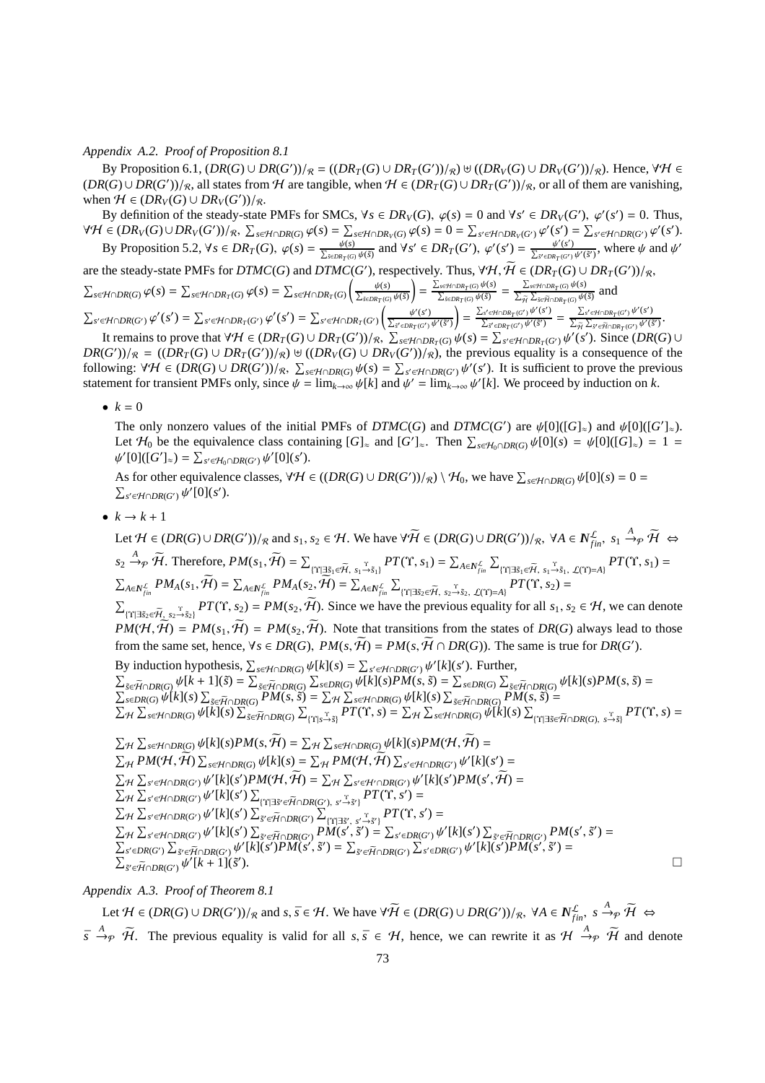## *Appendix A.2. Proof of Proposition 8.1*

By Proposition 6.1,  $(DR(G) \cup DR(G'))/R = ((DR_T(G) \cup DR_T(G'))/R) \cup ((DR_V(G) \cup DR_V(G'))/R)$ . Hence,  $\forall H \in$  $(DR(G) ∪ DR(G'))/R$ , all states from H are tangible, when  $H ∈ (DR_T(G) ∪ DR_T(G'))/R$ , or all of them are vanishing, when  $H \in (DR_V(G) \cup DR_V(G'))/R$ .

By definition of the steady-state PMFs for SMCs,  $\forall s \in DR_V(G)$ ,  $\varphi(s) = 0$  and  $\forall s' \in DR_V(G')$ ,  $\varphi'(s') = 0$ . Thus,  $\forall \mathcal{H} \in (DR_V(G) \cup DR_V(G'))/_{\mathcal{R}}, \ \sum_{s \in \mathcal{H} \cap DR(G)} \varphi(s) = \sum_{s \in \mathcal{H} \cap DR_V(G)} \varphi(s) = 0 = \sum_{s' \in \mathcal{H} \cap DR_V(G')} \varphi'(s') = \sum_{s' \in \mathcal{H} \cap DR(G')} \varphi'(s').$ By Proposition 5.2,  $\forall s \in DR_T(G)$ ,  $\varphi(s) = \frac{\psi(s)}{\sum_{\vec{s} \in DR_T(G)} \psi(\vec{s})}$  and  $\forall s' \in DR_T(G')$ ,  $\varphi'(s') = \frac{\psi'(s')}{\sum_{\vec{s}' \in DR_T(G')}\psi'(\vec{s}')}$ , where  $\psi$  and  $\psi'$ 

are the steady-state PMFs for  $DTMC(G)$  and  $DTMC(G')$ , respectively. Thus,  $\forall H, \tilde{H} \in (DR_T(G) \cup DR_T(G'))/R$ ,  $\sum_{s \in \mathcal{H} \cap DR(G)} \varphi(s) = \sum_{s \in \mathcal{H} \cap DR_T(G)} \varphi(s) = \sum_{s \in \mathcal{H} \cap DR_T(G)}$  $\left(\frac{\psi(s)}{\sum_{\tilde{s} \in DR_T(G)} \psi(\tilde{s})}\right)$  $\left( \int \frac{\sum_{s \in H \cap DR_T(G)} \psi(s)}{\sum_{\tilde{s} \in DR_T(G)} \psi(\tilde{s})} \right) = \frac{\sum_{s \in H \cap DR_T(G)} \psi(s)}{\sum_{\tilde{H}} \sum_{\tilde{s} \in \tilde{H} \cap DR_T(G)} \psi(\tilde{s})}$  and

 $\sum_{s'\in \mathcal{H}\cap DR(G')}\varphi'(s')=\sum_{s'\in \mathcal{H}\cap DR_T(G')}\varphi'(s')=\sum_{s'\in \mathcal{H}\cap DR_T(G')}\left(\frac{\psi'(s')}{\sum_{\vec{s}'\in DR_T(G')}\psi'(\vec{s}')}\right)$  $= \frac{\sum_{s' \in \mathcal{H} \cap DR_T(G')}\psi'(s')}{\sum_{s'} \psi'(s')}$  $\frac{\sum_{s'\in\mathcal{H}\cap DR_T(G')}\psi'(s')}{\sum_{\tilde{s}'\in DR_T(G')}\psi'(\tilde{s}') } \ = \ \frac{\sum_{s'\in\mathcal{H}\cap DR_T(G')}\psi'(s')}{\sum_{\tilde{H}}\sum_{\tilde{s}'\in\tilde{H}\cap DR_T(G')}\psi'(\tilde{s}') }$  $\frac{\sum_{\vec{s}'} \in \mathcal{H} \cap \text{DR}_T(G') \not\psi(\vec{s}')}{\sum_{\widetilde{\mathcal{H}}} \sum_{\vec{s}'} \in \widetilde{\mathcal{H}} \cap \text{DR}_T(G')} \cdot$ 

It remains to prove that  $\forall H \in (DR_T(G) \cup DR_T(G'))/\mathcal{R}, \sum_{s \in H \cap DR_T(G)} \psi(s) = \sum_{s' \in H \cap DR_T(G')} \psi'(s').$  Since  $(DR(G) \cup (G'))/\mathcal{R} = ((DR_T(G) \cup DR_T(G'))/\mathcal{R})$  if  $(DR_T(G) \cup DR_T(G'))/\mathcal{R}$  the previous equality is a consequence of the  $DR(G')/R = ((DR_T(G) \cup DR_T(G'))/R) \cup ((DR_V(G) \cup DR_V(G'))/R)$ , the previous equality is a consequence of the following:  $\forall H \in (DR(G) \cup DR(G'))/R$ ,  $\sum_{s \in H \cap DR(G)} \psi(s) = \sum_{s' \in H \cap DR(G')} \psi'(s')$ . It is sufficient to prove the previous statement for transient PMFs only, since  $\psi = \lim_{k \to \infty} \psi[k]$  and  $\psi' = \lim_{k \to \infty} \psi'[k]$ . We proceed by induction on k.

•  $k = 0$ 

The only nonzero values of the initial PMFs of  $DTMC(G)$  and  $DTMC(G')$  are  $\psi[0]([G]_{\approx})$  and  $\psi[0]([G']_{\approx})$ . Let  $H_0$  be the equivalence class containing  $[G]_{\approx}$  and  $[G']_{\approx}$ . Then  $\sum_{s \in H_0 \cap DR(G)} \psi[0](s) = \psi[0]([G]_{\approx}) = 1$  $\psi'[0]([G']_{\approx}) = \sum_{s' \in \mathcal{H}_0 \cap DR(G')} \psi'[0](s').$ 

As for other equivalence classes,  $\forall H \in ((DR(G) \cup DR(G'))/R) \setminus H_0$ , we have  $\sum_{s \in H \cap DR(G)} \psi[0](s) = 0 =$ <br> $\sum_{s' \in H \cap DR(G') \cup D'} \psi[0](s')$ . *s* ′∈H∩*DR*(*G*′ ) ψ ′ [0](*s* ′ ).

 $\bullet \quad k \rightarrow k+1$ 

Let  $\mathcal{H} \in (DR(G) \cup DR(G'))/R$  and  $s_1, s_2 \in \mathcal{H}$ . We have  $\forall \widetilde{\mathcal{H}} \in (DR(G) \cup DR(G'))/R$ ,  $\forall A \in \mathbb{N}_{fin}^{\mathcal{L}}, s_1 \stackrel{A}{\rightarrow} p \widetilde{\mathcal{H}} \Leftrightarrow$  $s_2 \xrightarrow{A} \widetilde{\mathcal{H}}$ . Therefore,  $PM(s_1, \widetilde{\mathcal{H}}) = \sum_{\{\Upsilon \mid \exists \widetilde{s}_1 \in \widetilde{\mathcal{H}}, s_1 \xrightarrow{\Upsilon} \widetilde{s}_1\}} PT(\Upsilon, s_1) = \sum_{A \in N_{fin}^{\mathcal{L}}}\sum_{\{\Upsilon \mid \exists \widetilde{s}_1 \in \widetilde{\mathcal{H}}, s_1 \xrightarrow{\Upsilon} \widetilde{s}_1, \mathcal{L}(\Upsilon) = A\}} PT(\Upsilon, s_1) =$  $\textstyle \sum_{A\in \mathbb{N}_{fin}^{\mathcal{L}}}PM_A(s_1,\bar{\mathcal{H}})=\sum_{A\in \mathbb{N}_{fin}^{\mathcal{L}}}PM_A(s_2,\bar{\mathcal{H}})=\sum_{A\in \mathbb{N}_{fin}^{\mathcal{L}}}\sum_{\{\Upsilon|\exists \tilde{s}_2\in \widetilde{\mathcal{H}},\ s_2\overset{\Upsilon}{\rightarrow} \tilde{s}_2,\ \mathcal{L}(\Upsilon)=A\}}PT(\Upsilon,s_2)=$  $\sum_{\{\Upsilon|\exists \tilde{s}_2 \in \tilde{\mathcal{H}}_1, s_2 \to \tilde{s}_2\}} PT(\Upsilon, s_2) = PM(s_2, \tilde{\mathcal{H}})$ . Since we have the previous equality for all  $s_1, s_2 \in \mathcal{H}$ , we can denote  $PM(\mathcal{H}, \widetilde{\mathcal{H}}) = PM(s_1, \widetilde{\mathcal{H}}) = PM(s_2, \widetilde{\mathcal{H}})$ . Note that transitions from the states of *DR(G)* always lead to those from the same set, hence,  $\forall s \in DR(G), PM(s, \tilde{H}) = PM(s, \tilde{H} \cap DR(G))$ . The same is true for  $DR(G')$ . By induction hypothesis,  $\sum_{s \in \mathcal{H} \cap DR(G)} \psi[k](s) = \sum_{s' \in \mathcal{H} \cap DR(G')} \psi'[k](s')$ . Further,  $\sum_{\tilde{s}\in \tilde{\mathcal{H}}\cap DR(G)}\psi[k+1](\tilde{s})=\sum_{\tilde{s}\in \tilde{\mathcal{H}}\cap DR(G)}\sum_{s\in DR(G)}\psi[k](s)PM(s,\tilde{s})=\sum_{s\in DR(G)}\sum_{\tilde{s}\in \tilde{\mathcal{H}}\cap DR(G)}\psi[k](s)PM(s,\tilde{s})=$  $\sum_{s \in DR(G)} \psi[k](s) \sum_{\tilde{s} \in \tilde{\mathcal{H}} \cap DR(G)} PM(s, \tilde{s}) = \sum_{\mathcal{H}} \sum_{s \in \mathcal{H} \cap DR(G)} \psi[k](s) \sum_{\tilde{s} \in \tilde{\mathcal{H}} \cap DR(G)} PM(s, \tilde{s}) =$  $\Sigma_H \sum_{s \in \mathcal{H} \cap DR(G)} \psi[\tilde{k}](s) \sum_{\tilde{s} \in \tilde{\mathcal{H}} \cap DR(G)} \sum_{\{ \Upsilon \mid s \to \tilde{s} \}} PT(\Upsilon, s) = \sum_{\mathcal{H}} \sum_{s \in \mathcal{H} \cap DR(G)} \psi[\tilde{k}](s) \sum_{\{ \Upsilon \mid \exists \tilde{s} \in \tilde{\mathcal{H}} \cap DR(G), s \to \tilde{s} \}} PT(\Upsilon, s) = \sum_{\{ \Upsilon \mid \tilde{s} \in \tilde{\mathcal{H}} \cap DR(G), s \to \tilde{s} \}} PT(\Upsilon, s)$  $\sum_{H} \sum_{s \in \mathcal{H} \cap DR(G)} \psi[k](s)PM(s, \widetilde{\mathcal{H}}) = \sum_{H} \sum_{s \in \mathcal{H} \cap DR(G)} \psi[k](s)PM(\mathcal{H}, \widetilde{\mathcal{H}}) =$  $\sum_{\mathcal{H}} P M(\mathcal{H}, \widetilde{\mathcal{H}}) \sum_{s \in \mathcal{H} \cap DR(G)} \psi[k](s) = \sum_{\mathcal{H}} P M(\mathcal{H}, \widetilde{\mathcal{H}}) \sum_{s' \in \mathcal{H} \cap DR(G')} \psi'[k](s') =$  $\sum_{f' \in \mathcal{H} \cap DR(G')} \psi'[k](s')PM(\mathcal{H}, \mathcal{H}) = \sum_{\mathcal{H}} \sum_{s' \in \mathcal{H}' \cap DR(G')} \psi'[k](s')PM(s')$  $\sum_{H} \sum_{s' \in \mathcal{H} \cap DR(G')} \psi'[k](s')PM(\mathcal{H}, \mathcal{H}) = \sum_{H} \sum_{s' \in \mathcal{H}' \cap DR(G')} \psi'[k](s')PM(s', \mathcal{H}) = \sum_{H} \sum_{s' \in \mathcal{H} \cap DR(G')} \psi'[k](s') \sum_{\{Y| \exists s' \in \widetilde{\mathcal{H}} \cap DR(G'), s' \rightarrow \widetilde{s}'\}} PT(T, s') = \sum_{\{Y| \in \mathcal{H} \mid S' \in \widetilde{\mathcal{H}} \cap DR(G'), s' \rightarrow \widetilde{s}'\}} PT(T, s') = \sum_{\{Y$  $\sum_{s'\in\mathcal{H}\cap DR(G')} \psi'[k](s') \sum_{\tilde{s'}\in\tilde{\mathcal{H}}\cap DR(G')} \sum_{\{Y|\exists \tilde{s}', s'\rightarrow \tilde{s}'\}}^{\tilde{s}'} PT(\Upsilon, s') =$  $\sum_{A'}\sum_{s'\in\mathcal{H}\cap DR(G')}\psi'[k](s')\sum_{\vec{s}'\in\widetilde{\mathcal{H}}\cap DR(G')}P\overline{M(s'},\tilde{s}')=\sum_{s'\in DR(G')}\psi'[k](s')\sum_{\vec{s}'\in\widetilde{\mathcal{H}}\cap DR(G')}P\overline{M(s',\tilde{s}')=\sum_{\vec{s}'\in\widetilde{\mathcal{H}}\cap DR(G')}\psi'[k](s')},$ 

*Appendix A.3. Proof of Theorem 8.1*

Let  $\mathcal{H} \in (DR(G) \cup DR(G'))/R$  and  $s, \bar{s} \in \mathcal{H}$ . We have  $\forall \widetilde{\mathcal{H}} \in (DR(G) \cup DR(G'))/R$ ,  $\forall A \in N_{fin}^{\mathcal{L}}$ ,  $s \xrightarrow{A}^{\mathcal{L}} \widetilde{\mathcal{H}} \iff$  $\overline{s}$   $\stackrel{A}{\rightarrow}$   $\overline{\mathcal{H}}$ . The previous equality is valid for all  $s, \overline{s} \in \mathcal{H}$ , hence, we can rewrite it as  $\mathcal{H}$   $\stackrel{A}{\rightarrow}$   $\overline{\mathcal{H}}$  and denote

 $\sum_{\tilde{s}' \in \tilde{\mathcal{H}} \cap DR(G')} \psi'[k+1](\tilde{s}')$ .

 $\sum_{S' \in DR(G')} \sum_{\tilde{s}' \in \tilde{H} \cap DR(G')} \psi'[k](\tilde{s}')PM(\tilde{s}',\tilde{s}') = \sum_{\tilde{s}' \in \tilde{H} \cap DR(G')} \sum_{s' \in DR(G')} \psi'[k](\tilde{s}')PM(\tilde{s}',\tilde{s}') =$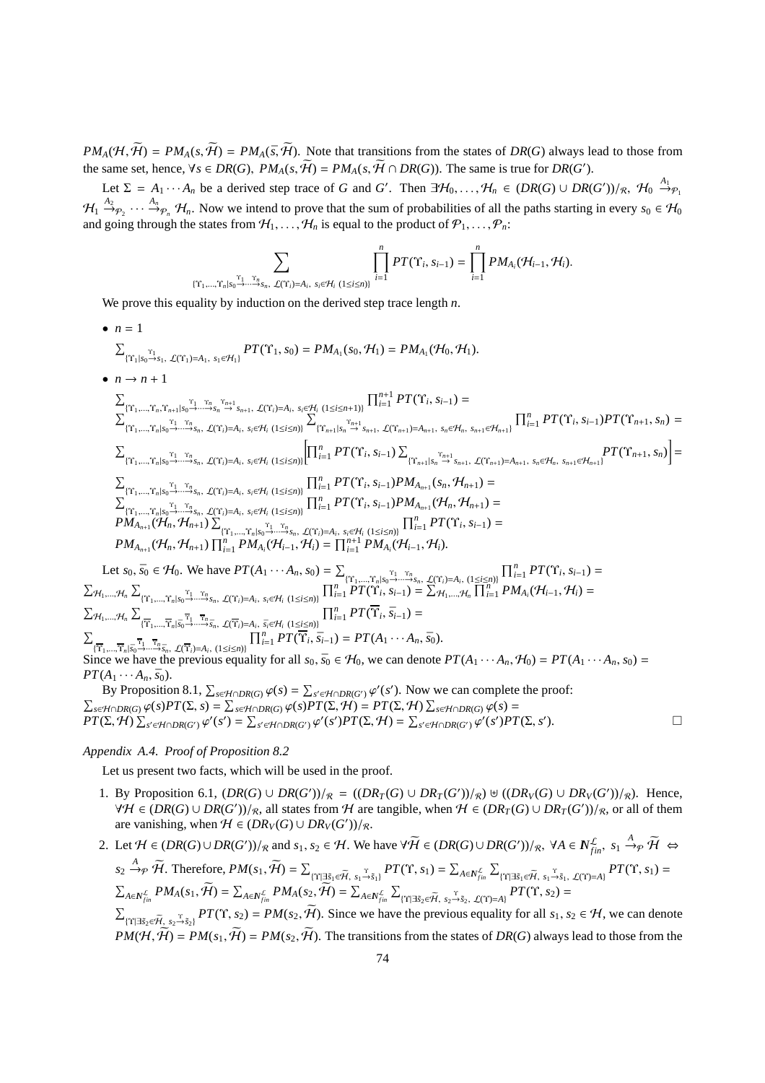$PM_A(H, \widetilde{H}) = PM_A(s, \widetilde{H}) = PM_A(\overline{s}, \widetilde{H})$ . Note that transitions from the states of *DR(G)* always lead to those from the same set, hence,  $\forall s \in DR(G), PM_A(s, \tilde{H}) = PM_A(s, \tilde{H} \cap DR(G))$ . The same is true for  $DR(G')$ .

Let  $\Sigma = A_1 \cdots A_n$  be a derived step trace of *G* and *G'*. Then  $\exists H_0, \ldots, H_n \in (DR(G) \cup DR(G'))/R$ ,  $H_0 \stackrel{A_1}{\rightarrow} P_1$  $\mathcal{H}_1 \stackrel{A_2}{\rightarrow} \rho_2 \cdots \stackrel{A_n}{\rightarrow} \rho_n$   $\mathcal{H}_n$ . Now we intend to prove that the sum of probabilities of all the paths starting in every  $s_0 \in \mathcal{H}_0$ and going through the states from  $\mathcal{H}_1, \ldots, \mathcal{H}_n$  is equal to the product of  $\mathcal{P}_1, \ldots, \mathcal{P}_n$ :

$$
\sum_{\substack{\cdots,\cdots,T_n|S_0\overset{T_1}{\to}\cdots T_n\\ \vdots\\ \cdots,\cdots,T_n|S_0\overset{T_1}{\to}\cdots\overset{T_n}{\to}S_n,\ \mathcal{L}(Y_i)=A_i,\ s_i\in\mathcal{H}_i\ (1\leq i\leq n)\}}\prod_{i=1}^nPT(\Upsilon_i,s_{i-1})=\prod_{i=1}^nPM_{A_i}(\mathcal{H}_{i-1},\mathcal{H}_i).
$$

We prove this equality by induction on the derived step trace length *n*.

{Υ1,...,Υ*n*|*s*<sup>0</sup>

• *n* = 1 P {Υ<sup>1</sup> |*s*<sup>0</sup> <sup>Υ</sup>1→*s*1, <sup>L</sup>(Υ<sup>1</sup> )=*A*1, *<sup>s</sup>*1∈H1} *PT*(Υ1, *s*0) = *PMA*<sup>1</sup> (*s*0, H1) = *PMA*<sup>1</sup> (H0, H1). • *n* → *n* + 1 P {Υ<sup>1</sup> ,...,Υ*n*,Υ*n*+1|*s*<sup>0</sup> <sup>Υ</sup>1→··· <sup>Υ</sup>*n*→*s<sup>n</sup>* <sup>Υ</sup>*n*+<sup>1</sup> <sup>→</sup> *<sup>s</sup>n*+1, <sup>L</sup>(Υ*i*)=*A<sup>i</sup>* , *si*∈H*<sup>i</sup>* (1≤*i*≤*n*+1)} Q*n*+<sup>1</sup> *<sup>i</sup>*=<sup>1</sup> *PT*(Υ*<sup>i</sup>* , *si*−1) = P {Υ<sup>1</sup> ,...,Υ*n*|*s*<sup>0</sup> <sup>Υ</sup>1→··· <sup>Υ</sup>*n*→*sn*, <sup>L</sup>(Υ*i*)=*A<sup>i</sup>* , *si*∈H*<sup>i</sup>* (1≤*i*≤*n*)} P {Υ*n*+<sup>1</sup> |*s<sup>n</sup>* <sup>Υ</sup>*n*+<sup>1</sup> <sup>→</sup> *<sup>s</sup>n*+1, <sup>L</sup>(Υ*n*+<sup>1</sup> )=*An*+1, *<sup>s</sup>n*∈H*n*, *<sup>s</sup>n*+1∈H*n*+1} Q*<sup>n</sup> <sup>i</sup>*=<sup>1</sup> *PT*(Υ*<sup>i</sup>* , *si*−1)*PT*(Υ*n*+1, *sn*) = P {Υ<sup>1</sup> ,...,Υ*n*|*s*<sup>0</sup> <sup>Υ</sup>1→··· <sup>Υ</sup>*n*→*sn*, <sup>L</sup>(Υ*i*)=*A<sup>i</sup>* , *si*∈H*<sup>i</sup>* (1≤*i*≤*n*)} Q*<sup>n</sup> <sup>i</sup>*=<sup>1</sup> *PT*(Υ*<sup>i</sup>* , *si*−1) P {Υ*n*+1|*s<sup>n</sup>* <sup>Υ</sup>*n*+<sup>1</sup> <sup>→</sup> *<sup>s</sup>n*+1, <sup>L</sup>(Υ*n*+1)=*An*+<sup>1</sup> , *<sup>s</sup>n*∈H*n*, *<sup>s</sup>n*+1∈H*n*+1} *PT*(Υ*n*+1, *sn*) = P {Υ<sup>1</sup> ,...,Υ*n*|*s*<sup>0</sup> <sup>Υ</sup>1→··· <sup>Υ</sup>*n*→*sn*, <sup>L</sup>(Υ*i*)=*A<sup>i</sup>* , *si*∈H*<sup>i</sup>* (1≤*i*≤*n*)} Q*<sup>n</sup> <sup>i</sup>*=<sup>1</sup> *PT*(Υ*<sup>i</sup>* , *si*−1)*PM<sup>A</sup>n*+<sup>1</sup> (*sn*, H*n*+1) = P {Υ<sup>1</sup> ,...,Υ*n*|*s*<sup>0</sup> <sup>Υ</sup>1→··· <sup>Υ</sup>*n*→*sn*, <sup>L</sup>(Υ*i*)=*A<sup>i</sup>* , *si*∈H*<sup>i</sup>* (1≤*i*≤*n*)} Q*<sup>n</sup> <sup>i</sup>*=<sup>1</sup> *PT*(Υ*<sup>i</sup>* , *si*−1)*PM<sup>A</sup>n*+<sup>1</sup> (H*n*, H*n*+1) = *PM<sup>A</sup>n*+<sup>1</sup> (H*n*, H*n*+1) P {Υ<sup>1</sup> ,...,Υ*n*|*s*<sup>0</sup> <sup>Υ</sup>1→··· <sup>Υ</sup>*n*→*sn*, <sup>L</sup>(Υ*i*)=*A<sup>i</sup>* , *si*∈H*<sup>i</sup>* (1≤*i*≤*n*)} Q*<sup>n</sup> <sup>i</sup>*=<sup>1</sup> *PT*(Υ*<sup>i</sup>* , *si*−1) = *PM<sup>A</sup>n*+<sup>1</sup> (H*n*, H*n*+1) Q*<sup>n</sup> <sup>i</sup>*=<sup>1</sup> *PM<sup>A</sup><sup>i</sup>* (H*i*−1, H*i*) = Q*<sup>n</sup>*+<sup>1</sup> *<sup>i</sup>*=<sup>1</sup> *PM<sup>A</sup><sup>i</sup>* (H*i*−1, H*i*). Let *s*0, *s*¯<sup>0</sup> ∈ H0. We have *PT*(*A*<sup>1</sup> · · · *An*, *s*0) = P {Υ<sup>1</sup> ,...,Υ*n*|*s*<sup>0</sup> <sup>Υ</sup>1→··· <sup>Υ</sup>*<sup>n</sup>* <sup>→</sup>*sn*, <sup>L</sup>(Υ*i*)=*A<sup>i</sup>* , (1≤*i*≤*n*)} Q*<sup>n</sup> <sup>i</sup>*=<sup>1</sup> *PT*(Υ*<sup>i</sup>* , *si*−1) = P H1,...,H*<sup>n</sup>* P {Υ1,...,Υ*n*|*s*<sup>0</sup> <sup>Υ</sup><sup>1</sup> →··· <sup>Υ</sup>*n*→*sn*, <sup>L</sup>(Υ*i*)=*A<sup>i</sup>* , *si*∈H*<sup>i</sup>* (1≤*i*≤*n*)} Q*<sup>n</sup> <sup>i</sup>*=<sup>1</sup> *PT*(Υ*<sup>i</sup>* , *si*−1) = P H1,...,H*<sup>n</sup>* Q*<sup>n</sup> <sup>i</sup>*=<sup>1</sup> *PM<sup>A</sup><sup>i</sup>* (H*i*−1, H*i*) = P H1,...,H*<sup>n</sup>* P {Υ1,...,Υ*n*|*s*¯<sup>0</sup> <sup>Υ</sup>1→··· <sup>Υ</sup>*n*→*s*¯*n*, <sup>L</sup>(Υ*i*)=*A<sup>i</sup>* , *s*¯*i*∈H*<sup>i</sup>* (1≤*i*≤*n*)} Q*<sup>n</sup> <sup>i</sup>*=<sup>1</sup> *PT*(Υ*<sup>i</sup>* , *s*¯*i*−1) = Q*<sup>n</sup> <sup>i</sup>*=<sup>1</sup> *PT*(Υ*<sup>i</sup>* , *s*¯*i*−1) = *PT*(*A*<sup>1</sup> · · · *An*, *s*¯0).

 $\sum_{\{\overline{Y}_1,\dots,\overline{Y}_n | \overline{s}_0 \to \dots \to \overline{s}_n, \mathcal{L}(\overline{Y}_i) = A_i, (1 \le i \le n)\}} 1_{i=1}^{i=1} I^T(T_i, s_{i-1}) - I^T(T_i, s_{i-1})$ .<br>Since we have the previous equality for all  $s_0, \overline{s}_0 \in H_0$ , we can denote  $PT(A_1 \cdots A_n, H_0) = PT(A_1 \cdots A_n, s_0) =$  $PT(A_1 \cdots A_n, \bar{s}_0).$ 

By Proposition 8.1,  $\sum_{s \in \mathcal{H} \cap DR(G)} \varphi(s) = \sum_{s' \in \mathcal{H} \cap DR(G')} \varphi'(s')$ . Now we can complete the proof:  $\sum_{s \in \mathcal{H} \cap DR(G)} \varphi(s) PT(\Sigma, s) = \sum_{s \in \mathcal{H} \cap DR(G)} \varphi(s) PT(\Sigma, \mathcal{H}) = PT(\Sigma, \mathcal{H}) \sum_{s \in \mathcal{H} \cap DR(G)} \varphi(s) =$  $PT(\Sigma, \mathcal{H}) \sum_{s' \in \mathcal{H} \cap DR(G')} \varphi'(s') = \sum_{s' \in \mathcal{H} \cap DR(G')} \varphi'(s')PT(\Sigma, \mathcal{H}) = \sum_{s' \in \mathcal{H} \cap DR(G')} \varphi'(s')PT(\Sigma, s')$  $\Box$ 

## *Appendix A.4. Proof of Proposition 8.2*

 $\Sigma$ 

Let us present two facts, which will be used in the proof.

- 1. By Proposition 6.1,  $(DR(G) \cup DR(G'))/R = ((DR_T(G) \cup DR_T(G'))/R) \oplus ((DR_V(G) \cup DR_V(G'))/R)$ . Hence,  $\forall H \in (DR(G) \cup DR(G'))/R$ , all states from H are tangible, when  $H \in (DR_T(G) \cup DR_T(G'))/R$ , or all of them are vanishing, when  $H \in (DR_V(G) \cup DR_V(G'))/R$ .
- 2. Let  $H \in (DR(G) \cup DR(G'))/R$  and  $s_1, s_2 \in H$ . We have  $\forall \widetilde{H} \in (DR(G) \cup DR(G'))/R$ ,  $\forall A \in \mathbb{N}_{fin}^{\mathcal{L}}$ ,  $s_1 \stackrel{A}{\rightarrow} P$ ,  $\widetilde{H} \Leftrightarrow$  $s_2 \xrightarrow{A} \widetilde{\mathcal{H}}$ . Therefore,  $PM(s_1, \widetilde{\mathcal{H}}) = \sum_{\{\Upsilon \mid \exists \tilde{s}_1 \in \widetilde{\mathcal{H}}, s_1 \xrightarrow{\Upsilon} \tilde{s}_1\}} PT(\Upsilon, s_1) = \sum_{A \in N_{fin}^{\mathcal{L}}} \sum_{\{\Upsilon \mid \exists \tilde{s}_1 \in \widetilde{\mathcal{H}}, s_1 \xrightarrow{\Upsilon} \tilde{s}_1, \mathcal{L}(\Upsilon) = A\}} PT(\Upsilon, s_1) =$  $\textstyle \sum_{A\in \mathbb{N}^{\mathcal{L}}_{fin}}PM_A(s_1,\bar{\mathcal{H}})=\sum_{A\in \mathbb{N}^{\mathcal{L}}_{fin}}PM_A(s_2,\bar{\mathcal{H}})=\sum_{A\in \mathbb{N}^{\mathcal{L}}_{fin}}\sum_{\{\Upsilon|\exists \tilde{s}_2\in \tilde{\mathcal{H}},\ s_2\rightarrow \tilde{s}_2,\ \mathcal{L}(\Upsilon)=A\}}PT(\Upsilon,s_2)=$

 $\sum_{\{\Upsilon|\exists \tilde{s}_2 \in \tilde{\mathcal{H}}, s_2 \stackrel{\Upsilon}{\rightarrow} \tilde{s}_2\}} PT(\Upsilon, s_2) = PM(s_2, \tilde{\mathcal{H}})$ . Since we have the previous equality for all  $s_1, s_2 \in \mathcal{H}$ , we can denote  $PM(\mathcal{H}, \widetilde{\mathcal{H}}) = PM(s_1, \widetilde{\mathcal{H}}) = PM(s_2, \widetilde{\mathcal{H}})$ . The transitions from the states of *DR(G)* always lead to those from the